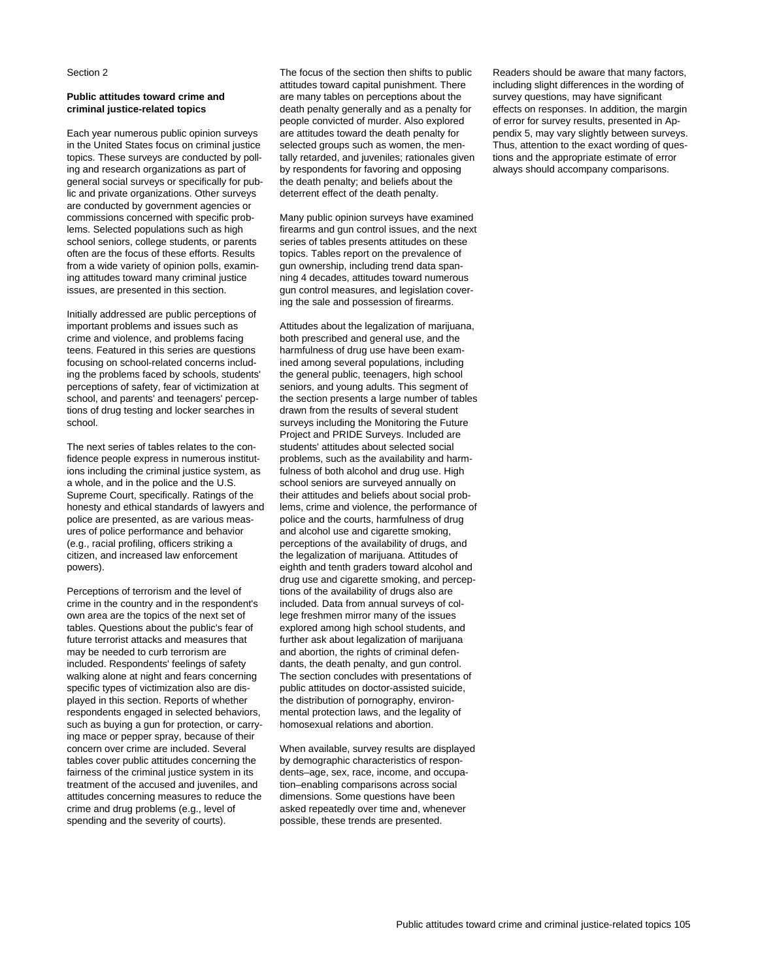Section 2

# **Public attitudes toward crime and criminal justice-related topics**

Each year numerous public opinion surveys in the United States focus on criminal justice topics. These surveys are conducted by polling and research organizations as part of general social surveys or specifically for public and private organizations. Other surveys are conducted by government agencies or commissions concerned with specific problems. Selected populations such as high school seniors, college students, or parents often are the focus of these efforts. Results from a wide variety of opinion polls, examining attitudes toward many criminal justice issues, are presented in this section.

Initially addressed are public perceptions of important problems and issues such as crime and violence, and problems facing teens. Featured in this series are questions focusing on school-related concerns including the problems faced by schools, students' perceptions of safety, fear of victimization at school, and parents' and teenagers' perceptions of drug testing and locker searches in school.

The next series of tables relates to the confidence people express in numerous institutions including the criminal justice system, as a whole, and in the police and the U.S. Supreme Court, specifically. Ratings of the honesty and ethical standards of lawyers and police are presented, as are various measures of police performance and behavior (e.g., racial profiling, officers striking a citizen, and increased law enforcement powers).

Perceptions of terrorism and the level of crime in the country and in the respondent's own area are the topics of the next set of tables. Questions about the public's fear of future terrorist attacks and measures that may be needed to curb terrorism are included. Respondents' feelings of safety walking alone at night and fears concerning specific types of victimization also are displayed in this section. Reports of whether respondents engaged in selected behaviors, such as buying a gun for protection, or carrying mace or pepper spray, because of their concern over crime are included. Several tables cover public attitudes concerning the fairness of the criminal justice system in its treatment of the accused and juveniles, and attitudes concerning measures to reduce the crime and drug problems (e.g., level of spending and the severity of courts).

The focus of the section then shifts to public attitudes toward capital punishment. There are many tables on perceptions about the death penalty generally and as a penalty for people convicted of murder. Also explored are attitudes toward the death penalty for selected groups such as women, the mentally retarded, and juveniles; rationales given by respondents for favoring and opposing the death penalty; and beliefs about the deterrent effect of the death penalty.

Many public opinion surveys have examined firearms and gun control issues, and the next series of tables presents attitudes on these topics. Tables report on the prevalence of gun ownership, including trend data spanning 4 decades, attitudes toward numerous gun control measures, and legislation covering the sale and possession of firearms.

Attitudes about the legalization of marijuana, both prescribed and general use, and the harmfulness of drug use have been examined among several populations, including the general public, teenagers, high school seniors, and young adults. This segment of the section presents a large number of tables drawn from the results of several student surveys including the Monitoring the Future Project and PRIDE Surveys. Included are students' attitudes about selected social problems, such as the availability and harmfulness of both alcohol and drug use. High school seniors are surveyed annually on their attitudes and beliefs about social problems, crime and violence, the performance of police and the courts, harmfulness of drug and alcohol use and cigarette smoking, perceptions of the availability of drugs, and the legalization of marijuana. Attitudes of eighth and tenth graders toward alcohol and drug use and cigarette smoking, and perceptions of the availability of drugs also are included. Data from annual surveys of college freshmen mirror many of the issues explored among high school students, and further ask about legalization of marijuana and abortion, the rights of criminal defendants, the death penalty, and gun control. The section concludes with presentations of public attitudes on doctor-assisted suicide, the distribution of pornography, environmental protection laws, and the legality of homosexual relations and abortion.

When available, survey results are displayed by demographic characteristics of respondents–age, sex, race, income, and occupation–enabling comparisons across social dimensions. Some questions have been asked repeatedly over time and, whenever possible, these trends are presented.

Readers should be aware that many factors, including slight differences in the wording of survey questions, may have significant effects on responses. In addition, the margin of error for survey results, presented in Appendix 5, may vary slightly between surveys. Thus, attention to the exact wording of questions and the appropriate estimate of error always should accompany comparisons.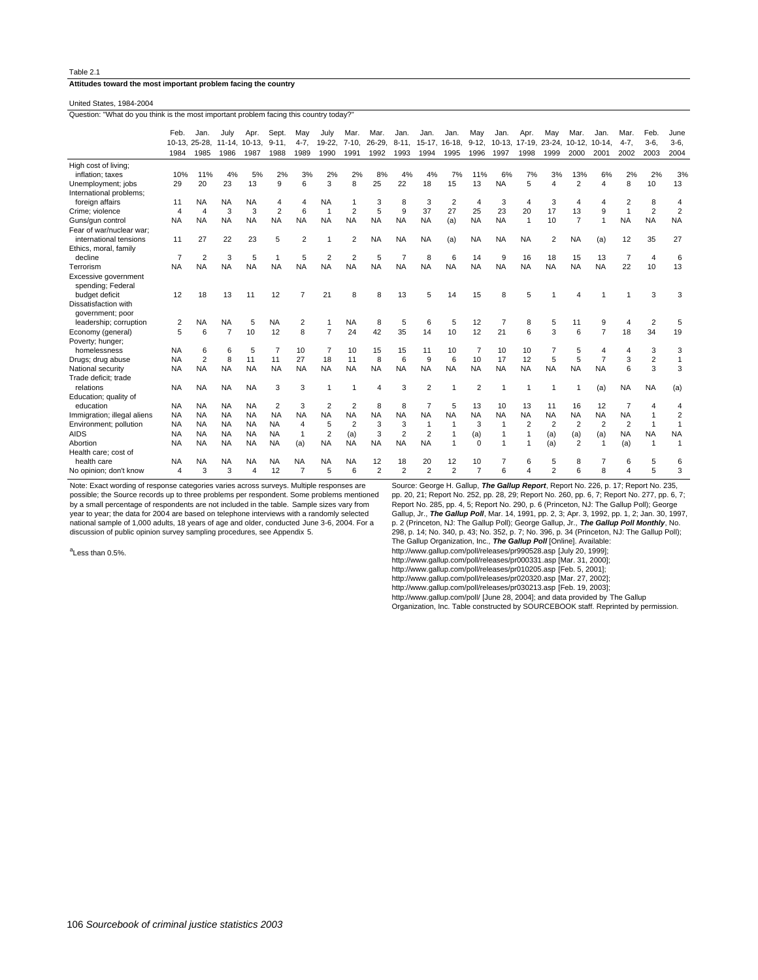**Attitudes toward the most important problem facing the country**

United States, 1984-2004

Question: "What do you think is the most important problem facing this country today?

|                                               | Feb.           | Jan.           | Julv      | Apr.          | Sept.          | May            | July           | Mar.           | Mar.           | Jan            | Jan            | Jan.           | May            | Jan.            | Apr.         | Mav            | Mar.                  | Jan            | Mar.           | Feb            | June           |
|-----------------------------------------------|----------------|----------------|-----------|---------------|----------------|----------------|----------------|----------------|----------------|----------------|----------------|----------------|----------------|-----------------|--------------|----------------|-----------------------|----------------|----------------|----------------|----------------|
|                                               | $10-13.$       | 25-28.         |           | 11-14, 10-13. | $9 - 11.$      | $4 - 7$ ,      | 19-22,         | $7 - 10$       | $26 - 29$      | $8 - 11$       | $15-17$ ,      | 16-18,         | $9 - 12$       | $10-13$ ,       | $17-19$ ,    | $23 - 24$      | $10-12,$              | $10-14.$       | $4 - 7.$       | $3-6$          | $3-6,$         |
|                                               | 1984           | 1985           | 1986      | 1987          | 1988           | 1989           | 1990           | 1991           | 1992           | 1993           | 1994           | 1995           | 1996           | 1997            | 1998         | 1999           | 2000                  | 2001           | 2002           | 2003           | 2004           |
| High cost of living;                          | 10%            |                | 4%        |               |                |                |                |                |                |                | 4%             |                |                |                 |              |                |                       |                |                |                |                |
| inflation; taxes                              | 29             | 11%<br>20      | 23        | 5%<br>13      | 2%<br>9        | 3%<br>6        | 2%<br>3        | 2%<br>8        | 8%<br>25       | 4%<br>22       | 18             | 7%<br>15       | 11%<br>13      | 6%<br><b>NA</b> | 7%<br>5      | 3%<br>4        | 13%<br>$\overline{2}$ | 6%<br>4        | 2%<br>8        | 2%<br>10       | 3%<br>13       |
| Unemployment; jobs<br>International problems; |                |                |           |               |                |                |                |                |                |                |                |                |                |                 |              |                |                       |                |                |                |                |
| foreign affairs                               | 11             | <b>NA</b>      | <b>NA</b> | <b>NA</b>     |                | 4              | <b>NA</b>      |                | 3              | 8              | 3              | $\overline{2}$ | $\overline{4}$ | 3               | 4            | 3              | 4                     | 4              | $\overline{2}$ | 8              |                |
| Crime; violence                               | $\overline{4}$ | $\overline{4}$ | 3         | 3             | $\overline{2}$ | 6              | $\mathbf{1}$   | $\overline{2}$ | 5              | 9              | 37             | 27             | 25             | 23              | 20           | 17             | 13                    | 9              | -1             | $\overline{2}$ | $\overline{2}$ |
| Guns/gun control                              | <b>NA</b>      | <b>NA</b>      | <b>NA</b> | <b>NA</b>     | <b>NA</b>      | <b>NA</b>      | <b>NA</b>      | <b>NA</b>      | <b>NA</b>      | <b>NA</b>      | <b>NA</b>      | (a)            | <b>NA</b>      | <b>NA</b>       | $\mathbf{1}$ | 10             | $\overline{7}$        | $\mathbf{1}$   | <b>NA</b>      | <b>NA</b>      | <b>NA</b>      |
| Fear of war/nuclear war;                      |                |                |           |               |                |                |                |                |                |                |                |                |                |                 |              |                |                       |                |                |                |                |
| international tensions                        | 11             | 27             | 22        | 23            | 5              | $\overline{2}$ |                | 2              | <b>NA</b>      | <b>NA</b>      | <b>NA</b>      | (a)            | <b>NA</b>      | <b>NA</b>       | <b>NA</b>    | 2              | <b>NA</b>             | (a)            | 12             | 35             | 27             |
| Ethics, moral, family                         |                |                |           |               |                |                |                |                |                |                |                |                |                |                 |              |                |                       |                |                |                |                |
| decline                                       | $\overline{7}$ | $\overline{2}$ | 3         | 5             |                | 5              |                | $\overline{2}$ | 5              | $\overline{7}$ | 8              | 6              | 14             | 9               | 16           | 18             | 15                    | 13             | 7              | $\overline{4}$ | 6              |
| Terrorism                                     | <b>NA</b>      | <b>NA</b>      | <b>NA</b> | <b>NA</b>     | <b>NA</b>      | <b>NA</b>      | <b>NA</b>      | <b>NA</b>      | <b>NA</b>      | <b>NA</b>      | <b>NA</b>      | <b>NA</b>      | <b>NA</b>      | <b>NA</b>       | <b>NA</b>    | <b>NA</b>      | <b>NA</b>             | <b>NA</b>      | 22             | 10             | 13             |
| Excessive government<br>spending; Federal     |                |                |           |               |                |                |                |                |                |                |                |                |                |                 |              |                |                       |                |                |                |                |
| budget deficit                                | 12             | 18             | 13        | 11            | 12             | $\overline{7}$ | 21             | 8              |                | 13             |                | 14             | 15             | 8               | 5            |                |                       |                |                | 3              | 3              |
| Dissatisfaction with                          |                |                |           |               |                |                |                |                |                |                |                |                |                |                 |              |                |                       |                |                |                |                |
| government; poor                              |                |                |           |               |                |                |                |                |                |                |                |                |                |                 |              |                |                       |                |                |                |                |
| leadership; corruption                        | 2              | <b>NA</b>      | <b>NA</b> | 5             | <b>NA</b>      | 2              |                | <b>NA</b>      | 8              | 5              | 6              | 5              | 12             | 7               | 8            | 5              | 11                    | 9              | 4              | $\overline{2}$ | 5              |
| Economy (general)                             | 5              | 6              | 7         | 10            | 12             | 8              | $\overline{7}$ | 24             | 42             | 35             | 14             | 10             | 12             | 21              | 6            | 3              | 6                     | $\overline{7}$ | 18             | 34             | 19             |
| Poverty; hunger;                              |                |                |           |               |                |                |                |                |                |                |                |                |                |                 |              |                |                       |                |                |                |                |
| homelessness                                  | <b>NA</b>      | 6              | 6         | 5             | 7              | 10             |                | 10             | 15             | 15             | 11             | 10             | 7              | 10              | 10           | 7              | 5                     | 4              |                | 3              | 3              |
| Drugs; drug abuse                             | <b>NA</b>      | $\overline{2}$ | 8         | 11            | 11             | 27             | 18             | 11             | 8              | 6              | 9              | 6              | 10             | 17              | 12           | 5              | 5                     | $\overline{7}$ | 3              | $\overline{c}$ |                |
| National security                             | <b>NA</b>      | <b>NA</b>      | <b>NA</b> | <b>NA</b>     | <b>NA</b>      | <b>NA</b>      | <b>NA</b>      | <b>NA</b>      | <b>NA</b>      | <b>NA</b>      | <b>NA</b>      | <b>NA</b>      | <b>NA</b>      | <b>NA</b>       | <b>NA</b>    | <b>NA</b>      | <b>NA</b>             | <b>NA</b>      | 6              | 3              | 3              |
| Trade deficit: trade                          |                |                |           |               |                |                |                |                |                |                |                |                |                |                 |              |                |                       |                |                |                |                |
| relations                                     | <b>NA</b>      | <b>NA</b>      | <b>NA</b> | <b>NA</b>     | 3              | 3              |                |                |                | 3              | $\overline{2}$ |                | $\overline{2}$ |                 |              |                |                       | (a)            | <b>NA</b>      | <b>NA</b>      | (a)            |
| Education; quality of<br>education            | <b>NA</b>      | <b>NA</b>      | <b>NA</b> | <b>NA</b>     | $\overline{2}$ | 3              | 2              | 2              | 8              | 8              |                | 5              | 13             | 10              | 13           | 11             | 16                    | 12             |                | 4              |                |
| Immigration; illegal aliens                   | <b>NA</b>      | <b>NA</b>      | <b>NA</b> | <b>NA</b>     | <b>NA</b>      | <b>NA</b>      | <b>NA</b>      | <b>NA</b>      | <b>NA</b>      | <b>NA</b>      | <b>NA</b>      | <b>NA</b>      | <b>NA</b>      | <b>NA</b>       | <b>NA</b>    | <b>NA</b>      | <b>NA</b>             | <b>NA</b>      | <b>NA</b>      |                | 2              |
| Environment; pollution                        | <b>NA</b>      | <b>NA</b>      | <b>NA</b> | <b>NA</b>     | <b>NA</b>      | $\overline{4}$ | 5              | 2              | 3              | 3              | -1             | $\mathbf{1}$   | 3              | $\mathbf{1}$    | 2            | 2              | 2                     | $\overline{2}$ | 2              | $\overline{1}$ | 1              |
| <b>AIDS</b>                                   | <b>NA</b>      | <b>NA</b>      | <b>NA</b> | <b>NA</b>     | <b>NA</b>      | $\mathbf{1}$   | 2              | (a)            | 3              | $\overline{2}$ | $\overline{2}$ | $\mathbf{1}$   | (a)            | 1               |              | (a)            | (a)                   | (a)            | <b>NA</b>      | <b>NA</b>      | <b>NA</b>      |
| Abortion                                      | <b>NA</b>      | <b>NA</b>      | <b>NA</b> | <b>NA</b>     | <b>NA</b>      | (a)            | <b>NA</b>      | <b>NA</b>      | <b>NA</b>      | <b>NA</b>      | <b>NA</b>      | $\mathbf{1}$   | $\Omega$       | 1               |              | (a)            | $\overline{2}$        | $\mathbf{1}$   | (a)            | $\overline{1}$ | $\mathbf{1}$   |
| Health care; cost of                          |                |                |           |               |                |                |                |                |                |                |                |                |                |                 |              |                |                       |                |                |                |                |
| health care                                   | <b>NA</b>      | <b>NA</b>      | <b>NA</b> | <b>NA</b>     | <b>NA</b>      | <b>NA</b>      | <b>NA</b>      | <b>NA</b>      | 12             | 18             | 20             | 12             | 10             |                 | 6            | 5              | 8                     |                | 6              | 5              | 6              |
| No opinion; don't know                        | 4              | 3              | 3         | 4             | 12             | $\overline{7}$ | 5              | 6              | $\overline{2}$ | $\overline{2}$ | $\overline{2}$ | $\overline{2}$ | $\overline{7}$ | հ               |              | $\overline{a}$ |                       |                |                | 5              | 3              |

Note: Exact wording of response categories varies across surveys. Multiple responses are possible; the Source records up to three problems per respondent. Some problems mentioned by a small percentage of respondents are not included in the table. Sample sizes vary from year to year; the data for 2004 are based on telephone interviews with a randomly selected national sample of 1,000 adults, 18 years of age and older, conducted June 3-6, 2004. For a discussion of public opinion survey sampling procedures, see Appendix 5.

<sup>a</sup>Less than 0.5%.

Source: George H. Gallup, **The Gallup Report**, Report No. 226, p. 17; Report No. 235, pp. 20, 21; Report No. 252, pp. 28, 29; Report No. 260, pp. 6, 7; Report No. 277, pp. 6, 7;<br>Report No. 285, pp. 4, 5; Report No. 290, p. 6 (Princeton, NJ: The Gallup Poll); George<br>Gallup, Jr., **T***he Gallup Poll*, Mar. 14, p. 2 (Princeton, NJ: The Gallup Poll); George Gallup, Jr., **The Gallup Poll Monthly**, No. 298, p. 14; No. 340, p. 43; No. 352, p. 7; No. 396, p. 34 (Princeton, NJ: The Gallup Poll); The Gallup Organization, Inc., **The Gallup Poll** [Online]. Available:<br>http://www.gallup.com/poll/releases/pr990528.asp [July 20, 1999];<br>http://www.gallup.com/poll/releases/pr000331.asp [Mar. 31, 2000];

http://www.gallup.com/poll/releases/pr010205.asp [Feb. 5, 2001];

http://www.gallup.com/poll/releases/pr020320.asp [Mar. 27, 2002];

http://www.gallup.com/poll/releases/pr030213.asp [Feb. 19, 2003];

http://www.gallup.com/poll/ [June 28, 2004]; and data provided by The Gallup Organization, Inc. Table constructed by SOURCEBOOK staff. Reprinted by permission.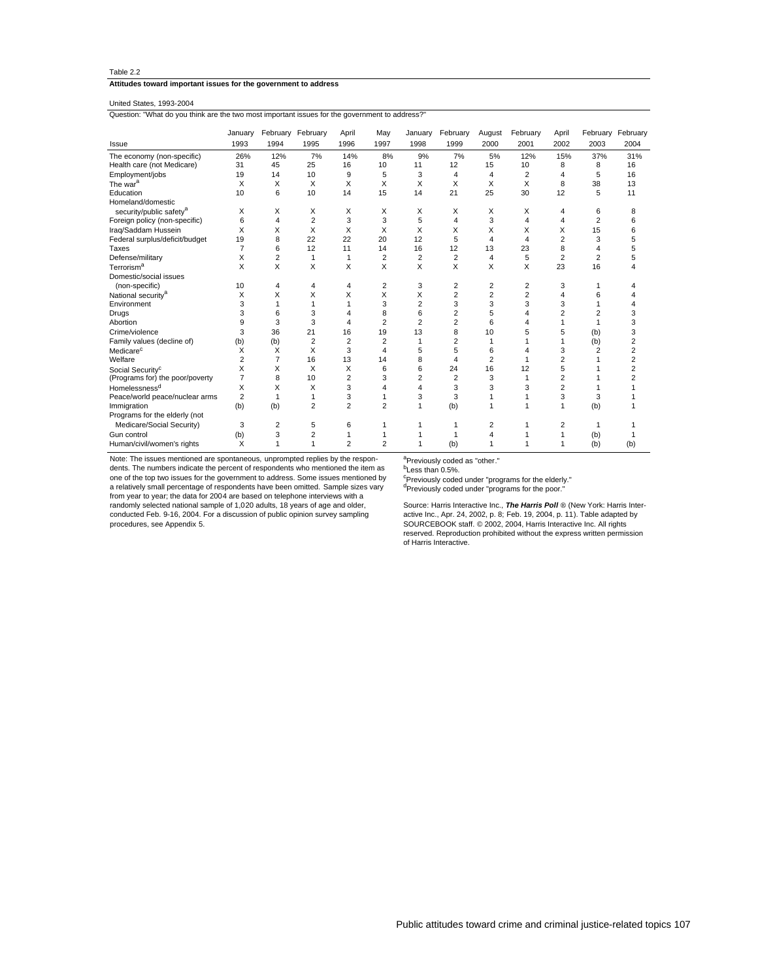#### **Attitudes toward important issues for the government to address**

# United States, 1993-2004

Question: "What do you think are the two most important issues for the government to address?"

|                                     | January        |                | February February | April          | May            | January        | February       | August         | February       | April          |                | February February       |
|-------------------------------------|----------------|----------------|-------------------|----------------|----------------|----------------|----------------|----------------|----------------|----------------|----------------|-------------------------|
| Issue                               | 1993           | 1994           | 1995              | 1996           | 1997           | 1998           | 1999           | 2000           | 2001           | 2002           | 2003           | 2004                    |
| The economy (non-specific)          | 26%            | 12%            | 7%                | 14%            | 8%             | 9%             | 7%             | 5%             | 12%            | 15%            | 37%            | 31%                     |
| Health care (not Medicare)          | 31             | 45             | 25                | 16             | 10             | 11             | 12             | 15             | 10             | 8              | 8              | 16                      |
| Employment/jobs                     | 19             | 14             | 10                | 9              | 5              | 3              | 4              | 4              | $\overline{2}$ | 4              | 5              | 16                      |
| The war <sup>a</sup>                | X              | X              | Х                 | X              | X              | X              | X              | X              | X              | 8              | 38             | 13                      |
| Education                           | 10             | 6              | 10                | 14             | 15             | 14             | 21             | 25             | 30             | 12             | 5              | 11                      |
| Homeland/domestic                   |                |                |                   |                |                |                |                |                |                |                |                |                         |
| security/public safety <sup>a</sup> | X              | X              | X                 | X              | X              | X              | X              | X              | X              | 4              | 6              | 8                       |
| Foreign policy (non-specific)       | 6              | 4              | $\overline{2}$    | 3              | 3              | 5              | 4              | 3              | 4              | 4              | $\overline{2}$ | 6                       |
| Iraq/Saddam Hussein                 | X              | X              | X                 | X              | X              | X              | X              | X              | X              | X              | 15             | 6                       |
| Federal surplus/deficit/budget      | 19             | 8              | 22                | 22             | 20             | 12             | 5              | $\overline{4}$ | 4              | $\overline{2}$ | 3              | 5                       |
| Taxes                               | $\overline{7}$ | 6              | 12                | 11             | 14             | 16             | 12             | 13             | 23             | 8              | 4              | 5                       |
| Defense/military                    | X              | $\overline{2}$ | 1                 | 1              | $\overline{2}$ | $\overline{2}$ | $\overline{2}$ | 4              | 5              | $\overline{2}$ | $\overline{2}$ | 5                       |
| Terrorism <sup>a</sup>              | X              | X              | X                 | X              | X              | X              | X              | X              | X              | 23             | 16             | $\overline{\mathbf{A}}$ |
| Domestic/social issues              |                |                |                   |                |                |                |                |                |                |                |                |                         |
| (non-specific)                      | 10             | 4              | 4                 | 4              | $\overline{2}$ | 3              | $\overline{2}$ | 2              | 2              | 3              | 1              | 4                       |
| National security <sup>a</sup>      | X              | X              | Χ                 | X              | X              | X              | $\overline{2}$ | $\overline{2}$ | $\overline{2}$ | 4              | 6              | 4                       |
| Environment                         | 3              | 1              | 1                 | 1              | 3              | $\overline{2}$ | 3              | 3              | 3              | 3              |                | 4                       |
| Drugs                               | 3              | 6              | 3                 | 4              | 8              | 6              | $\overline{2}$ | 5              | 4              | $\overline{2}$ | $\overline{2}$ | 3                       |
| Abortion                            | 9              | 3              | 3                 | 4              | $\overline{2}$ | $\overline{2}$ | $\overline{2}$ | 6              | 4              | 1              | 1              | 3                       |
| Crime/violence                      | 3              | 36             | 21                | 16             | 19             | 13             | 8              | 10             | 5              | 5              | (b)            | 3                       |
| Family values (decline of)          | (b)            | (b)            | 2                 | $\overline{2}$ | 2              | 1              | $\overline{2}$ | 1              | 1              |                | (b)            | $\overline{2}$          |
| Medicare <sup>c</sup>               | X              | X              | X                 | 3              | 4              | 5              | 5              | 6              | 4              | 3              | 2              | 2                       |
| Welfare                             | $\overline{2}$ | $\overline{7}$ | 16                | 13             | 14             | 8              | 4              | $\overline{2}$ | 1              | $\overline{2}$ |                | $\overline{2}$          |
| Social Security <sup>c</sup>        | X              | X              | X                 | X              | 6              | 6              | 24             | 16             | 12             | 5              |                | $\overline{2}$          |
| (Programs for) the poor/poverty     | $\overline{7}$ | 8              | 10                | $\overline{2}$ | 3              | $\overline{2}$ | $\overline{2}$ | 3              | 1              | $\overline{2}$ |                | $\overline{2}$          |
| Homelessness <sup>d</sup>           | X              | X              | X                 | 3              | 4              | 4              | 3              | 3              | 3              | $\overline{2}$ |                | 1                       |
| Peace/world peace/nuclear arms      | $\overline{2}$ | $\overline{1}$ | 1                 | 3              | 1              | 3              | 3              | 1              | 1              | 3              | 3              |                         |
| Immigration                         | (b)            | (b)            | $\overline{2}$    | $\overline{2}$ | $\overline{2}$ | 1              | (b)            | 1              | 1              | 1              | (b)            | $\mathbf 1$             |
| Programs for the elderly (not       |                |                |                   |                |                |                |                |                |                |                |                |                         |
| Medicare/Social Security)           | 3              | $\overline{2}$ | 5                 | 6              | 1              | 1              |                | 2              | 1              | 2              | 1              |                         |
| Gun control                         | (b)            | 3              | 2                 | 1              | 1              | 1              | 1              | 4              |                |                | (b)            |                         |
| Human/civil/women's rights          | X              | 1              | $\mathbf{1}$      | $\overline{2}$ | $\overline{2}$ | 1              | (b)            | 1              | 1              | 1              | (b)            | (b)                     |

Note: The issues mentioned are spontaneous, unprompted replies by the respondents. The numbers indicate the percent of respondents who mentioned the item as<br>one of the top two issues for the government to address. Some issues mentioned by<br>a relatively small percentage of respondents have been omit from year to year; the data for 2004 are based on telephone interviews with a randomly selected national sample of 1,020 adults, 18 years of age and older, conducted Feb. 9-16, 2004. For a discussion of public opinion survey sampling procedures, see Appendix 5.

<sup>a</sup>Previously coded as "other."

<sup>b</sup>Less than 0.5%.

<sup>c</sup>Previously coded under "programs for the elderly."

<sup>d</sup>Previously coded under "programs for the poor."

Source: Harris Interactive Inc., The Harris Poll ® (New York: Harris Interactive Inc., Apr. 24, 2002, p. 8; Feb. 19, 2004, p. 11). Table adapted by<br>SOURCEBOOK staff. © 2002, 2004, Harris Interactive Inc. All rights<br>reserved. Reproduction prohibited without the express written permission of Harris Interactive.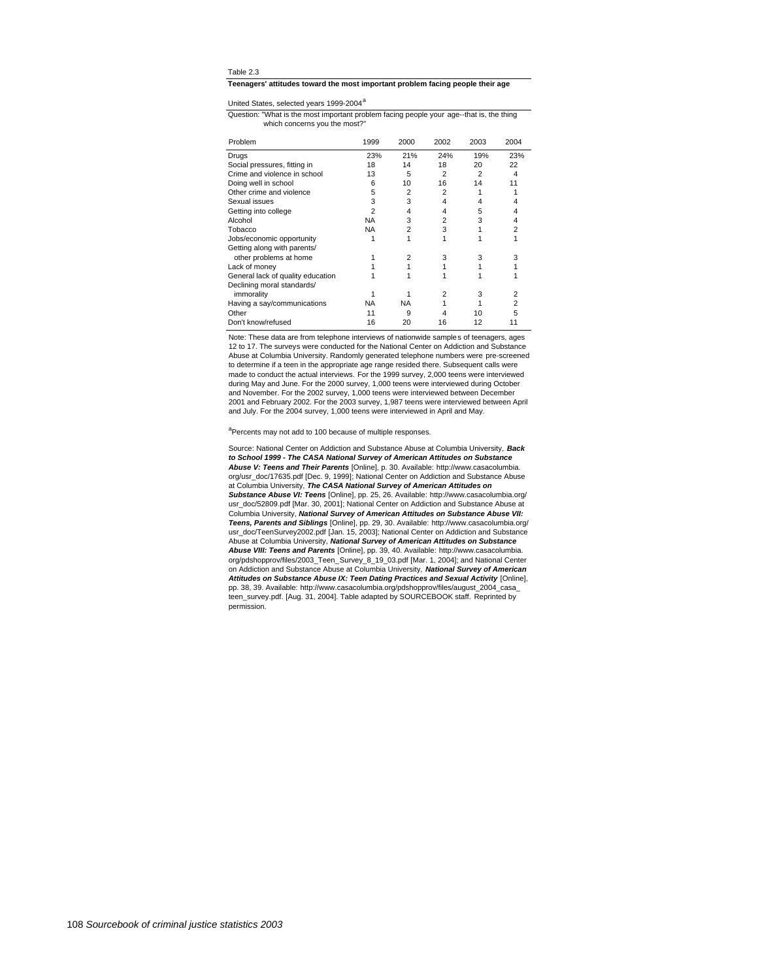#### **Teenagers' attitudes toward the most important problem facing people their age**

United States, selected years 1999-2004<sup>a</sup>

which concerns you the most?" Question: "What is the most important problem facing people your age--that is, the thing

| Problem                           | 1999 | 2000           | 2002           | 2003 | 2004 |
|-----------------------------------|------|----------------|----------------|------|------|
| Drugs                             | 23%  | 21%            | 24%            | 19%  | 23%  |
| Social pressures, fitting in      | 18   | 14             | 18             | 20   | 22   |
| Crime and violence in school      | 13   | 5              | $\overline{2}$ | 2    | 4    |
| Doing well in school              | 6    | 10             | 16             | 14   |      |
| Other crime and violence          | 5    | $\overline{2}$ | $\overline{2}$ |      |      |
| Sexual issues                     | 3    | 3              | 4              | 4    |      |
| Getting into college              | 2    | 4              | 4              | 5    |      |
| Alcohol                           | NA   | 3              | $\overline{2}$ | 3    |      |
| Tobacco                           | NA   | $\overline{2}$ | 3              |      | 2    |
| Jobs/economic opportunity         |      |                |                |      |      |
| Getting along with parents/       |      |                |                |      |      |
| other problems at home            |      | 2              | 3              | 3    |      |
| Lack of money                     |      |                |                |      |      |
| General lack of quality education |      |                |                |      |      |
| Declining moral standards/        |      |                |                |      |      |
| immorality                        |      |                |                | 3    | 2    |
| Having a say/communications       | NA   | NA             |                |      | 2    |
| Other                             | 11   | 9              |                | 10   |      |
| Don't know/refused                | 16   | 20             | 16             | 12   |      |

Note: These data are from telephone interviews of nationwide samples of teenagers, ages 12 to 17. The surveys were conducted for the National Center on Addiction and Substance Abuse at Columbia University. Randomly generated telephone numbers were pre-screened to determine if a teen in the appropriate age range resided there. Subsequent calls were made to conduct the actual interviews. For the 1999 survey, 2,000 teens were interviewed during May and June. For the 2000 survey, 1,000 teens were interviewed during October and November. For the 2002 survey, 1,000 teens were interviewed between December 2001 and February 2002. For the 2003 survey, 1,987 teens were interviewed between April and July. For the 2004 survey, 1,000 teens were interviewed in April and May.

#### <sup>a</sup>Percents may not add to 100 because of multiple responses.

Source: National Center on Addiction and Substance Abuse at Columbia University, **Back to School 1999 - The CASA National Survey of American Attitudes on Substance Abuse V: Teens and Their Parents** [Online], p. 30. Available: http://www.casacolumbia. org/usr\_doc/17635.pdf [Dec. 9, 1999]; National Center on Addiction and Substance Abuse at Columbia University, **The CASA National Survey of American Attitudes on Substance Abuse VI: Teens** [Online], pp. 25, 26. Available: http://www.casacolumbia.org/ usr\_doc/52809.pdf [Mar. 30, 2001]; National Center on Addiction and Substance Abuse at Columbia University, **National Survey of American Attitudes on Substance Abuse VII: Teens, Parents and Siblings** [Online], pp. 29, 30. Available: http://www.casacolumbia.org/ usr\_doc/TeenSurvey2002.pdf [Jan. 15, 2003]; National Center on Addiction and Substance Abuse at Columbia University, **National Survey of American Attitudes on Substance Abuse VIII: Teens and Parents** [Online], pp. 39, 40. Available: http://www.casacolumbia. org/pdshopprov/files/2003\_Teen\_Survey\_8\_19\_03.pdf [Mar. 1, 2004]; and National Center on Addiction and Substance Abuse at Columbia University, **National Survey of American Attitudes on Substance Abuse IX: Teen Dating Practices and Sexual Activity** [Online], pp. 38, 39. Available: http://www.casacolumbia.org/pdshopprov/files/august\_2004\_casa\_ teen\_survey.pdf. [Aug. 31, 2004]. Table adapted by SOURCEBOOK staff. Reprinted by permission.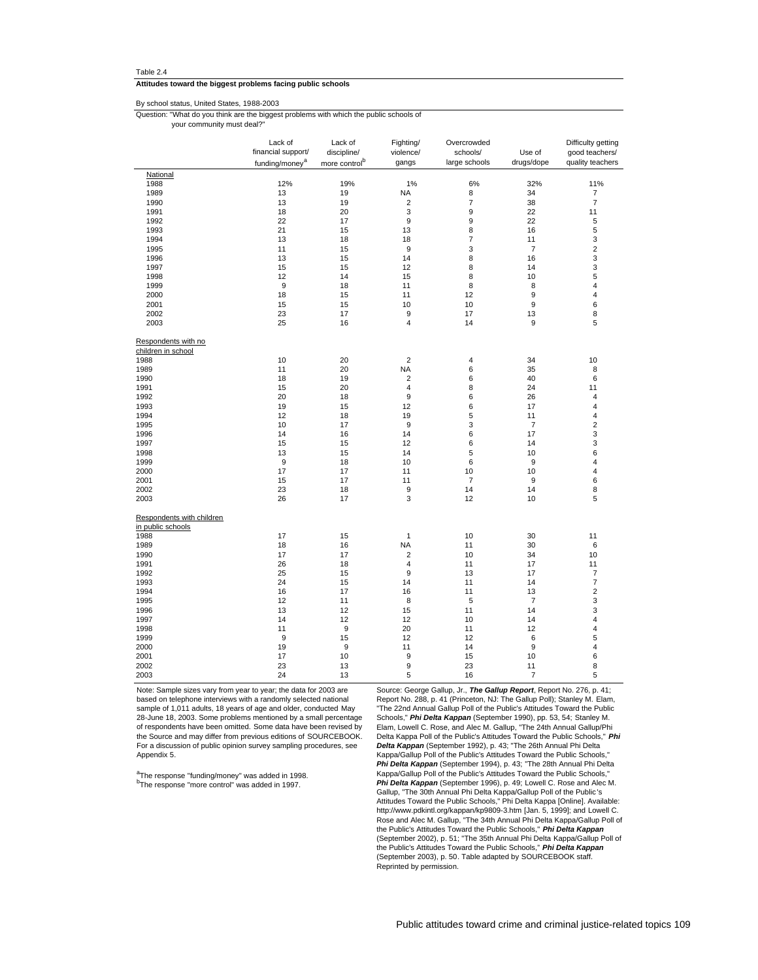#### **Attitudes toward the biggest problems facing public schools**

# By school status, United States, 1988-2003

Question: "What do you think are the biggest problems with which the public schools of

your community must deal?"

|                                                | Lack of<br>financial support/<br>funding/money <sup>a</sup> | Lack of<br>discipline/<br>more control <sup>b</sup> | Fighting/<br>violence/<br>gangs | Overcrowded<br>schools/<br>large schools | Use of<br>drugs/dope | Difficulty getting<br>good teachers/<br>quality teachers |
|------------------------------------------------|-------------------------------------------------------------|-----------------------------------------------------|---------------------------------|------------------------------------------|----------------------|----------------------------------------------------------|
| National                                       |                                                             |                                                     |                                 |                                          |                      |                                                          |
| 1988                                           | 12%                                                         | 19%                                                 | 1%                              | 6%                                       | 32%                  | 11%                                                      |
| 1989                                           | 13                                                          | 19                                                  | <b>NA</b>                       | 8                                        | 34                   | $\overline{7}$                                           |
| 1990                                           | 13                                                          | 19                                                  | $\overline{\mathbf{c}}$         | $\overline{7}$                           | 38                   | $\overline{7}$                                           |
| 1991                                           | 18                                                          | 20                                                  | 3                               | 9                                        | 22                   | 11                                                       |
| 1992                                           | 22                                                          | 17                                                  | 9                               | 9                                        | 22                   | 5                                                        |
| 1993                                           | 21                                                          | 15                                                  | 13                              | 8                                        | 16                   | 5                                                        |
| 1994                                           | 13                                                          | 18                                                  | 18                              | 7                                        | 11                   | 3                                                        |
| 1995                                           | 11                                                          | 15                                                  | 9                               | 3                                        | $\overline{7}$       | $\overline{\mathbf{c}}$                                  |
| 1996                                           | 13                                                          | 15                                                  | 14                              | 8                                        | 16                   | 3                                                        |
| 1997                                           | 15                                                          | 15                                                  | 12                              | 8                                        | 14                   | 3                                                        |
| 1998                                           | 12                                                          | 14                                                  | 15                              | 8                                        | 10                   | 5                                                        |
| 1999                                           | 9                                                           | 18                                                  | 11                              | 8                                        | 8                    | 4                                                        |
| 2000                                           | 18                                                          | 15                                                  | 11                              | 12                                       | 9                    | $\overline{4}$                                           |
| 2001                                           | 15                                                          | 15                                                  | 10                              | 10                                       | 9                    | 6                                                        |
| 2002                                           | 23                                                          | 17                                                  | 9                               | 17                                       | 13                   | 8                                                        |
| 2003                                           | 25                                                          | 16                                                  | 4                               | 14                                       | 9                    | 5                                                        |
| Respondents with no<br>children in school      |                                                             |                                                     |                                 |                                          |                      |                                                          |
| 1988                                           | 10                                                          | 20                                                  | $\overline{2}$                  | 4                                        | 34                   | 10                                                       |
| 1989                                           | 11                                                          | 20                                                  | <b>NA</b>                       | 6                                        | 35                   | 8                                                        |
| 1990                                           | 18                                                          | 19                                                  | 2                               | 6                                        | 40                   | 6                                                        |
| 1991                                           | 15                                                          | 20                                                  | 4                               | 8                                        | 24                   | 11                                                       |
| 1992                                           | 20                                                          | 18                                                  | 9                               | 6                                        | 26                   | $\overline{4}$                                           |
| 1993                                           | 19                                                          | 15                                                  | 12                              | 6                                        | 17                   | $\overline{\mathbf{4}}$                                  |
| 1994                                           | 12                                                          | 18                                                  | 19                              | 5                                        | 11                   | $\overline{4}$                                           |
| 1995                                           | 10                                                          | 17                                                  | 9                               | 3                                        | $\overline{7}$       | $\overline{\mathbf{c}}$                                  |
| 1996                                           | 14                                                          | 16                                                  | 14                              | 6                                        | 17                   | 3                                                        |
| 1997                                           | 15                                                          | 15                                                  | 12                              | 6                                        | 14                   | 3                                                        |
| 1998                                           | 13                                                          | 15                                                  | 14                              | 5                                        | 10                   | 6                                                        |
| 1999                                           | 9                                                           | 18                                                  | 10                              | 6                                        | 9                    | 4                                                        |
| 2000                                           | 17                                                          | 17                                                  | 11                              | 10                                       | 10                   | 4                                                        |
| 2001                                           | 15                                                          | 17                                                  | 11                              | $\overline{7}$                           | 9                    | 6                                                        |
| 2002                                           | 23                                                          | 18                                                  | 9                               | 14                                       | 14                   | 8                                                        |
| 2003                                           | 26                                                          | 17                                                  | 3                               | 12                                       | 10                   | 5                                                        |
| Respondents with children<br>in public schools |                                                             |                                                     |                                 |                                          |                      |                                                          |
| 1988                                           | 17                                                          | 15                                                  | $\mathbf{1}$                    | 10                                       | 30                   | 11                                                       |
| 1989                                           | 18                                                          | 16                                                  | <b>NA</b>                       | 11                                       | 30                   | 6                                                        |
| 1990                                           | 17                                                          | 17                                                  | $\mathbf 2$                     | 10                                       | 34                   | 10                                                       |
| 1991                                           | 26                                                          | 18                                                  | 4                               | 11                                       | 17                   | 11                                                       |
| 1992                                           | 25                                                          | 15                                                  | 9                               | 13                                       | 17                   | 7                                                        |
| 1993                                           | 24                                                          | 15                                                  | 14                              | 11                                       | 14                   | $\overline{7}$                                           |
| 1994                                           | 16                                                          | 17                                                  | 16                              | 11                                       | 13                   | $\boldsymbol{2}$                                         |
| 1995                                           | 12                                                          | 11                                                  | 8                               | 5                                        | $\overline{7}$       | 3                                                        |
| 1996                                           | 13                                                          | 12                                                  | 15                              | 11                                       | 14                   | 3                                                        |
| 1997                                           | 14                                                          | 12                                                  | 12                              | 10                                       | 14                   | $\overline{\mathbf{4}}$                                  |
| 1998                                           | 11                                                          | 9                                                   | 20                              | 11                                       | 12                   | 4                                                        |
| 1999                                           | 9                                                           | 15                                                  | 12                              | 12                                       | 6                    | 5                                                        |
| 2000                                           | 19                                                          | 9                                                   | 11                              | 14                                       | 9                    | 4                                                        |
| 2001                                           | 17                                                          | 10                                                  | 9                               | 15                                       | 10                   | 6                                                        |
| 2002                                           | 23                                                          | 13                                                  | 9                               | 23                                       | 11                   | 8                                                        |
| 2003                                           | 24                                                          | 13                                                  | 5                               | 16                                       | 7                    | 5                                                        |

Note: Sample sizes vary from year to year; the data for 2003 are based on telephone interviews with a randomly selected national sample of 1,011 adults, 18 years of age and older, conducted May 28-June 18, 2003. Some problems mentioned by a small percentage of respondents have been omitted. Some data have been revised by the Source and may differ from previous editions of SOURCEBOOK. For a discussion of public opinion survey sampling procedures, see Appendix 5.

<sup>a</sup>The response "funding/money" was added in 1998. <sup>b</sup>The response "more control" was added in 1997.

Source: George Gallup, Jr., **The Gallup Report**, Report No. 276, p. 41; Report No. 288, p. 41 (Princeton, NJ: The Gallup Poll); Stanley M. Elam, "The 22nd Annual Gallup Poll of the Public's Attitudes Toward the Public Schools," **Phi Delta Kappan** (September 1990), pp. 53, 54; Stanley M. Elam, Lowell C. Rose, and Alec M. Gallup, "The 24th Annual Gallup/Phi Delta Kappa Poll of the Public's Attitudes Toward the Public Schools," **Phi Delta Kappan** (September 1992), p. 43; "The 26th Annual Phi Delta Kappa/Gallup Poll of the Public's Attitudes Toward the Public Schools," **Phi Delta Kappan** (September 1994), p. 43; "The 28th Annual Phi Delta Kappa/Gallup Poll of the Public's Attitudes Toward the Public Schools," **Phi Delta Kappan** (September 1996), p. 49; Lowell C. Rose and Alec M. Gallup, "The 30th Annual Phi Delta Kappa/Gallup Poll of the Public 's Attitudes Toward the Public Schools," Phi Delta Kappa [Online]. Available: http://www.pdkintl.org/kappan/kp9809-3.htm [Jan. 5, 1999]; and Lowell C. Rose and Alec M. Gallup, "The 34th Annual Phi Delta Kappa/Gallup Poll of the Public's Attitudes Toward the Public Schools," **Phi Delta Kappan** (September 2002), p. 51; "The 35th Annual Phi Delta Kappa/Gallup Poll of the Public's Attitudes Toward the Public Schools," **Phi Delta Kappan** (September 2003), p. 50. Table adapted by SOURCEBOOK staff. Reprinted by permission.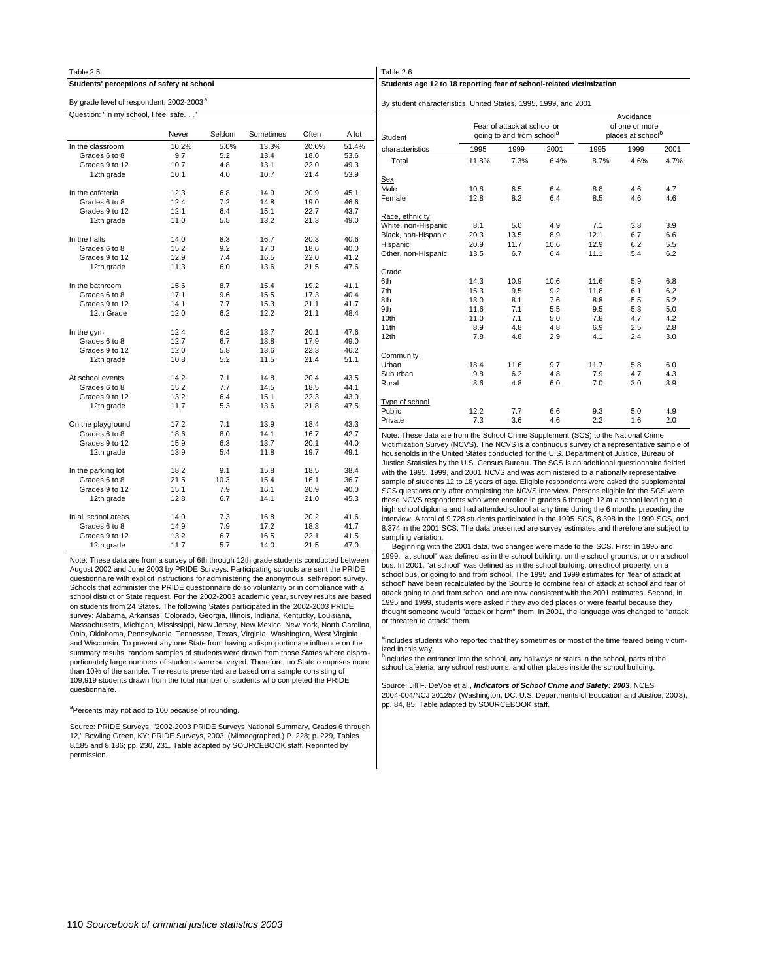| Students age 12 to 18 reporting fear of school-related victimization |                                                                                                                                                                                                                                                                                                     |                                                                                                                                                                                                                                                                                                                                                                                                                                                                                                                                                                                                                                                                                                                                                                                                                                                                                                                                                                                                                                                                                                                                                                                                                                                                                       |
|----------------------------------------------------------------------|-----------------------------------------------------------------------------------------------------------------------------------------------------------------------------------------------------------------------------------------------------------------------------------------------------|---------------------------------------------------------------------------------------------------------------------------------------------------------------------------------------------------------------------------------------------------------------------------------------------------------------------------------------------------------------------------------------------------------------------------------------------------------------------------------------------------------------------------------------------------------------------------------------------------------------------------------------------------------------------------------------------------------------------------------------------------------------------------------------------------------------------------------------------------------------------------------------------------------------------------------------------------------------------------------------------------------------------------------------------------------------------------------------------------------------------------------------------------------------------------------------------------------------------------------------------------------------------------------------|
|                                                                      |                                                                                                                                                                                                                                                                                                     |                                                                                                                                                                                                                                                                                                                                                                                                                                                                                                                                                                                                                                                                                                                                                                                                                                                                                                                                                                                                                                                                                                                                                                                                                                                                                       |
| By student characteristics, United States, 1995, 1999, and 2001      |                                                                                                                                                                                                                                                                                                     |                                                                                                                                                                                                                                                                                                                                                                                                                                                                                                                                                                                                                                                                                                                                                                                                                                                                                                                                                                                                                                                                                                                                                                                                                                                                                       |
|                                                                      |                                                                                                                                                                                                                                                                                                     |                                                                                                                                                                                                                                                                                                                                                                                                                                                                                                                                                                                                                                                                                                                                                                                                                                                                                                                                                                                                                                                                                                                                                                                                                                                                                       |
|                                                                      |                                                                                                                                                                                                                                                                                                     |                                                                                                                                                                                                                                                                                                                                                                                                                                                                                                                                                                                                                                                                                                                                                                                                                                                                                                                                                                                                                                                                                                                                                                                                                                                                                       |
|                                                                      |                                                                                                                                                                                                                                                                                                     |                                                                                                                                                                                                                                                                                                                                                                                                                                                                                                                                                                                                                                                                                                                                                                                                                                                                                                                                                                                                                                                                                                                                                                                                                                                                                       |
| 1995                                                                 | 1999                                                                                                                                                                                                                                                                                                | 2001                                                                                                                                                                                                                                                                                                                                                                                                                                                                                                                                                                                                                                                                                                                                                                                                                                                                                                                                                                                                                                                                                                                                                                                                                                                                                  |
|                                                                      |                                                                                                                                                                                                                                                                                                     | 4.7%                                                                                                                                                                                                                                                                                                                                                                                                                                                                                                                                                                                                                                                                                                                                                                                                                                                                                                                                                                                                                                                                                                                                                                                                                                                                                  |
|                                                                      |                                                                                                                                                                                                                                                                                                     |                                                                                                                                                                                                                                                                                                                                                                                                                                                                                                                                                                                                                                                                                                                                                                                                                                                                                                                                                                                                                                                                                                                                                                                                                                                                                       |
|                                                                      |                                                                                                                                                                                                                                                                                                     |                                                                                                                                                                                                                                                                                                                                                                                                                                                                                                                                                                                                                                                                                                                                                                                                                                                                                                                                                                                                                                                                                                                                                                                                                                                                                       |
| 8.8                                                                  | 4.6                                                                                                                                                                                                                                                                                                 | 4.7                                                                                                                                                                                                                                                                                                                                                                                                                                                                                                                                                                                                                                                                                                                                                                                                                                                                                                                                                                                                                                                                                                                                                                                                                                                                                   |
| 8.5                                                                  | 4.6                                                                                                                                                                                                                                                                                                 | 4.6                                                                                                                                                                                                                                                                                                                                                                                                                                                                                                                                                                                                                                                                                                                                                                                                                                                                                                                                                                                                                                                                                                                                                                                                                                                                                   |
|                                                                      |                                                                                                                                                                                                                                                                                                     |                                                                                                                                                                                                                                                                                                                                                                                                                                                                                                                                                                                                                                                                                                                                                                                                                                                                                                                                                                                                                                                                                                                                                                                                                                                                                       |
|                                                                      |                                                                                                                                                                                                                                                                                                     |                                                                                                                                                                                                                                                                                                                                                                                                                                                                                                                                                                                                                                                                                                                                                                                                                                                                                                                                                                                                                                                                                                                                                                                                                                                                                       |
| 7.1                                                                  | 3.8                                                                                                                                                                                                                                                                                                 | 3.9                                                                                                                                                                                                                                                                                                                                                                                                                                                                                                                                                                                                                                                                                                                                                                                                                                                                                                                                                                                                                                                                                                                                                                                                                                                                                   |
| 12.1                                                                 | 6.7                                                                                                                                                                                                                                                                                                 | 6.6                                                                                                                                                                                                                                                                                                                                                                                                                                                                                                                                                                                                                                                                                                                                                                                                                                                                                                                                                                                                                                                                                                                                                                                                                                                                                   |
| 12.9                                                                 | 6.2                                                                                                                                                                                                                                                                                                 | 5.5                                                                                                                                                                                                                                                                                                                                                                                                                                                                                                                                                                                                                                                                                                                                                                                                                                                                                                                                                                                                                                                                                                                                                                                                                                                                                   |
| 11.1                                                                 | 5.4                                                                                                                                                                                                                                                                                                 | 6.2                                                                                                                                                                                                                                                                                                                                                                                                                                                                                                                                                                                                                                                                                                                                                                                                                                                                                                                                                                                                                                                                                                                                                                                                                                                                                   |
|                                                                      |                                                                                                                                                                                                                                                                                                     |                                                                                                                                                                                                                                                                                                                                                                                                                                                                                                                                                                                                                                                                                                                                                                                                                                                                                                                                                                                                                                                                                                                                                                                                                                                                                       |
|                                                                      |                                                                                                                                                                                                                                                                                                     |                                                                                                                                                                                                                                                                                                                                                                                                                                                                                                                                                                                                                                                                                                                                                                                                                                                                                                                                                                                                                                                                                                                                                                                                                                                                                       |
| 11.6                                                                 | 5.9                                                                                                                                                                                                                                                                                                 | 6.8                                                                                                                                                                                                                                                                                                                                                                                                                                                                                                                                                                                                                                                                                                                                                                                                                                                                                                                                                                                                                                                                                                                                                                                                                                                                                   |
| 11.8                                                                 | 6.1                                                                                                                                                                                                                                                                                                 | 6.2                                                                                                                                                                                                                                                                                                                                                                                                                                                                                                                                                                                                                                                                                                                                                                                                                                                                                                                                                                                                                                                                                                                                                                                                                                                                                   |
|                                                                      | 5.5                                                                                                                                                                                                                                                                                                 | 5.2                                                                                                                                                                                                                                                                                                                                                                                                                                                                                                                                                                                                                                                                                                                                                                                                                                                                                                                                                                                                                                                                                                                                                                                                                                                                                   |
|                                                                      |                                                                                                                                                                                                                                                                                                     | 5.0                                                                                                                                                                                                                                                                                                                                                                                                                                                                                                                                                                                                                                                                                                                                                                                                                                                                                                                                                                                                                                                                                                                                                                                                                                                                                   |
|                                                                      |                                                                                                                                                                                                                                                                                                     | 4.2                                                                                                                                                                                                                                                                                                                                                                                                                                                                                                                                                                                                                                                                                                                                                                                                                                                                                                                                                                                                                                                                                                                                                                                                                                                                                   |
|                                                                      |                                                                                                                                                                                                                                                                                                     | 2.8                                                                                                                                                                                                                                                                                                                                                                                                                                                                                                                                                                                                                                                                                                                                                                                                                                                                                                                                                                                                                                                                                                                                                                                                                                                                                   |
|                                                                      |                                                                                                                                                                                                                                                                                                     | 3.0                                                                                                                                                                                                                                                                                                                                                                                                                                                                                                                                                                                                                                                                                                                                                                                                                                                                                                                                                                                                                                                                                                                                                                                                                                                                                   |
|                                                                      |                                                                                                                                                                                                                                                                                                     |                                                                                                                                                                                                                                                                                                                                                                                                                                                                                                                                                                                                                                                                                                                                                                                                                                                                                                                                                                                                                                                                                                                                                                                                                                                                                       |
|                                                                      |                                                                                                                                                                                                                                                                                                     |                                                                                                                                                                                                                                                                                                                                                                                                                                                                                                                                                                                                                                                                                                                                                                                                                                                                                                                                                                                                                                                                                                                                                                                                                                                                                       |
|                                                                      |                                                                                                                                                                                                                                                                                                     | 6.0                                                                                                                                                                                                                                                                                                                                                                                                                                                                                                                                                                                                                                                                                                                                                                                                                                                                                                                                                                                                                                                                                                                                                                                                                                                                                   |
|                                                                      |                                                                                                                                                                                                                                                                                                     | 4.3                                                                                                                                                                                                                                                                                                                                                                                                                                                                                                                                                                                                                                                                                                                                                                                                                                                                                                                                                                                                                                                                                                                                                                                                                                                                                   |
|                                                                      |                                                                                                                                                                                                                                                                                                     | 3.9                                                                                                                                                                                                                                                                                                                                                                                                                                                                                                                                                                                                                                                                                                                                                                                                                                                                                                                                                                                                                                                                                                                                                                                                                                                                                   |
|                                                                      |                                                                                                                                                                                                                                                                                                     |                                                                                                                                                                                                                                                                                                                                                                                                                                                                                                                                                                                                                                                                                                                                                                                                                                                                                                                                                                                                                                                                                                                                                                                                                                                                                       |
|                                                                      |                                                                                                                                                                                                                                                                                                     |                                                                                                                                                                                                                                                                                                                                                                                                                                                                                                                                                                                                                                                                                                                                                                                                                                                                                                                                                                                                                                                                                                                                                                                                                                                                                       |
|                                                                      |                                                                                                                                                                                                                                                                                                     | 4.9                                                                                                                                                                                                                                                                                                                                                                                                                                                                                                                                                                                                                                                                                                                                                                                                                                                                                                                                                                                                                                                                                                                                                                                                                                                                                   |
|                                                                      |                                                                                                                                                                                                                                                                                                     | 2.0                                                                                                                                                                                                                                                                                                                                                                                                                                                                                                                                                                                                                                                                                                                                                                                                                                                                                                                                                                                                                                                                                                                                                                                                                                                                                   |
|                                                                      |                                                                                                                                                                                                                                                                                                     |                                                                                                                                                                                                                                                                                                                                                                                                                                                                                                                                                                                                                                                                                                                                                                                                                                                                                                                                                                                                                                                                                                                                                                                                                                                                                       |
|                                                                      |                                                                                                                                                                                                                                                                                                     |                                                                                                                                                                                                                                                                                                                                                                                                                                                                                                                                                                                                                                                                                                                                                                                                                                                                                                                                                                                                                                                                                                                                                                                                                                                                                       |
|                                                                      |                                                                                                                                                                                                                                                                                                     |                                                                                                                                                                                                                                                                                                                                                                                                                                                                                                                                                                                                                                                                                                                                                                                                                                                                                                                                                                                                                                                                                                                                                                                                                                                                                       |
|                                                                      |                                                                                                                                                                                                                                                                                                     |                                                                                                                                                                                                                                                                                                                                                                                                                                                                                                                                                                                                                                                                                                                                                                                                                                                                                                                                                                                                                                                                                                                                                                                                                                                                                       |
|                                                                      |                                                                                                                                                                                                                                                                                                     |                                                                                                                                                                                                                                                                                                                                                                                                                                                                                                                                                                                                                                                                                                                                                                                                                                                                                                                                                                                                                                                                                                                                                                                                                                                                                       |
|                                                                      |                                                                                                                                                                                                                                                                                                     |                                                                                                                                                                                                                                                                                                                                                                                                                                                                                                                                                                                                                                                                                                                                                                                                                                                                                                                                                                                                                                                                                                                                                                                                                                                                                       |
|                                                                      |                                                                                                                                                                                                                                                                                                     |                                                                                                                                                                                                                                                                                                                                                                                                                                                                                                                                                                                                                                                                                                                                                                                                                                                                                                                                                                                                                                                                                                                                                                                                                                                                                       |
|                                                                      |                                                                                                                                                                                                                                                                                                     |                                                                                                                                                                                                                                                                                                                                                                                                                                                                                                                                                                                                                                                                                                                                                                                                                                                                                                                                                                                                                                                                                                                                                                                                                                                                                       |
|                                                                      |                                                                                                                                                                                                                                                                                                     |                                                                                                                                                                                                                                                                                                                                                                                                                                                                                                                                                                                                                                                                                                                                                                                                                                                                                                                                                                                                                                                                                                                                                                                                                                                                                       |
|                                                                      |                                                                                                                                                                                                                                                                                                     |                                                                                                                                                                                                                                                                                                                                                                                                                                                                                                                                                                                                                                                                                                                                                                                                                                                                                                                                                                                                                                                                                                                                                                                                                                                                                       |
|                                                                      |                                                                                                                                                                                                                                                                                                     |                                                                                                                                                                                                                                                                                                                                                                                                                                                                                                                                                                                                                                                                                                                                                                                                                                                                                                                                                                                                                                                                                                                                                                                                                                                                                       |
|                                                                      |                                                                                                                                                                                                                                                                                                     |                                                                                                                                                                                                                                                                                                                                                                                                                                                                                                                                                                                                                                                                                                                                                                                                                                                                                                                                                                                                                                                                                                                                                                                                                                                                                       |
|                                                                      |                                                                                                                                                                                                                                                                                                     |                                                                                                                                                                                                                                                                                                                                                                                                                                                                                                                                                                                                                                                                                                                                                                                                                                                                                                                                                                                                                                                                                                                                                                                                                                                                                       |
|                                                                      |                                                                                                                                                                                                                                                                                                     |                                                                                                                                                                                                                                                                                                                                                                                                                                                                                                                                                                                                                                                                                                                                                                                                                                                                                                                                                                                                                                                                                                                                                                                                                                                                                       |
|                                                                      | Fear of attack at school or<br>going to and from school <sup>a</sup><br>2001<br>6.4%<br>8.7%<br>6.4<br>6.4<br>4.9<br>8.9<br>10.6<br>6.4<br>10.6<br>9.2<br>7.6<br>8.8<br>5.5<br>9.5<br>5.0<br>7.8<br>4.8<br>6.9<br>2.9<br>4.1<br>9.7<br>11.7<br>7.9<br>4.8<br>6.0<br>7.0<br>6.6<br>9.3<br>4.6<br>2.2 | Avoidance<br>of one or more<br>places at school <sup>b</sup><br>4.6%<br>5.3<br>4.7<br>2.5<br>2.4<br>5.8<br>4.7<br>3.0<br>5.0<br>1.6<br>Note: These data are from the School Crime Supplement (SCS) to the National Crime<br>Victimization Survey (NCVS). The NCVS is a continuous survey of a representative sample of<br>households in the United States conducted for the U.S. Department of Justice, Bureau of<br>Justice Statistics by the U.S. Census Bureau. The SCS is an additional questionnaire fielded<br>with the 1995, 1999, and 2001 NCVS and was administered to a nationally representative<br>sample of students 12 to 18 years of age. Eligible respondents were asked the supplemental<br>SCS questions only after completing the NCVS interview. Persons eligible for the SCS were<br>those NCVS respondents who were enrolled in grades 6 through 12 at a school leading to a<br>high school diploma and had attended school at any time during the 6 months preceding the<br>interview. A total of 9,728 students participated in the 1995 SCS, 8,398 in the 1999 SCS, and<br>8,374 in the 2001 SCS. The data presented are survey estimates and therefore are subject to<br>Beginning with the 2001 data, two changes were made to the SCS. First, in 1995 and |

Note: These data are from a survey of 6th through 12th grade students conducted between August 2002 and June 2003 by PRIDE Surveys. Participating schools are sent the PRIDE questionnaire with explicit instructions for administering the anonymous, self-report survey. Schools that administer the PRIDE questionnaire do so voluntarily or in compliance with a school district or State request. For the 2002-2003 academic year, survey results are based on students from 24 States. The following States participated in the 2002-2003 PRIDE survey: Alabama, Arkansas, Colorado, Georgia, Illinois, Indiana, Kentucky, Louisiana, Massachusetts, Michigan, Mississippi, New Jersey, New Mexico, New York, North Carolina, Ohio, Oklahoma, Pennsylvania, Tennessee, Texas, Virginia, Washington, West Virginia, and Wisconsin. To prevent any one State from having a disproportionate influence on the summary results, random samples of students were drawn from those States where disproportionately large numbers of students were surveyed. Therefore, no State comprises more than 10% of the sample. The results presented are based on a sample consisting of 109,919 students drawn from the total number of students who completed the PRIDE questionnaire.

#### <sup>a</sup>Percents may not add to 100 because of rounding.

Source: PRIDE Surveys, "2002-2003 PRIDE Surveys National Summary, Grades 6 through 12," Bowling Green, KY: PRIDE Surveys, 2003. (Mimeographed.) P. 228; p. 229, Tables 8.185 and 8.186; pp. 230, 231. Table adapted by SOURCEBOOK staff. Reprinted by permission.

SCS. First, in 1995 and 1999, "at school" was defined as in the school building, on the school grounds, or on a school bus. In 2001, "at school" was defined as in the school building, on school property, on a school bus, or going to and from school. The 1995 and 1999 estimates for "fear of attack at school" have been recalculated by the Source to combine fear of attack at school and fear of attack going to and from school and are now consistent with the 2001 estimates. Second, in 1995 and 1999, students were asked if they avoided places or were fearful because they thought someone would "attack or harm" them. In 2001, the language was changed to "attack or threaten to attack" them.

<sup>a</sup>Includes students who reported that they sometimes or most of the time feared being victimized in this way.

<sup>b</sup>Includes the entrance into the school, any hallways or stairs in the school, parts of the school cafeteria, any school restrooms, and other places inside the school building.

Source: Jill F. DeVoe et al., **Indicators of School Crime and Safety: 2003**, NCES 2004-004/NCJ 201257 (Washington, DC: U.S. Departments of Education and Justice, 2003), pp. 84, 85. Table adapted by SOURCEBOOK staff.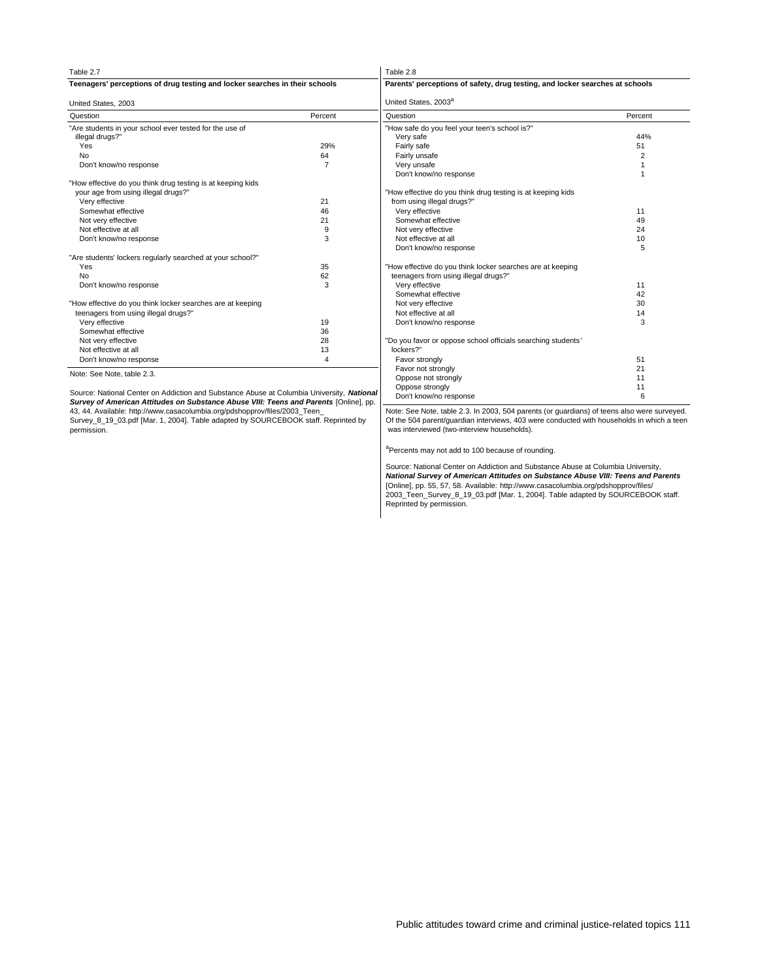| Table 2.7                                                                                 |                | Table 2.8                                                                    |         |
|-------------------------------------------------------------------------------------------|----------------|------------------------------------------------------------------------------|---------|
| Teenagers' perceptions of drug testing and locker searches in their schools               |                | Parents' perceptions of safety, drug testing, and locker searches at schools |         |
| United States, 2003                                                                       |                | United States, 2003 <sup>a</sup>                                             |         |
| Question                                                                                  | Percent        | Question                                                                     | Percent |
| "Are students in your school ever tested for the use of                                   |                | "How safe do you feel your teen's school is?"                                |         |
| illegal drugs?"                                                                           |                | Very safe                                                                    | 44%     |
| Yes                                                                                       | 29%            | Fairly safe                                                                  | 51      |
| <b>No</b>                                                                                 | 64             | Fairly unsafe                                                                | 2       |
| Don't know/no response                                                                    | $\overline{7}$ | Very unsafe                                                                  |         |
|                                                                                           |                | Don't know/no response                                                       |         |
| "How effective do you think drug testing is at keeping kids                               |                |                                                                              |         |
| your age from using illegal drugs?"                                                       |                | "How effective do you think drug testing is at keeping kids                  |         |
| Verv effective                                                                            | 21             | from using illegal drugs?"                                                   |         |
| Somewhat effective                                                                        | 46             | Very effective                                                               | 11      |
| Not very effective                                                                        | 21             | Somewhat effective                                                           | 49      |
| Not effective at all                                                                      | 9              | Not very effective                                                           | 24      |
| Don't know/no response                                                                    | 3              | Not effective at all                                                         | 10      |
|                                                                                           |                | Don't know/no response                                                       | 5       |
| "Are students' lockers regularly searched at your school?"                                |                |                                                                              |         |
| Yes                                                                                       | 35             | "How effective do you think locker searches are at keeping                   |         |
| <b>No</b>                                                                                 | 62             | teenagers from using illegal drugs?"                                         |         |
| Don't know/no response                                                                    | 3              | Very effective                                                               | 11      |
|                                                                                           |                | Somewhat effective                                                           | 42      |
| "How effective do you think locker searches are at keeping                                |                | Not very effective                                                           | 30      |
| teenagers from using illegal drugs?"                                                      |                | Not effective at all                                                         | 14      |
| Very effective                                                                            | 19             | Don't know/no response                                                       | 3       |
| Somewhat effective                                                                        | 36             |                                                                              |         |
| Not very effective                                                                        | 28             | "Do you favor or oppose school officials searching students'                 |         |
| Not effective at all                                                                      | 13             | lockers?"                                                                    |         |
| Don't know/no response                                                                    | 4              | Favor strongly                                                               | 51      |
|                                                                                           |                | Favor not strongly                                                           | 21      |
| Note: See Note, table 2.3.                                                                |                | Oppose not strongly                                                          | 11      |
|                                                                                           |                | Oppose strongly                                                              | 11      |
| Source: National Center on Addiction and Substance Abuse at Columbia University, National |                | Don't know/no response                                                       | 6       |

Source: National Center on Addiction and Substance Abuse at Columbia University, **National Survey of American Attitudes on Substance Abuse VIII: Teens and Parents** [Online], pp. 43, 44. Available: http://www.casacolumbia.org/pdshopprov/files/2003\_Teen\_

Survey\_8\_19\_03.pdf [Mar. 1, 2004]. Table adapted by SOURCEBOOK staff. Reprinted by permission.

# Note: See Note, table 2.3. In 2003, 504 parents (or guardians) of teens also were surveyed. Of the 504 parent/guardian interviews, 403 were conducted with households in which a teen was interviewed (two-interview households).

<sup>a</sup>Percents may not add to 100 because of rounding.

Source: National Center on Addiction and Substance Abuse at Columbia University, **National Survey of American Attitudes on Substance Abuse VIII: Teens and Parents** [Online], pp. 55, 57, 58. Available: http://www.casacolumbia.org/pdshopprov/files/ 2003\_Teen\_Survey\_8\_19\_03.pdf [Mar. 1, 2004]. Table adapted by SOURCEBOOK staff. Reprinted by permission.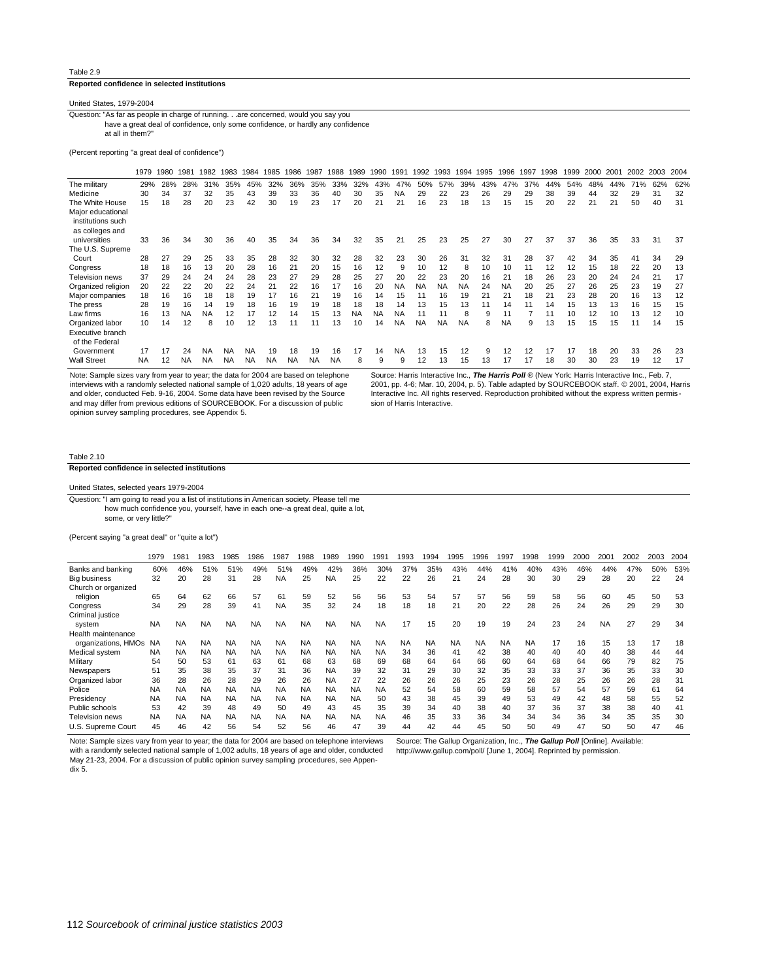#### **Reported confidence in selected institutions**

United States, 1979-2004

at all in them?" have a great deal of confidence, only some confidence, or hardly any confidence Question: "As far as people in charge of running. . .are concerned, would you say you

(Percent reporting "a great deal of confidence")

|                    | 1979      | 1980 | 1981 | 1982      | 1983      | 1984      | 1985      | 1986      | 1987      | 988       | 1989      | 1990      | 1991 | 1992      | 1993      | 1994      | 1995 | 1996      | 1997 | 1998 | 1999 | 2000 | 2001 | 2002 | 2003 | 2004 |
|--------------------|-----------|------|------|-----------|-----------|-----------|-----------|-----------|-----------|-----------|-----------|-----------|------|-----------|-----------|-----------|------|-----------|------|------|------|------|------|------|------|------|
| The military       | 29%       | 28%  | 28%  | 31%       | 35%       | 45%       | 32%       | 36%       | 35%       | 33%       | 32%       | 43%       | 47%  | 50%       | 57%       | 39%       | 43%  | 47%       | 37%  | 44%  | 54%  | 48%  | 44%  | 71%  | 62%  | 62%  |
| Medicine           | 30        | 34   | 37   | 32        | 35        | 43        | 39        | 33        | 36        | 40        | 30        | 35        | NA   | 29        | 22        | 23        | 26   | 29        | 29   | 38   | 39   | 44   | 32   | 29   | 31   | 32   |
| The White House    | 15        | 18   | 28   | 20        | 23        | 42        | 30        | 19        | 23        | 17        | 20        | 21        | 21   | 16        | 23        | 18        | 13   | 15        | 15   | 20   | 22   | 21   | 21   | 50   | 40   | 31   |
| Major educational  |           |      |      |           |           |           |           |           |           |           |           |           |      |           |           |           |      |           |      |      |      |      |      |      |      |      |
| institutions such  |           |      |      |           |           |           |           |           |           |           |           |           |      |           |           |           |      |           |      |      |      |      |      |      |      |      |
| as colleges and    |           |      |      |           |           |           |           |           |           |           |           |           |      |           |           |           |      |           |      |      |      |      |      |      |      |      |
| universities       | 33        | 36   | 34   | 30        | 36        | 40        | 35        | 34        | 36        | 34        | 32        | 35        | 21   | 25        | 23        | 25        | 27   | 30        | 27   | 37   | 37   | 36   | 35   | 33   | 31   | 37   |
| The U.S. Supreme   |           |      |      |           |           |           |           |           |           |           |           |           |      |           |           |           |      |           |      |      |      |      |      |      |      |      |
| Court              | 28        | 27   | 29   | 25        | 33        | 35        | 28        | 32        | 30        | 32        | 28        | 32        | 23   | 30        | 26        | 31        | 32   | 31        | 28   | 37   | 42   | 34   | 35   | 41   | 34   | 29   |
| Congress           | 18        | 18   | 16   | 13        | 20        | 28        | 16        | 21        | 20        | 15        | 16        | 12        | 9    | 10        | 12        | 8         | 10   | 10        | 11   | 12   | 12   | 15   | 18   | 22   | 20   | 13   |
| Television news    | 37        | 29   | 24   | 24        | 24        | 28        | 23        | 27        | 29        | 28        | 25        | 27        | 20   | 22        | 23        | 20        | 16   | 21        | 18   | 26   | 23   | 20   | 24   | 24   | 21   | 17   |
| Organized religion | 20        | 22   | 22   | 20        | 22        | 24        | 21        | 22        | 16        | 17        | 16        | 20        | NA   | <b>NA</b> | <b>NA</b> | <b>NA</b> | 24   | <b>NA</b> | 20   | 25   | 27   | 26   | 25   | 23   | 19   | 27   |
| Major companies    | 18        | 16   | 16   | 18        | 18        | 19        | 17        | 16        | 21        | 19        | 16        | 14        | 15   | 11        | 16        | 19        | 21   | 21        | 18   | 21   | 23   | 28   | 20   | 16   | 13   | 12   |
| The press          | 28        | 19   | 16   | 14        | 19        | 18        | 16        | 19        | 19        | 18        | 18        | 18        | 14   | 13        | 15        | 13        | 11   | 14        | 11   | 14   | 15   | 13   | 13   | 16   | 15   | 15   |
| Law firms          | 16        | 13   | NA   | <b>NA</b> | 12        | 17        | 12        | 14        | 15        | 13        | <b>NA</b> | <b>NA</b> | NA   | 11        |           |           | 9    | 11        |      | 11   | 10   | 12   | 10   | 13   | 12   | 10   |
| Organized labor    | 10        | 14   | 12   | 8         | 10        | 12        | 13        | 11        | 11        | 13        | 10        | 14        | NA   | <b>NA</b> | <b>NA</b> | <b>NA</b> | 8    | <b>NA</b> | 9    | 13   | 15   | 15   | 15   | 11   | 14   | 15   |
| Executive branch   |           |      |      |           |           |           |           |           |           |           |           |           |      |           |           |           |      |           |      |      |      |      |      |      |      |      |
| of the Federal     |           |      |      |           |           |           |           |           |           |           |           |           |      |           |           |           |      |           |      |      |      |      |      |      |      |      |
| Government         | 17        | 17   | 24   | <b>NA</b> | <b>NA</b> | <b>NA</b> | 19        | 18        | 19        | 16        | 17        | 14        | NA   | 13        | 15        | 12        | 9    | 12        | 12   | 17   | 17   | 18   | 20   | 33   | 26   | 23   |
| <b>Wall Street</b> | <b>NA</b> | 12   | NA   | NA        | <b>NA</b> | NA        | <b>NA</b> | <b>NA</b> | <b>NA</b> | <b>NA</b> | 8         | 9         | 9    | 12        | 13        | 15        | 13   | 17        | 17   | 18   | 30   | 30   | 23   | 19   | 12   | 17   |

Note: Sample sizes vary from year to year; the data for 2004 are based on telephone interviews with a randomly selected national sample of 1,020 adults, 18 years of age and older, conducted Feb. 9-16, 2004. Some data have been revised by the Source and may differ from previous editions of SOURCEBOOK. For a discussion of public opinion survey sampling procedures, see Appendix 5.

Source: Harris Interactive Inc., **The Harris Poll** ® (New York: Harris Interactive Inc., Feb. 7, 2001, pp. 4-6; Mar. 10, 2004, p. 5). Table adapted by SOURCEBOOK staff. © 2001, 2004, Harris Interactive Inc. All rights reserved. Reproduction prohibited without the express written permission of Harris Interactive.

#### Table 2.10

# **Reported confidence in selected institutions**

United States, selected years 1979-2004

some, or very little?" how much confidence you, yourself, have in each one--a great deal, quite a lot, Question: "I am going to read you a list of institutions in American society. Please tell me

(Percent saying "a great deal" or "quite a lot")

|                     | 1979      | 1981      | 1983      | 1985      | 1986      | 1987      | 1988      | 1989      | 1990      | 99۰ ا     | 1993      | 994       | 995       | 1996      | 1997      | 998       | 1999 | 2000 | 2001      | 2002 | 2003 | 2004 |
|---------------------|-----------|-----------|-----------|-----------|-----------|-----------|-----------|-----------|-----------|-----------|-----------|-----------|-----------|-----------|-----------|-----------|------|------|-----------|------|------|------|
| Banks and banking   | 60%       | 46%       | 51%       | 51%       | 49%       | 51%       | 49%       | 42%       | 36%       | 30%       | 37%       | 35%       | 43%       | 44%       | 41%       | 40%       | 43%  | 46%  | 44%       | 47%  | 50%  | 53%  |
| <b>Big business</b> | 32        | 20        | 28        | 31        | 28        | <b>NA</b> | 25        | <b>NA</b> | 25        | 22        | 22        | 26        | 21        | 24        | 28        | 30        | 30   | 29   | 28        | 20   | 22   | 24   |
| Church or organized |           |           |           |           |           |           |           |           |           |           |           |           |           |           |           |           |      |      |           |      |      |      |
| religion            | 65        | 64        | 62        | 66        | 57        | 61        | 59        | 52        | 56        | 56        | 53        | 54        | 57        | 57        | 56        | 59        | 58   | 56   | 60        | 45   | 50   | 53   |
| Congress            | 34        | 29        | 28        | 39        | 41        | <b>NA</b> | 35        | 32        | 24        | 18        | 18        | 18        | 21        | 20        | 22        | 28        | 26   | 24   | 26        | 29   | 29   | 30   |
| Criminal justice    |           |           |           |           |           |           |           |           |           |           |           |           |           |           |           |           |      |      |           |      |      |      |
| system              | <b>NA</b> | <b>NA</b> | <b>NA</b> | <b>NA</b> | <b>NA</b> | <b>NA</b> | <b>NA</b> | <b>NA</b> | <b>NA</b> | <b>NA</b> | 17        | 15        | 20        | 19        | 19        | 24        | 23   | 24   | <b>NA</b> | 27   | 29   | 34   |
| Health maintenance  |           |           |           |           |           |           |           |           |           |           |           |           |           |           |           |           |      |      |           |      |      |      |
| organizations, HMOs | <b>NA</b> | NA        | <b>NA</b> | <b>NA</b> | <b>NA</b> | <b>NA</b> | <b>NA</b> | <b>NA</b> | <b>NA</b> | <b>NA</b> | <b>NA</b> | <b>NA</b> | <b>NA</b> | <b>NA</b> | <b>NA</b> | <b>NA</b> | 17   | 16   | 15        | 13   | 17   | 18   |
| Medical system      | <b>NA</b> | <b>NA</b> | <b>NA</b> | <b>NA</b> | <b>NA</b> | <b>NA</b> | <b>NA</b> | <b>NA</b> | <b>NA</b> | <b>NA</b> | 34        | 36        | 41        | 42        | 38        | 40        | 40   | 40   | 40        | 38   | 44   | 44   |
| Military            | 54        | 50        | 53        | 61        | 63        | 61        | 68        | 63        | 68        | 69        | 68        | 64        | 64        | 66        | 60        | 64        | 68   | 64   | 66        | 79   | 82   | 75   |
| Newspapers          | 51        | 35        | 38        | 35        | 37        | 31        | 36        | <b>NA</b> | 39        | 32        | 31        | 29        | 30        | 32        | 35        | 33        | 33   | 37   | 36        | 35   | 33   | 30   |
| Organized labor     | 36        | 28        | 26        | 28        | 29        | 26        | 26        | <b>NA</b> | 27        | 22        | 26        | 26        | 26        | 25        | 23        | 26        | 28   | 25   | 26        | 26   | 28   | 31   |
| Police              | <b>NA</b> | <b>NA</b> | <b>NA</b> | <b>NA</b> | <b>NA</b> | <b>NA</b> | <b>NA</b> | <b>NA</b> | <b>NA</b> | <b>NA</b> | 52        | 54        | 58        | 60        | 59        | 58        | 57   | 54   | 57        | 59   | 61   | 64   |
| Presidency          | <b>NA</b> | <b>NA</b> | <b>NA</b> | <b>NA</b> | <b>NA</b> | <b>NA</b> | <b>NA</b> | <b>NA</b> | <b>NA</b> | 50        | 43        | 38        | 45        | 39        | 49        | 53        | 49   | 42   | 48        | 58   | 55   | 52   |
| Public schools      | 53        | 42        | 39        | 48        | 49        | 50        | 49        | 43        | 45        | 35        | 39        | 34        | 40        | 38        | 40        | 37        | 36   | 37   | 38        | 38   | 40   | 41   |
| Television news     | <b>NA</b> | <b>NA</b> | <b>NA</b> | <b>NA</b> | <b>NA</b> | <b>NA</b> | <b>NA</b> | <b>NA</b> | <b>NA</b> | <b>NA</b> | 46        | 35        | 33        | 36        | 34        | 34        | 34   | 36   | 34        | 35   | 35   | 30   |
| U.S. Supreme Court  | 45        | 46        | 42        | 56        | 54        | 52        | 56        | 46        | 47        | 39        | 44        | 42        | 44        | 45        | 50        | 50        | 49   | 47   | 50        | 50   | 47   | 46   |

Note: Sample sizes vary from year to year; the data for 2004 are based on telephone interviews with a randomly selected national sample of 1,002 adults, 18 years of age and older, conducted May 21-23, 2004. For a discussion of public opinion survey sampling procedures, see Appendix 5.

Source: The Gallup Organization, Inc., **The Gallup Poll** [Online]. Available: http://www.gallup.com/poll/ [June 1, 2004]. Reprinted by permission.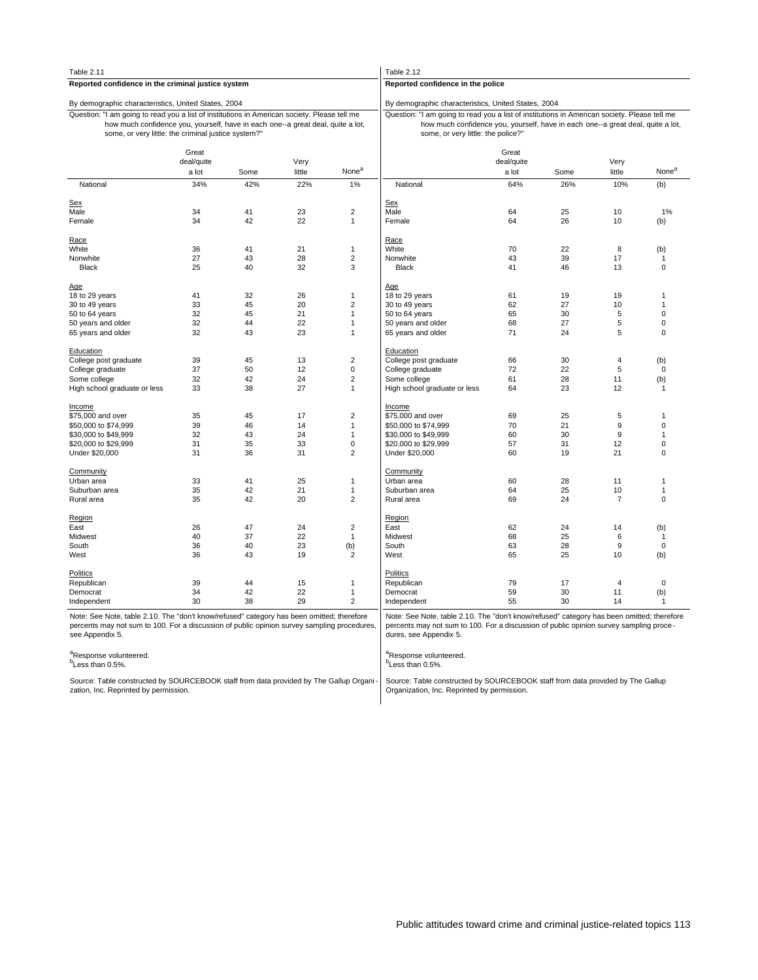| Table 2.11                                                                                                                                                                                                                             |                              |      |                |                   | Table 2.12                                                                                                                                                                                                            |                              |      |                |                   |
|----------------------------------------------------------------------------------------------------------------------------------------------------------------------------------------------------------------------------------------|------------------------------|------|----------------|-------------------|-----------------------------------------------------------------------------------------------------------------------------------------------------------------------------------------------------------------------|------------------------------|------|----------------|-------------------|
| Reported confidence in the criminal justice system                                                                                                                                                                                     |                              |      |                |                   | Reported confidence in the police                                                                                                                                                                                     |                              |      |                |                   |
| By demographic characteristics, United States, 2004                                                                                                                                                                                    |                              |      |                |                   | By demographic characteristics, United States, 2004                                                                                                                                                                   |                              |      |                |                   |
| Question: "I am going to read you a list of institutions in American society. Please tell me<br>how much confidence you, yourself, have in each one--a great deal, quite a lot,<br>some, or very little: the criminal justice system?" |                              |      |                |                   | Question: "I am going to read you a list of institutions in American society. Please tell me<br>how much confidence you, yourself, have in each one--a great deal, quite a lot,<br>some, or very little: the police?" |                              |      |                |                   |
|                                                                                                                                                                                                                                        | Great<br>deal/quite<br>a lot | Some | Very<br>little | None <sup>a</sup> |                                                                                                                                                                                                                       | Great<br>deal/quite<br>a lot | Some | Very<br>little | None <sup>a</sup> |
| National                                                                                                                                                                                                                               | 34%                          | 42%  | 22%            | 1%                | National                                                                                                                                                                                                              | 64%                          | 26%  | 10%            | (b)               |
|                                                                                                                                                                                                                                        |                              |      |                |                   |                                                                                                                                                                                                                       |                              |      |                |                   |
| <b>Sex</b><br>Male                                                                                                                                                                                                                     | 34                           | 41   | 23             | $\overline{2}$    | <b>Sex</b><br>Male                                                                                                                                                                                                    | 64                           | 25   | 10             | 1%                |
| Female                                                                                                                                                                                                                                 | 34                           | 42   | 22             | $\mathbf{1}$      | Female                                                                                                                                                                                                                | 64                           | 26   | 10             |                   |
|                                                                                                                                                                                                                                        |                              |      |                |                   |                                                                                                                                                                                                                       |                              |      |                | (b)               |
| Race                                                                                                                                                                                                                                   |                              |      |                |                   | Race                                                                                                                                                                                                                  |                              |      |                |                   |
| White                                                                                                                                                                                                                                  | 36                           | 41   | 21             | $\mathbf{1}$      | White                                                                                                                                                                                                                 | 70                           | 22   | 8              | (b)               |
| Nonwhite                                                                                                                                                                                                                               | 27                           | 43   | 28             | $\sqrt{2}$        | Nonwhite                                                                                                                                                                                                              | 43                           | 39   | 17             | $\mathbf{1}$      |
| <b>Black</b>                                                                                                                                                                                                                           | 25                           | 40   | 32             | 3                 | <b>Black</b>                                                                                                                                                                                                          | 41                           | 46   | 13             | $\mathbf 0$       |
|                                                                                                                                                                                                                                        |                              |      |                |                   |                                                                                                                                                                                                                       |                              |      |                |                   |
| Age                                                                                                                                                                                                                                    |                              |      |                |                   | Age                                                                                                                                                                                                                   |                              |      |                |                   |
| 18 to 29 years                                                                                                                                                                                                                         | 41                           | 32   | 26             | $\mathbf{1}$      | 18 to 29 years                                                                                                                                                                                                        | 61                           | 19   | 19             | $\mathbf{1}$      |
| 30 to 49 years                                                                                                                                                                                                                         | 33                           | 45   | 20             | $\overline{2}$    | 30 to 49 years                                                                                                                                                                                                        | 62                           | 27   | 10             | 1                 |
| 50 to 64 years                                                                                                                                                                                                                         | 32                           | 45   | 21             | $\mathbf{1}$      | 50 to 64 years                                                                                                                                                                                                        | 65                           | 30   | 5              | $\mathbf 0$       |
| 50 years and older                                                                                                                                                                                                                     | 32                           | 44   | 22             | $\mathbf{1}$      | 50 years and older                                                                                                                                                                                                    | 68                           | 27   | 5              | $\mathbf 0$       |
| 65 years and older                                                                                                                                                                                                                     | 32                           | 43   | 23             | $\mathbf{1}$      | 65 years and older                                                                                                                                                                                                    | 71                           | 24   | 5              | $\Omega$          |
| <b>Education</b>                                                                                                                                                                                                                       |                              |      |                |                   | Education                                                                                                                                                                                                             |                              |      |                |                   |
| College post graduate                                                                                                                                                                                                                  | 39                           | 45   | 13             | $\overline{2}$    | College post graduate                                                                                                                                                                                                 | 66                           | 30   | $\overline{4}$ | (b)               |
| College graduate                                                                                                                                                                                                                       | 37                           | 50   | 12             | $\pmb{0}$         | College graduate                                                                                                                                                                                                      | 72                           | 22   | 5              | $\mathbf 0$       |
| Some college                                                                                                                                                                                                                           | 32                           | 42   | 24             | $\overline{2}$    | Some college                                                                                                                                                                                                          | 61                           | 28   | 11             | (b)               |
| High school graduate or less                                                                                                                                                                                                           | 33                           | 38   | 27             | $\mathbf{1}$      | High school graduate or less                                                                                                                                                                                          | 64                           | 23   | 12             | $\mathbf{1}$      |
|                                                                                                                                                                                                                                        |                              |      |                |                   |                                                                                                                                                                                                                       |                              |      |                |                   |
| <b>Income</b>                                                                                                                                                                                                                          |                              |      |                |                   | Income                                                                                                                                                                                                                |                              |      |                |                   |
| \$75,000 and over                                                                                                                                                                                                                      | 35                           | 45   | 17             | $\sqrt{2}$        | \$75,000 and over                                                                                                                                                                                                     | 69                           | 25   | $\sqrt{5}$     | $\mathbf{1}$      |
| \$50,000 to \$74,999                                                                                                                                                                                                                   | 39                           | 46   | 14             | $\mathbf{1}$      | \$50,000 to \$74,999                                                                                                                                                                                                  | 70                           | 21   | 9              | 0                 |
| \$30,000 to \$49,999                                                                                                                                                                                                                   | 32                           | 43   | 24             | $\overline{1}$    | \$30,000 to \$49,999                                                                                                                                                                                                  | 60                           | 30   | 9              | $\mathbf{1}$      |
| \$20,000 to \$29,999                                                                                                                                                                                                                   | 31                           | 35   | 33             | $\mathbf 0$       | \$20,000 to \$29,999                                                                                                                                                                                                  | 57                           | 31   | 12             | $\mathbf 0$       |
| Under \$20,000                                                                                                                                                                                                                         | 31                           | 36   | 31             | $\overline{2}$    | Under \$20,000                                                                                                                                                                                                        | 60                           | 19   | 21             | 0                 |
| Community                                                                                                                                                                                                                              |                              |      |                |                   | Community                                                                                                                                                                                                             |                              |      |                |                   |
| Urban area                                                                                                                                                                                                                             | 33                           | 41   | 25             | $\mathbf{1}$      | Urban area                                                                                                                                                                                                            | 60                           | 28   | 11             | $\mathbf{1}$      |
| Suburban area                                                                                                                                                                                                                          | 35                           | 42   | 21             | $\mathbf{1}$      | Suburban area                                                                                                                                                                                                         | 64                           | 25   | 10             | $\mathbf{1}$      |
| Rural area                                                                                                                                                                                                                             | 35                           | 42   | 20             | $\overline{2}$    | Rural area                                                                                                                                                                                                            | 69                           | 24   | $\overline{7}$ | $\mathbf 0$       |
|                                                                                                                                                                                                                                        |                              |      |                |                   |                                                                                                                                                                                                                       |                              |      |                |                   |
| Region                                                                                                                                                                                                                                 |                              |      |                |                   | Region                                                                                                                                                                                                                |                              |      |                |                   |
| East                                                                                                                                                                                                                                   | 26                           | 47   | 24             | $\sqrt{2}$        | East                                                                                                                                                                                                                  | 62                           | 24   | 14             | (b)               |
| Midwest                                                                                                                                                                                                                                | 40                           | 37   | 22             | $\mathbf{1}$      | Midwest                                                                                                                                                                                                               | 68                           | 25   | 6              | $\mathbf{1}$      |
| South                                                                                                                                                                                                                                  | 36                           | 40   | 23             | (b)               | South                                                                                                                                                                                                                 | 63                           | 28   | 9              | $\mathbf 0$       |
| West                                                                                                                                                                                                                                   | 36                           | 43   | 19             | $\overline{2}$    | West                                                                                                                                                                                                                  | 65                           | 25   | 10             | (b)               |
|                                                                                                                                                                                                                                        |                              |      |                |                   |                                                                                                                                                                                                                       |                              |      |                |                   |
| <b>Politics</b>                                                                                                                                                                                                                        | 39                           | 44   | 15             |                   | <b>Politics</b><br>Republican                                                                                                                                                                                         | 79                           | 17   | $\overline{4}$ | $\mathbf 0$       |
| Republican<br>Democrat                                                                                                                                                                                                                 | 34                           | 42   | 22             | 1<br>$\mathbf{1}$ | Democrat                                                                                                                                                                                                              | 59                           | 30   | 11             | (b)               |
|                                                                                                                                                                                                                                        | 30                           | 38   | 29             | $\overline{2}$    | Independent                                                                                                                                                                                                           | 55                           | 30   | 14             | 1                 |
| Independent                                                                                                                                                                                                                            |                              |      |                |                   |                                                                                                                                                                                                                       |                              |      |                |                   |
| Note: See Note, table 2.10. The "don't know/refused" category has been omitted; therefore<br>percents may not sum to 100. For a discussion of public opinion survey sampling procedures,<br>see Appendix 5.                            |                              |      |                |                   | Note: See Note, table 2.10. The "don't know/refused" category has been omitted; therefore<br>percents may not sum to 100. For a discussion of public opinion survey sampling proce-<br>dures, see Appendix 5.         |                              |      |                |                   |
| <sup>a</sup> Response volunteered.<br><sup>b</sup> Less than 0.5%.                                                                                                                                                                     |                              |      |                |                   | <sup>a</sup> Response volunteered.<br><sup>b</sup> Less than 0.5%.                                                                                                                                                    |                              |      |                |                   |
| Source: Table constructed by SOURCEBOOK staff from data provided by The Gallup Organi-<br>zation, Inc. Reprinted by permission.                                                                                                        |                              |      |                |                   | Source: Table constructed by SOURCEBOOK staff from data provided by The Gallup<br>Organization, Inc. Reprinted by permission.                                                                                         |                              |      |                |                   |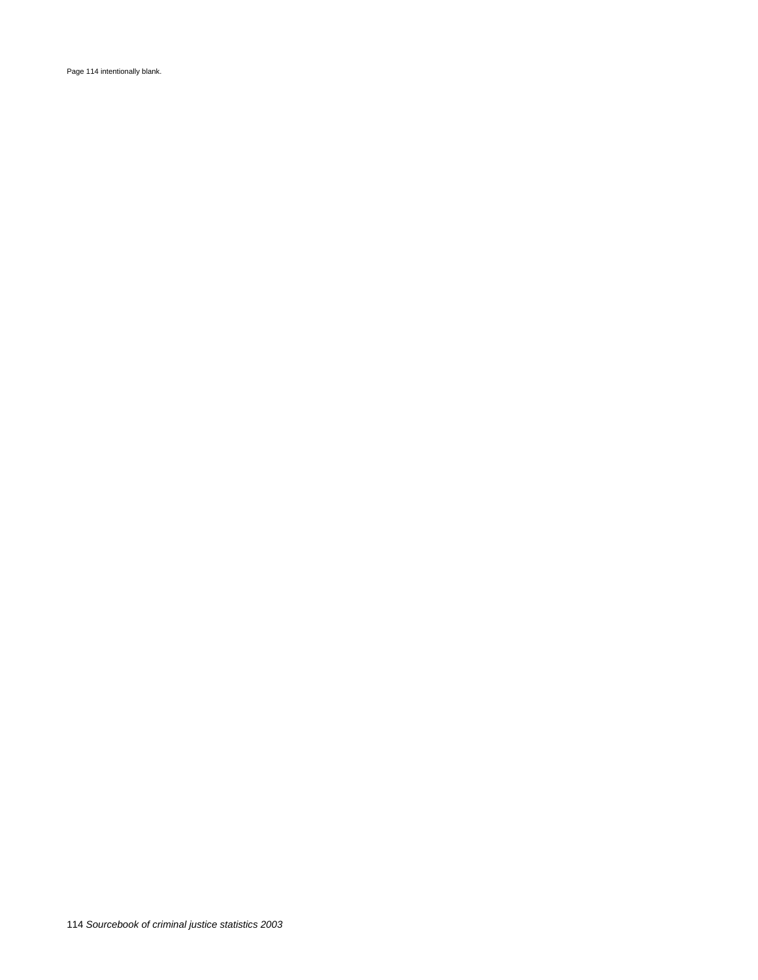Page 114 intentionally blank.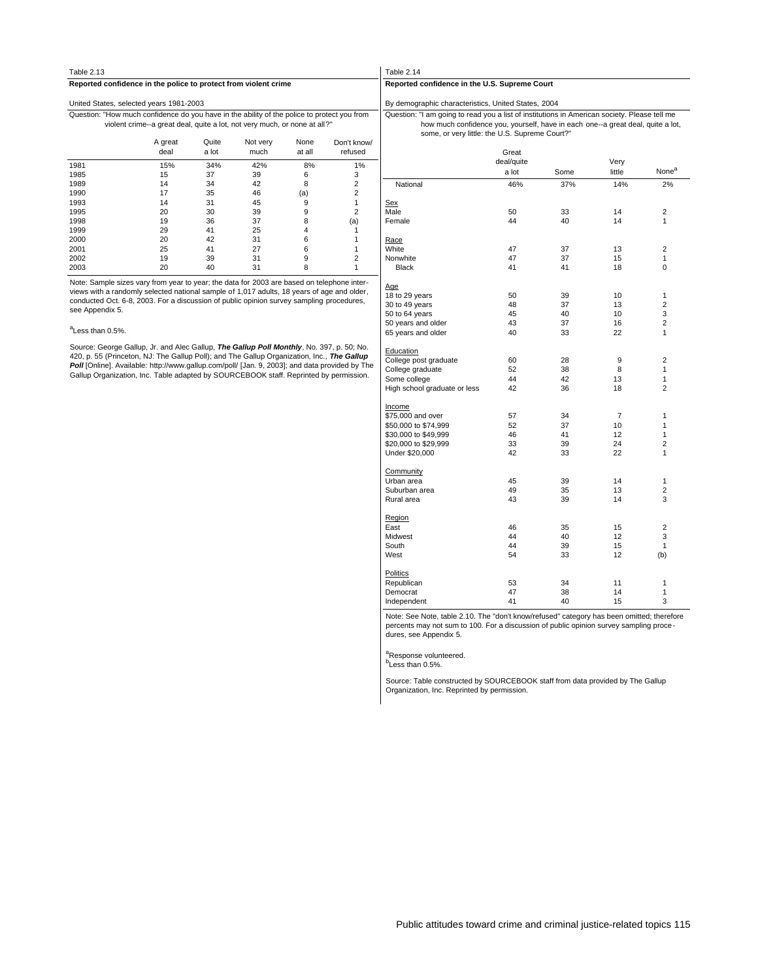| <b>Table 2.13</b>                                                                           |                                                                           |                |                  |                |                        | Table |
|---------------------------------------------------------------------------------------------|---------------------------------------------------------------------------|----------------|------------------|----------------|------------------------|-------|
| Reported confidence in the police to protect from violent crime                             |                                                                           |                |                  |                |                        | Repo  |
| United States, selected years 1981-2003                                                     |                                                                           |                |                  |                |                        | By de |
| Question: "How much confidence do you have in the ability of the police to protect you from | violent crime--a great deal, quite a lot, not very much, or none at all?" |                |                  |                |                        | Ques  |
|                                                                                             | A great<br>deal                                                           | Quite<br>a lot | Not very<br>much | None<br>at all | Don't know/<br>refused |       |
| 1981                                                                                        | 15%                                                                       | 34%            | 42%              | 8%             | 1%                     |       |
| 1985                                                                                        | 15                                                                        | 37             | 39               | 6              | 3                      |       |
| 1989                                                                                        | 14                                                                        | 34             | 42               | 8              | 2                      | N     |
| 1990                                                                                        | 17                                                                        | 35             | 46               | (a)            | 2                      |       |
| 1993                                                                                        | 14                                                                        | 31             | 45               | 9              |                        | Sex   |
| 1995                                                                                        | 20                                                                        | 30             | 39               | 9              | $\overline{2}$         | Male  |
| 1998                                                                                        | 19                                                                        | 36             | 37               | 8              | (a)                    | Fem   |
| 1999                                                                                        | 29                                                                        | 41             | 25               | 4              |                        |       |
| 2000                                                                                        | 20                                                                        | 42             | 31               | 6              |                        | Race  |
| 2001                                                                                        | 25                                                                        | 41             | 27               | 6              |                        | White |
| 2002                                                                                        | 19                                                                        | 39             | 31               | 9              | 2                      | Nony  |
| 2003                                                                                        | 20                                                                        | 40             | 31               | 8              | 1                      | B     |

Note: Sample sizes vary from year to year; the data for 2003 are based on telephone inter-views with a randomly selected national sample of 1,017 adults, 18 years of age and older, conducted Oct. 6-8, 2003. For a discussion of public opinion survey sampling procedures, see Appendix 5.

#### <sup>a</sup>Less than 0.5%.

Source: George Gallup, Jr. and Alec Gallup, **The Gallup Poll Monthly**, No. 397, p. 50; No. 420, p. 55 (Princeton, NJ: The Gallup Poll); and The Gallup Organization, Inc., **The Gallup** Poll [Online]. Available: http://www.gallup.com/poll/ [Jan. 9, 2003]; and data provided by The Gallup Organization, Inc. Table adapted by SOURCEBOOK staff. Reprinted by permission.

#### $e$  2.14

**Reported confidence in the U.S. Supreme Court**

emographic characteristics, United States, 2004

some, or very little: the U.S. Supreme Court?" how much confidence you, yourself, have in each one--a great deal, quite a lot, stion: "I am going to read you a list of institutions in American society. Please tell me

|                              | Great      |      |        |                         |
|------------------------------|------------|------|--------|-------------------------|
|                              | deal/quite |      | Very   | None <sup>a</sup>       |
|                              | a lot      | Some | little |                         |
| National                     | 46%        | 37%  | 14%    | 2%                      |
| Sex                          |            |      |        |                         |
| Male                         | 50         | 33   | 14     | 2                       |
| Female                       | 44         | 40   | 14     | 1                       |
| <u>Race</u>                  |            |      |        |                         |
| White                        | 47         | 37   | 13     | 2                       |
| Nonwhite                     | 47         | 37   | 15     | 1                       |
| <b>Black</b>                 | 41         | 41   | 18     | 0                       |
| Age                          |            |      |        |                         |
| 18 to 29 years               | 50         | 39   | 10     | 1                       |
| 30 to 49 years               | 48         | 37   | 13     | $\overline{\mathbf{c}}$ |
| 50 to 64 years               | 45         | 40   | 10     | 3                       |
| 50 years and older           | 43         | 37   | 16     | $\overline{2}$          |
| 65 years and older           | 40         | 33   | 22     | 1                       |
| Education                    |            |      |        |                         |
| College post graduate        | 60         | 28   | 9      | 2                       |
| College graduate             | 52         | 38   | 8      | 1                       |
| Some college                 | 44         | 42   | 13     | 1                       |
| High school graduate or less | 42         | 36   | 18     | $\overline{2}$          |
| Income                       |            |      |        |                         |
| \$75,000 and over            | 57         | 34   | 7      | 1                       |
| \$50,000 to \$74,999         | 52         | 37   | 10     | 1                       |
| \$30,000 to \$49,999         | 46         | 41   | 12     | 1                       |
| \$20,000 to \$29,999         | 33         | 39   | 24     | $\overline{2}$          |
| Under \$20,000               | 42         | 33   | 22     | 1                       |
| Community                    |            |      |        |                         |
| Urban area                   | 45         | 39   | 14     | 1                       |
| Suburban area                | 49         | 35   | 13     | 2                       |
| Rural area                   | 43         | 39   | 14     | 3                       |
| Region                       |            |      |        |                         |
| East                         | 46         | 35   | 15     | $\overline{2}$          |
| Midwest                      | 44         | 40   | 12     | 3                       |
| South                        | 44         | 39   | 15     | 1                       |
| West                         | 54         | 33   | 12     | (b)                     |
| <b>Politics</b>              |            |      |        |                         |
| Republican                   | 53         | 34   | 11     | 1                       |
| Democrat                     | 47         | 38   | 14     | 1                       |
| Independent                  | 41         | 40   | 15     | 3                       |

Note: See Note, table 2.10. The "don't know/refused" category has been omitted; therefore percents may not sum to 100. For a discussion of public opinion survey sampling proce dures, see Appendix 5.

<sup>a</sup>Response volunteered.<br><sup>b</sup>Less than 0.5%.

Source: Table constructed by SOURCEBOOK staff from data provided by The Gallup Organization, Inc. Reprinted by permission.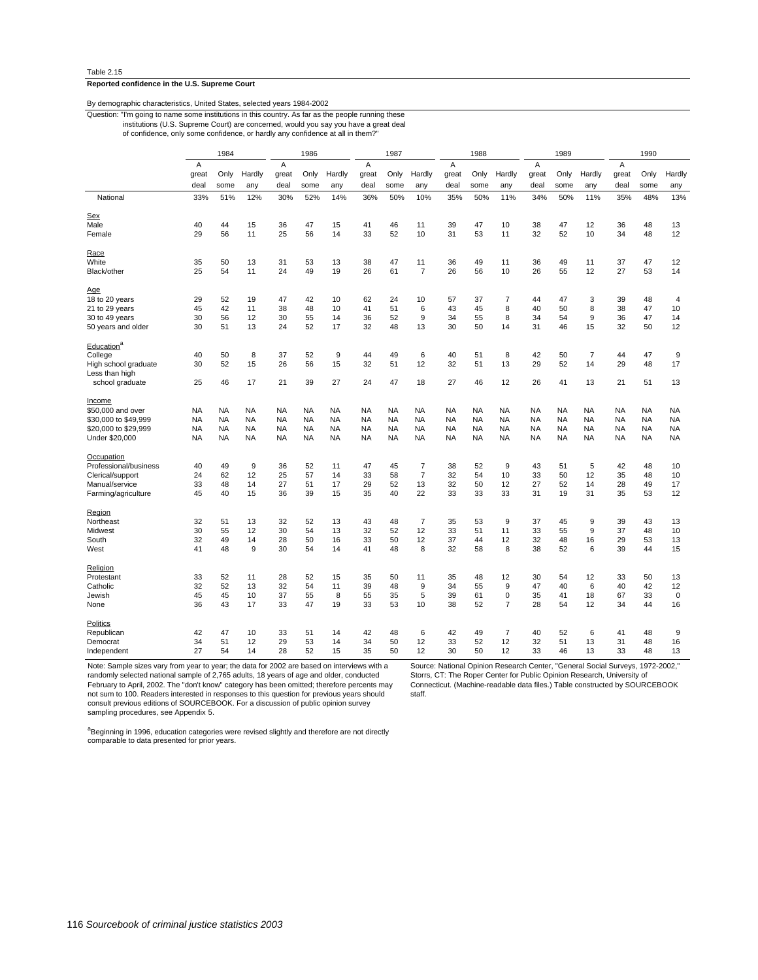#### **Reported confidence in the U.S. Supreme Court**

| By demographic characteristics, United States, selected years 1984-2002 |
|-------------------------------------------------------------------------|
|-------------------------------------------------------------------------|

Question: "I'm going to name some institutions in this country. As far as the people running these

of confidence, only some confidence, or hardly any confidence at all in them?" institutions (U.S. Supreme Court) are concerned, would you say you have a great deal

|                                        |           | 1984      |           |           | 1986      |           | 1987      |           | 1988           |                | 1989      |                |           | 1990      |                |           |           |                |
|----------------------------------------|-----------|-----------|-----------|-----------|-----------|-----------|-----------|-----------|----------------|----------------|-----------|----------------|-----------|-----------|----------------|-----------|-----------|----------------|
|                                        | A         |           |           | A         |           |           | A         |           |                | $\overline{A}$ |           |                | A         |           |                | A         |           |                |
|                                        | great     | Only      | Hardly    | great     | Only      | Hardly    | great     | Only      | Hardly         | great          | Only      | Hardly         | great     | Only      | Hardly         | great     | Only      | Hardly         |
|                                        | deal      | some      | any       | deal      | some      | any       | deal      | some      | any            | deal           | some      | any            | deal      | some      | any            | deal      | some      | any            |
| National                               | 33%       | 51%       | 12%       | 30%       | 52%       | 14%       | 36%       | 50%       | 10%            | 35%            | 50%       | 11%            | 34%       | 50%       | 11%            | 35%       | 48%       | 13%            |
| Sex                                    |           |           |           |           |           |           |           |           |                |                |           |                |           |           |                |           |           |                |
| Male                                   | 40        | 44        | 15        | 36        | 47        | 15        | 41        | 46        | 11             | 39             | 47        | 10             | 38        | 47        | 12             | 36        | 48        | 13             |
| Female                                 | 29        | 56        | 11        | 25        | 56        | 14        | 33        | 52        | 10             | 31             | 53        | 11             | 32        | 52        | 10             | 34        | 48        | 12             |
| <u>Race</u>                            |           |           |           |           |           |           |           |           |                |                |           |                |           |           |                |           |           |                |
| White                                  | 35        | 50        | 13        | 31        | 53        | 13        | 38        | 47        | 11             | 36             | 49        | 11             | 36        | 49        | 11             | 37        | 47        | 12             |
| Black/other                            | 25        | 54        | 11        | 24        | 49        | 19        | 26        | 61        | $\overline{7}$ | 26             | 56        | 10             | 26        | 55        | 12             | 27        | 53        | 14             |
| Age                                    |           |           |           |           |           |           |           |           |                |                |           |                |           |           |                |           |           |                |
| 18 to 20 years                         | 29        | 52        | 19        | 47        | 42        | 10        | 62        | 24        | 10             | 57             | 37        | $\overline{7}$ | 44        | 47        | 3              | 39        | 48        | $\overline{4}$ |
| 21 to 29 years                         | 45        | 42        | 11        | 38        | 48        | 10        | 41        | 51        | 6              | 43             | 45        | 8              | 40        | 50        | 8              | 38        | 47        | 10             |
| 30 to 49 years                         | 30        | 56        | 12        | 30        | 55        | 14        | 36        | 52        | 9              | 34             | 55        | 8              | 34        | 54        | 9              | 36        | 47        | 14             |
| 50 years and older                     | 30        | 51        | 13        | 24        | 52        | 17        | 32        | 48        | 13             | 30             | 50        | 14             | 31        | 46        | 15             | 32        | 50        | 12             |
| Education <sup>a</sup>                 |           |           |           |           |           |           |           |           |                |                |           |                |           |           |                |           |           |                |
| College                                | 40        | 50        | 8         | 37        | 52        | 9         | 44        | 49        | 6              | 40             | 51        | 8              | 42        | 50        | $\overline{7}$ | 44        | 47        | 9              |
| High school graduate<br>Less than high | 30        | 52        | 15        | 26        | 56        | 15        | 32        | 51        | 12             | 32             | 51        | 13             | 29        | 52        | 14             | 29        | 48        | 17             |
| school graduate                        | 25        | 46        | 17        | 21        | 39        | 27        | 24        | 47        | 18             | 27             | 46        | 12             | 26        | 41        | 13             | 21        | 51        | 13             |
| Income                                 |           |           |           |           |           |           |           |           |                |                |           |                |           |           |                |           |           |                |
| \$50,000 and over                      | <b>NA</b> | <b>NA</b> | <b>NA</b> | <b>NA</b> | <b>NA</b> | NA        | <b>NA</b> | <b>NA</b> | <b>NA</b>      | <b>NA</b>      | <b>NA</b> | NA             | <b>NA</b> | <b>NA</b> | <b>NA</b>      | <b>NA</b> | <b>NA</b> | <b>NA</b>      |
| \$30,000 to \$49,999                   | <b>NA</b> | NA        | <b>NA</b> | <b>NA</b> | <b>NA</b> | NA        | <b>NA</b> | <b>NA</b> | <b>NA</b>      | <b>NA</b>      | <b>NA</b> | <b>NA</b>      | <b>NA</b> | NA        | <b>NA</b>      | <b>NA</b> | <b>NA</b> | <b>NA</b>      |
| \$20,000 to \$29,999                   | <b>NA</b> | <b>NA</b> | <b>NA</b> | <b>NA</b> | <b>NA</b> | <b>NA</b> | <b>NA</b> | <b>NA</b> | <b>NA</b>      | <b>NA</b>      | <b>NA</b> | <b>NA</b>      | <b>NA</b> | <b>NA</b> | <b>NA</b>      | <b>NA</b> | <b>NA</b> | <b>NA</b>      |
| Under \$20,000                         | <b>NA</b> | NA        | NA        | <b>NA</b> | <b>NA</b> | NA        | <b>NA</b> | <b>NA</b> | <b>NA</b>      | <b>NA</b>      | <b>NA</b> | NA             | <b>NA</b> | NA        | <b>NA</b>      | <b>NA</b> | <b>NA</b> | <b>NA</b>      |
| Occupation                             |           |           |           |           |           |           |           |           |                |                |           |                |           |           |                |           |           |                |
| Professional/business                  | 40        | 49        | 9         | 36        | 52        | 11        | 47        | 45        | $\overline{7}$ | 38             | 52        | 9              | 43        | 51        | 5              | 42        | 48        | 10             |
| Clerical/support                       | 24        | 62        | 12        | 25        | 57        | 14        | 33        | 58        | $\overline{7}$ | 32             | 54        | 10             | 33        | 50        | 12             | 35        | 48        | 10             |
| Manual/service                         | 33        | 48        | 14        | 27        | 51        | 17        | 29        | 52        | 13             | 32             | 50        | 12             | 27        | 52        | 14             | 28        | 49        | 17             |
| Farming/agriculture                    | 45        | 40        | 15        | 36        | 39        | 15        | 35        | 40        | 22             | 33             | 33        | 33             | 31        | 19        | 31             | 35        | 53        | 12             |
| Region                                 |           |           |           |           |           |           |           |           |                |                |           |                |           |           |                |           |           |                |
| Northeast                              | 32        | 51        | 13        | 32        | 52        | 13        | 43        | 48        | 7              | 35             | 53        | 9              | 37        | 45        | 9              | 39        | 43        | 13             |
| Midwest                                | 30        | 55        | 12        | 30        | 54        | 13        | 32        | 52        | 12             | 33             | 51        | 11             | 33        | 55        | 9              | 37        | 48        | 10             |
| South                                  | 32        | 49        | 14        | 28        | 50        | 16        | 33        | 50        | 12             | 37             | 44        | 12             | 32        | 48        | 16             | 29        | 53        | 13             |
| West                                   | 41        | 48        | 9         | 30        | 54        | 14        | 41        | 48        | 8              | 32             | 58        | 8              | 38        | 52        | 6              | 39        | 44        | 15             |
| Religion                               |           |           |           |           |           |           |           |           |                |                |           |                |           |           |                |           |           |                |
| Protestant                             | 33        | 52        | 11        | 28        | 52        | 15        | 35        | 50        | 11             | 35             | 48        | 12             | 30        | 54        | 12             | 33        | 50        | 13             |
| Catholic                               | 32        | 52        | 13        | 32        | 54        | 11        | 39        | 48        | 9              | 34             | 55        | 9              | 47        | 40        | 6              | 40        | 42        | 12             |
| Jewish                                 | 45        | 45        | 10        | 37        | 55        | 8         | 55        | 35        | 5              | 39             | 61        | 0              | 35        | 41        | 18             | 67        | 33        | $\pmb{0}$      |
| None                                   | 36        | 43        | 17        | 33        | 47        | 19        | 33        | 53        | 10             | 38             | 52        | 7              | 28        | 54        | 12             | 34        | 44        | 16             |
| Politics                               |           |           |           |           |           |           |           |           |                |                |           |                |           |           |                |           |           |                |
| Republican                             | 42        | 47        | 10        | 33        | 51        | 14        | 42        | 48        | 6              | 42             | 49        | $\overline{7}$ | 40        | 52        | 6              | 41        | 48        | 9              |
| Democrat                               | 34        | 51        | 12        | 29        | 53        | 14        | 34        | 50        | 12             | 33             | 52        | 12             | 32        | 51        | 13             | 31        | 48        | 16             |
| Independent                            | 27        | 54        | 14        | 28        | 52        | 15        | 35        | 50        | 12             | 30             | 50        | 12             | 33        | 46        | 13             | 33        | 48        | 13             |
|                                        |           |           |           |           |           |           |           |           |                |                |           |                |           |           |                |           |           |                |

Note: Sample sizes vary from year to year; the data for 2002 are based on interviews with a randomly selected national sample of 2,765 adults, 18 years of age and older, conducted February to April, 2002. The "don't know" category has been omitted; therefore percents may not sum to 100. Readers interested in responses to this question for previous years should consult previous editions of SOURCEBOOK. For a discussion of public opinion survey sampling procedures, see Appendix 5.

Source: National Opinion Research Center, "General Social Surveys, 1972-2002," Storrs, CT: The Roper Center for Public Opinion Research, University of Connecticut. (Machine-readable data files.) Table constructed by SOURCEBOOK staff.

a<br>Beginning in 1996, education categories were revised slightly and therefore are not directly<br>comparable to data presented for prior years.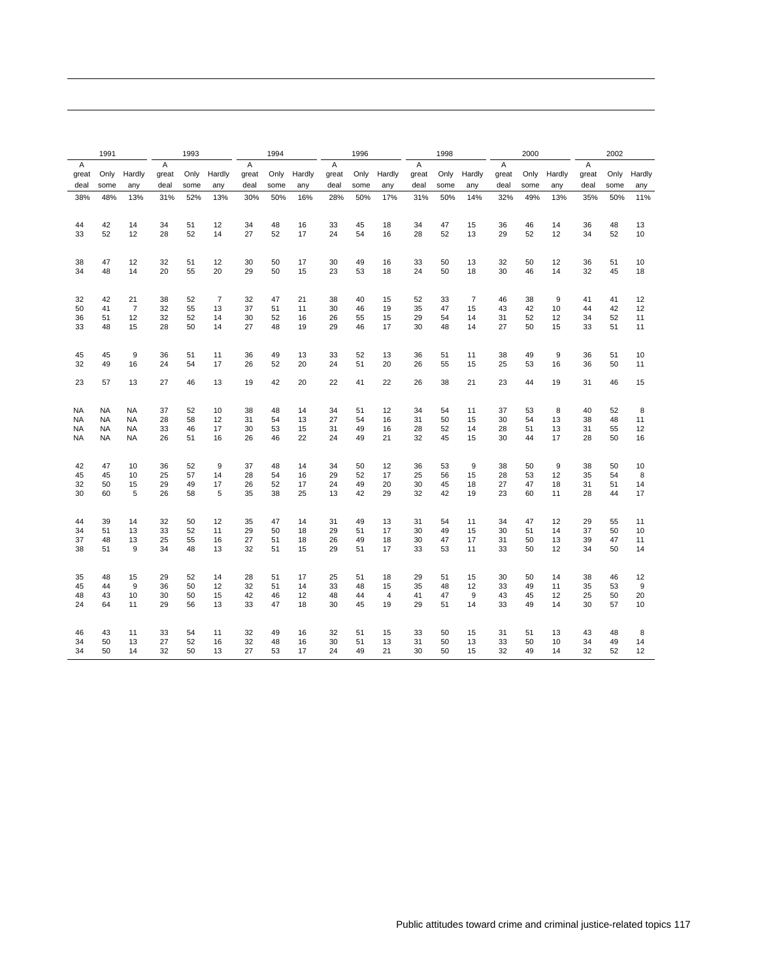| Α<br>Α<br>Α<br>Α<br>Α<br>Α<br>A<br>Hardly<br>Hardly<br>Only<br>Hardly<br>Only<br>Hardly<br>Only<br>Hardly<br>Hardly<br>Only<br>Hardly<br>great<br>Only<br>great<br>Only<br>great<br>great<br>great<br>great<br>Only<br>great<br>deal<br>deal<br>deal<br>deal<br>some<br>deal<br>deal<br>some<br>any<br>deal<br>some<br>any<br>some<br>any<br>some<br>any<br>some<br>any<br>any<br>some<br>any<br>11%<br>38%<br>48%<br>13%<br>31%<br>52%<br>13%<br>30%<br>50%<br>16%<br>28%<br>50%<br>17%<br>31%<br>50%<br>14%<br>32%<br>49%<br>13%<br>35%<br>50%<br>42<br>14<br>34<br>51<br>12<br>34<br>48<br>16<br>33<br>45<br>18<br>34<br>47<br>15<br>36<br>46<br>14<br>36<br>48<br>44<br>13<br>33<br>52<br>12<br>28<br>52<br>14<br>27<br>52<br>17<br>24<br>54<br>16<br>28<br>52<br>13<br>29<br>52<br>12<br>34<br>52<br>10<br>47<br>12<br>32<br>51<br>12<br>30<br>50<br>17<br>30<br>49<br>16<br>33<br>50<br>13<br>32<br>12<br>36<br>51<br>38<br>50<br>10<br>55<br>50<br>23<br>50<br>32<br>45<br>34<br>48<br>14<br>20<br>20<br>29<br>15<br>53<br>18<br>24<br>18<br>30<br>46<br>14<br>18<br>$\overline{7}$<br>47<br>$\overline{7}$<br>9<br>32<br>42<br>21<br>38<br>52<br>32<br>21<br>38<br>15<br>52<br>33<br>46<br>41<br>40<br>38<br>41<br>12<br>50<br>41<br>7<br>32<br>55<br>37<br>51<br>30<br>19<br>35<br>47<br>42<br>44<br>42<br>13<br>11<br>46<br>15<br>43<br>10<br>12<br>32<br>52<br>30<br>52<br>29<br>52<br>52<br>36<br>51<br>12<br>14<br>16<br>26<br>55<br>15<br>54<br>14<br>31<br>12<br>34<br>11<br>28<br>27<br>29<br>17<br>30<br>27<br>33<br>48<br>15<br>50<br>14<br>48<br>19<br>46<br>48<br>14<br>50<br>15<br>33<br>51<br>11<br>9<br>49<br>49<br>9<br>45<br>45<br>36<br>51<br>11<br>36<br>13<br>33<br>52<br>13<br>36<br>51<br>11<br>38<br>36<br>51<br>10<br>49<br>16<br>52<br>20<br>20<br>26<br>36<br>50<br>32<br>24<br>54<br>17<br>26<br>24<br>51<br>55<br>15<br>25<br>53<br>16<br>11<br>19<br>42<br>20<br>22<br>22<br>26<br>23<br>19<br>23<br>57<br>13<br>27<br>46<br>13<br>41<br>38<br>21<br>44<br>31<br>46<br>15<br>40<br>NA<br><b>NA</b><br><b>NA</b><br>37<br>52<br>10<br>38<br>48<br>14<br>34<br>12<br>34<br>54<br>11<br>37<br>53<br>8<br>52<br>8<br>51<br>27<br>16<br>38<br>48<br>NA<br><b>NA</b><br><b>NA</b><br>28<br>58<br>12<br>31<br>54<br>13<br>54<br>31<br>50<br>15<br>30<br>54<br>13<br>11<br>NA<br><b>NA</b><br><b>NA</b><br>33<br>46<br>17<br>30<br>53<br>15<br>31<br>49<br>16<br>28<br>52<br>14<br>28<br>51<br>13<br>31<br>55<br>12<br>22<br><b>NA</b><br>26<br>51<br>26<br>46<br>24<br>49<br>21<br>32<br>45<br>15<br>44<br>17<br>28<br>50<br>NA<br>NA.<br>16<br>30<br>16<br>9<br>12<br>9<br>9<br>42<br>47<br>10<br>36<br>52<br>37<br>48<br>14<br>34<br>36<br>53<br>38<br>50<br>38<br>50<br>50<br>10<br>57<br>17<br>25<br>35<br>8<br>45<br>45<br>10<br>25<br>14<br>28<br>54<br>16<br>29<br>52<br>56<br>15<br>28<br>53<br>12<br>54<br>32<br>50<br>15<br>29<br>49<br>17<br>26<br>52<br>17<br>24<br>49<br>20<br>30<br>45<br>18<br>27<br>47<br>18<br>31<br>51<br>14<br>30<br>60<br>5<br>26<br>58<br>5<br>35<br>38<br>25<br>13<br>42<br>29<br>32<br>42<br>19<br>23<br>60<br>11<br>28<br>44<br>17<br>47<br>29<br>39<br>14<br>32<br>50<br>12<br>35<br>14<br>31<br>13<br>31<br>54<br>11<br>34<br>47<br>12<br>44<br>49<br>55<br>11<br>34<br>51<br>13<br>33<br>52<br>29<br>50<br>18<br>29<br>51<br>17<br>30<br>49<br>15<br>30<br>51<br>14<br>37<br>50<br>10<br>11<br>37<br>48<br>13<br>25<br>55<br>27<br>51<br>18<br>26<br>49<br>18<br>30<br>47<br>17<br>31<br>50<br>13<br>39<br>47<br>11<br>16<br>38<br>51<br>9<br>34<br>48<br>32<br>51<br>29<br>51<br>17<br>33<br>53<br>50<br>12<br>34<br>50<br>14<br>13<br>15<br>11<br>33<br>15<br>29<br>28<br>51<br>17<br>25<br>18<br>29<br>15<br>30<br>38<br>35<br>48<br>52<br>14<br>51<br>51<br>50<br>14<br>46<br>12<br>9<br>9<br>45<br>44<br>36<br>50<br>12<br>32<br>51<br>14<br>33<br>48<br>15<br>35<br>48<br>12<br>33<br>49<br>35<br>53<br>11<br>48<br>43<br>10<br>30<br>50<br>42<br>46<br>12<br>48<br>44<br>4<br>41<br>47<br>9<br>43<br>45<br>12<br>25<br>50<br>20<br>15<br>24<br>29<br>33<br>47<br>18<br>30<br>45<br>19<br>29<br>51<br>14<br>33<br>49<br>14<br>30<br>57<br>64<br>11<br>56<br>13<br>10<br>43<br>33<br>54<br>32<br>49<br>16<br>32<br>15<br>33<br>15<br>31<br>13<br>43<br>48<br>46<br>11<br>11<br>51<br>50<br>51<br>8<br>50<br>27<br>31<br>50<br>34<br>13<br>52<br>32<br>48<br>30<br>51<br>13<br>50<br>33<br>10<br>34<br>49<br>16<br>16<br>13<br>14<br>34<br>50<br>14<br>32<br>50<br>27<br>53<br>17<br>24<br>49<br>21<br>30<br>50<br>32<br>49<br>14<br>32<br>52<br>12<br>13<br>15 | 1991 |  | 1993 |  | 1994 |  | 1996 |  | 1998 |  | 2000 |  | 2002 |  |
|----------------------------------------------------------------------------------------------------------------------------------------------------------------------------------------------------------------------------------------------------------------------------------------------------------------------------------------------------------------------------------------------------------------------------------------------------------------------------------------------------------------------------------------------------------------------------------------------------------------------------------------------------------------------------------------------------------------------------------------------------------------------------------------------------------------------------------------------------------------------------------------------------------------------------------------------------------------------------------------------------------------------------------------------------------------------------------------------------------------------------------------------------------------------------------------------------------------------------------------------------------------------------------------------------------------------------------------------------------------------------------------------------------------------------------------------------------------------------------------------------------------------------------------------------------------------------------------------------------------------------------------------------------------------------------------------------------------------------------------------------------------------------------------------------------------------------------------------------------------------------------------------------------------------------------------------------------------------------------------------------------------------------------------------------------------------------------------------------------------------------------------------------------------------------------------------------------------------------------------------------------------------------------------------------------------------------------------------------------------------------------------------------------------------------------------------------------------------------------------------------------------------------------------------------------------------------------------------------------------------------------------------------------------------------------------------------------------------------------------------------------------------------------------------------------------------------------------------------------------------------------------------------------------------------------------------------------------------------------------------------------------------------------------------------------------------------------------------------------------------------------------------------------------------------------------------------------------------------------------------------------------------------------------------------------------------------------------------------------------------------------------------------------------------------------------------------------------------------------------------------------------------------------------------------------------------------------------------------------------------------------------------------------------------------------------------------------------------------------------------------------------------------------------------------------------------------------------------------------------------------------------------------------------------------------------------------------------------------------------------------------------------------------------------------------------------------------------------------------------------------------------------------------------------------------------------------------------------------------------------------------------------------------------------------------------------------------------------------------------------------------------------------------------------------------------------------------------------------------------------------------------------------------------------|------|--|------|--|------|--|------|--|------|--|------|--|------|--|
|                                                                                                                                                                                                                                                                                                                                                                                                                                                                                                                                                                                                                                                                                                                                                                                                                                                                                                                                                                                                                                                                                                                                                                                                                                                                                                                                                                                                                                                                                                                                                                                                                                                                                                                                                                                                                                                                                                                                                                                                                                                                                                                                                                                                                                                                                                                                                                                                                                                                                                                                                                                                                                                                                                                                                                                                                                                                                                                                                                                                                                                                                                                                                                                                                                                                                                                                                                                                                                                                                                                                                                                                                                                                                                                                                                                                                                                                                                                                                                                                                                                                                                                                                                                                                                                                                                                                                                                                                                                                                                                                              |      |  |      |  |      |  |      |  |      |  |      |  |      |  |
|                                                                                                                                                                                                                                                                                                                                                                                                                                                                                                                                                                                                                                                                                                                                                                                                                                                                                                                                                                                                                                                                                                                                                                                                                                                                                                                                                                                                                                                                                                                                                                                                                                                                                                                                                                                                                                                                                                                                                                                                                                                                                                                                                                                                                                                                                                                                                                                                                                                                                                                                                                                                                                                                                                                                                                                                                                                                                                                                                                                                                                                                                                                                                                                                                                                                                                                                                                                                                                                                                                                                                                                                                                                                                                                                                                                                                                                                                                                                                                                                                                                                                                                                                                                                                                                                                                                                                                                                                                                                                                                                              |      |  |      |  |      |  |      |  |      |  |      |  |      |  |
|                                                                                                                                                                                                                                                                                                                                                                                                                                                                                                                                                                                                                                                                                                                                                                                                                                                                                                                                                                                                                                                                                                                                                                                                                                                                                                                                                                                                                                                                                                                                                                                                                                                                                                                                                                                                                                                                                                                                                                                                                                                                                                                                                                                                                                                                                                                                                                                                                                                                                                                                                                                                                                                                                                                                                                                                                                                                                                                                                                                                                                                                                                                                                                                                                                                                                                                                                                                                                                                                                                                                                                                                                                                                                                                                                                                                                                                                                                                                                                                                                                                                                                                                                                                                                                                                                                                                                                                                                                                                                                                                              |      |  |      |  |      |  |      |  |      |  |      |  |      |  |
|                                                                                                                                                                                                                                                                                                                                                                                                                                                                                                                                                                                                                                                                                                                                                                                                                                                                                                                                                                                                                                                                                                                                                                                                                                                                                                                                                                                                                                                                                                                                                                                                                                                                                                                                                                                                                                                                                                                                                                                                                                                                                                                                                                                                                                                                                                                                                                                                                                                                                                                                                                                                                                                                                                                                                                                                                                                                                                                                                                                                                                                                                                                                                                                                                                                                                                                                                                                                                                                                                                                                                                                                                                                                                                                                                                                                                                                                                                                                                                                                                                                                                                                                                                                                                                                                                                                                                                                                                                                                                                                                              |      |  |      |  |      |  |      |  |      |  |      |  |      |  |
|                                                                                                                                                                                                                                                                                                                                                                                                                                                                                                                                                                                                                                                                                                                                                                                                                                                                                                                                                                                                                                                                                                                                                                                                                                                                                                                                                                                                                                                                                                                                                                                                                                                                                                                                                                                                                                                                                                                                                                                                                                                                                                                                                                                                                                                                                                                                                                                                                                                                                                                                                                                                                                                                                                                                                                                                                                                                                                                                                                                                                                                                                                                                                                                                                                                                                                                                                                                                                                                                                                                                                                                                                                                                                                                                                                                                                                                                                                                                                                                                                                                                                                                                                                                                                                                                                                                                                                                                                                                                                                                                              |      |  |      |  |      |  |      |  |      |  |      |  |      |  |
|                                                                                                                                                                                                                                                                                                                                                                                                                                                                                                                                                                                                                                                                                                                                                                                                                                                                                                                                                                                                                                                                                                                                                                                                                                                                                                                                                                                                                                                                                                                                                                                                                                                                                                                                                                                                                                                                                                                                                                                                                                                                                                                                                                                                                                                                                                                                                                                                                                                                                                                                                                                                                                                                                                                                                                                                                                                                                                                                                                                                                                                                                                                                                                                                                                                                                                                                                                                                                                                                                                                                                                                                                                                                                                                                                                                                                                                                                                                                                                                                                                                                                                                                                                                                                                                                                                                                                                                                                                                                                                                                              |      |  |      |  |      |  |      |  |      |  |      |  |      |  |
|                                                                                                                                                                                                                                                                                                                                                                                                                                                                                                                                                                                                                                                                                                                                                                                                                                                                                                                                                                                                                                                                                                                                                                                                                                                                                                                                                                                                                                                                                                                                                                                                                                                                                                                                                                                                                                                                                                                                                                                                                                                                                                                                                                                                                                                                                                                                                                                                                                                                                                                                                                                                                                                                                                                                                                                                                                                                                                                                                                                                                                                                                                                                                                                                                                                                                                                                                                                                                                                                                                                                                                                                                                                                                                                                                                                                                                                                                                                                                                                                                                                                                                                                                                                                                                                                                                                                                                                                                                                                                                                                              |      |  |      |  |      |  |      |  |      |  |      |  |      |  |
|                                                                                                                                                                                                                                                                                                                                                                                                                                                                                                                                                                                                                                                                                                                                                                                                                                                                                                                                                                                                                                                                                                                                                                                                                                                                                                                                                                                                                                                                                                                                                                                                                                                                                                                                                                                                                                                                                                                                                                                                                                                                                                                                                                                                                                                                                                                                                                                                                                                                                                                                                                                                                                                                                                                                                                                                                                                                                                                                                                                                                                                                                                                                                                                                                                                                                                                                                                                                                                                                                                                                                                                                                                                                                                                                                                                                                                                                                                                                                                                                                                                                                                                                                                                                                                                                                                                                                                                                                                                                                                                                              |      |  |      |  |      |  |      |  |      |  |      |  |      |  |
|                                                                                                                                                                                                                                                                                                                                                                                                                                                                                                                                                                                                                                                                                                                                                                                                                                                                                                                                                                                                                                                                                                                                                                                                                                                                                                                                                                                                                                                                                                                                                                                                                                                                                                                                                                                                                                                                                                                                                                                                                                                                                                                                                                                                                                                                                                                                                                                                                                                                                                                                                                                                                                                                                                                                                                                                                                                                                                                                                                                                                                                                                                                                                                                                                                                                                                                                                                                                                                                                                                                                                                                                                                                                                                                                                                                                                                                                                                                                                                                                                                                                                                                                                                                                                                                                                                                                                                                                                                                                                                                                              |      |  |      |  |      |  |      |  |      |  |      |  |      |  |
|                                                                                                                                                                                                                                                                                                                                                                                                                                                                                                                                                                                                                                                                                                                                                                                                                                                                                                                                                                                                                                                                                                                                                                                                                                                                                                                                                                                                                                                                                                                                                                                                                                                                                                                                                                                                                                                                                                                                                                                                                                                                                                                                                                                                                                                                                                                                                                                                                                                                                                                                                                                                                                                                                                                                                                                                                                                                                                                                                                                                                                                                                                                                                                                                                                                                                                                                                                                                                                                                                                                                                                                                                                                                                                                                                                                                                                                                                                                                                                                                                                                                                                                                                                                                                                                                                                                                                                                                                                                                                                                                              |      |  |      |  |      |  |      |  |      |  |      |  |      |  |
|                                                                                                                                                                                                                                                                                                                                                                                                                                                                                                                                                                                                                                                                                                                                                                                                                                                                                                                                                                                                                                                                                                                                                                                                                                                                                                                                                                                                                                                                                                                                                                                                                                                                                                                                                                                                                                                                                                                                                                                                                                                                                                                                                                                                                                                                                                                                                                                                                                                                                                                                                                                                                                                                                                                                                                                                                                                                                                                                                                                                                                                                                                                                                                                                                                                                                                                                                                                                                                                                                                                                                                                                                                                                                                                                                                                                                                                                                                                                                                                                                                                                                                                                                                                                                                                                                                                                                                                                                                                                                                                                              |      |  |      |  |      |  |      |  |      |  |      |  |      |  |
|                                                                                                                                                                                                                                                                                                                                                                                                                                                                                                                                                                                                                                                                                                                                                                                                                                                                                                                                                                                                                                                                                                                                                                                                                                                                                                                                                                                                                                                                                                                                                                                                                                                                                                                                                                                                                                                                                                                                                                                                                                                                                                                                                                                                                                                                                                                                                                                                                                                                                                                                                                                                                                                                                                                                                                                                                                                                                                                                                                                                                                                                                                                                                                                                                                                                                                                                                                                                                                                                                                                                                                                                                                                                                                                                                                                                                                                                                                                                                                                                                                                                                                                                                                                                                                                                                                                                                                                                                                                                                                                                              |      |  |      |  |      |  |      |  |      |  |      |  |      |  |
|                                                                                                                                                                                                                                                                                                                                                                                                                                                                                                                                                                                                                                                                                                                                                                                                                                                                                                                                                                                                                                                                                                                                                                                                                                                                                                                                                                                                                                                                                                                                                                                                                                                                                                                                                                                                                                                                                                                                                                                                                                                                                                                                                                                                                                                                                                                                                                                                                                                                                                                                                                                                                                                                                                                                                                                                                                                                                                                                                                                                                                                                                                                                                                                                                                                                                                                                                                                                                                                                                                                                                                                                                                                                                                                                                                                                                                                                                                                                                                                                                                                                                                                                                                                                                                                                                                                                                                                                                                                                                                                                              |      |  |      |  |      |  |      |  |      |  |      |  |      |  |
|                                                                                                                                                                                                                                                                                                                                                                                                                                                                                                                                                                                                                                                                                                                                                                                                                                                                                                                                                                                                                                                                                                                                                                                                                                                                                                                                                                                                                                                                                                                                                                                                                                                                                                                                                                                                                                                                                                                                                                                                                                                                                                                                                                                                                                                                                                                                                                                                                                                                                                                                                                                                                                                                                                                                                                                                                                                                                                                                                                                                                                                                                                                                                                                                                                                                                                                                                                                                                                                                                                                                                                                                                                                                                                                                                                                                                                                                                                                                                                                                                                                                                                                                                                                                                                                                                                                                                                                                                                                                                                                                              |      |  |      |  |      |  |      |  |      |  |      |  |      |  |
|                                                                                                                                                                                                                                                                                                                                                                                                                                                                                                                                                                                                                                                                                                                                                                                                                                                                                                                                                                                                                                                                                                                                                                                                                                                                                                                                                                                                                                                                                                                                                                                                                                                                                                                                                                                                                                                                                                                                                                                                                                                                                                                                                                                                                                                                                                                                                                                                                                                                                                                                                                                                                                                                                                                                                                                                                                                                                                                                                                                                                                                                                                                                                                                                                                                                                                                                                                                                                                                                                                                                                                                                                                                                                                                                                                                                                                                                                                                                                                                                                                                                                                                                                                                                                                                                                                                                                                                                                                                                                                                                              |      |  |      |  |      |  |      |  |      |  |      |  |      |  |
|                                                                                                                                                                                                                                                                                                                                                                                                                                                                                                                                                                                                                                                                                                                                                                                                                                                                                                                                                                                                                                                                                                                                                                                                                                                                                                                                                                                                                                                                                                                                                                                                                                                                                                                                                                                                                                                                                                                                                                                                                                                                                                                                                                                                                                                                                                                                                                                                                                                                                                                                                                                                                                                                                                                                                                                                                                                                                                                                                                                                                                                                                                                                                                                                                                                                                                                                                                                                                                                                                                                                                                                                                                                                                                                                                                                                                                                                                                                                                                                                                                                                                                                                                                                                                                                                                                                                                                                                                                                                                                                                              |      |  |      |  |      |  |      |  |      |  |      |  |      |  |
|                                                                                                                                                                                                                                                                                                                                                                                                                                                                                                                                                                                                                                                                                                                                                                                                                                                                                                                                                                                                                                                                                                                                                                                                                                                                                                                                                                                                                                                                                                                                                                                                                                                                                                                                                                                                                                                                                                                                                                                                                                                                                                                                                                                                                                                                                                                                                                                                                                                                                                                                                                                                                                                                                                                                                                                                                                                                                                                                                                                                                                                                                                                                                                                                                                                                                                                                                                                                                                                                                                                                                                                                                                                                                                                                                                                                                                                                                                                                                                                                                                                                                                                                                                                                                                                                                                                                                                                                                                                                                                                                              |      |  |      |  |      |  |      |  |      |  |      |  |      |  |
|                                                                                                                                                                                                                                                                                                                                                                                                                                                                                                                                                                                                                                                                                                                                                                                                                                                                                                                                                                                                                                                                                                                                                                                                                                                                                                                                                                                                                                                                                                                                                                                                                                                                                                                                                                                                                                                                                                                                                                                                                                                                                                                                                                                                                                                                                                                                                                                                                                                                                                                                                                                                                                                                                                                                                                                                                                                                                                                                                                                                                                                                                                                                                                                                                                                                                                                                                                                                                                                                                                                                                                                                                                                                                                                                                                                                                                                                                                                                                                                                                                                                                                                                                                                                                                                                                                                                                                                                                                                                                                                                              |      |  |      |  |      |  |      |  |      |  |      |  |      |  |
|                                                                                                                                                                                                                                                                                                                                                                                                                                                                                                                                                                                                                                                                                                                                                                                                                                                                                                                                                                                                                                                                                                                                                                                                                                                                                                                                                                                                                                                                                                                                                                                                                                                                                                                                                                                                                                                                                                                                                                                                                                                                                                                                                                                                                                                                                                                                                                                                                                                                                                                                                                                                                                                                                                                                                                                                                                                                                                                                                                                                                                                                                                                                                                                                                                                                                                                                                                                                                                                                                                                                                                                                                                                                                                                                                                                                                                                                                                                                                                                                                                                                                                                                                                                                                                                                                                                                                                                                                                                                                                                                              |      |  |      |  |      |  |      |  |      |  |      |  |      |  |
|                                                                                                                                                                                                                                                                                                                                                                                                                                                                                                                                                                                                                                                                                                                                                                                                                                                                                                                                                                                                                                                                                                                                                                                                                                                                                                                                                                                                                                                                                                                                                                                                                                                                                                                                                                                                                                                                                                                                                                                                                                                                                                                                                                                                                                                                                                                                                                                                                                                                                                                                                                                                                                                                                                                                                                                                                                                                                                                                                                                                                                                                                                                                                                                                                                                                                                                                                                                                                                                                                                                                                                                                                                                                                                                                                                                                                                                                                                                                                                                                                                                                                                                                                                                                                                                                                                                                                                                                                                                                                                                                              |      |  |      |  |      |  |      |  |      |  |      |  |      |  |
|                                                                                                                                                                                                                                                                                                                                                                                                                                                                                                                                                                                                                                                                                                                                                                                                                                                                                                                                                                                                                                                                                                                                                                                                                                                                                                                                                                                                                                                                                                                                                                                                                                                                                                                                                                                                                                                                                                                                                                                                                                                                                                                                                                                                                                                                                                                                                                                                                                                                                                                                                                                                                                                                                                                                                                                                                                                                                                                                                                                                                                                                                                                                                                                                                                                                                                                                                                                                                                                                                                                                                                                                                                                                                                                                                                                                                                                                                                                                                                                                                                                                                                                                                                                                                                                                                                                                                                                                                                                                                                                                              |      |  |      |  |      |  |      |  |      |  |      |  |      |  |
|                                                                                                                                                                                                                                                                                                                                                                                                                                                                                                                                                                                                                                                                                                                                                                                                                                                                                                                                                                                                                                                                                                                                                                                                                                                                                                                                                                                                                                                                                                                                                                                                                                                                                                                                                                                                                                                                                                                                                                                                                                                                                                                                                                                                                                                                                                                                                                                                                                                                                                                                                                                                                                                                                                                                                                                                                                                                                                                                                                                                                                                                                                                                                                                                                                                                                                                                                                                                                                                                                                                                                                                                                                                                                                                                                                                                                                                                                                                                                                                                                                                                                                                                                                                                                                                                                                                                                                                                                                                                                                                                              |      |  |      |  |      |  |      |  |      |  |      |  |      |  |
|                                                                                                                                                                                                                                                                                                                                                                                                                                                                                                                                                                                                                                                                                                                                                                                                                                                                                                                                                                                                                                                                                                                                                                                                                                                                                                                                                                                                                                                                                                                                                                                                                                                                                                                                                                                                                                                                                                                                                                                                                                                                                                                                                                                                                                                                                                                                                                                                                                                                                                                                                                                                                                                                                                                                                                                                                                                                                                                                                                                                                                                                                                                                                                                                                                                                                                                                                                                                                                                                                                                                                                                                                                                                                                                                                                                                                                                                                                                                                                                                                                                                                                                                                                                                                                                                                                                                                                                                                                                                                                                                              |      |  |      |  |      |  |      |  |      |  |      |  |      |  |
|                                                                                                                                                                                                                                                                                                                                                                                                                                                                                                                                                                                                                                                                                                                                                                                                                                                                                                                                                                                                                                                                                                                                                                                                                                                                                                                                                                                                                                                                                                                                                                                                                                                                                                                                                                                                                                                                                                                                                                                                                                                                                                                                                                                                                                                                                                                                                                                                                                                                                                                                                                                                                                                                                                                                                                                                                                                                                                                                                                                                                                                                                                                                                                                                                                                                                                                                                                                                                                                                                                                                                                                                                                                                                                                                                                                                                                                                                                                                                                                                                                                                                                                                                                                                                                                                                                                                                                                                                                                                                                                                              |      |  |      |  |      |  |      |  |      |  |      |  |      |  |
|                                                                                                                                                                                                                                                                                                                                                                                                                                                                                                                                                                                                                                                                                                                                                                                                                                                                                                                                                                                                                                                                                                                                                                                                                                                                                                                                                                                                                                                                                                                                                                                                                                                                                                                                                                                                                                                                                                                                                                                                                                                                                                                                                                                                                                                                                                                                                                                                                                                                                                                                                                                                                                                                                                                                                                                                                                                                                                                                                                                                                                                                                                                                                                                                                                                                                                                                                                                                                                                                                                                                                                                                                                                                                                                                                                                                                                                                                                                                                                                                                                                                                                                                                                                                                                                                                                                                                                                                                                                                                                                                              |      |  |      |  |      |  |      |  |      |  |      |  |      |  |
|                                                                                                                                                                                                                                                                                                                                                                                                                                                                                                                                                                                                                                                                                                                                                                                                                                                                                                                                                                                                                                                                                                                                                                                                                                                                                                                                                                                                                                                                                                                                                                                                                                                                                                                                                                                                                                                                                                                                                                                                                                                                                                                                                                                                                                                                                                                                                                                                                                                                                                                                                                                                                                                                                                                                                                                                                                                                                                                                                                                                                                                                                                                                                                                                                                                                                                                                                                                                                                                                                                                                                                                                                                                                                                                                                                                                                                                                                                                                                                                                                                                                                                                                                                                                                                                                                                                                                                                                                                                                                                                                              |      |  |      |  |      |  |      |  |      |  |      |  |      |  |
|                                                                                                                                                                                                                                                                                                                                                                                                                                                                                                                                                                                                                                                                                                                                                                                                                                                                                                                                                                                                                                                                                                                                                                                                                                                                                                                                                                                                                                                                                                                                                                                                                                                                                                                                                                                                                                                                                                                                                                                                                                                                                                                                                                                                                                                                                                                                                                                                                                                                                                                                                                                                                                                                                                                                                                                                                                                                                                                                                                                                                                                                                                                                                                                                                                                                                                                                                                                                                                                                                                                                                                                                                                                                                                                                                                                                                                                                                                                                                                                                                                                                                                                                                                                                                                                                                                                                                                                                                                                                                                                                              |      |  |      |  |      |  |      |  |      |  |      |  |      |  |
|                                                                                                                                                                                                                                                                                                                                                                                                                                                                                                                                                                                                                                                                                                                                                                                                                                                                                                                                                                                                                                                                                                                                                                                                                                                                                                                                                                                                                                                                                                                                                                                                                                                                                                                                                                                                                                                                                                                                                                                                                                                                                                                                                                                                                                                                                                                                                                                                                                                                                                                                                                                                                                                                                                                                                                                                                                                                                                                                                                                                                                                                                                                                                                                                                                                                                                                                                                                                                                                                                                                                                                                                                                                                                                                                                                                                                                                                                                                                                                                                                                                                                                                                                                                                                                                                                                                                                                                                                                                                                                                                              |      |  |      |  |      |  |      |  |      |  |      |  |      |  |
|                                                                                                                                                                                                                                                                                                                                                                                                                                                                                                                                                                                                                                                                                                                                                                                                                                                                                                                                                                                                                                                                                                                                                                                                                                                                                                                                                                                                                                                                                                                                                                                                                                                                                                                                                                                                                                                                                                                                                                                                                                                                                                                                                                                                                                                                                                                                                                                                                                                                                                                                                                                                                                                                                                                                                                                                                                                                                                                                                                                                                                                                                                                                                                                                                                                                                                                                                                                                                                                                                                                                                                                                                                                                                                                                                                                                                                                                                                                                                                                                                                                                                                                                                                                                                                                                                                                                                                                                                                                                                                                                              |      |  |      |  |      |  |      |  |      |  |      |  |      |  |
|                                                                                                                                                                                                                                                                                                                                                                                                                                                                                                                                                                                                                                                                                                                                                                                                                                                                                                                                                                                                                                                                                                                                                                                                                                                                                                                                                                                                                                                                                                                                                                                                                                                                                                                                                                                                                                                                                                                                                                                                                                                                                                                                                                                                                                                                                                                                                                                                                                                                                                                                                                                                                                                                                                                                                                                                                                                                                                                                                                                                                                                                                                                                                                                                                                                                                                                                                                                                                                                                                                                                                                                                                                                                                                                                                                                                                                                                                                                                                                                                                                                                                                                                                                                                                                                                                                                                                                                                                                                                                                                                              |      |  |      |  |      |  |      |  |      |  |      |  |      |  |
|                                                                                                                                                                                                                                                                                                                                                                                                                                                                                                                                                                                                                                                                                                                                                                                                                                                                                                                                                                                                                                                                                                                                                                                                                                                                                                                                                                                                                                                                                                                                                                                                                                                                                                                                                                                                                                                                                                                                                                                                                                                                                                                                                                                                                                                                                                                                                                                                                                                                                                                                                                                                                                                                                                                                                                                                                                                                                                                                                                                                                                                                                                                                                                                                                                                                                                                                                                                                                                                                                                                                                                                                                                                                                                                                                                                                                                                                                                                                                                                                                                                                                                                                                                                                                                                                                                                                                                                                                                                                                                                                              |      |  |      |  |      |  |      |  |      |  |      |  |      |  |
|                                                                                                                                                                                                                                                                                                                                                                                                                                                                                                                                                                                                                                                                                                                                                                                                                                                                                                                                                                                                                                                                                                                                                                                                                                                                                                                                                                                                                                                                                                                                                                                                                                                                                                                                                                                                                                                                                                                                                                                                                                                                                                                                                                                                                                                                                                                                                                                                                                                                                                                                                                                                                                                                                                                                                                                                                                                                                                                                                                                                                                                                                                                                                                                                                                                                                                                                                                                                                                                                                                                                                                                                                                                                                                                                                                                                                                                                                                                                                                                                                                                                                                                                                                                                                                                                                                                                                                                                                                                                                                                                              |      |  |      |  |      |  |      |  |      |  |      |  |      |  |
|                                                                                                                                                                                                                                                                                                                                                                                                                                                                                                                                                                                                                                                                                                                                                                                                                                                                                                                                                                                                                                                                                                                                                                                                                                                                                                                                                                                                                                                                                                                                                                                                                                                                                                                                                                                                                                                                                                                                                                                                                                                                                                                                                                                                                                                                                                                                                                                                                                                                                                                                                                                                                                                                                                                                                                                                                                                                                                                                                                                                                                                                                                                                                                                                                                                                                                                                                                                                                                                                                                                                                                                                                                                                                                                                                                                                                                                                                                                                                                                                                                                                                                                                                                                                                                                                                                                                                                                                                                                                                                                                              |      |  |      |  |      |  |      |  |      |  |      |  |      |  |
|                                                                                                                                                                                                                                                                                                                                                                                                                                                                                                                                                                                                                                                                                                                                                                                                                                                                                                                                                                                                                                                                                                                                                                                                                                                                                                                                                                                                                                                                                                                                                                                                                                                                                                                                                                                                                                                                                                                                                                                                                                                                                                                                                                                                                                                                                                                                                                                                                                                                                                                                                                                                                                                                                                                                                                                                                                                                                                                                                                                                                                                                                                                                                                                                                                                                                                                                                                                                                                                                                                                                                                                                                                                                                                                                                                                                                                                                                                                                                                                                                                                                                                                                                                                                                                                                                                                                                                                                                                                                                                                                              |      |  |      |  |      |  |      |  |      |  |      |  |      |  |
|                                                                                                                                                                                                                                                                                                                                                                                                                                                                                                                                                                                                                                                                                                                                                                                                                                                                                                                                                                                                                                                                                                                                                                                                                                                                                                                                                                                                                                                                                                                                                                                                                                                                                                                                                                                                                                                                                                                                                                                                                                                                                                                                                                                                                                                                                                                                                                                                                                                                                                                                                                                                                                                                                                                                                                                                                                                                                                                                                                                                                                                                                                                                                                                                                                                                                                                                                                                                                                                                                                                                                                                                                                                                                                                                                                                                                                                                                                                                                                                                                                                                                                                                                                                                                                                                                                                                                                                                                                                                                                                                              |      |  |      |  |      |  |      |  |      |  |      |  |      |  |
|                                                                                                                                                                                                                                                                                                                                                                                                                                                                                                                                                                                                                                                                                                                                                                                                                                                                                                                                                                                                                                                                                                                                                                                                                                                                                                                                                                                                                                                                                                                                                                                                                                                                                                                                                                                                                                                                                                                                                                                                                                                                                                                                                                                                                                                                                                                                                                                                                                                                                                                                                                                                                                                                                                                                                                                                                                                                                                                                                                                                                                                                                                                                                                                                                                                                                                                                                                                                                                                                                                                                                                                                                                                                                                                                                                                                                                                                                                                                                                                                                                                                                                                                                                                                                                                                                                                                                                                                                                                                                                                                              |      |  |      |  |      |  |      |  |      |  |      |  |      |  |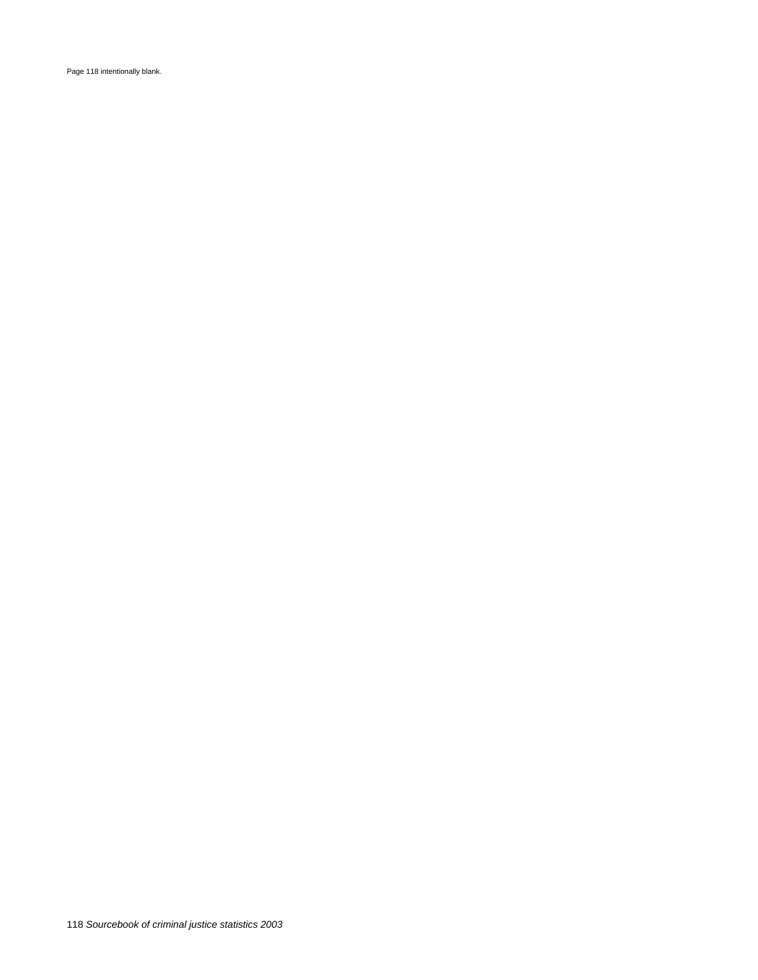Page 118 intentionally blank.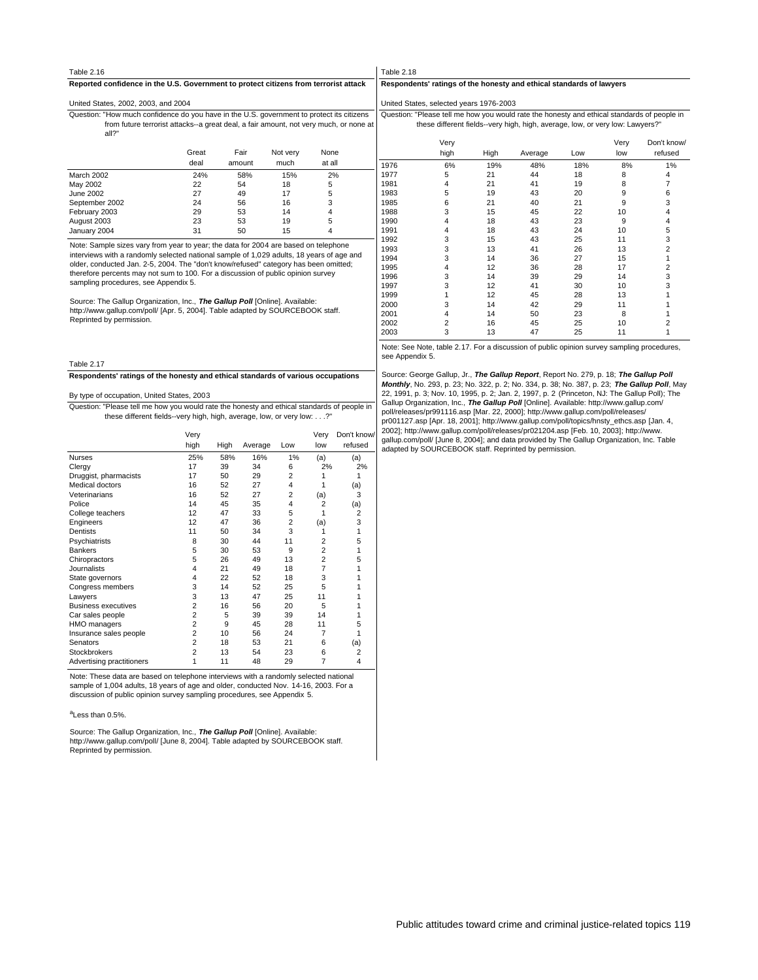# Table 2.18

# **Reported confidence in the U.S. Government to protect citizens from terrorist attack**

#### United States, 2002, 2003, and 2004

all?" from future terrorist attacks--a great deal, a fair amount, not very much, or none at Question: "How much confidence do you have in the U.S. government to protect its citizens

|                | Great<br>deal | Fair<br>amount | Not very<br>much | None<br>at all |  |
|----------------|---------------|----------------|------------------|----------------|--|
| March 2002     | 24%           | 58%            | 15%              | 2%             |  |
| May 2002       | 22            | 54             | 18               | 5              |  |
| June 2002      | 27            | 49             | 17               | 5              |  |
| September 2002 | 24            | 56             | 16               | 3              |  |
| February 2003  | 29            | 53             | 14               | 4              |  |
| August 2003    | 23            | 53             | 19               | 5              |  |
| January 2004   | 31            | 50             | 15               |                |  |

Note: Sample sizes vary from year to year; the data for 2004 are based on telephone interviews with a randomly selected national sample of 1,029 adults, 18 years of age and older, conducted Jan. 2-5, 2004. The "don't know/refused" category has been omitted; therefore percents may not sum to 100. For a discussion of public opinion survey sampling procedures, see Appendix 5.

Source: The Gallup Organization, Inc., **The Gallup Poll** [Online]. Available: http://www.gallup.com/poll/ [Apr. 5, 2004]. Table adapted by SOURCEBOOK staff. Reprinted by permission.

Table 2.17

**Respondents' ratings of the honesty and ethical standards of various occupations**

#### By type of occupation, United States, 2003

Question: "Please tell me how you would rate the honesty and ethical standards of people in<br>these different fields--very high, high, average, low, or very low: . . .?"

|                            | Very           |      |         |                | Very           | Don't know/    |
|----------------------------|----------------|------|---------|----------------|----------------|----------------|
|                            | high           | High | Average | Low            | low            | refused        |
| <b>Nurses</b>              | 25%            | 58%  | 16%     | 1%             | (a)            | (a)            |
| Clergy                     | 17             | 39   | 34      | 6              | 2%             | 2%             |
| Druggist, pharmacists      | 17             | 50   | 29      | $\overline{2}$ | 1              | 1              |
| Medical doctors            | 16             | 52   | 27      | 4              | 1              | (a)            |
| Veterinarians              | 16             | 52   | 27      | 2              | (a)            | 3              |
| Police                     | 14             | 45   | 35      | 4              | $\overline{2}$ | (a)            |
| College teachers           | 12             | 47   | 33      | 5              | 1              | $\overline{2}$ |
| Engineers                  | 12             | 47   | 36      | $\overline{2}$ | (a)            | 3              |
| Dentists                   | 11             | 50   | 34      | 3              | 1              | 1              |
| Psychiatrists              | 8              | 30   | 44      | 11             | 2              | 5              |
| <b>Bankers</b>             | 5              | 30   | 53      | 9              | $\overline{2}$ | 1              |
| Chiropractors              | 5              | 26   | 49      | 13             | $\overline{2}$ | 5              |
| <b>Journalists</b>         | 4              | 21   | 49      | 18             | 7              |                |
| State governors            | 4              | 22   | 52      | 18             | 3              |                |
| Congress members           | 3              | 14   | 52      | 25             | 5              |                |
| Lawyers                    | 3              | 13   | 47      | 25             | 11             |                |
| <b>Business executives</b> | $\overline{2}$ | 16   | 56      | 20             | 5              |                |
| Car sales people           | $\overline{2}$ | 5    | 39      | 39             | 14             |                |
| HMO managers               | $\overline{2}$ | 9    | 45      | 28             | 11             | 5              |
| Insurance sales people     | $\overline{2}$ | 10   | 56      | 24             | 7              | 1              |
| Senators                   | $\overline{a}$ | 18   | 53      | 21             | 6              | (a)            |
| Stockbrokers               | $\overline{2}$ | 13   | 54      | 23             | 6              | 2              |
| Advertising practitioners  | 1              | 11   | 48      | 29             | 7              | 4              |

Note: These data are based on telephone interviews with a randomly selected national sample of 1,004 adults, 18 years of age and older, conducted Nov. 14-16, 2003. For a discussion of public opinion survey sampling procedures, see Appendix 5.

#### <sup>a</sup>Less than 0.5%.

Source: The Gallup Organization, Inc., **The Gallup Poll** [Online]. Available: http://www.gallup.com/poll/ [June 8, 2004]. Table adapted by SOURCEBOOK staff. Reprinted by permission.

#### **Respondents' ratings of the honesty and ethical standards of lawyers**

United States, selected years 1976-2003

these different fields--very high, high, average, low, or very low: Lawyers?" Question: "Please tell me how you would rate the honesty and ethical standards of people in

|      | Very<br>high   | High | Average | Low | Very<br>low | Don't know/<br>refused |
|------|----------------|------|---------|-----|-------------|------------------------|
| 1976 | 6%             | 19%  | 48%     | 18% | 8%          | 1%                     |
| 1977 | 5              | 21   | 44      | 18  | 8           | 4                      |
| 1981 | 4              | 21   | 41      | 19  | 8           | 7                      |
| 1983 | 5              | 19   | 43      | 20  | 9           | 6                      |
| 1985 | 6              | 21   | 40      | 21  | 9           | 3                      |
| 1988 | 3              | 15   | 45      | 22  | 10          | 4                      |
| 1990 | 4              | 18   | 43      | 23  | 9           | 4                      |
| 1991 | 4              | 18   | 43      | 24  | 10          | 5                      |
| 1992 | 3              | 15   | 43      | 25  | 11          | 3                      |
| 1993 | 3              | 13   | 41      | 26  | 13          | $\overline{2}$         |
| 1994 | 3              | 14   | 36      | 27  | 15          | 1                      |
| 1995 | 4              | 12   | 36      | 28  | 17          | $\overline{2}$         |
| 1996 | 3              | 14   | 39      | 29  | 14          | 3                      |
| 1997 | 3              | 12   | 41      | 30  | 10          | 3                      |
| 1999 |                | 12   | 45      | 28  | 13          |                        |
| 2000 | 3              | 14   | 42      | 29  | 11          |                        |
| 2001 | 4              | 14   | 50      | 23  | 8           |                        |
| 2002 | $\overline{2}$ | 16   | 45      | 25  | 10          | 2                      |
| 2003 | 3              | 13   | 47      | 25  | 11          | 1                      |
|      |                |      |         |     |             |                        |

Note: See Note, table 2.17. For a discussion of public opinion survey sampling procedures, see Appendix 5

Source: George Gallup, Jr., **The Gallup Report**, Report No. 279, p. 18; **The Gallup Poll Monthly**, No. 293, p. 23; No. 322, p. 2; No. 334, p. 38; No. 387, p. 23; **The Gallup Poll**, May 22, 1991, p. 3; Nov. 10, 1995, p. 2; Jan. 2, 1997, p. 2 (Princeton, NJ: The Gallup Poll); The<br>Gallup Organization, Inc., *The Gallup Poll* [Online]. Available: http://www.gallup.com/ poll/releases/pr991116.asp [Mar. 22, 2000]; http://www.gallup.com/poll/releases/ pr001127.asp [Apr. 18, 2001]; http://www.gallup.com/poll/topics/hnsty\_ethcs.asp [Jan. 4, 2002]; http://www.gallup.com/poll/releases/pr021204.asp [Feb. 10, 2003]; http://www. gallup.com/poll/ [June 8, 2004]; and data provided by The Gallup Organization, Inc. Table adapted by SOURCEBOOK staff. Reprinted by permission.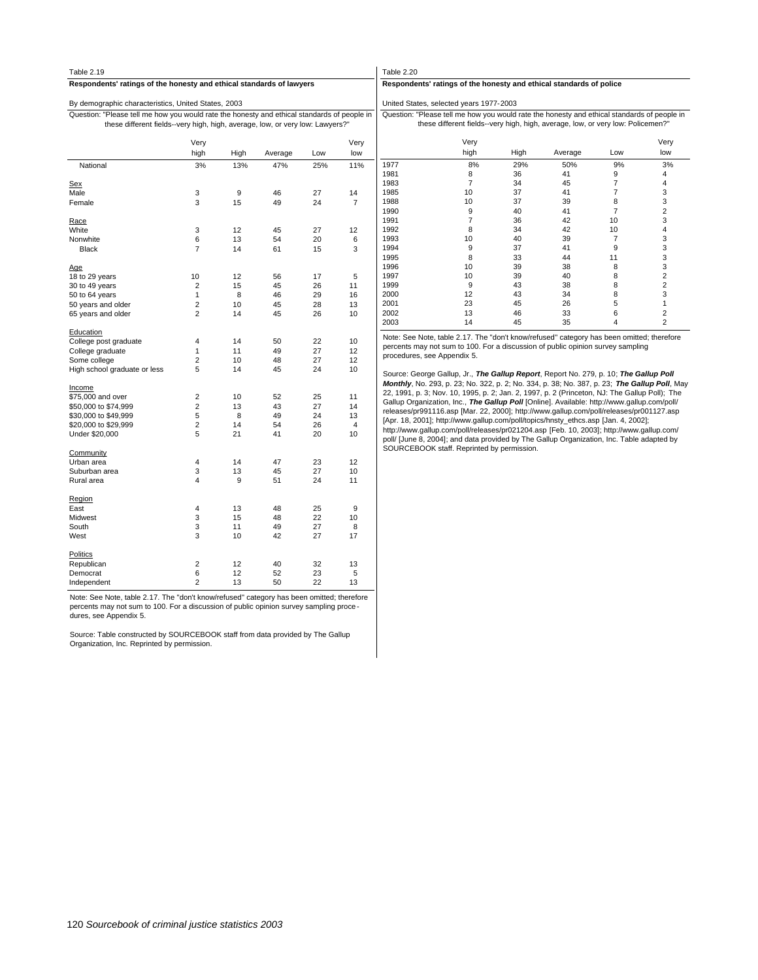| Table 2.19                                                                                                                                                                   |                         |      |         |     |                | Table 2.20   |                                                                                                                                                             |          |          |                |
|------------------------------------------------------------------------------------------------------------------------------------------------------------------------------|-------------------------|------|---------|-----|----------------|--------------|-------------------------------------------------------------------------------------------------------------------------------------------------------------|----------|----------|----------------|
| Respondents' ratings of the honesty and ethical standards of lawyers                                                                                                         |                         |      |         |     |                |              | Respondents' ratings of the honesty and ethical standards of police                                                                                         |          |          |                |
| By demographic characteristics, United States, 2003                                                                                                                          |                         |      |         |     |                |              | United States, selected years 1977-2003                                                                                                                     |          |          |                |
| Question: "Please tell me how you would rate the honesty and ethical standards of people in<br>these different fields--very high, high, average, low, or very low: Lawyers?" |                         |      |         |     |                |              | Question: "Please tell me how you would rate the honesty and ethical stand<br>these different fields--very high, high, average, low, or very low: I         |          |          |                |
|                                                                                                                                                                              | Very                    |      |         |     | Very           |              | Very                                                                                                                                                        |          |          |                |
|                                                                                                                                                                              | high                    | High | Average | Low | low            |              | high                                                                                                                                                        | High     | Average  | Low            |
| National                                                                                                                                                                     | 3%                      | 13%  | 47%     | 25% | 11%            | 1977         | 8%                                                                                                                                                          | 29%      | 50%      | 9%             |
|                                                                                                                                                                              |                         |      |         |     |                | 1981         | 8                                                                                                                                                           | 36       | 41       | 9              |
| Sex                                                                                                                                                                          |                         |      |         |     |                | 1983         | $\overline{7}$                                                                                                                                              | 34       | 45       | $\overline{7}$ |
| Male                                                                                                                                                                         | 3                       | 9    | 46      | 27  | 14             | 1985         | 10                                                                                                                                                          | 37       | 41       | $\overline{7}$ |
| Female                                                                                                                                                                       | 3                       | 15   | 49      | 24  | $\overline{7}$ | 1988         | 10                                                                                                                                                          | 37       | 39       | 8              |
|                                                                                                                                                                              |                         |      |         |     |                | 1990         | 9                                                                                                                                                           | 40       | 41       | 7              |
| Race                                                                                                                                                                         |                         |      |         |     |                | 1991         | 7                                                                                                                                                           | 36       | 42       | 10             |
| White                                                                                                                                                                        | 3                       | 12   | 45      | 27  | 12             | 1992         | 8                                                                                                                                                           | 34       | 42       | 10             |
| Nonwhite                                                                                                                                                                     | 6                       | 13   | 54      | 20  | 6              | 1993         | 10                                                                                                                                                          | 40       | 39       | 7              |
| <b>Black</b>                                                                                                                                                                 | $\overline{7}$          | 14   | 61      | 15  | 3              | 1994         | 9                                                                                                                                                           | 37       | 41       | 9              |
|                                                                                                                                                                              |                         |      |         |     |                | 1995         | 8                                                                                                                                                           | 33       | 44       | 11             |
| <u>Age</u>                                                                                                                                                                   |                         |      |         |     |                | 1996         | 10                                                                                                                                                          | 39       | 38       | 8              |
| 18 to 29 years                                                                                                                                                               | 10                      | 12   | 56      | 17  | 5              | 1997         | 10                                                                                                                                                          | 39       | 40       | 8              |
| 30 to 49 years                                                                                                                                                               | $\overline{2}$          | 15   | 45      | 26  | 11             | 1999         | 9                                                                                                                                                           | 43       | 38       | 8              |
| 50 to 64 years                                                                                                                                                               | $\mathbf{1}$            | 8    | 46      | 29  | 16             | 2000         | 12                                                                                                                                                          | 43       | 34       | 8              |
| 50 years and older                                                                                                                                                           | $\overline{\mathbf{c}}$ | 10   | 45      | 28  | 13             | 2001         | 23                                                                                                                                                          | 45       | 26       | 5              |
| 65 years and older                                                                                                                                                           | $\overline{2}$          | 14   | 45      | 26  | 10             | 2002<br>2003 | 13<br>14                                                                                                                                                    | 46<br>45 | 33<br>35 | 6<br>4         |
| Education                                                                                                                                                                    |                         |      |         |     |                |              |                                                                                                                                                             |          |          |                |
| College post graduate                                                                                                                                                        | $\overline{4}$          | 14   | 50      | 22  | 10             |              | Note: See Note, table 2.17. The "don't know/refused" category has been on                                                                                   |          |          |                |
| College graduate                                                                                                                                                             | $\mathbf{1}$            | 11   | 49      | 27  | 12             |              | percents may not sum to 100. For a discussion of public opinion survey san                                                                                  |          |          |                |
| Some college                                                                                                                                                                 | $\overline{\mathbf{c}}$ | 10   | 48      | 27  | 12             |              | procedures, see Appendix 5.                                                                                                                                 |          |          |                |
| High school graduate or less                                                                                                                                                 | 5                       | 14   | 45      | 24  | 10             |              |                                                                                                                                                             |          |          |                |
|                                                                                                                                                                              |                         |      |         |     |                |              | Source: George Gallup, Jr., The Gallup Report, Report No. 279, p. 10; The<br>Monthly, No. 293, p. 23; No. 322, p. 2; No. 334, p. 38; No. 387, p. 23; The    |          |          |                |
| Income                                                                                                                                                                       |                         |      |         |     |                |              |                                                                                                                                                             |          |          |                |
| \$75,000 and over                                                                                                                                                            | $\overline{\mathbf{c}}$ | 10   | 52      | 25  | 11             |              | 22, 1991, p. 3; Nov. 10, 1995, p. 2; Jan. 2, 1997, p. 2 (Princeton, NJ: The G                                                                               |          |          |                |
| \$50,000 to \$74,999                                                                                                                                                         | $\overline{2}$          | 13   | 43      | 27  | 14             |              | Gallup Organization, Inc., The Gallup Poll [Online]. Available: http://www.g<br>releases/pr991116.asp [Mar. 22, 2000]; http://www.gallup.com/poll/releases  |          |          |                |
| \$30,000 to \$49,999                                                                                                                                                         | 5                       | 8    | 49      | 24  | 13             |              | [Apr. 18, 2001]; http://www.gallup.com/poll/topics/hnsty_ethcs.asp [Jan. 4, 2001];                                                                          |          |          |                |
| \$20,000 to \$29,999                                                                                                                                                         | $\overline{c}$          | 14   | 54      | 26  | 4              |              |                                                                                                                                                             |          |          |                |
| Under \$20,000                                                                                                                                                               | 5                       | 21   | 41      | 20  | 10             |              | http://www.gallup.com/poll/releases/pr021204.asp [Feb. 10, 2003]; http://ww<br>poll/ [June 8, 2004]; and data provided by The Gallup Organization, Inc. Tal |          |          |                |
| Community                                                                                                                                                                    |                         |      |         |     |                |              | SOURCEBOOK staff. Reprinted by permission.                                                                                                                  |          |          |                |
| Urban area                                                                                                                                                                   | $\overline{4}$          | 14   | 47      | 23  | 12             |              |                                                                                                                                                             |          |          |                |
| Suburban area                                                                                                                                                                | 3                       | 13   | 45      | 27  | 10             |              |                                                                                                                                                             |          |          |                |
| Rural area                                                                                                                                                                   | $\overline{4}$          | 9    | 51      | 24  | 11             |              |                                                                                                                                                             |          |          |                |
| Region                                                                                                                                                                       |                         |      |         |     |                |              |                                                                                                                                                             |          |          |                |
| East                                                                                                                                                                         | $\overline{4}$          | 13   | 48      | 25  | 9              |              |                                                                                                                                                             |          |          |                |
| Midwest                                                                                                                                                                      | 3                       | 15   | 48      | 22  | 10             |              |                                                                                                                                                             |          |          |                |
| South                                                                                                                                                                        | 3                       | 11   | 49      | 27  | 8              |              |                                                                                                                                                             |          |          |                |
| West                                                                                                                                                                         | 3                       | 10   | 42      | 27  | 17             |              |                                                                                                                                                             |          |          |                |
| Politics                                                                                                                                                                     |                         |      |         |     |                |              |                                                                                                                                                             |          |          |                |
| Republican                                                                                                                                                                   | $\overline{\mathbf{c}}$ | 12   | 40      | 32  | 13             |              |                                                                                                                                                             |          |          |                |
| Democrat                                                                                                                                                                     | 6                       | 12   | 52      | 23  | 5              |              |                                                                                                                                                             |          |          |                |
| Independent                                                                                                                                                                  | $\overline{2}$          | 13   | 50      | 22  | 13             |              |                                                                                                                                                             |          |          |                |

 $\mathbf{r}$ 

Note: See Note, table 2.17. The "don't know/refused" category has been omitted; therefore percents may not sum to 100. For a discussion of public opinion survey sampling proce - dures, see Appendix 5.

Source: Table constructed by SOURCEBOOK staff from data provided by The Gallup Organization, Inc. Reprinted by permission.

dards of people in

Policemen?"

|      | Very                                                                                  |      |         |                | Very           |
|------|---------------------------------------------------------------------------------------|------|---------|----------------|----------------|
|      | high                                                                                  | High | Average | Low            | low            |
| 1977 | 8%                                                                                    | 29%  | 50%     | 9%             | 3%             |
| 1981 | 8                                                                                     | 36   | 41      | 9              | $\overline{4}$ |
| 1983 | 7                                                                                     | 34   | 45      | 7              | $\overline{4}$ |
| 1985 | 10                                                                                    | 37   | 41      | 7              | 3              |
| 1988 | 10                                                                                    | 37   | 39      | 8              | 3              |
| 1990 | 9                                                                                     | 40   | 41      | $\overline{7}$ | $\overline{2}$ |
| 1991 | 7                                                                                     | 36   | 42      | 10             | 3              |
| 1992 | 8                                                                                     | 34   | 42      | 10             | $\overline{4}$ |
| 1993 | 10                                                                                    | 40   | 39      | 7              | 3              |
| 1994 | 9                                                                                     | 37   | 41      | 9              | 3              |
| 1995 | 8                                                                                     | 33   | 44      | 11             | 3              |
| 1996 | 10                                                                                    | 39   | 38      | 8              | 3              |
| 1997 | 10                                                                                    | 39   | 40      | 8              | $\overline{2}$ |
| 1999 | 9                                                                                     | 43   | 38      | 8              | $\overline{2}$ |
| 2000 | 12                                                                                    | 43   | 34      | 8              | 3              |
| 2001 | 23                                                                                    | 45   | 26      | 5              | 1              |
| 2002 | 13                                                                                    | 46   | 33      | 6              | $\overline{2}$ |
| 2003 | 14                                                                                    | 45   | 35      | 4              | $\overline{2}$ |
|      | Note: See Note toble 2.47 The "dept knowleduoed" optogeny has been emitted: therefore |      |         |                |                |

nitted; therefore<br>npling percents may not sum to 100. For a discussion of public opinion survey sampling

Source: George Gallup, Jr., **The Gallup Report,** Report No. 279, p. 10; **The Gallup Poll**<br>**Monthly,** No. 293, p. 23; No. 322, p. 2; No. 334, p. 38; No. 387, p. 23; The **Gallup Poll**, May<br>22, 1991, p. 3; Nov. 10, 1995, p. 2 Gallup Organization, Inc., **The Gallup Poll** [Online]. Available: http://www.gallup.com/poll/ releases/pr991116.asp [Mar. 22, 2000]; http://www.gallup.com/poll/releases/pr001127.asp [Apr. 18, 2001]; http://www.gallup.com/poll/topics/hnsty\_ethcs.asp [Jan. 4, 2002]; http://www.gallup.com/poll/releases/pr021204.asp [Feb. 10, 2003]; http://www.gallup.com/ poll/ [June 8, 2004]; and data provided by The Gallup Organization, Inc. Table adapted by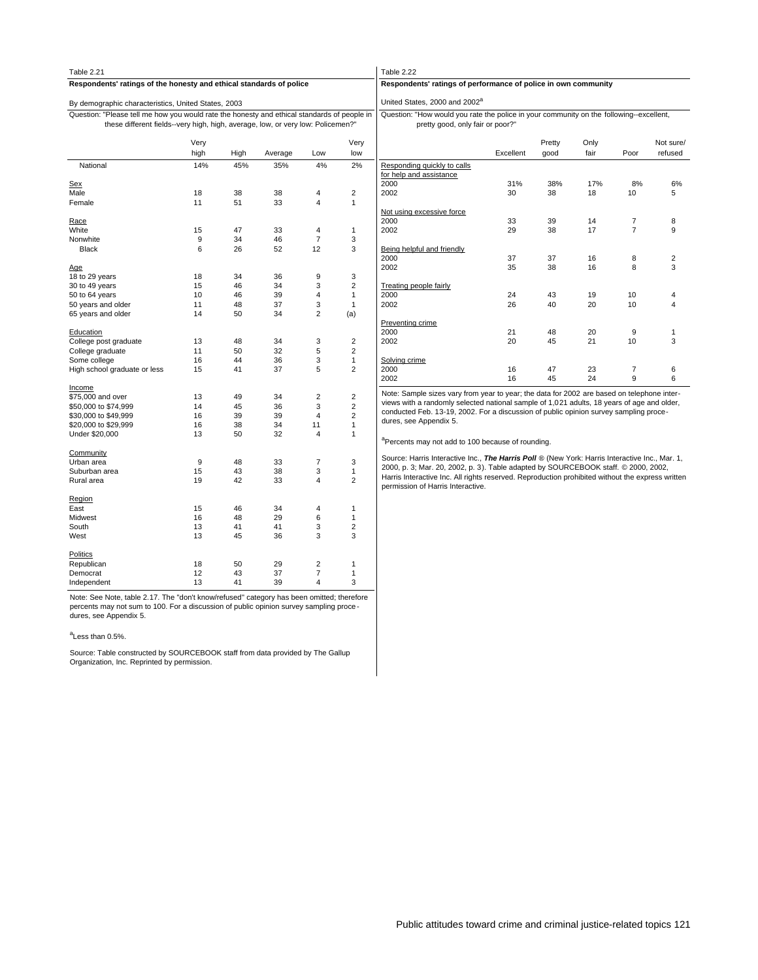| Table 2.21                                                                                                                                                                     |          |          |          |                |                     |                    |  |  |  |  |  |
|--------------------------------------------------------------------------------------------------------------------------------------------------------------------------------|----------|----------|----------|----------------|---------------------|--------------------|--|--|--|--|--|
| Respondents' ratings of the honesty and ethical standards of police                                                                                                            |          |          |          |                |                     |                    |  |  |  |  |  |
| By demographic characteristics, United States, 2003                                                                                                                            |          |          |          |                |                     |                    |  |  |  |  |  |
| Question: "Please tell me how you would rate the honesty and ethical standards of people in<br>these different fields--very high, high, average, low, or very low: Policemen?" |          |          |          |                |                     | Questi             |  |  |  |  |  |
|                                                                                                                                                                                | Very     |          |          |                | Very                |                    |  |  |  |  |  |
|                                                                                                                                                                                | high     | High     | Average  | Low            | low                 |                    |  |  |  |  |  |
| National                                                                                                                                                                       | 14%      | 45%      | 35%      | 4%             | 2%                  | Respor<br>for help |  |  |  |  |  |
| Sex                                                                                                                                                                            |          |          |          |                |                     | 2000               |  |  |  |  |  |
| Male                                                                                                                                                                           | 18       | 38       | 38       | 4              | 2                   | 2002               |  |  |  |  |  |
| Female                                                                                                                                                                         | 11       | 51       | 33       | 4              | 1                   |                    |  |  |  |  |  |
| Race                                                                                                                                                                           |          |          |          |                |                     | Not usi<br>2000    |  |  |  |  |  |
| White                                                                                                                                                                          | 15       | 47       | 33       | 4              | 1                   | 2002               |  |  |  |  |  |
| Nonwhite                                                                                                                                                                       | 9        | 34       | 46       | 7              | 3                   |                    |  |  |  |  |  |
| Black                                                                                                                                                                          | 6        | 26       | 52       | 12             | 3                   | Being I            |  |  |  |  |  |
| Age                                                                                                                                                                            |          |          |          |                |                     | 2000<br>2002       |  |  |  |  |  |
| 18 to 29 years                                                                                                                                                                 | 18       | 34       | 36       | 9              | 3                   |                    |  |  |  |  |  |
| 30 to 49 years                                                                                                                                                                 | 15       | 46       | 34       | 3              | $\overline{2}$      | Treatin            |  |  |  |  |  |
| 50 to 64 years                                                                                                                                                                 | 10       | 46       | 39       | 4              | 1                   | 2000               |  |  |  |  |  |
| 50 years and older                                                                                                                                                             | 11       | 48       | 37       | 3              | 1                   | 2002               |  |  |  |  |  |
| 65 years and older                                                                                                                                                             | 14       | 50       | 34       | $\overline{2}$ | (a)                 |                    |  |  |  |  |  |
|                                                                                                                                                                                |          |          |          |                |                     | <b>Prever</b>      |  |  |  |  |  |
| Education                                                                                                                                                                      |          |          |          |                |                     | 2000               |  |  |  |  |  |
| College post graduate                                                                                                                                                          | 13       | 48       | 34       | 3              | $\overline{2}$      | 2002               |  |  |  |  |  |
| College graduate                                                                                                                                                               | 11<br>16 | 50<br>44 | 32<br>36 | 5              | $\overline{2}$<br>1 |                    |  |  |  |  |  |
| Some college<br>High school graduate or less                                                                                                                                   | 15       | 41       | 37       | 3<br>5         | $\overline{2}$      | Solvino<br>2000    |  |  |  |  |  |
|                                                                                                                                                                                |          |          |          |                |                     | 2002               |  |  |  |  |  |
| Income                                                                                                                                                                         |          |          |          |                |                     | Note: S            |  |  |  |  |  |
| \$75,000 and over                                                                                                                                                              | 13       | 49       | 34       | $\overline{2}$ | $\overline{2}$      | views              |  |  |  |  |  |
| \$50,000 to \$74,999                                                                                                                                                           | 14       | 45       | 36       | 3              | $\overline{2}$      | condu              |  |  |  |  |  |
| \$30,000 to \$49,999                                                                                                                                                           | 16       | 39       | 39       | 4              | $\overline{2}$      | dures,             |  |  |  |  |  |
| \$20,000 to \$29,999                                                                                                                                                           | 16       | 38       | 34       | 11             | 1                   |                    |  |  |  |  |  |
| Under \$20,000                                                                                                                                                                 | 13       | 50       | 32       | 4              | 1                   | a <sub>Perce</sub> |  |  |  |  |  |
| Community                                                                                                                                                                      |          |          |          |                |                     | Source             |  |  |  |  |  |
| Urban area                                                                                                                                                                     | 9        | 48       | 33       | 7              | 3                   | 2000, 1            |  |  |  |  |  |
| Suburban area                                                                                                                                                                  | 15       | 43       | 38       | 3              | 1                   | Harris             |  |  |  |  |  |
| Rural area                                                                                                                                                                     | 19       | 42       | 33       | 4              | $\overline{2}$      | permis             |  |  |  |  |  |
| Region                                                                                                                                                                         |          |          |          |                |                     |                    |  |  |  |  |  |
| East                                                                                                                                                                           | 15       | 46       | 34       | 4              | 1                   |                    |  |  |  |  |  |
| Midwest                                                                                                                                                                        | 16       | 48       | 29       | 6              | 1                   |                    |  |  |  |  |  |
| South                                                                                                                                                                          | 13       | 41       | 41       | 3              | 2                   |                    |  |  |  |  |  |
| West                                                                                                                                                                           | 13       | 45       | 36       | 3              | 3                   |                    |  |  |  |  |  |
| Politics                                                                                                                                                                       |          |          |          |                |                     |                    |  |  |  |  |  |
| Republican                                                                                                                                                                     | 18       | 50       | 29       | 2              | 1                   |                    |  |  |  |  |  |
| Democrat                                                                                                                                                                       | 12       | 43       | 37       | 7              | 1                   |                    |  |  |  |  |  |
| Independent                                                                                                                                                                    | 13       | 41       | 39       | 4              | 3                   |                    |  |  |  |  |  |
|                                                                                                                                                                                |          |          |          |                |                     |                    |  |  |  |  |  |

Note: See Note, table 2.17. The "don't know/refused" category has been omitted; therefore percents may not sum to 100. For a discussion of public opinion survey sampling proce dures, see Appendix 5.

#### <sup>a</sup>Less than 0.5%.

Source: Table constructed by SOURCEBOOK staff from data provided by The Gallup Organization, Inc. Reprinted by permission.

# $2.22$

# **Respondents' ratings of performance of police in own community**

States, 2000 and 2002<sup>a</sup>

pretty good, only fair or poor?" on: "How would you rate the police in your community on the following--excellent,

|                                                        | Excellent | Pretty<br>qood | Only<br>fair | Poor           | Not sure/<br>refused |
|--------------------------------------------------------|-----------|----------------|--------------|----------------|----------------------|
| Responding quickly to calls<br>for help and assistance |           |                |              |                |                      |
| 2000                                                   | 31%       | 38%            | 17%          | 8%             | 6%                   |
| 2002                                                   | 30        | 38             | 18           | 10             | 5                    |
| Not using excessive force                              |           |                |              |                |                      |
| 2000                                                   | 33        | 39             | 14           | 7              | 8                    |
| 2002                                                   | 29        | 38             | 17           | $\overline{7}$ | 9                    |
| Being helpful and friendly                             |           |                |              |                |                      |
| 2000                                                   | 37        | 37             | 16           | 8              | 2                    |
| 2002                                                   | 35        | 38             | 16           | 8              | 3                    |
| <b>Treating people fairly</b>                          |           |                |              |                |                      |
| 2000                                                   | 24        | 43             | 19           | 10             | 4                    |
| 2002                                                   | 26        | 40             | 20           | 10             | 4                    |
| <b>Preventing crime</b>                                |           |                |              |                |                      |
| 2000                                                   | 21        | 48             | 20           | 9              | 1                    |
| 2002                                                   | 20        | 45             | 21           | 10             | 3                    |
| Solving crime                                          |           |                |              |                |                      |
| 2000                                                   | 16        | 47             | 23           | 7              | 6                    |
| 2002                                                   | 16        | 45             | 24           | 9              | 6                    |

Note: Sample sizes vary from year to year; the data for 2002 are based on telephone inter-<br>views with a randomly selected national sample of 1,021 adults, 18 years of age and older,<br>conducted Feb. 13-19, 2002. For a discus see Appendix 5.

# ents may not add to 100 because of rounding.

Source: Harris Interactive Inc., *The Harris Poll* **® (N**ew York: Harris Interactive Inc., Mar. 1,<br>2000, p. 3; Mar. 20, 2002, p. 3). Table adapted by SOURCEBOOK staff. © 2000, 2002, Interactive Inc. All rights reserved. Reproduction prohibited without the express written ssion of Harris Interactive.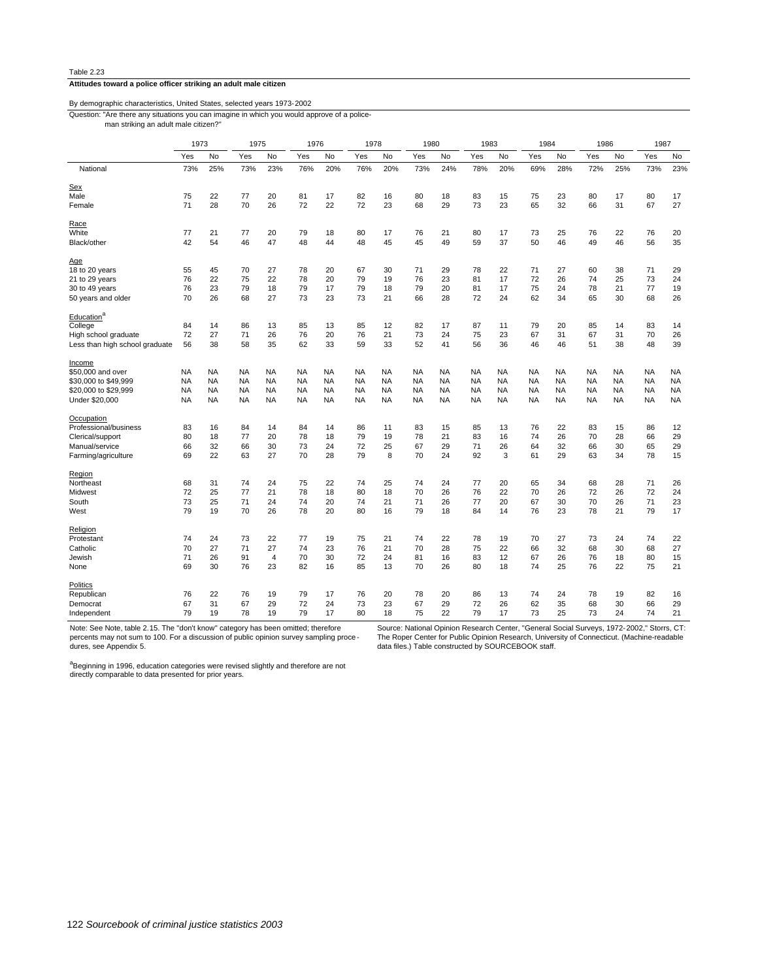#### **Attitudes toward a police officer striking an adult male citizen**

# By demographic characteristics, United States, selected years 1973-2002

Question: "Are there any situations you can imagine in which you would approve of a police-

man striking an adult male citizen?"

|                                |           | 1973      |           | 1975           |           | 1976      |           | 1978      |           | 1980      |           | 1983      | 1984      |           | 1986      |           | 1987      |           |
|--------------------------------|-----------|-----------|-----------|----------------|-----------|-----------|-----------|-----------|-----------|-----------|-----------|-----------|-----------|-----------|-----------|-----------|-----------|-----------|
|                                | Yes       | No        | Yes       | No             | Yes       | No        | Yes       | No        | Yes       | No        | Yes       | No        | Yes       | No        | Yes       | No        | Yes       | No        |
| National                       | 73%       | 25%       | 73%       | 23%            | 76%       | 20%       | 76%       | 20%       | 73%       | 24%       | 78%       | 20%       | 69%       | 28%       | 72%       | 25%       | 73%       | 23%       |
| Sex                            |           |           |           |                |           |           |           |           |           |           |           |           |           |           |           |           |           |           |
| Male                           | 75        | 22        | 77        | 20             | 81        | 17        | 82        | 16        | 80        | 18        | 83        | 15        | 75        | 23        | 80        | 17        | 80        | 17        |
| Female                         | 71        | 28        | 70        | 26             | 72        | 22        | 72        | 23        | 68        | 29        | 73        | 23        | 65        | 32        | 66        | 31        | 67        | 27        |
|                                |           |           |           |                |           |           |           |           |           |           |           |           |           |           |           |           |           |           |
| Race                           |           |           |           |                |           |           |           |           |           |           |           |           |           |           |           |           |           |           |
| White                          | 77        | 21        | 77        | 20             | 79        | 18        | 80        | 17        | 76        | 21        | 80        | 17        | 73        | 25        | 76        | 22        | 76        | 20        |
| Black/other                    | 42        | 54        | 46        | 47             | 48        | 44        | 48        | 45        | 45        | 49        | 59        | 37        | 50        | 46        | 49        | 46        | 56        | 35        |
| <u>Age</u>                     |           |           |           |                |           |           |           |           |           |           |           |           |           |           |           |           |           |           |
| 18 to 20 years                 | 55        | 45        | 70        | 27             | 78        | 20        | 67        | 30        | 71        | 29        | 78        | 22        | 71        | 27        | 60        | 38        | 71        | 29        |
| 21 to 29 years                 | 76        | 22        | 75        | 22             | 78        | 20        | 79        | 19        | 76        | 23        | 81        | 17        | 72        | 26        | 74        | 25        | 73        | 24        |
|                                |           | 23        | 79        |                |           |           | 79        |           |           | 20        |           |           |           | 24        | 78        |           | 77        |           |
| 30 to 49 years                 | 76        |           |           | 18             | 79        | 17        |           | 18        | 79        |           | 81        | 17        | 75        |           |           | 21        |           | 19        |
| 50 years and older             | 70        | 26        | 68        | 27             | 73        | 23        | 73        | 21        | 66        | 28        | 72        | 24        | 62        | 34        | 65        | 30        | 68        | 26        |
| Education <sup>a</sup>         |           |           |           |                |           |           |           |           |           |           |           |           |           |           |           |           |           |           |
| College                        | 84        | 14        | 86        | 13             | 85        | 13        | 85        | 12        | 82        | 17        | 87        | 11        | 79        | 20        | 85        | 14        | 83        | 14        |
| High school graduate           | 72        | 27        | 71        | 26             | 76        | 20        | 76        | 21        | 73        | 24        | 75        | 23        | 67        | 31        | 67        | 31        | 70        | 26        |
| Less than high school graduate | 56        | 38        | 58        | 35             | 62        | 33        | 59        | 33        | 52        | 41        | 56        | 36        | 46        | 46        | 51        | 38        | 48        | 39        |
|                                |           |           |           |                |           |           |           |           |           |           |           |           |           |           |           |           |           |           |
| Income                         |           |           |           |                |           |           |           |           |           |           |           |           |           |           |           |           |           |           |
| \$50,000 and over              | <b>NA</b> | <b>NA</b> | <b>NA</b> | <b>NA</b>      | NA        | <b>NA</b> | <b>NA</b> | NA        | NA        | <b>NA</b> | <b>NA</b> | <b>NA</b> | <b>NA</b> | <b>NA</b> | <b>NA</b> | <b>NA</b> | NA        | NA        |
| \$30,000 to \$49,999           | <b>NA</b> | <b>NA</b> | <b>NA</b> | <b>NA</b>      | <b>NA</b> | <b>NA</b> | <b>NA</b> | NA        | <b>NA</b> | <b>NA</b> | <b>NA</b> | <b>NA</b> | <b>NA</b> | <b>NA</b> | <b>NA</b> | <b>NA</b> | <b>NA</b> | <b>NA</b> |
| \$20,000 to \$29,999           | <b>NA</b> | <b>NA</b> | <b>NA</b> | <b>NA</b>      | NA        | <b>NA</b> | <b>NA</b> | NA        | NA        | <b>NA</b> | <b>NA</b> | <b>NA</b> | <b>NA</b> | <b>NA</b> | <b>NA</b> | <b>NA</b> | <b>NA</b> | NA        |
| Under \$20,000                 | <b>NA</b> | <b>NA</b> | <b>NA</b> | <b>NA</b>      | <b>NA</b> | <b>NA</b> | <b>NA</b> | <b>NA</b> | <b>NA</b> | <b>NA</b> | <b>NA</b> | <b>NA</b> | <b>NA</b> | <b>NA</b> | <b>NA</b> | <b>NA</b> | <b>NA</b> | <b>NA</b> |
| Occupation                     |           |           |           |                |           |           |           |           |           |           |           |           |           |           |           |           |           |           |
|                                |           | 16        | 84        | 14             | 84        |           | 86        |           |           | 15        | 85        |           | 76        |           | 83        |           |           |           |
| Professional/business          | 83        |           |           |                |           | 14        |           | 11        | 83        |           |           | 13        |           | 22        |           | 15        | 86        | 12        |
| Clerical/support               | 80        | 18        | 77        | 20             | 78        | 18        | 79        | 19        | 78        | 21        | 83        | 16        | 74        | 26        | 70        | 28        | 66        | 29        |
| Manual/service                 | 66        | 32        | 66        | 30             | 73        | 24        | 72        | 25        | 67        | 29        | 71        | 26        | 64        | 32        | 66        | 30        | 65        | 29        |
| Farming/agriculture            | 69        | 22        | 63        | 27             | 70        | 28        | 79        | 8         | 70        | 24        | 92        | 3         | 61        | 29        | 63        | 34        | 78        | 15        |
| Region                         |           |           |           |                |           |           |           |           |           |           |           |           |           |           |           |           |           |           |
| Northeast                      | 68        | 31        | 74        | 24             | 75        | 22        | 74        | 25        | 74        | 24        | 77        | 20        | 65        | 34        | 68        | 28        | 71        | 26        |
| Midwest                        | 72        | 25        | 77        | 21             | 78        | 18        | 80        | 18        | 70        | 26        | 76        | 22        | 70        | 26        | 72        | 26        | 72        | 24        |
| South                          | 73        | 25        | 71        | 24             | 74        | 20        | 74        | 21        | 71        | 26        | 77        | 20        | 67        | 30        | 70        | 26        | 71        | 23        |
| West                           | 79        | 19        | 70        | 26             | 78        | 20        | 80        | 16        | 79        | 18        | 84        | 14        | 76        | 23        | 78        | 21        | 79        | 17        |
|                                |           |           |           |                |           |           |           |           |           |           |           |           |           |           |           |           |           |           |
| Religion                       |           |           |           |                |           |           |           |           |           |           |           |           |           |           |           |           |           |           |
| Protestant                     | 74        | 24        | 73        | 22             | 77        | 19        | 75        | 21        | 74        | 22        | 78        | 19        | 70        | 27        | 73        | 24        | 74        | 22        |
| Catholic                       | 70        | 27        | 71        | 27             | 74        | 23        | 76        | 21        | 70        | 28        | 75        | 22        | 66        | 32        | 68        | 30        | 68        | 27        |
| Jewish                         | 71        | 26        | 91        | $\overline{4}$ | 70        | 30        | 72        | 24        | 81        | 16        | 83        | 12        | 67        | 26        | 76        | 18        | 80        | 15        |
| None                           | 69        | 30        | 76        | 23             | 82        | 16        | 85        | 13        | 70        | 26        | 80        | 18        | 74        | 25        | 76        | 22        | 75        | 21        |
| Politics                       |           |           |           |                |           |           |           |           |           |           |           |           |           |           |           |           |           |           |
| Republican                     | 76        | 22        | 76        | 19             | 79        | 17        | 76        | 20        | 78        | 20        | 86        | 13        | 74        | 24        | 78        | 19        | 82        | 16        |
|                                | 67        | 31        | 67        | 29             | 72        | 24        | 73        |           | 67        | 29        | 72        |           | 62        | 35        | 68        | 30        | 66        | 29        |
| Democrat                       |           |           |           |                |           |           |           | 23        |           |           |           | 26        |           |           |           |           |           |           |
| Independent                    | 79        | 19        | 78        | 19             | 79        | 17        | 80        | 18        | 75        | 22        | 79        | 17        | 73        | 25        | 73        | 24        | 74        | 21        |

Note: See Note, table 2.15. The "don't know" category has been omitted; therefore percents may not sum to 100. For a discussion of public opinion survey sampling proce dures, see Appendix 5.

Source: National Opinion Research Center, "General Social Surveys, 1972-2002," Storrs, CT: The Roper Center for Public Opinion Research, University of Connecticut. (Machine-readable data files.) Table constructed by SOURCEBOOK staff.

a<br>Beginning in 1996, education categories were revised slightly and therefore are not<br>directly comparable to data presented for prior years.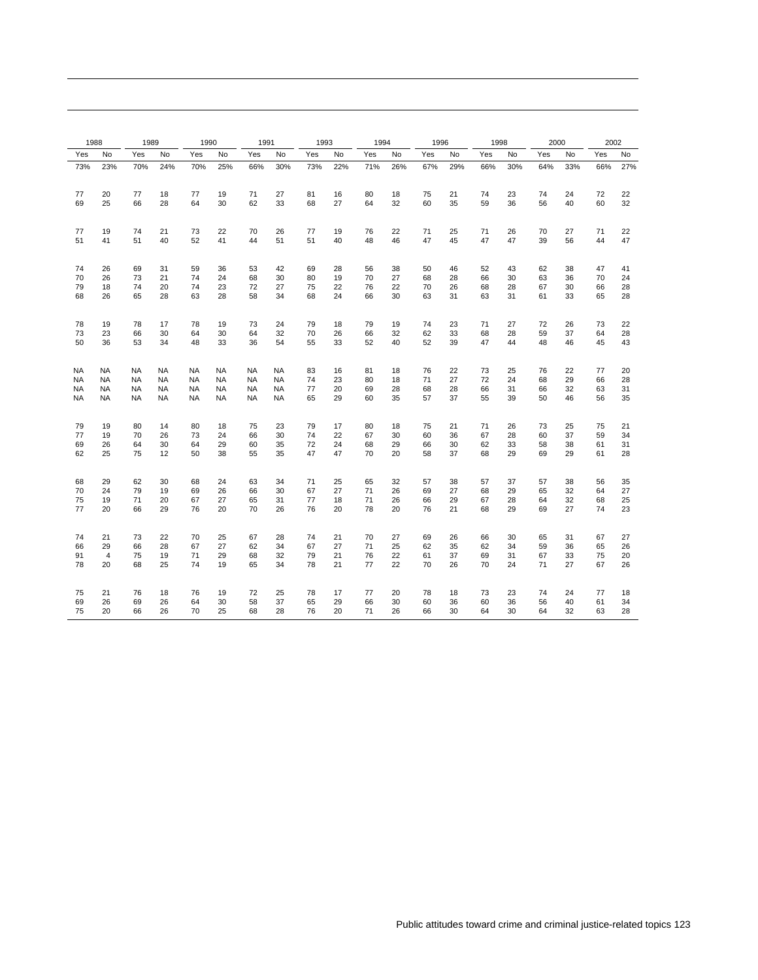| 1988     |          | 1989                   |          | 1990            |                 | 1991            |                 | 1993     |          | 1994     |          | 1996     |          | 1998     |          | 2000     |          | 2002     |          |
|----------|----------|------------------------|----------|-----------------|-----------------|-----------------|-----------------|----------|----------|----------|----------|----------|----------|----------|----------|----------|----------|----------|----------|
| Yes      | No       | Yes                    | No       | Yes             | No              | Yes             | No              | Yes      | No       | Yes      | No       | Yes      | No       | Yes      | No       | Yes      | No       | Yes      | No       |
| 73%      | 23%      | 70%                    | 24%      | 70%             | 25%             | 66%             | 30%             | 73%      | 22%      | 71%      | 26%      | 67%      | 29%      | 66%      | 30%      | 64%      | 33%      | 66%      | 27%      |
| 77       | 20       |                        | 18       | 77              | 19              | 71              | 27              | 81       | 16       | 80       |          | 75       |          | 74       | 23       | 74       | 24       | 72       | 22       |
| 69       | 25       | 77<br>66               | 28       | 64              | 30              | 62              | 33              | 68       | 27       | 64       | 18<br>32 | 60       | 21<br>35 | 59       | 36       | 56       | 40       | 60       | 32       |
|          |          |                        |          |                 |                 |                 |                 |          |          |          |          |          |          |          |          |          |          |          |          |
| 77       | 19       | 74                     | 21       | 73              | 22              | 70              | 26              | 77       | 19       | 76       | 22       | 71       | 25       | 71       | 26       | 70       | 27       | 71       | 22       |
| 51       | 41       | 51                     | 40       | 52              | 41              | 44              | 51              | 51       | 40       | 48       | 46       | 47       | 45       | 47       | 47       | 39       | 56       | 44       | 47       |
| 74       | 26       | 69                     | 31       | 59              | 36              | 53              | 42              | 69       | 28       | 56       | 38       | 50       | 46       | 52       | 43       | 62       | 38       | 47       | 41       |
| 70       | 26       | 73                     | 21       | 74              | 24              | 68              | 30              | 80       | 19       | 70       | 27       | 68       | 28       | 66       | 30       | 63       | 36       | 70       | 24       |
| 79       | 18       | 74                     | 20       | 74              | 23              | 72              | 27              | 75       | 22       | 76       | 22       | 70       | 26       | 68       | 28       | 67       | 30       | 66       | 28       |
| 68       | 26       | 65                     | 28       | 63              | 28              | 58              | 34              | 68       | 24       | 66       | 30       | 63       | 31       | 63       | 31       | 61       | 33       | 65       | 28       |
| 78       | 19       | 78                     | 17       | 78              | 19              | 73              | 24              | 79       | 18       | 79       | 19       | 74       | 23       | 71       | 27       | 72       | 26       | 73       | 22       |
| 73       | 23       | 66                     | 30       | 64              | 30              | 64              | 32              | 70       | 26       | 66       | 32       | 62       | 33       | 68       | 28       | 59       | 37       | 64       | 28       |
| 50       | 36       | 53                     | 34       | 48              | 33              | 36              | 54              | 55       | 33       | 52       | 40       | 52       | 39       | 47       | 44       | 48       | 46       | 45       | 43       |
|          |          |                        |          |                 |                 |                 |                 |          |          |          |          |          |          |          |          |          |          |          |          |
| NA       | NA       | <b>NA</b>              | NA       | <b>NA</b>       | <b>NA</b>       | <b>NA</b>       | <b>NA</b>       | 83       | 16       | 81       | 18       | 76       | 22       | 73       | 25       | 76       | 22       | 77       | 20       |
| NA       | NA       | NA.                    | NA.      | <b>NA</b>       | <b>NA</b>       | <b>NA</b>       | <b>NA</b>       | 74       | 23       | 80       | 18       | 71       | 27       | 72       | 24       | 68       | 29       | 66       | 28       |
| NA<br>NA | NA<br>NA | <b>NA</b><br><b>NA</b> | NA<br>NA | <b>NA</b><br>NA | <b>NA</b><br>NA | NA<br><b>NA</b> | <b>NA</b><br>NA | 77<br>65 | 20<br>29 | 69<br>60 | 28<br>35 | 68<br>57 | 28<br>37 | 66<br>55 | 31<br>39 | 66<br>50 | 32<br>46 | 63<br>56 | 31<br>35 |
|          |          |                        |          |                 |                 |                 |                 |          |          |          |          |          |          |          |          |          |          |          |          |
| 79       | 19       | 80                     | 14       | 80              | 18              | 75              | 23              | 79       | 17       | 80       | 18       | 75       | 21       | 71       | 26       | 73       | 25       | 75       | 21       |
| 77       | 19       | 70                     | 26       | 73              | 24              | 66              | 30              | 74       | 22       | 67       | 30       | 60       | 36       | 67       | 28       | 60       | 37       | 59       | 34       |
| 69<br>62 | 26<br>25 | 64<br>75               | 30<br>12 | 64<br>50        | 29<br>38        | 60<br>55        | 35<br>35        | 72<br>47 | 24<br>47 | 68<br>70 | 29<br>20 | 66<br>58 | 30<br>37 | 62<br>68 | 33<br>29 | 58<br>69 | 38<br>29 | 61<br>61 | 31<br>28 |
|          |          |                        |          |                 |                 |                 |                 |          |          |          |          |          |          |          |          |          |          |          |          |
| 68       | 29       | 62                     | 30       | 68              | 24              | 63              | 34              | 71       | 25       | 65       | 32       | 57       | 38       | 57       | 37       | 57       | 38       | 56       | 35       |
| 70       | 24       | 79                     | 19       | 69              | 26              | 66              | 30              | 67       | 27       | 71       | 26       | 69       | 27       | 68       | 29       | 65       | 32       | 64       | 27       |
| 75       | 19       | 71                     | 20       | 67              | 27              | 65              | 31              | 77       | 18       | 71       | 26       | 66       | 29       | 67       | 28       | 64       | 32       | 68       | 25       |
| 77       | 20       | 66                     | 29       | 76              | 20              | 70              | 26              | 76       | 20       | 78       | 20       | 76       | 21       | 68       | 29       | 69       | 27       | 74       | 23       |
| 74       | 21       | 73                     | 22       | 70              | 25              | 67              | 28              | 74       | 21       | 70       | 27       | 69       | 26       | 66       | 30       | 65       | 31       | 67       | 27       |
| 66       | 29       | 66                     | 28       | 67              | 27              | 62              | 34              | 67       | 27       | 71       | 25       | 62       | 35       | 62       | 34       | 59       | 36       | 65       | 26       |
| 91       | 4        | 75                     | 19       | 71              | 29              | 68              | 32              | 79       | 21       | 76       | 22       | 61       | 37       | 69       | 31       | 67       | 33       | 75       | 20       |
| 78       | 20       | 68                     | 25       | 74              | 19              | 65              | 34              | 78       | 21       | 77       | 22       | 70       | 26       | 70       | 24       | 71       | 27       | 67       | 26       |
| 75       | 21       | 76                     | 18       | 76              | 19              | 72              | 25              | 78       | 17       | 77       | 20       | 78       | 18       | 73       | 23       | 74       | 24       | 77       | 18       |
| 69       | 26       | 69                     | 26       | 64              | 30              | 58              | 37              | 65       | 29       | 66       | 30       | 60       | 36       | 60       | 36       | 56       | 40       | 61       | 34       |
| 75       | 20       | 66                     | 26       | 70              | 25              | 68              | 28              | 76       | 20       | 71       | 26       | 66       | 30       | 64       | 30       | 64       | 32       | 63       | 28       |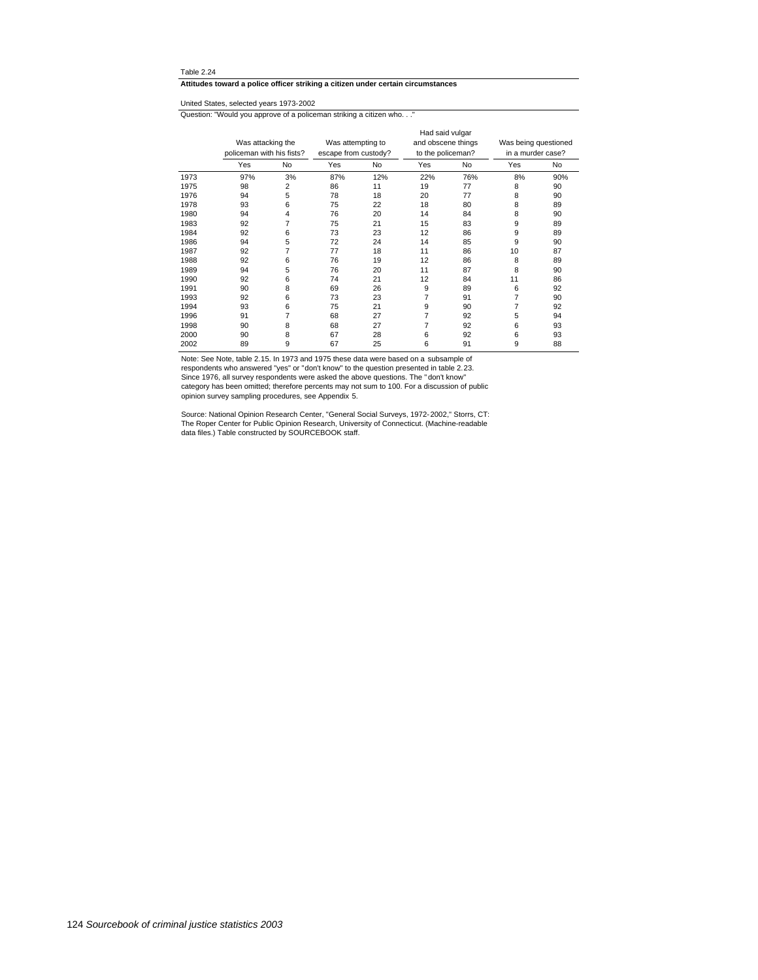**Attitudes toward a police officer striking a citizen under certain circumstances**

United States, selected years 1973-2002

Question: "Would you approve of a policeman striking a citizen who. . ."

|      | Was attacking the<br>policeman with his fists? |    | Was attempting to<br>escape from custody? |     | Had said vulgar<br>and obscene things<br>to the policeman? |     | Was being questioned<br>in a murder case? |     |
|------|------------------------------------------------|----|-------------------------------------------|-----|------------------------------------------------------------|-----|-------------------------------------------|-----|
|      | Yes                                            | No | Yes                                       | No  | Yes                                                        | No  | Yes                                       | No  |
| 1973 | 97%                                            | 3% | 87%                                       | 12% | 22%                                                        | 76% | 8%                                        | 90% |
| 1975 | 98                                             | 2  | 86                                        | 11  | 19                                                         | 77  | 8                                         | 90  |
| 1976 | 94                                             | 5  | 78                                        | 18  | 20                                                         | 77  | 8                                         | 90  |
| 1978 | 93                                             | 6  | 75                                        | 22  | 18                                                         | 80  | 8                                         | 89  |
| 1980 | 94                                             | 4  | 76                                        | 20  | 14                                                         | 84  | 8                                         | 90  |
| 1983 | 92                                             | 7  | 75                                        | 21  | 15                                                         | 83  | 9                                         | 89  |
| 1984 | 92                                             | 6  | 73                                        | 23  | 12                                                         | 86  | 9                                         | 89  |
| 1986 | 94                                             | 5  | 72                                        | 24  | 14                                                         | 85  | 9                                         | 90  |
| 1987 | 92                                             | 7  | 77                                        | 18  | 11                                                         | 86  | 10                                        | 87  |
| 1988 | 92                                             | 6  | 76                                        | 19  | 12                                                         | 86  | 8                                         | 89  |
| 1989 | 94                                             | 5  | 76                                        | 20  | 11                                                         | 87  | 8                                         | 90  |
| 1990 | 92                                             | 6  | 74                                        | 21  | 12                                                         | 84  | 11                                        | 86  |
| 1991 | 90                                             | 8  | 69                                        | 26  | 9                                                          | 89  | 6                                         | 92  |
| 1993 | 92                                             | 6  | 73                                        | 23  | 7                                                          | 91  | 7                                         | 90  |
| 1994 | 93                                             | 6  | 75                                        | 21  | 9                                                          | 90  | 7                                         | 92  |
| 1996 | 91                                             | 7  | 68                                        | 27  | 7                                                          | 92  | 5                                         | 94  |
| 1998 | 90                                             | 8  | 68                                        | 27  | 7                                                          | 92  | 6                                         | 93  |
| 2000 | 90                                             | 8  | 67                                        | 28  | 6                                                          | 92  | 6                                         | 93  |
| 2002 | 89                                             | 9  | 67                                        | 25  | 6                                                          | 91  | 9                                         | 88  |

Note: See Note, table 2.15. In 1973 and 1975 these data were based on a subsample of

respondents who answered "yes" or "don't know" to the question presented in table 2.23.

Since 1976, all survey respondents were asked the above questions. The " don't know" category has been omitted; therefore percents may not sum to 100. For a discussion of public opinion survey sampling procedures, see Appendix 5.

Source: National Opinion Research Center, "General Social Surveys, 1972-2002," Storrs, CT: The Roper Center for Public Opinion Research, University of Connecticut. (Machine-readable data files.) Table constructed by SOURCEBOOK staff.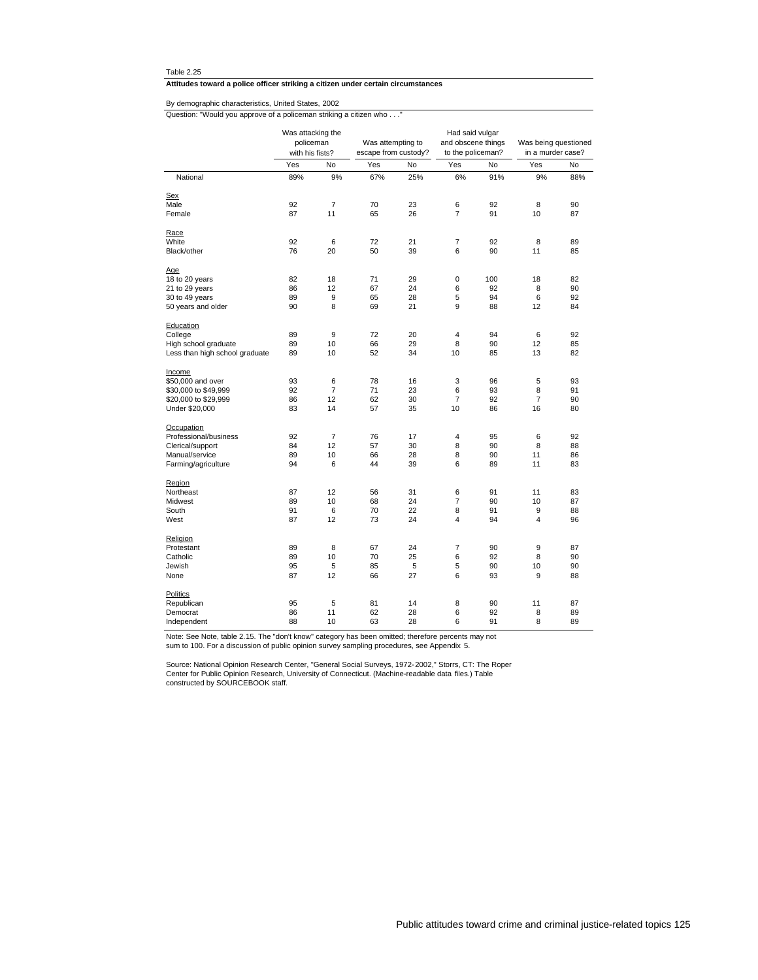**Attitudes toward a police officer striking a citizen under certain circumstances**

Question: "Would you approve of a policeman striking a citizen who . . ." By demographic characteristics, United States, 2002

|                                |     | Was attacking the<br>Had said vulgar<br>policeman<br>Was attempting to<br>and obscene things<br>with his fists?<br>to the policeman?<br>escape from custody? |     |     |                |     | Was being questioned<br>in a murder case? |     |
|--------------------------------|-----|--------------------------------------------------------------------------------------------------------------------------------------------------------------|-----|-----|----------------|-----|-------------------------------------------|-----|
|                                | Yes | No                                                                                                                                                           | Yes | No  | Yes            | No  | Yes                                       | No  |
| National                       | 89% | 9%                                                                                                                                                           | 67% | 25% | 6%             | 91% | 9%                                        | 88% |
| Sex                            |     |                                                                                                                                                              |     |     |                |     |                                           |     |
| Male                           | 92  | $\overline{7}$                                                                                                                                               | 70  | 23  | 6              | 92  | 8                                         | 90  |
| Female                         | 87  | 11                                                                                                                                                           | 65  | 26  | $\overline{7}$ | 91  | 10                                        | 87  |
| Race                           |     |                                                                                                                                                              |     |     |                |     |                                           |     |
| White                          | 92  | 6                                                                                                                                                            | 72  | 21  | 7              | 92  | 8                                         | 89  |
| Black/other                    | 76  | 20                                                                                                                                                           | 50  | 39  | 6              | 90  | 11                                        | 85  |
| Age                            |     |                                                                                                                                                              |     |     |                |     |                                           |     |
| 18 to 20 years                 | 82  | 18                                                                                                                                                           | 71  | 29  | 0              | 100 | 18                                        | 82  |
| 21 to 29 years                 | 86  | 12                                                                                                                                                           | 67  | 24  | 6              | 92  | 8                                         | 90  |
| 30 to 49 years                 | 89  | 9                                                                                                                                                            | 65  | 28  | 5              | 94  | 6                                         | 92  |
| 50 years and older             | 90  | 8                                                                                                                                                            | 69  | 21  | 9              | 88  | 12                                        | 84  |
| Education                      |     |                                                                                                                                                              |     |     |                |     |                                           |     |
| College                        | 89  | 9                                                                                                                                                            | 72  | 20  | 4              | 94  | 6                                         | 92  |
| High school graduate           | 89  | 10                                                                                                                                                           | 66  | 29  | 8              | 90  | 12                                        | 85  |
| Less than high school graduate | 89  | 10                                                                                                                                                           | 52  | 34  | 10             | 85  | 13                                        | 82  |
| Income                         |     |                                                                                                                                                              |     |     |                |     |                                           |     |
| \$50,000 and over              | 93  | 6                                                                                                                                                            | 78  | 16  | 3              | 96  | 5                                         | 93  |
| \$30,000 to \$49,999           | 92  | $\overline{7}$                                                                                                                                               | 71  | 23  | 6              | 93  | 8                                         | 91  |
| \$20,000 to \$29,999           | 86  | 12                                                                                                                                                           | 62  | 30  | 7              | 92  | $\overline{7}$                            | 90  |
| Under \$20,000                 | 83  | 14                                                                                                                                                           | 57  | 35  | 10             | 86  | 16                                        | 80  |
| Occupation                     |     |                                                                                                                                                              |     |     |                |     |                                           |     |
| Professional/business          | 92  | $\overline{7}$                                                                                                                                               | 76  | 17  | 4              | 95  | 6                                         | 92  |
| Clerical/support               | 84  | 12                                                                                                                                                           | 57  | 30  | 8              | 90  | 8                                         | 88  |
| Manual/service                 | 89  | 10                                                                                                                                                           | 66  | 28  | 8              | 90  | 11                                        | 86  |
| Farming/agriculture            | 94  | 6                                                                                                                                                            | 44  | 39  | 6              | 89  | 11                                        | 83  |
| Region                         |     |                                                                                                                                                              |     |     |                |     |                                           |     |
| Northeast                      | 87  | 12                                                                                                                                                           | 56  | 31  | 6              | 91  | 11                                        | 83  |
| Midwest                        | 89  | 10                                                                                                                                                           | 68  | 24  | $\overline{7}$ | 90  | 10                                        | 87  |
| South                          | 91  | 6                                                                                                                                                            | 70  | 22  | 8              | 91  | 9                                         | 88  |
| West                           | 87  | 12                                                                                                                                                           | 73  | 24  | 4              | 94  | 4                                         | 96  |
| Religion                       |     |                                                                                                                                                              |     |     |                |     |                                           |     |
| Protestant                     | 89  | 8                                                                                                                                                            | 67  | 24  | $\overline{7}$ | 90  | 9                                         | 87  |
| Catholic                       | 89  | 10                                                                                                                                                           | 70  | 25  | 6              | 92  | 8                                         | 90  |
| Jewish                         | 95  | 5                                                                                                                                                            | 85  | 5   | 5              | 90  | 10                                        | 90  |
| None                           | 87  | 12                                                                                                                                                           | 66  | 27  | 6              | 93  | 9                                         | 88  |
| Politics                       |     |                                                                                                                                                              |     |     |                |     |                                           |     |
| Republican                     | 95  | 5                                                                                                                                                            | 81  | 14  | 8              | 90  | 11                                        | 87  |
| Democrat                       | 86  | 11                                                                                                                                                           | 62  | 28  | 6              | 92  | 8                                         | 89  |
| Independent                    | 88  | 10                                                                                                                                                           | 63  | 28  | 6              | 91  | 8                                         | 89  |

Note: See Note, table 2.15. The "don't know" category has been omitted; therefore percents may not sum to 100. For a discussion of public opinion survey sampling procedures, see Appendix 5.

Source: National Opinion Research Center, "General Social Surveys, 1972-2002," Storrs, CT: The Roper<br>Center for Public Opinion Research, University of Connecticut. (Machine-readable data files.) Table<br>constructed by SOURCE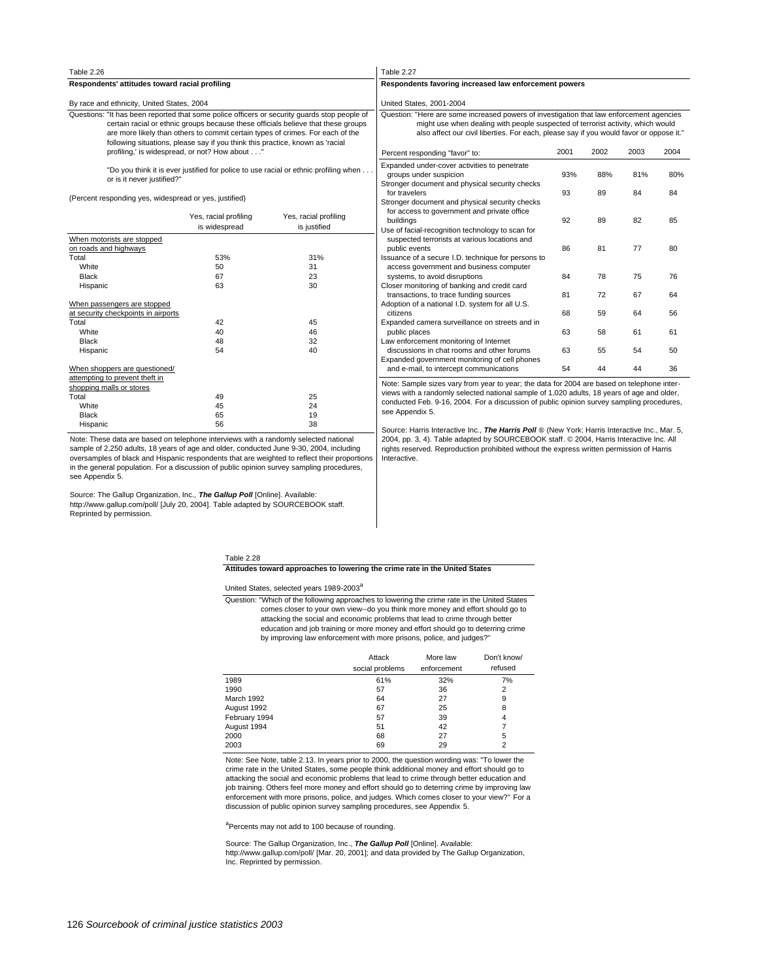| Table 2.27<br>Table 2.26                                                                                                                                                                                                                                                                                                                             |                                                                                                                                                                                                                                                                 |      |      |      |     |  |
|------------------------------------------------------------------------------------------------------------------------------------------------------------------------------------------------------------------------------------------------------------------------------------------------------------------------------------------------------|-----------------------------------------------------------------------------------------------------------------------------------------------------------------------------------------------------------------------------------------------------------------|------|------|------|-----|--|
| Respondents' attitudes toward racial profiling                                                                                                                                                                                                                                                                                                       | Respondents favoring increased law enforcement powers                                                                                                                                                                                                           |      |      |      |     |  |
| By race and ethnicity, United States, 2004                                                                                                                                                                                                                                                                                                           | <b>United States, 2001-2004</b>                                                                                                                                                                                                                                 |      |      |      |     |  |
| Questions: "It has been reported that some police officers or security quards stop people of<br>certain racial or ethnic groups because these officials believe that these groups<br>are more likely than others to commit certain types of crimes. For each of the<br>following situations, please say if you think this practice, known as 'racial | Question: "Here are some increased powers of investigation that law enforcement agenci<br>might use when dealing with people suspected of terrorist activity, which would<br>also affect our civil liberties. For each, please say if you would favor or oppose |      |      |      |     |  |
| profiling,' is widespread, or not? How about"                                                                                                                                                                                                                                                                                                        | Percent responding "favor" to:                                                                                                                                                                                                                                  | 2001 | 2002 | 2003 | 20( |  |
| "Do you think it is ever justified for police to use racial or ethnic profiling when<br>or is it never justified?"                                                                                                                                                                                                                                   | Expanded under-cover activities to penetrate<br>groups under suspicion<br>Chronophy dominated and abusiast appuller abastra                                                                                                                                     | 93%  | 88%  | 81%  | 8   |  |

(Percent responding yes, widespread or yes, justified)

|                                     | Yes, racial profiling<br>is widespread | Yes, racial profiling<br>is justified |
|-------------------------------------|----------------------------------------|---------------------------------------|
| When motorists are stopped          |                                        |                                       |
| on roads and highways               |                                        |                                       |
| Total                               | 53%                                    | 31%                                   |
| White                               | 50                                     | 31                                    |
| <b>Black</b>                        | 67                                     | 23                                    |
| Hispanic                            | 63                                     | 30                                    |
| When passengers are stopped         |                                        |                                       |
| at security checkpoints in airports |                                        |                                       |
| Total                               | 42                                     | 45                                    |
| White                               | 40                                     | 46                                    |
| <b>Black</b>                        | 48                                     | 32                                    |
| Hispanic                            | 54                                     | 40                                    |
| When shoppers are questioned/       |                                        |                                       |
| attempting to prevent theft in      |                                        |                                       |
| shopping malls or stores            |                                        |                                       |
| Total                               | 49                                     | 25                                    |
| White                               | 45                                     | 24                                    |
| <b>Black</b>                        | 65                                     | 19                                    |
| Hispanic                            | 56                                     | 38                                    |

Note: These data are based on telephone interviews with a randomly selected national sample of 2,250 adults, 18 years of age and older, conducted June 9-30, 2004, including oversamples of black and Hispanic respondents that are weighted to reflect their proportions in the general population. For a discussion of public opinion survey sampling procedures, see Appendix 5.

Source: The Gallup Organization, Inc., *The Gallup Poll* **[**Online]. Available:<br>http://www.gallup.com/poll/ [July 20, 2004]. Table adapted by SOURCEBOOK staff. Reprinted by permission.

| Percent responding "favor" to:                                                                                     | 2001 | 2002 | 2003 | 2004 |
|--------------------------------------------------------------------------------------------------------------------|------|------|------|------|
| Expanded under-cover activities to penetrate<br>groups under suspicion                                             | 93%  | 88%  | 81%  | 80%  |
| Stronger document and physical security checks<br>for travelers                                                    | 93   | 89   | 84   | 84   |
| Stronger document and physical security checks<br>for access to government and private office<br>buildings         | 92   | 89   | 82   | 85   |
| Use of facial-recognition technology to scan for<br>suspected terrorists at various locations and<br>public events | 86   | 81   | 77   | 80   |
| Issuance of a secure I.D. technique for persons to<br>access government and business computer                      |      |      |      |      |
| systems, to avoid disruptions                                                                                      | 84   | 78   | 75   | 76   |
| Closer monitoring of banking and credit card<br>transactions, to trace funding sources                             | 81   | 72   | 67   | 64   |
| Adoption of a national I.D. system for all U.S.<br>citizens                                                        | 68   | 59   | 64   | 56   |
| Expanded camera surveillance on streets and in<br>public places                                                    | 63   | 58   | 61   | 61   |
| Law enforcement monitoring of Internet                                                                             |      |      |      |      |
| discussions in chat rooms and other forums                                                                         | 63   | 55   | 54   | 50   |
| Expanded government monitoring of cell phones<br>and e-mail, to intercept communications                           | 54   | 44   | 44   | 36   |

Note: Sample sizes vary from year to year; the data for 2004 are based on telephone interviews with a randomly selected national sample of 1,020 adults, 18 years of age and older, conducted Feb. 9-16, 2004. For a discussion of public opinion survey sampling procedures, see Appendix 5.

Source: Harris Interactive Inc., The Harris Poll ® (New York: Harris Interactive Inc., Mar. 5, 2004, pp. 3, 4). Table adapted by SOURCEBOOK staff. © 2004, Harris Interactive Inc. All rights reserved. Reproduction prohibited without the express written permission of Harris Interactive.

#### Table 2.28

**Attitudes toward approaches to lowering the crime rate in the United States**

United States, selected years 1989-2003<sup>a</sup>

by improving law enforcement with more prisons, police, and judges?" education and job training or more money and effort should go to deterring crime attacking the social and economic problems that lead to crime through better comes closer to your own view--do you think more money and effort should go to Question: "Which of the following approaches to lowering the crime rate in the United States

|               | Attack<br>social problems | More law<br>enforcement | Don't know/<br>refused |
|---------------|---------------------------|-------------------------|------------------------|
| 1989          | 61%                       | 32%                     | 7%                     |
| 1990          | 57                        | 36                      | $\overline{2}$         |
| March 1992    | 64                        | 27                      | 9                      |
| August 1992   | 67                        | 25                      | 8                      |
| February 1994 | 57                        | 39                      | 4                      |
| August 1994   | 51                        | 42                      |                        |
| 2000          | 68                        | 27                      | 5                      |
| 2003          | 69                        | 29                      | 2                      |

Note: See Note, table 2.13. In years prior to 2000, the question wording was: "To lower the crime rate in the United States, some people think additional money and effort should go to attacking the social and economic problems that lead to crime through better education and job training. Others feel more money and effort should go to deterring crime by improving law enforcement with more prisons, police, and judges. Which comes closer to your view?" For a discussion of public opinion survey sampling procedures, see Appendix 5.

<sup>a</sup>Percents may not add to 100 because of rounding.

Source: The Gallup Organization, Inc., **The Gallup Poll** [Online]. Available: http://www.gallup.com/poll/ [Mar. 20, 2001]; and data provided by The Gallup Organization, Inc. Reprinted by permission.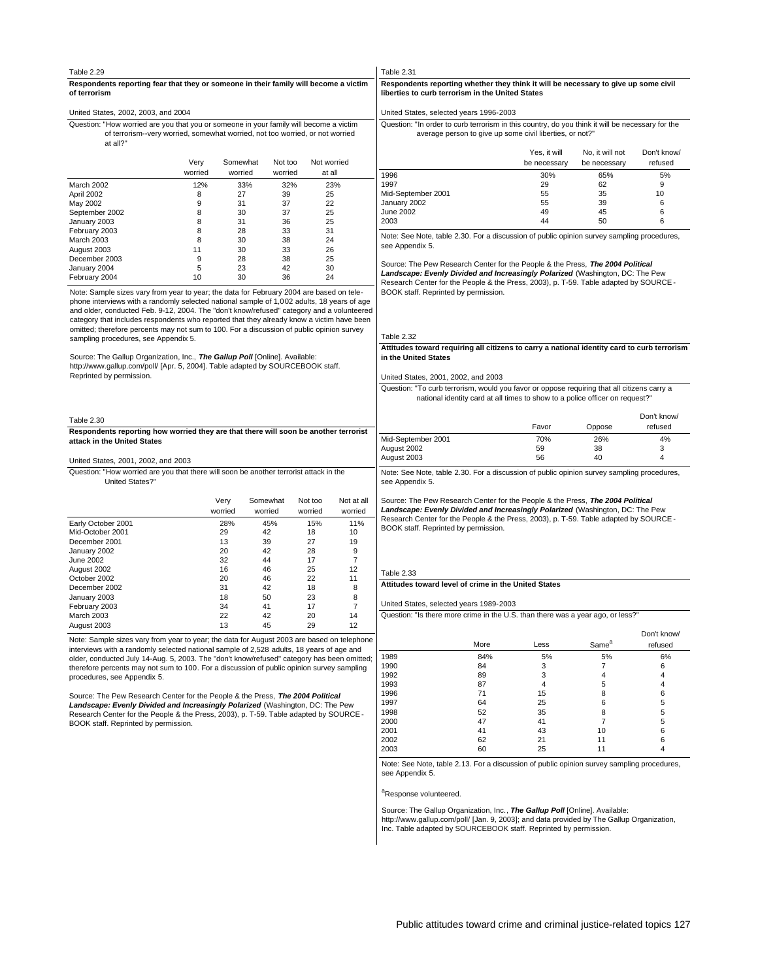# **Respondents reporting fear that they or someone in their family will become a victim** Table 2.29

| of terrorism                        |  |
|-------------------------------------|--|
| United States, 2002, 2003, and 2004 |  |

at all?" of terrorism--very worried, somewhat worried, not too worried, or not worried Question: "How worried are you that you or someone in your family will become a victim

|                   | Very<br>worried | Somewhat<br>worried | Not too<br>worried | Not worried<br>at all |  |
|-------------------|-----------------|---------------------|--------------------|-----------------------|--|
| March 2002        | 12%             | 33%                 | 32%                | 23%                   |  |
| April 2002        | 8               | 27                  | 39                 | 25                    |  |
| May 2002          | 9               | 31                  | 37                 | 22                    |  |
| September 2002    | 8               | 30                  | 37                 | 25                    |  |
| January 2003      | 8               | 31                  | 36                 | 25                    |  |
| February 2003     | 8               | 28                  | 33                 | 31                    |  |
| <b>March 2003</b> | 8               | 30                  | 38                 | 24                    |  |
| August 2003       | 11              | 30                  | 33                 | 26                    |  |
| December 2003     | 9               | 28                  | 38                 | 25                    |  |
| January 2004      | 5               | 23                  | 42                 | 30                    |  |
| February 2004     | 10              | 30                  | 36                 | 24                    |  |

Note: Sample sizes vary from year to year; the data for February 2004 are based on telephone interviews with a randomly selected national sample of 1,002 adults, 18 years of age and older, conducted Feb. 9-12, 2004. The "don't know/refused" category and a volunteered category that includes respondents who reported that they already know a victim have been omitted; therefore percents may not sum to 100. For a discussion of public opinion survey sampling procedures, see Appendix 5.

Source: The Gallup Organization, Inc., **The Gallup Poll** [Online]. Available: http://www.gallup.com/poll/ [Apr. 5, 2004]. Table adapted by SOURCEBOOK staff. Reprinted by permission.

| Table 2.30                                                                                                          |
|---------------------------------------------------------------------------------------------------------------------|
| Respondents reporting how worried they are that there will soon be another terrorist<br>attack in the United States |

#### United States, 2001, 2002, and 2003

United States?" Question: "How worried are you that there will soon be another terrorist attack in the

|                    | Verv    | Somewhat | Not too | Not at all |
|--------------------|---------|----------|---------|------------|
|                    | worried | worried  | worried | worried    |
| Early October 2001 | 28%     | 45%      | 15%     | 11%        |
| Mid-October 2001   | 29      | 42       | 18      | 10         |
| December 2001      | 13      | 39       | 27      | 19         |
| January 2002       | 20      | 42       | 28      | 9          |
| June 2002          | 32      | 44       | 17      | 7          |
| August 2002        | 16      | 46       | 25      | 12         |
| October 2002       | 20      | 46       | 22      | 11         |
| December 2002      | 31      | 42       | 18      | 8          |
| January 2003       | 18      | 50       | 23      | 8          |
| February 2003      | 34      | 41       | 17      | 7          |
| <b>March 2003</b>  | 22      | 42       | 20      | 14         |
| August 2003        | 13      | 45       | 29      | 12         |

Note: Sample sizes vary from year to year; the data for August 2003 are based on telephone interviews with a randomly selected national sample of 2,528 adults, 18 years of age and older, conducted July 14-Aug. 5, 2003. The "don't know/refused" category has been omitted; therefore percents may not sum to 100. For a discussion of public opinion survey sampling procedures, see Appendix 5.

Source: The Pew Research Center for the People & the Press, **The 2004 Political Landscape: Evenly Divided and Increasingly Polarized** (Washington, DC: The Pew Research Center for the People & the Press, 2003), p. T-59. Table adapted by SOURCE - BOOK staff. Reprinted by permission.

## Table 2.31

#### **liberties to curb terrorism in the United States Respondents reporting whether they think it will be necessary to give up some civil**

#### United States, selected years 1996-2003

| Question: "In order to curb terrorism in this country, do you think it will be necessary for the |
|--------------------------------------------------------------------------------------------------|
| average person to give up some civil liberties, or not?"                                         |

|                    | Yes, it will<br>be necessary | No, it will not<br>be necessary | Don't know/<br>refused |
|--------------------|------------------------------|---------------------------------|------------------------|
| 1996               | 30%                          | 65%                             | 5%                     |
| 1997               | 29                           | 62                              | 9                      |
| Mid-September 2001 | 55                           | 35                              | 10                     |
| January 2002       | 55                           | 39                              | 6                      |
| June 2002          | 49                           | 45                              | 6                      |
| 2003               | 44                           | 50                              | 6                      |

Note: See Note, table 2.30. For a discussion of public opinion survey sampling procedures, see Appendix 5.

Source: The Pew Research Center for the People & the Press, **The 2004 Political Landscape: Evenly Divided and Increasingly Polarized** (Washington, DC: The Pew Research Center for the People & the Press, 2003), p. T-59. Table adapted by SOURCE - BOOK staff. Reprinted by permission.

#### Table 2.32

#### **in the United States Attitudes toward requiring all citizens to carry a national identity card to curb terrorism**

#### United States, 2001, 2002, and 2003

national identity card at all times to show to a police officer on request?" Question: "To curb terrorism, would you favor or oppose requiring that all citizens carry a

|                    | Favor | Oppose | Don't know/<br>refused |
|--------------------|-------|--------|------------------------|
| Mid-September 2001 | 70%   | 26%    | 4%                     |
| August 2002        | 59    | 38     | 3                      |
| August 2003        | 56    | 40     | 4                      |

Note: See Note, table 2.30. For a discussion of public opinion survey sampling procedures, see Appendix 5.

Source: The Pew Research Center for the People & the Press, **The 2004 Political Landscape: Evenly Divided and Increasingly Polarized** (Washington, DC: The Pew Research Center for the People & the Press, 2003), p. T-59. Table adapted by SOURCE - BOOK staff. Reprinted by permission.

#### **Attitudes toward level of crime in the United States** Table 2.33

# United States, selected years 1989-2003

Question: "Is there more crime in the U.S. than there was a year ago, or less?"

|      | More | Less | Same <sup>a</sup> | Don't know/<br>refused |
|------|------|------|-------------------|------------------------|
| 1989 | 84%  | 5%   | 5%                | 6%                     |
| 1990 | 84   | 3    |                   | 6                      |
| 1992 | 89   | 3    | 4                 | 4                      |
| 1993 | 87   | 4    | 5                 | 4                      |
| 1996 | 71   | 15   | 8                 | 6                      |
| 1997 | 64   | 25   | 6                 | 5                      |
| 1998 | 52   | 35   | 8                 | 5                      |
| 2000 | 47   | 41   |                   | 5                      |
| 2001 | 41   | 43   | 10                | 6                      |
| 2002 | 62   | 21   | 11                | 6                      |
| 2003 | 60   | 25   | 11                | 4                      |

Note: See Note, table 2.13. For a discussion of public opinion survey sampling procedures, see Appendix 5.

#### <sup>a</sup>Response volunteered.

# Source: The Gallup Organization, Inc., **The Gallup Poll** [Online]. Available:

http://www.gallup.com/poll/ [Jan. 9, 2003]; and data provided by The Gallup Organization, Inc. Table adapted by SOURCEBOOK staff. Reprinted by permission.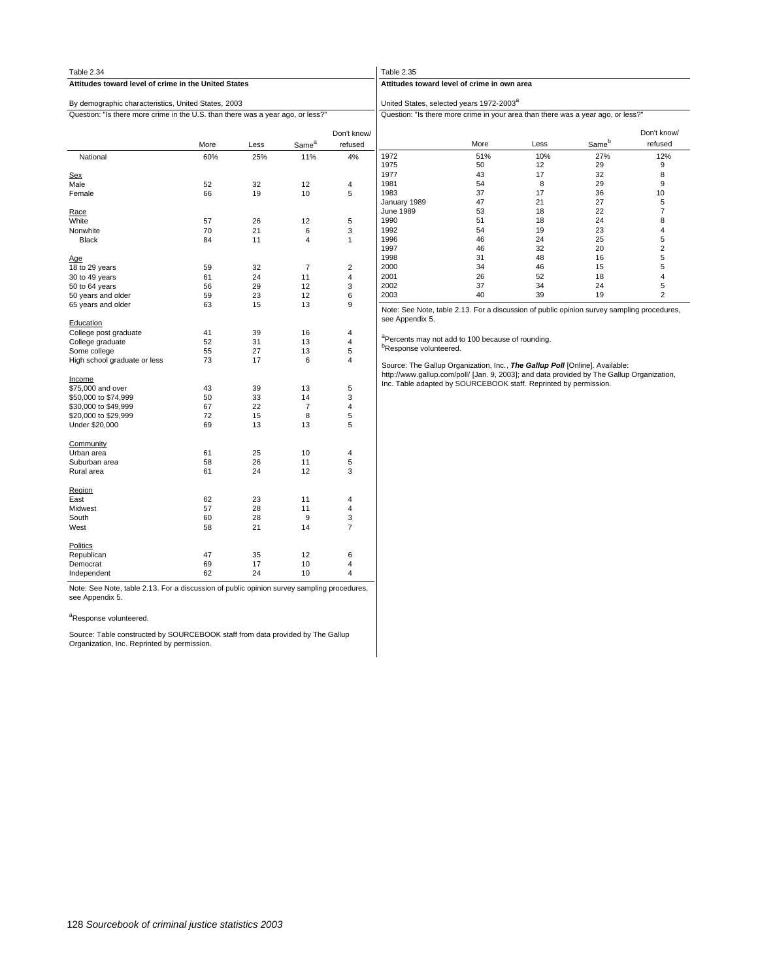| Table 2.34                                                                      |      |      |                   |                        | Table 2.35                                                                                                                                                               |      |      |       |                        |
|---------------------------------------------------------------------------------|------|------|-------------------|------------------------|--------------------------------------------------------------------------------------------------------------------------------------------------------------------------|------|------|-------|------------------------|
| Attitudes toward level of crime in the United States                            |      |      |                   |                        | Attitudes toward level of crime in own area                                                                                                                              |      |      |       |                        |
| By demographic characteristics, United States, 2003                             |      |      |                   |                        | United States, selected years 1972-2003 <sup>a</sup>                                                                                                                     |      |      |       |                        |
| Question: "Is there more crime in the U.S. than there was a year ago, or less?" |      |      |                   |                        | Question: "Is there more crime in your area than there was a year ago, or less?"                                                                                         |      |      |       |                        |
|                                                                                 | More | Less | Same <sup>a</sup> | Don't know/<br>refused |                                                                                                                                                                          | More | Less | Sameb | Don't know/<br>refused |
| National                                                                        | 60%  | 25%  | 11%               | 4%                     | 1972                                                                                                                                                                     | 51%  | 10%  | 27%   | 12%                    |
|                                                                                 |      |      |                   |                        | 1975                                                                                                                                                                     | 50   | 12   | 29    | 9                      |
| <b>Sex</b>                                                                      |      |      |                   |                        | 1977                                                                                                                                                                     | 43   | 17   | 32    | 8                      |
| Male                                                                            | 52   | 32   | 12                | 4                      | 1981                                                                                                                                                                     | 54   | 8    | 29    | 9                      |
| Female                                                                          | 66   | 19   | 10                | 5                      | 1983                                                                                                                                                                     | 37   | 17   | 36    | 10                     |
|                                                                                 |      |      |                   |                        | January 1989                                                                                                                                                             | 47   | 21   | 27    | 5                      |
| Race                                                                            |      |      |                   |                        | June 1989                                                                                                                                                                | 53   | 18   | 22    | $\overline{7}$         |
| White                                                                           | 57   | 26   | 12                | 5                      | 1990                                                                                                                                                                     | 51   | 18   | 24    | 8                      |
| Nonwhite                                                                        | 70   | 21   | 6                 | 3                      | 1992                                                                                                                                                                     | 54   | 19   | 23    | 4                      |
| <b>Black</b>                                                                    | 84   | 11   | $\overline{4}$    | $\mathbf{1}$           | 1996                                                                                                                                                                     | 46   | 24   | 25    | 5                      |
|                                                                                 |      |      |                   |                        | 1997                                                                                                                                                                     | 46   | 32   | 20    | $\overline{c}$         |
| Age                                                                             |      |      |                   |                        | 1998                                                                                                                                                                     | 31   | 48   | 16    | 5                      |
| 18 to 29 years                                                                  | 59   | 32   | $\overline{7}$    | $\overline{2}$         | 2000                                                                                                                                                                     | 34   | 46   | 15    | 5                      |
| 30 to 49 years                                                                  | 61   | 24   | 11                | $\overline{4}$         | 2001                                                                                                                                                                     | 26   | 52   | 18    | 4                      |
| 50 to 64 years                                                                  | 56   | 29   | 12                | 3                      | 2002                                                                                                                                                                     | 37   | 34   | 24    | 5                      |
| 50 years and older                                                              | 59   | 23   | 12                | 6                      | 2003                                                                                                                                                                     | 40   | 39   | 19    | $\overline{2}$         |
| 65 years and older                                                              | 63   | 15   | 13                | 9                      |                                                                                                                                                                          |      |      |       |                        |
| Education                                                                       |      |      |                   |                        | Note: See Note, table 2.13. For a discussion of public opinion survey sampling procedures,<br>see Appendix 5.                                                            |      |      |       |                        |
| College post graduate                                                           | 41   | 39   | 16                | $\overline{4}$         |                                                                                                                                                                          |      |      |       |                        |
| College graduate                                                                | 52   | 31   | 13                | $\overline{4}$         | <sup>a</sup> Percents may not add to 100 because of rounding.                                                                                                            |      |      |       |                        |
| Some college                                                                    | 55   | 27   | 13                | 5                      | <sup>b</sup> Response volunteered.                                                                                                                                       |      |      |       |                        |
| High school graduate or less                                                    | 73   | 17   | 6                 | 4                      | Source: The Gallup Organization, Inc., The Gallup Poll [Online]. Available:<br>http://www.gallup.com/poll/ [Jan. 9, 2003]; and data provided by The Gallup Organization, |      |      |       |                        |
| Income                                                                          |      |      |                   |                        | Inc. Table adapted by SOURCEBOOK staff. Reprinted by permission.                                                                                                         |      |      |       |                        |
| \$75,000 and over                                                               | 43   | 39   | 13                | 5                      |                                                                                                                                                                          |      |      |       |                        |
| \$50,000 to \$74,999                                                            | 50   | 33   | 14                | 3                      |                                                                                                                                                                          |      |      |       |                        |
| \$30,000 to \$49,999                                                            | 67   | 22   | $\overline{7}$    | $\overline{4}$         |                                                                                                                                                                          |      |      |       |                        |
| \$20,000 to \$29,999                                                            | 72   | 15   | 8                 | 5                      |                                                                                                                                                                          |      |      |       |                        |
| Under \$20,000                                                                  | 69   | 13   | 13                | 5                      |                                                                                                                                                                          |      |      |       |                        |
| Community                                                                       |      |      |                   |                        |                                                                                                                                                                          |      |      |       |                        |
| Urban area                                                                      | 61   | 25   | 10                | 4                      |                                                                                                                                                                          |      |      |       |                        |
| Suburban area                                                                   | 58   | 26   | 11                | 5                      |                                                                                                                                                                          |      |      |       |                        |
| Rural area                                                                      | 61   | 24   | 12                | 3                      |                                                                                                                                                                          |      |      |       |                        |
| Region                                                                          |      |      |                   |                        |                                                                                                                                                                          |      |      |       |                        |
| East                                                                            | 62   | 23   | 11                | 4                      |                                                                                                                                                                          |      |      |       |                        |
| Midwest                                                                         | 57   | 28   | 11                | 4                      |                                                                                                                                                                          |      |      |       |                        |
| South                                                                           | 60   | 28   | $\overline{9}$    | 3                      |                                                                                                                                                                          |      |      |       |                        |
| West                                                                            | 58   | 21   | 14                | $\overline{7}$         |                                                                                                                                                                          |      |      |       |                        |
| <b>Politics</b>                                                                 |      |      |                   |                        |                                                                                                                                                                          |      |      |       |                        |
| Republican                                                                      | 47   | 35   | 12                | 6                      |                                                                                                                                                                          |      |      |       |                        |
| Democrat                                                                        | 69   | 17   | 10                | 4                      |                                                                                                                                                                          |      |      |       |                        |
| Independent                                                                     | 62   | 24   | 10                | 4                      |                                                                                                                                                                          |      |      |       |                        |

Note: See Note, table 2.13. For a discussion of public opinion survey sampling procedures, see Appendix 5.

#### <sup>a</sup>Response volunteered.

Source: Table constructed by SOURCEBOOK staff from data provided by The Gallup Organization, Inc. Reprinted by permission.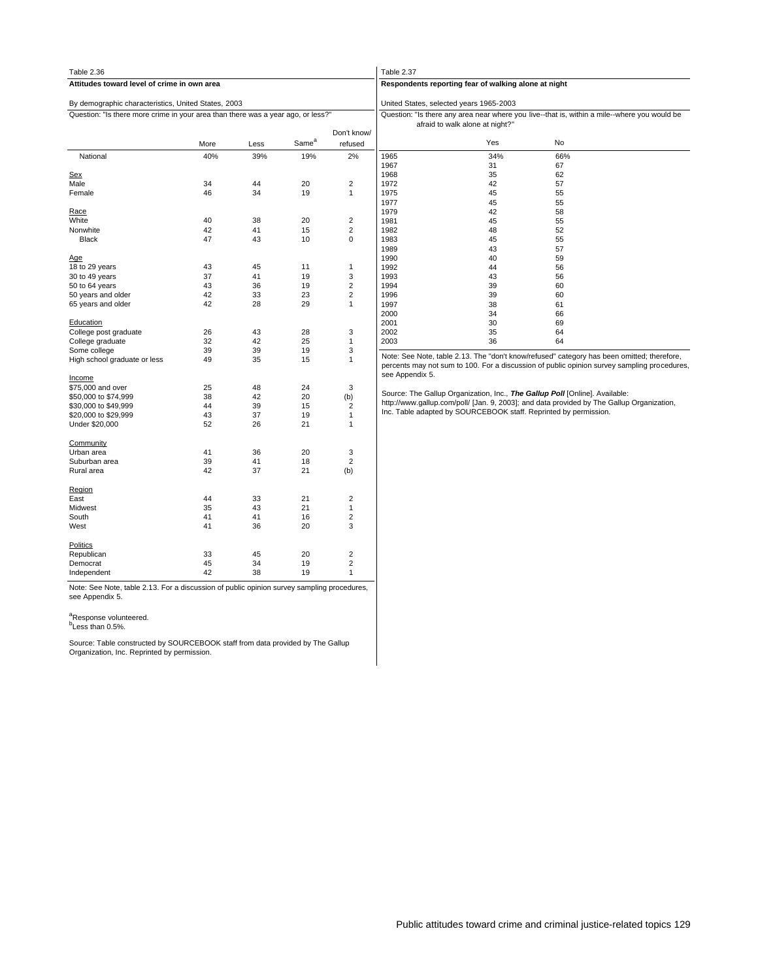| Table 2.36                                                                       |      |      |                   |                         | Table 2.37      |                                                                  |                                                                                              |  |
|----------------------------------------------------------------------------------|------|------|-------------------|-------------------------|-----------------|------------------------------------------------------------------|----------------------------------------------------------------------------------------------|--|
| Attitudes toward level of crime in own area                                      |      |      |                   |                         |                 | Respondents reporting fear of walking alone at night             |                                                                                              |  |
| By demographic characteristics, United States, 2003                              |      |      |                   |                         |                 | United States, selected years 1965-2003                          |                                                                                              |  |
| Question: "Is there more crime in your area than there was a year ago, or less?" |      |      |                   |                         |                 | afraid to walk alone at night?"                                  | Question: "Is there any area near where you live--that is, within a mile--where you would be |  |
|                                                                                  | More | Less | Same <sup>a</sup> | Don't know/<br>refused  |                 | Yes                                                              | No                                                                                           |  |
| National                                                                         | 40%  | 39%  | 19%               | 2%                      | 1965<br>1967    | 34%<br>31                                                        | 66%<br>67                                                                                    |  |
| <u>Sex</u>                                                                       |      |      |                   |                         | 1968            | 35                                                               | 62                                                                                           |  |
| Male                                                                             | 34   | 44   | 20                | $\overline{2}$          | 1972            | 42                                                               | 57                                                                                           |  |
| Female                                                                           | 46   | 34   | 19                | $\mathbf{1}$            | 1975            | 45                                                               | 55                                                                                           |  |
|                                                                                  |      |      |                   |                         | 1977            | 45                                                               | 55                                                                                           |  |
| Race                                                                             |      |      |                   |                         | 1979            | 42                                                               | 58                                                                                           |  |
| White                                                                            | 40   | 38   | 20                | $\overline{2}$          | 1981            | 45                                                               | 55                                                                                           |  |
| Nonwhite                                                                         | 42   | 41   | 15                | $\boldsymbol{2}$        | 1982            | 48                                                               | 52                                                                                           |  |
| <b>Black</b>                                                                     | 47   | 43   | 10                | 0                       | 1983            | 45                                                               | 55                                                                                           |  |
|                                                                                  |      |      |                   |                         |                 |                                                                  | 57                                                                                           |  |
|                                                                                  |      |      |                   |                         | 1989            | 43                                                               |                                                                                              |  |
| Age                                                                              |      |      |                   |                         | 1990            | 40                                                               | 59                                                                                           |  |
| 18 to 29 years                                                                   | 43   | 45   | 11                | $\mathbf{1}$            | 1992            | 44                                                               | 56                                                                                           |  |
| 30 to 49 years                                                                   | 37   | 41   | 19                | 3                       | 1993            | 43                                                               | 56                                                                                           |  |
| 50 to 64 years                                                                   | 43   | 36   | 19                | $\overline{2}$          | 1994            | 39                                                               | 60                                                                                           |  |
| 50 years and older                                                               | 42   | 33   | 23                | $\overline{2}$          | 1996            | 39                                                               | 60                                                                                           |  |
| 65 years and older                                                               | 42   | 28   | 29                | $\mathbf{1}$            | 1997            | 38                                                               | 61                                                                                           |  |
|                                                                                  |      |      |                   |                         | 2000            | 34                                                               | 66                                                                                           |  |
| Education                                                                        |      |      |                   |                         | 2001            | 30                                                               | 69                                                                                           |  |
| College post graduate                                                            | 26   | 43   | 28                | 3                       | 2002            | 35                                                               | 64                                                                                           |  |
| College graduate                                                                 | 32   | 42   | 25                | $\mathbf{1}$            | 2003            | 36                                                               | 64                                                                                           |  |
| Some college                                                                     | 39   | 39   | 19                | 3                       |                 |                                                                  |                                                                                              |  |
| High school graduate or less                                                     | 49   | 35   | 15                | $\mathbf{1}$            |                 |                                                                  | Note: See Note, table 2.13. The "don't know/refused" category has been omitted; therefore,   |  |
|                                                                                  |      |      |                   |                         |                 |                                                                  | percents may not sum to 100. For a discussion of public opinion survey sampling procedures,  |  |
| <u>Income</u>                                                                    |      |      |                   |                         | see Appendix 5. |                                                                  |                                                                                              |  |
| \$75,000 and over                                                                | 25   | 48   | 24                | 3                       |                 |                                                                  |                                                                                              |  |
| \$50,000 to \$74,999                                                             | 38   | 42   | 20                | (b)                     |                 |                                                                  | Source: The Gallup Organization, Inc., The Gallup Poll [Online]. Available:                  |  |
| \$30,000 to \$49,999                                                             | 44   | 39   | 15                | $\overline{c}$          |                 |                                                                  | http://www.gallup.com/poll/ [Jan. 9, 2003]; and data provided by The Gallup Organization,    |  |
| \$20,000 to \$29,999                                                             | 43   | 37   | 19                | $\mathbf{1}$            |                 | Inc. Table adapted by SOURCEBOOK staff. Reprinted by permission. |                                                                                              |  |
| Under \$20,000                                                                   | 52   | 26   | 21                | $\mathbf{1}$            |                 |                                                                  |                                                                                              |  |
|                                                                                  |      |      |                   |                         |                 |                                                                  |                                                                                              |  |
| Community                                                                        |      |      |                   |                         |                 |                                                                  |                                                                                              |  |
| Urban area                                                                       | 41   | 36   | 20                | 3                       |                 |                                                                  |                                                                                              |  |
| Suburban area                                                                    | 39   | 41   | 18                | $\overline{c}$          |                 |                                                                  |                                                                                              |  |
| Rural area                                                                       | 42   | 37   | 21                | (b)                     |                 |                                                                  |                                                                                              |  |
| Region                                                                           |      |      |                   |                         |                 |                                                                  |                                                                                              |  |
| East                                                                             | 44   | 33   | 21                | $\overline{2}$          |                 |                                                                  |                                                                                              |  |
| Midwest                                                                          | 35   | 43   | 21                | $\mathbf{1}$            |                 |                                                                  |                                                                                              |  |
| South                                                                            | 41   | 41   | 16                | $\overline{2}$          |                 |                                                                  |                                                                                              |  |
| West                                                                             | 41   | 36   | 20                | 3                       |                 |                                                                  |                                                                                              |  |
| <b>Politics</b>                                                                  |      |      |                   |                         |                 |                                                                  |                                                                                              |  |
| Republican                                                                       | 33   | 45   | 20                | $\overline{c}$          |                 |                                                                  |                                                                                              |  |
| Democrat                                                                         | 45   | 34   | 19                | $\overline{\mathbf{c}}$ |                 |                                                                  |                                                                                              |  |
|                                                                                  | 42   | 38   | 19                | $\mathbf{1}$            |                 |                                                                  |                                                                                              |  |
| Independent                                                                      |      |      |                   |                         |                 |                                                                  |                                                                                              |  |

Note: See Note, table 2.13. For a discussion of public opinion survey sampling procedures, see Appendix 5.

<sup>a</sup>Response volunteered.<br><sup>b</sup>Less than 0.5%.

Source: Table constructed by SOURCEBOOK staff from data provided by The Gallup Organization, Inc. Reprinted by permission.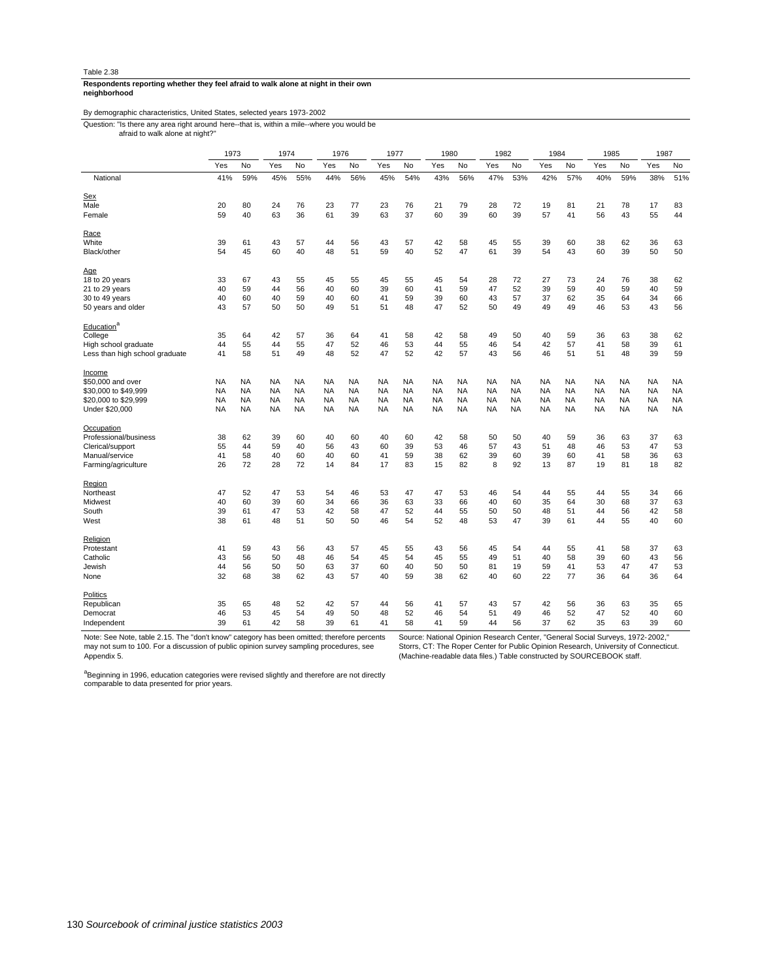#### **neighborhood Respondents reporting whether they feel afraid to walk alone at night in their own**

# By demographic characteristics, United States, selected years 1973-2002

afraid to walk alone at night?" Question: "Is there any area right around here--that is, within a mile--where you would be

|                                | 1973      |           | 1974      |           | 1976      |           | 1977      |           | 1980      |           | 1982      |           | 1984      |           | 1985      |           | 1987      |           |
|--------------------------------|-----------|-----------|-----------|-----------|-----------|-----------|-----------|-----------|-----------|-----------|-----------|-----------|-----------|-----------|-----------|-----------|-----------|-----------|
|                                | Yes       | No        | Yes       | No        | Yes       | No        | Yes       | No        | Yes       | No        | Yes       | No        | Yes       | <b>No</b> | Yes       | No        | Yes       | No        |
| National                       | 41%       | 59%       | 45%       | 55%       | 44%       | 56%       | 45%       | 54%       | 43%       | 56%       | 47%       | 53%       | 42%       | 57%       | 40%       | 59%       | 38%       | 51%       |
| <b>Sex</b>                     |           |           |           |           |           |           |           |           |           |           |           |           |           |           |           |           |           |           |
| Male                           | 20        | 80        | 24        | 76        | 23        | 77        | 23        | 76        | 21        | 79        | 28        | 72        | 19        | 81        | 21        | 78        | 17        | 83        |
| Female                         | 59        | 40        | 63        | 36        | 61        | 39        | 63        | 37        | 60        | 39        | 60        | 39        | 57        | 41        | 56        | 43        | 55        | 44        |
| <u>Race</u>                    |           |           |           |           |           |           |           |           |           |           |           |           |           |           |           |           |           |           |
| White                          | 39        | 61        | 43        | 57        | 44        | 56        | 43        | 57        | 42        | 58        | 45        | 55        | 39        | 60        | 38        | 62        | 36        | 63        |
| Black/other                    | 54        | 45        | 60        | 40        | 48        | 51        | 59        | 40        | 52        | 47        | 61        | 39        | 54        | 43        | 60        | 39        | 50        | 50        |
| <u>Age</u>                     |           |           |           |           |           |           |           |           |           |           |           |           |           |           |           |           |           |           |
| 18 to 20 years                 | 33        | 67        | 43        | 55        | 45        | 55        | 45        | 55        | 45        | 54        | 28        | 72        | 27        | 73        | 24        | 76        | 38        | 62        |
| 21 to 29 years                 | 40        | 59        | 44        | 56        | 40        | 60        | 39        | 60        | 41        | 59        | 47        | 52        | 39        | 59        | 40        | 59        | 40        | 59        |
| 30 to 49 years                 | 40        | 60        | 40        | 59        | 40        | 60        | 41        | 59        | 39        | 60        | 43        | 57        | 37        | 62        | 35        | 64        | 34        | 66        |
| 50 years and older             | 43        | 57        | 50        | 50        | 49        | 51        | 51        | 48        | 47        | 52        | 50        | 49        | 49        | 49        | 46        | 53        | 43        | 56        |
| Education <sup>a</sup>         |           |           |           |           |           |           |           |           |           |           |           |           |           |           |           |           |           |           |
| College                        | 35        | 64        | 42        | 57        | 36        | 64        | 41        | 58        | 42        | 58        | 49        | 50        | 40        | 59        | 36        | 63        | 38        | 62        |
| High school graduate           | 44        | 55        | 44        | 55        | 47        | 52        | 46        | 53        | 44        | 55        | 46        | 54        | 42        | 57        | 41        | 58        | 39        | 61        |
| Less than high school graduate | 41        | 58        | 51        | 49        | 48        | 52        | 47        | 52        | 42        | 57        | 43        | 56        | 46        | 51        | 51        | 48        | 39        | 59        |
|                                |           |           |           |           |           |           |           |           |           |           |           |           |           |           |           |           |           |           |
| Income                         |           |           |           |           |           |           |           |           |           |           |           |           |           |           |           |           |           |           |
| \$50,000 and over              | <b>NA</b> | NA        | <b>NA</b> | <b>NA</b> | <b>NA</b> | <b>NA</b> | <b>NA</b> | NA        | <b>NA</b> | NA        | <b>NA</b> | <b>NA</b> | <b>NA</b> | <b>NA</b> | <b>NA</b> | <b>NA</b> | <b>NA</b> | <b>NA</b> |
| \$30,000 to \$49,999           | <b>NA</b> | <b>NA</b> | <b>NA</b> | <b>NA</b> | <b>NA</b> | <b>NA</b> | <b>NA</b> | <b>NA</b> | <b>NA</b> | <b>NA</b> | <b>NA</b> | <b>NA</b> | <b>NA</b> | <b>NA</b> | <b>NA</b> | <b>NA</b> | <b>NA</b> | <b>NA</b> |
| \$20,000 to \$29,999           | <b>NA</b> | NA        | <b>NA</b> | <b>NA</b> | <b>NA</b> | NA        | NA        | NA        | <b>NA</b> | <b>NA</b> | <b>NA</b> | <b>NA</b> | <b>NA</b> | <b>NA</b> | <b>NA</b> | <b>NA</b> | <b>NA</b> | NA        |
| Under \$20,000                 | NA        | NA        | <b>NA</b> | <b>NA</b> | <b>NA</b> | NA        | <b>NA</b> | NA        | <b>NA</b> | NA        | <b>NA</b> | <b>NA</b> | <b>NA</b> | <b>NA</b> | <b>NA</b> | <b>NA</b> | <b>NA</b> | NA        |
| Occupation                     |           |           |           |           |           |           |           |           |           |           |           |           |           |           |           |           |           |           |
| Professional/business          | 38        | 62        | 39        | 60        | 40        | 60        | 40        | 60        | 42        | 58        | 50        | 50        | 40        | 59        | 36        | 63        | 37        | 63        |
| Clerical/support               | 55        | 44        | 59        | 40        | 56        | 43        | 60        | 39        | 53        | 46        | 57        | 43        | 51        | 48        | 46        | 53        | 47        | 53        |
| Manual/service                 | 41        | 58        | 40        | 60        | 40        | 60        | 41        | 59        | 38        | 62        | 39        | 60        | 39        | 60        | 41        | 58        | 36        | 63        |
| Farming/agriculture            | 26        | 72        | 28        | 72        | 14        | 84        | 17        | 83        | 15        | 82        | 8         | 92        | 13        | 87        | 19        | 81        | 18        | 82        |
|                                |           |           |           |           |           |           |           |           |           |           |           |           |           |           |           |           |           |           |
| Region                         |           |           |           |           |           |           |           |           |           |           |           | 54        |           |           |           |           |           |           |
| Northeast                      | 47        | 52        | 47        | 53        | 54        | 46        | 53        | 47        | 47        | 53        | 46        |           | 44        | 55        | 44        | 55        | 34        | 66        |
| Midwest                        | 40        | 60        | 39        | 60        | 34        | 66        | 36        | 63        | 33        | 66        | 40        | 60        | 35        | 64        | 30        | 68        | 37        | 63        |
| South                          | 39        | 61        | 47        | 53        | 42        | 58        | 47        | 52        | 44        | 55        | 50        | 50        | 48        | 51        | 44        | 56        | 42        | 58        |
| West                           | 38        | 61        | 48        | 51        | 50        | 50        | 46        | 54        | 52        | 48        | 53        | 47        | 39        | 61        | 44        | 55        | 40        | 60        |
| Religion                       |           |           |           |           |           |           |           |           |           |           |           |           |           |           |           |           |           |           |
| Protestant                     | 41        | 59        | 43        | 56        | 43        | 57        | 45        | 55        | 43        | 56        | 45        | 54        | 44        | 55        | 41        | 58        | 37        | 63        |
| Catholic                       | 43        | 56        | 50        | 48        | 46        | 54        | 45        | 54        | 45        | 55        | 49        | 51        | 40        | 58        | 39        | 60        | 43        | 56        |
| Jewish                         | 44        | 56        | 50        | 50        | 63        | 37        | 60        | 40        | 50        | 50        | 81        | 19        | 59        | 41        | 53        | 47        | 47        | 53        |
| None                           | 32        | 68        | 38        | 62        | 43        | 57        | 40        | 59        | 38        | 62        | 40        | 60        | 22        | 77        | 36        | 64        | 36        | 64        |
| Politics                       |           |           |           |           |           |           |           |           |           |           |           |           |           |           |           |           |           |           |
| Republican                     | 35        | 65        | 48        | 52        | 42        | 57        | 44        | 56        | 41        | 57        | 43        | 57        | 42        | 56        | 36        | 63        | 35        | 65        |
| Democrat                       | 46        | 53        | 45        | 54        | 49        | 50        | 48        | 52        | 46        | 54        | 51        | 49        | 46        | 52        | 47        | 52        | 40        | 60        |
| Independent                    | 39        | 61        | 42        | 58        | 39        | 61        | 41        | 58        | 41        | 59        | 44        | 56        | 37        | 62        | 35        | 63        | 39        | 60        |
|                                |           |           |           |           |           |           |           |           |           |           |           |           |           |           |           |           |           |           |

Note: See Note, table 2.15. The "don't know" category has been omitted; therefore percents may not sum to 100. For a discussion of public opinion survey sampling procedures, see Appendix 5.

Source: National Opinion Research Center, "General Social Surveys, 1972-2002," Storrs, CT: The Roper Center for Public Opinion Research, University of Connecticut. (Machine-readable data files.) Table constructed by SOURCEBOOK staff.

a<br>Beginning in 1996, education categories were revised slightly and therefore are not directly<br>comparable to data presented for prior years.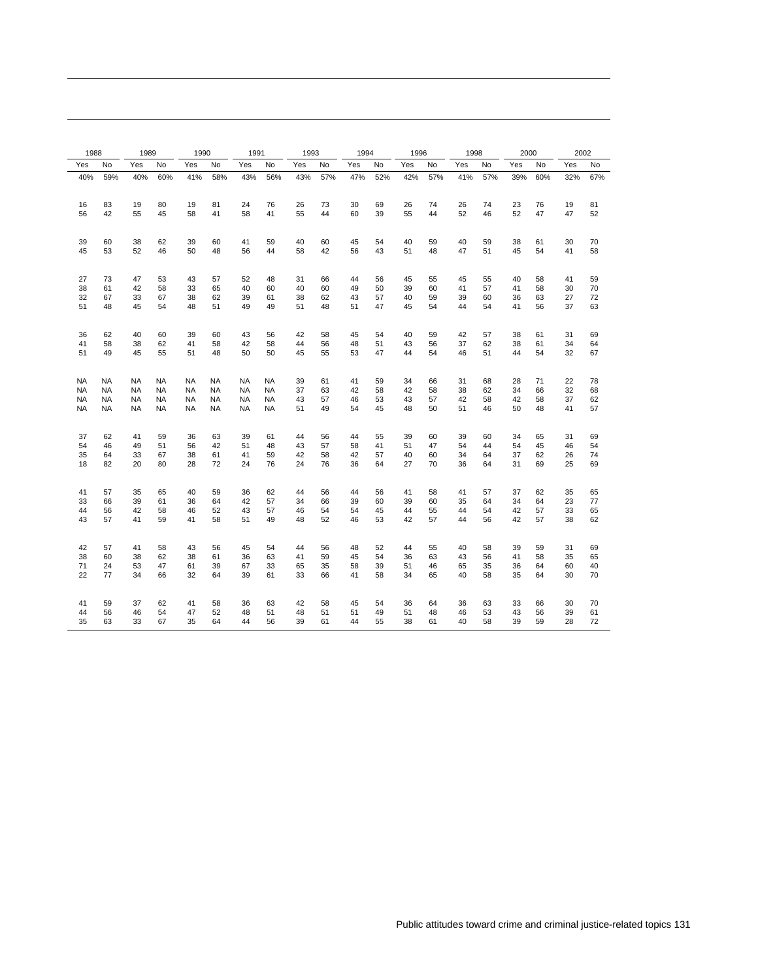| 1988      |           | 1989      |           | 1990      |           | 1991      |           | 1993 |     | 1994 |     | 1996 |     | 1998 |     | 2000 |     | 2002 |     |
|-----------|-----------|-----------|-----------|-----------|-----------|-----------|-----------|------|-----|------|-----|------|-----|------|-----|------|-----|------|-----|
| Yes       | No        | Yes       | No        | Yes       | No        | Yes       | No        | Yes  | No  | Yes  | No  | Yes  | No  | Yes  | No  | Yes  | No  | Yes  | No  |
| 40%       | 59%       | 40%       | 60%       | 41%       | 58%       | 43%       | 56%       | 43%  | 57% | 47%  | 52% | 42%  | 57% | 41%  | 57% | 39%  | 60% | 32%  | 67% |
| 16        | 83        | 19        | 80        | 19        | 81        | 24        | 76        | 26   | 73  | 30   | 69  | 26   | 74  | 26   | 74  | 23   | 76  | 19   | 81  |
| 56        | 42        | 55        | 45        | 58        | 41        | 58        | 41        | 55   | 44  | 60   | 39  | 55   | 44  | 52   | 46  | 52   | 47  | 47   | 52  |
| 39        | 60        | 38        | 62        | 39        | 60        | 41        | 59        | 40   | 60  | 45   | 54  | 40   | 59  | 40   | 59  | 38   | 61  | 30   | 70  |
| 45        | 53        | 52        | 46        | 50        | 48        | 56        | 44        | 58   | 42  | 56   | 43  | 51   | 48  | 47   | 51  | 45   | 54  | 41   | 58  |
| 27        | 73        | 47        | 53        | 43        | 57        | 52        | 48        | 31   | 66  | 44   | 56  | 45   | 55  | 45   | 55  | 40   | 58  | 41   | 59  |
| 38        | 61        | 42        | 58        | 33        | 65        | 40        | 60        | 40   | 60  | 49   | 50  | 39   | 60  | 41   | 57  | 41   | 58  | 30   | 70  |
| 32        | 67        | 33        | 67        | 38        | 62        | 39        | 61        | 38   | 62  | 43   | 57  | 40   | 59  | 39   | 60  | 36   | 63  | 27   | 72  |
| 51        | 48        | 45        | 54        | 48        | 51        | 49        | 49        | 51   | 48  | 51   | 47  | 45   | 54  | 44   | 54  | 41   | 56  | 37   | 63  |
| 36        | 62        | 40        | 60        | 39        | 60        | 43        | 56        | 42   | 58  | 45   | 54  | 40   | 59  | 42   | 57  | 38   | 61  | 31   | 69  |
| 41        | 58        | 38        | 62        | 41        | 58        | 42        | 58        | 44   | 56  | 48   | 51  | 43   | 56  | 37   | 62  | 38   | 61  | 34   | 64  |
| 51        | 49        | 45        | 55        | 51        | 48        | 50        | 50        | 45   | 55  | 53   | 47  | 44   | 54  | 46   | 51  | 44   | 54  | 32   | 67  |
| <b>NA</b> | <b>NA</b> | <b>NA</b> | NA        | <b>NA</b> | <b>NA</b> | <b>NA</b> | <b>NA</b> | 39   | 61  | 41   | 59  | 34   | 66  | 31   | 68  | 28   | 71  | 22   | 78  |
| <b>NA</b> | NA        | <b>NA</b> | NA        | NA        | NA        | NA        | NA        | 37   | 63  | 42   | 58  | 42   | 58  | 38   | 62  | 34   | 66  | 32   | 68  |
| <b>NA</b> | NA        | <b>NA</b> | NA        | <b>NA</b> | <b>NA</b> | NA        | NA        | 43   | 57  | 46   | 53  | 43   | 57  | 42   | 58  | 42   | 58  | 37   | 62  |
| <b>NA</b> | <b>NA</b> | <b>NA</b> | <b>NA</b> | <b>NA</b> | <b>NA</b> | <b>NA</b> | <b>NA</b> | 51   | 49  | 54   | 45  | 48   | 50  | 51   | 46  | 50   | 48  | 41   | 57  |
| 37        | 62        | 41        | 59        | 36        | 63        | 39        | 61        | 44   | 56  | 44   | 55  | 39   | 60  | 39   | 60  | 34   | 65  | 31   | 69  |
| 54        | 46        | 49        | 51        | 56        | 42        | 51        | 48        | 43   | 57  | 58   | 41  | 51   | 47  | 54   | 44  | 54   | 45  | 46   | 54  |
| 35        | 64        | 33        | 67        | 38        | 61        | 41        | 59        | 42   | 58  | 42   | 57  | 40   | 60  | 34   | 64  | 37   | 62  | 26   | 74  |
| 18        | 82        | 20        | 80        | 28        | 72        | 24        | 76        | 24   | 76  | 36   | 64  | 27   | 70  | 36   | 64  | 31   | 69  | 25   | 69  |
| 41        | 57        | 35        | 65        | 40        | 59        | 36        | 62        | 44   | 56  | 44   | 56  | 41   | 58  | 41   | 57  | 37   | 62  | 35   | 65  |
| 33        | 66        | 39        | 61        | 36        | 64        | 42        | 57        | 34   | 66  | 39   | 60  | 39   | 60  | 35   | 64  | 34   | 64  | 23   | 77  |
| 44        | 56        | 42        | 58        | 46        | 52        | 43        | 57        | 46   | 54  | 54   | 45  | 44   | 55  | 44   | 54  | 42   | 57  | 33   | 65  |
| 43        | 57        | 41        | 59        | 41        | 58        | 51        | 49        | 48   | 52  | 46   | 53  | 42   | 57  | 44   | 56  | 42   | 57  | 38   | 62  |
| 42        | 57        | 41        | 58        | 43        | 56        | 45        | 54        | 44   | 56  | 48   | 52  | 44   | 55  | 40   | 58  | 39   | 59  | 31   | 69  |
| 38        | 60        | 38        | 62        | 38        | 61        | 36        | 63        | 41   | 59  | 45   | 54  | 36   | 63  | 43   | 56  | 41   | 58  | 35   | 65  |
| 71        | 24        | 53        | 47        | 61        | 39        | 67        | 33        | 65   | 35  | 58   | 39  | 51   | 46  | 65   | 35  | 36   | 64  | 60   | 40  |
| 22        | 77        | 34        | 66        | 32        | 64        | 39        | 61        | 33   | 66  | 41   | 58  | 34   | 65  | 40   | 58  | 35   | 64  | 30   | 70  |
| 41        | 59        | 37        | 62        | 41        | 58        | 36        | 63        | 42   | 58  | 45   | 54  | 36   | 64  | 36   | 63  | 33   | 66  | 30   | 70  |
| 44        | 56        | 46        | 54        | 47        | 52        | 48        | 51        | 48   | 51  | 51   | 49  | 51   | 48  | 46   | 53  | 43   | 56  | 39   | 61  |
| 35        | 63        | 33        | 67        | 35        | 64        | 44        | 56        | 39   | 61  | 44   | 55  | 38   | 61  | 40   | 58  | 39   | 59  | 28   | 72  |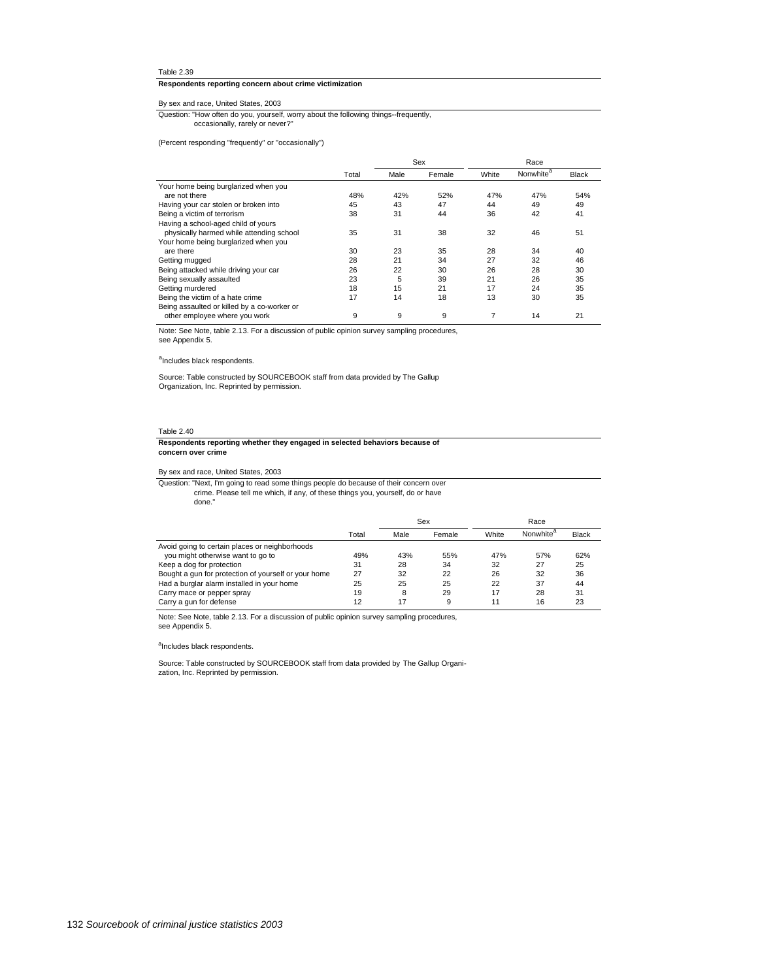# **Respondents reporting concern about crime victimization**

# By sex and race, United States, 2003

occasionally, rarely or never?" Question: "How often do you, yourself, worry about the following things--frequently,

(Percent responding "frequently" or "occasionally")

|                                             |       |      | Sex    |       | Race                  |              |
|---------------------------------------------|-------|------|--------|-------|-----------------------|--------------|
|                                             | Total | Male | Female | White | Nonwhite <sup>a</sup> | <b>Black</b> |
| Your home being burglarized when you        |       |      |        |       |                       |              |
| are not there                               | 48%   | 42%  | 52%    | 47%   | 47%                   | 54%          |
| Having your car stolen or broken into       | 45    | 43   | 47     | 44    | 49                    | 49           |
| Being a victim of terrorism                 | 38    | 31   | 44     | 36    | 42                    | 41           |
| Having a school-aged child of yours         |       |      |        |       |                       |              |
| physically harmed while attending school    | 35    | 31   | 38     | 32    | 46                    | 51           |
| Your home being burglarized when you        |       |      |        |       |                       |              |
| are there                                   | 30    | 23   | 35     | 28    | 34                    | 40           |
| Getting mugged                              | 28    | 21   | 34     | 27    | 32                    | 46           |
| Being attacked while driving your car       | 26    | 22   | 30     | 26    | 28                    | 30           |
| Being sexually assaulted                    | 23    | 5    | 39     | 21    | 26                    | 35           |
| Getting murdered                            | 18    | 15   | 21     | 17    | 24                    | 35           |
| Being the victim of a hate crime            | 17    | 14   | 18     | 13    | 30                    | 35           |
| Being assaulted or killed by a co-worker or |       |      |        |       |                       |              |
| other employee where you work               | 9     | 9    | 9      |       | 14                    | 21           |

Note: See Note, table 2.13. For a discussion of public opinion survey sampling procedures, see Appendix 5.

# alncludes black respondents.

Source: Table constructed by SOURCEBOOK staff from data provided by The Gallup Organization, Inc. Reprinted by permission.

#### Table 2.40

#### **concern over crime Respondents reporting whether they engaged in selected behaviors because of**

By sex and race, United States, 2003

Sex Race done." crime. Please tell me which, if any, of these things you, yourself, do or have Question: "Next, I'm going to read some things people do because of their concern over

|                                                      | Total | Male | Female | White | Nonwhite <sup>"</sup> | <b>Black</b> |
|------------------------------------------------------|-------|------|--------|-------|-----------------------|--------------|
| Avoid going to certain places or neighborhoods       |       |      |        |       |                       |              |
| you might otherwise want to go to                    | 49%   | 43%  | 55%    | 47%   | 57%                   | 62%          |
| Keep a dog for protection                            | 31    | 28   | 34     | 32    | 27                    | 25           |
| Bought a gun for protection of yourself or your home | 27    | 32   | 22     | 26    | 32                    | 36           |
| Had a burglar alarm installed in your home           | 25    | 25   | 25     | 22    | 37                    | 44           |
| Carry mace or pepper spray                           | 19    | 8    | 29     | 17    | 28                    | 31           |
| Carry a gun for defense                              | 12    | 17   | 9      |       | 16                    | 23           |

Note: See Note, table 2.13. For a discussion of public opinion survey sampling procedures, see Appendix 5.

a<br>Includes black respondents.

Source: Table constructed by SOURCEBOOK staff from data provided by The Gallup Organization, Inc. Reprinted by permission.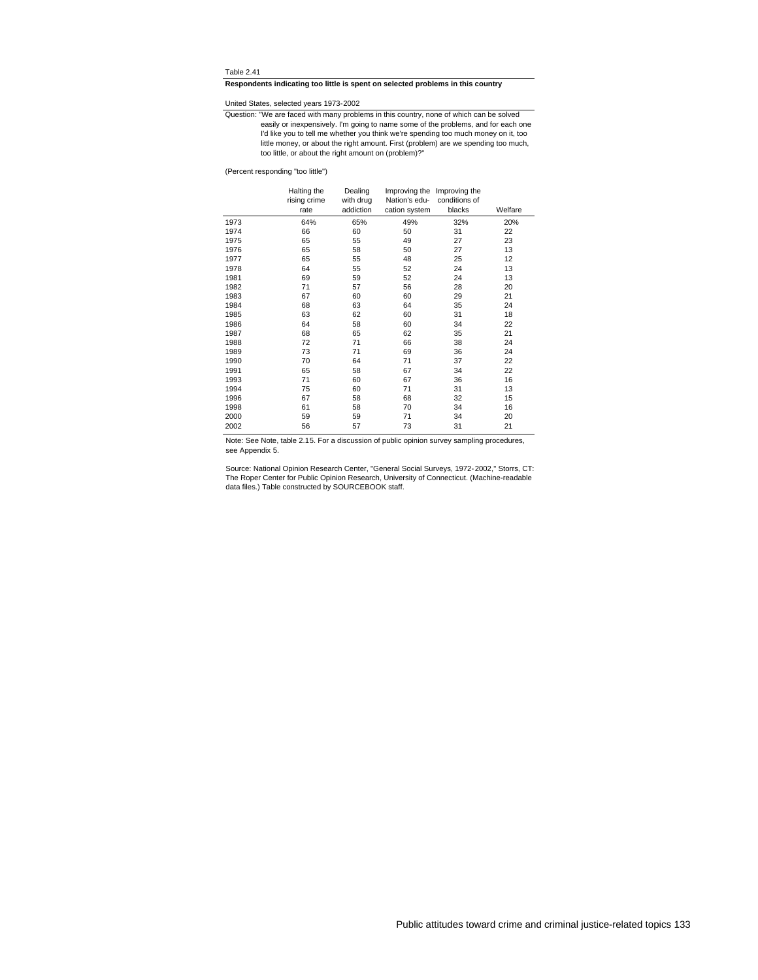# **Respondents indicating too little is spent on selected problems in this country**

United States, selected years 1973-2002

too little, or about the right amount on (problem)?" little money, or about the right amount. First (problem) are we spending too much, I'd like you to tell me whether you think we're spending too much money on it, too easily or inexpensively. I'm going to name some of the problems, and for each one Question: "We are faced with many problems in this country, none of which can be solved

(Percent responding "too little")

|      | Halting the<br>rising crime<br>rate | Dealing<br>with drug<br>addiction | Nation's edu-<br>cation system | Improving the Improving the<br>conditions of<br>blacks | Welfare |
|------|-------------------------------------|-----------------------------------|--------------------------------|--------------------------------------------------------|---------|
| 1973 | 64%                                 | 65%                               | 49%                            | 32%                                                    | 20%     |
| 1974 | 66                                  | 60                                | 50                             | 31                                                     | 22      |
| 1975 | 65                                  | 55                                | 49                             | 27                                                     | 23      |
| 1976 | 65                                  | 58                                | 50                             | 27                                                     | 13      |
| 1977 | 65                                  | 55                                | 48                             | 25                                                     | 12      |
| 1978 | 64                                  | 55                                | 52                             | 24                                                     | 13      |
| 1981 | 69                                  | 59                                | 52                             | 24                                                     | 13      |
| 1982 | 71                                  | 57                                | 56                             | 28                                                     | 20      |
| 1983 | 67                                  | 60                                | 60                             | 29                                                     | 21      |
| 1984 | 68                                  | 63                                | 64                             | 35                                                     | 24      |
| 1985 | 63                                  | 62                                | 60                             | 31                                                     | 18      |
| 1986 | 64                                  | 58                                | 60                             | 34                                                     | 22      |
| 1987 | 68                                  | 65                                | 62                             | 35                                                     | 21      |
| 1988 | 72                                  | 71                                | 66                             | 38                                                     | 24      |
| 1989 | 73                                  | 71                                | 69                             | 36                                                     | 24      |
| 1990 | 70                                  | 64                                | 71                             | 37                                                     | 22      |
| 1991 | 65                                  | 58                                | 67                             | 34                                                     | 22      |
| 1993 | 71                                  | 60                                | 67                             | 36                                                     | 16      |
| 1994 | 75                                  | 60                                | 71                             | 31                                                     | 13      |
| 1996 | 67                                  | 58                                | 68                             | 32                                                     | 15      |
| 1998 | 61                                  | 58                                | 70                             | 34                                                     | 16      |
| 2000 | 59                                  | 59                                | 71                             | 34                                                     | 20      |
| 2002 | 56                                  | 57                                | 73                             | 31                                                     | 21      |

Note: See Note, table 2.15. For a discussion of public opinion survey sampling procedures, see Appendix 5.

Source: National Opinion Research Center, "General Social Surveys, 1972-2002," Storrs, CT:<br>The Roper Center for Public Opinion Research, University of Connecticut. (Machine-readable<br>data files.) Table constructed by SOURCE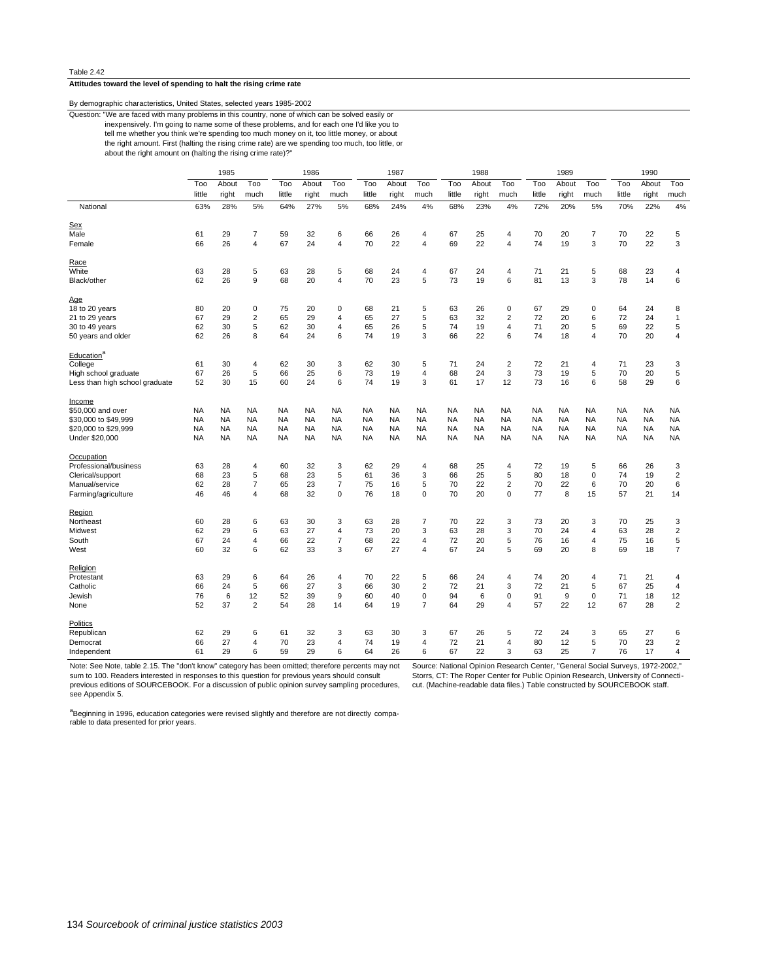# **Attitudes toward the level of spending to halt the rising crime rate**

# By demographic characteristics, United States, selected years 1985-2002

about the right amount on (halting the rising crime rate)?" the right amount. First (halting the rising crime rate) are we spending too much, too little, or tell me whether you think we're spending too much money on it, too little money, or about inexpensively. I'm going to name some of these problems, and for each one I'd like you to Question: "We are faced with many problems in this country, none of which can be solved easily or

|                                |           | 1985      |                |           | 1986      |                         |           | 1987      |                |           | 1988      |                |           | 1989      |                |           | 1990      |                         |
|--------------------------------|-----------|-----------|----------------|-----------|-----------|-------------------------|-----------|-----------|----------------|-----------|-----------|----------------|-----------|-----------|----------------|-----------|-----------|-------------------------|
|                                | Too       | About     | Too            | Too       | About     | Too                     | Too       | About     | Too            | Too       | About     | Too            | Too       | About     | Too            | Too       | About     | Too                     |
|                                | little    | right     | much           | little    | right     | much                    | little    | right     | much           | little    | right     | much           | little    | right     | much           | little    | right     | much                    |
| National                       | 63%       | 28%       | 5%             | 64%       | 27%       | 5%                      | 68%       | 24%       | 4%             | 68%       | 23%       | 4%             | 72%       | 20%       | 5%             | 70%       | 22%       | 4%                      |
| <b>Sex</b>                     |           |           |                |           |           |                         |           |           |                |           |           |                |           |           |                |           |           |                         |
| Male                           | 61        | 29        | 7              | 59        | 32        | 6                       | 66        | 26        | 4              | 67        | 25        | 4              | 70        | 20        | $\overline{7}$ | 70        | 22        | 5                       |
| Female                         | 66        | 26        | 4              | 67        | 24        | 4                       | 70        | 22        | $\overline{4}$ | 69        | 22        | $\overline{4}$ | 74        | 19        | 3              | 70        | 22        | 3                       |
| Race                           |           |           |                |           |           |                         |           |           |                |           |           |                |           |           |                |           |           |                         |
| White                          | 63        | 28        | 5              | 63        | 28        | 5                       | 68        | 24        | 4              | 67        | 24        | 4              | 71        | 21        | 5              | 68        | 23        | 4                       |
| Black/other                    | 62        | 26        | 9              | 68        | 20        | $\overline{\mathbf{4}}$ | 70        | 23        | 5              | 73        | 19        | 6              | 81        | 13        | 3              | 78        | 14        | 6                       |
| Age                            |           |           |                |           |           |                         |           |           |                |           |           |                |           |           |                |           |           |                         |
| 18 to 20 years                 | 80        | 20        | $\pmb{0}$      | 75        | 20        | 0                       | 68        | 21        | 5              | 63        | 26        | 0              | 67        | 29        | $\mathbf 0$    | 64        | 24        | 8                       |
| 21 to 29 years                 | 67        | 29        | $\overline{2}$ | 65        | 29        | 4                       | 65        | 27        | 5              | 63        | 32        | $\overline{2}$ | 72        | 20        | 6              | 72        | 24        | $\mathbf{1}$            |
| 30 to 49 years                 | 62        | 30        | 5              | 62        | 30        | $\overline{4}$          | 65        | 26        | 5              | 74        | 19        | $\overline{4}$ | 71        | 20        | 5              | 69        | 22        | 5                       |
| 50 years and older             | 62        | 26        | 8              | 64        | 24        | 6                       | 74        | 19        | 3              | 66        | 22        | 6              | 74        | 18        | $\overline{4}$ | 70        | 20        | $\sqrt{4}$              |
| Education <sup>a</sup>         |           |           |                |           |           |                         |           |           |                |           |           |                |           |           |                |           |           |                         |
| College                        | 61        | 30        | 4              | 62        | 30        | 3                       | 62        | 30        | 5              | 71        | 24        | $\overline{2}$ | 72        | 21        | $\overline{4}$ | 71        | 23        | 3                       |
| High school graduate           | 67        | 26        | 5              | 66        | 25        | 6                       | 73        | 19        | 4              | 68        | 24        | 3              | 73        | 19        | 5              | 70        | 20        | 5                       |
| Less than high school graduate | 52        | 30        | 15             | 60        | 24        | 6                       | 74        | 19        | 3              | 61        | 17        | 12             | 73        | 16        | 6              | 58        | 29        | 6                       |
| Income                         |           |           |                |           |           |                         |           |           |                |           |           |                |           |           |                |           |           |                         |
| \$50,000 and over              | <b>NA</b> | <b>NA</b> | <b>NA</b>      | <b>NA</b> | <b>NA</b> | <b>NA</b>               | NA        | <b>NA</b> | NA             | <b>NA</b> | NA        | <b>NA</b>      | <b>NA</b> | <b>NA</b> | <b>NA</b>      | <b>NA</b> | <b>NA</b> | NA                      |
| \$30,000 to \$49,999           | <b>NA</b> | <b>NA</b> | <b>NA</b>      | <b>NA</b> | <b>NA</b> | <b>NA</b>               | <b>NA</b> | <b>NA</b> | <b>NA</b>      | <b>NA</b> | <b>NA</b> | <b>NA</b>      | <b>NA</b> | <b>NA</b> | <b>NA</b>      | <b>NA</b> | <b>NA</b> | <b>NA</b>               |
| \$20,000 to \$29,999           | <b>NA</b> | <b>NA</b> | <b>NA</b>      | <b>NA</b> | <b>NA</b> | <b>NA</b>               | NA        | <b>NA</b> | NA             | NA        | <b>NA</b> | NA             | NA        | <b>NA</b> | <b>NA</b>      | <b>NA</b> | <b>NA</b> | NA                      |
| Under \$20,000                 | <b>NA</b> | <b>NA</b> | <b>NA</b>      | <b>NA</b> | <b>NA</b> | <b>NA</b>               | <b>NA</b> | <b>NA</b> | <b>NA</b>      | <b>NA</b> | <b>NA</b> | <b>NA</b>      | <b>NA</b> | <b>NA</b> | <b>NA</b>      | <b>NA</b> | <b>NA</b> | <b>NA</b>               |
|                                |           |           |                |           |           |                         |           |           |                |           |           |                |           |           |                |           |           |                         |
| Occupation                     |           |           |                |           |           |                         |           |           |                |           |           |                |           |           |                |           |           |                         |
| Professional/business          | 63        | 28        | 4              | 60        | 32        | 3                       | 62        | 29        | 4              | 68        | 25        | $\overline{4}$ | 72        | 19        | 5              | 66        | 26        | 3                       |
| Clerical/support               | 68        | 23        | 5              | 68        | 23        | 5                       | 61        | 36        | 3              | 66        | 25        | 5              | 80        | 18        | 0              | 74        | 19        | $\mathbf 2$             |
| Manual/service                 | 62        | 28        | $\overline{7}$ | 65        | 23        | $\overline{7}$          | 75        | 16        | 5              | 70        | 22        | $\overline{2}$ | 70        | 22        | 6              | 70        | 20        | 6                       |
| Farming/agriculture            | 46        | 46        | 4              | 68        | 32        | 0                       | 76        | 18        | 0              | 70        | 20        | $\mathbf 0$    | 77        | 8         | 15             | 57        | 21        | 14                      |
| Region                         |           |           |                |           |           |                         |           |           |                |           |           |                |           |           |                |           |           |                         |
| Northeast                      | 60        | 28        | 6              | 63        | 30        | 3                       | 63        | 28        | 7              | 70        | 22        | 3              | 73        | 20        | 3              | 70        | 25        | 3                       |
| Midwest                        | 62        | 29        | 6              | 63        | 27        | 4                       | 73        | 20        | 3              | 63        | 28        | 3              | 70        | 24        | $\overline{4}$ | 63        | 28        | $\overline{\mathbf{c}}$ |
| South                          | 67        | 24        | 4              | 66        | 22        | 7                       | 68        | 22        | 4              | 72        | 20        | 5              | 76        | 16        | 4              | 75        | 16        | 5                       |
| West                           | 60        | 32        | 6              | 62        | 33        | 3                       | 67        | 27        | 4              | 67        | 24        | 5              | 69        | 20        | 8              | 69        | 18        | $\overline{7}$          |
| Religion                       |           |           |                |           |           |                         |           |           |                |           |           |                |           |           |                |           |           |                         |
| Protestant                     | 63        | 29        | 6              | 64        | 26        | 4                       | 70        | 22        | 5              | 66        | 24        | 4              | 74        | 20        | 4              | 71        | 21        | 4                       |
| Catholic                       | 66        | 24        | 5              | 66        | 27        | 3                       | 66        | 30        | $\overline{c}$ | 72        | 21        | 3              | 72        | 21        | 5              | 67        | 25        | $\overline{4}$          |
| Jewish                         | 76        | 6         | 12             | 52        | 39        | 9                       | 60        | 40        | 0              | 94        | 6         | $\pmb{0}$      | 91        | 9         | $\mathbf 0$    | 71        | 18        | 12                      |
| None                           | 52        | 37        | $\overline{2}$ | 54        | 28        | 14                      | 64        | 19        | $\overline{7}$ | 64        | 29        | 4              | 57        | 22        | 12             | 67        | 28        | $\overline{2}$          |
|                                |           |           |                |           |           |                         |           |           |                |           |           |                |           |           |                |           |           |                         |
| <b>Politics</b>                |           |           |                |           |           |                         |           |           |                |           |           |                |           |           |                |           |           |                         |
| Republican                     | 62        | 29        | 6              | 61        | 32        | 3                       | 63        | 30        | 3              | 67        | 26        | 5              | 72        | 24        | 3              | 65        | 27        | 6                       |
| Democrat                       | 66        | 27        | 4              | 70        | 23        | 4                       | 74        | 19        | 4              | 72        | 21        | 4              | 80        | 12        | 5              | 70        | 23        | $\boldsymbol{2}$        |
| Independent                    | 61        | 29        | 6              | 59        | 29        | 6                       | 64        | 26        | 6              | 67        | 22        | 3              | 63        | 25        | $\overline{7}$ | 76        | 17        | 4                       |

Note: See Note, table 2.15. The "don't know" category has been omitted; therefore percents may not sum to 100. Readers interested in responses to this question for previous years should consult previous editions of SOURCEBOOK. For a discussion of public opinion survey sampling procedures, see Appendix 5.

Source: National Opinion Research Center, "General Social Surveys, 1972-2002," Storrs, CT: The Roper Center for Public Opinion Research, University of Connecticut. (Machine-readable data files.) Table constructed by SOURCEBOOK staff.

a<br>Peginning in 1996, education categories were revised slightly and therefore are not directly compa-<br>rable to data presented for prior years.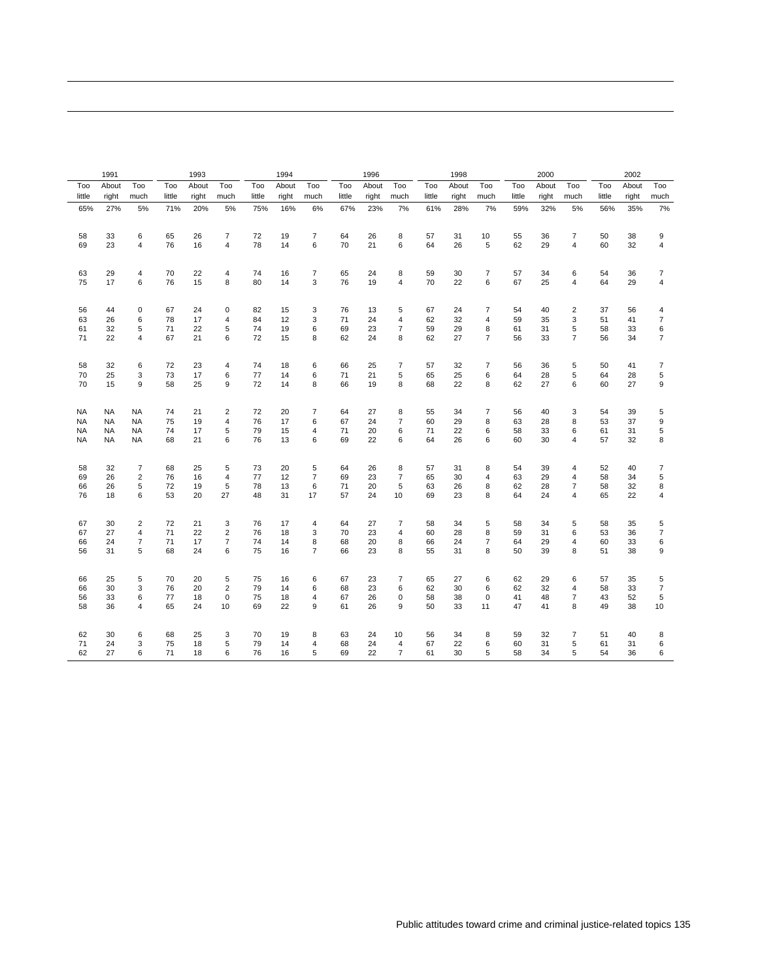|           | 1991      |                |        | 1993  |                |        | 1994  |                |        | 1996  |                         |        | 1998  |                |        | 2000  |                |        | 2002  |                         |
|-----------|-----------|----------------|--------|-------|----------------|--------|-------|----------------|--------|-------|-------------------------|--------|-------|----------------|--------|-------|----------------|--------|-------|-------------------------|
| Too       | About     | Too            | Too    | About | Too            | Too    | About | Too            | Too    | About | Too                     | Too    | About | Too            | Too    | About | Too            | Too    | About | Too                     |
| little    | right     | much           | little | right | much           | little | right | much           | little | right | much                    | little | right | much           | little | right | much           | little | right | much                    |
| 65%       | 27%       | 5%             | 71%    | 20%   | 5%             | 75%    | 16%   | 6%             | 67%    | 23%   | 7%                      | 61%    | 28%   | 7%             | 59%    | 32%   | 5%             | 56%    | 35%   | 7%                      |
| 58        | 33        | 6              | 65     | 26    | $\overline{7}$ | 72     | 19    | $\overline{7}$ | 64     | 26    | 8                       | 57     | 31    | 10             | 55     | 36    | $\overline{7}$ | 50     | 38    | 9                       |
| 69        | 23        | $\overline{4}$ | 76     | 16    | 4              | 78     | 14    | 6              | 70     | 21    | 6                       | 64     | 26    | 5              | 62     | 29    | 4              | 60     | 32    | $\overline{\mathbf{4}}$ |
| 63        | 29        | 4              | 70     | 22    | $\overline{4}$ | 74     | 16    | $\overline{7}$ | 65     | 24    | 8                       | 59     | 30    | $\overline{7}$ | 57     | 34    | 6              | 54     | 36    | $\overline{7}$          |
| 75        | 17        | 6              | 76     | 15    | 8              | 80     | 14    | 3              | 76     | 19    | $\overline{4}$          | 70     | 22    | 6              | 67     | 25    | 4              | 64     | 29    | $\overline{\mathbf{4}}$ |
| 56        | 44        | $\mathbf 0$    | 67     | 24    | 0              | 82     | 15    | 3              | 76     | 13    | 5                       | 67     | 24    | 7              | 54     | 40    | $\overline{2}$ | 37     | 56    | 4                       |
| 63        | 26        | 6              | 78     | 17    | $\overline{4}$ | 84     | 12    | 3              | 71     | 24    | $\overline{\mathbf{4}}$ | 62     | 32    | 4              | 59     | 35    | 3              | 51     | 41    | $\overline{7}$          |
| 61        | 32        | 5              | 71     | 22    | 5              | 74     | 19    | 6              | 69     | 23    | $\overline{7}$          | 59     | 29    | 8              | 61     | 31    | 5              | 58     | 33    | 6                       |
| 71        | 22        | 4              | 67     | 21    | 6              | 72     | 15    | 8              | 62     | 24    | 8                       | 62     | 27    | $\overline{7}$ | 56     | 33    | $\overline{7}$ | 56     | 34    | $\overline{7}$          |
| 58        | 32        | 6              | 72     | 23    | 4              | 74     | 18    | 6              | 66     | 25    | $\overline{7}$          | 57     | 32    | $\overline{7}$ | 56     | 36    | $\sqrt{5}$     | 50     | 41    | $\overline{7}$          |
| 70        | 25        | 3              | 73     | 17    | 6              | 77     | 14    | 6              | 71     | 21    | 5                       | 65     | 25    | 6              | 64     | 28    | 5              | 64     | 28    | 5                       |
| 70        | 15        | 9              | 58     | 25    | 9              | 72     | 14    | 8              | 66     | 19    | 8                       | 68     | 22    | 8              | 62     | 27    | 6              | 60     | 27    | 9                       |
| <b>NA</b> | NA        | <b>NA</b>      | 74     | 21    | $\sqrt{2}$     | 72     | 20    | $\overline{7}$ | 64     | 27    | 8                       | 55     | 34    | $\overline{7}$ | 56     | 40    | 3              | 54     | 39    | 5                       |
| <b>NA</b> | <b>NA</b> | <b>NA</b>      | 75     | 19    | $\overline{4}$ | 76     | 17    | 6              | 67     | 24    | $\overline{7}$          | 60     | 29    | 8              | 63     | 28    | 8              | 53     | 37    | 9                       |
| NA        | NA        | <b>NA</b>      | 74     | 17    | 5              | 79     | 15    | 4              | 71     | 20    | 6                       | 71     | 22    | 6              | 58     | 33    | 6              | 61     | 31    | 5                       |
| <b>NA</b> | <b>NA</b> | NA             | 68     | 21    | 6              | 76     | 13    | 6              | 69     | 22    | 6                       | 64     | 26    | 6              | 60     | 30    | $\overline{4}$ | 57     | 32    | 8                       |
| 58        | 32        | 7              | 68     | 25    | 5              | 73     | 20    | 5              | 64     | 26    | 8                       | 57     | 31    | 8              | 54     | 39    | 4              | 52     | 40    | 7                       |
| 69        | 26        | $\overline{2}$ | 76     | 16    | $\overline{4}$ | 77     | 12    | $\overline{7}$ | 69     | 23    | $\overline{7}$          | 65     | 30    | 4              | 63     | 29    | 4              | 58     | 34    | 5                       |
| 66        | 26        | 5              | 72     | 19    | 5              | 78     | 13    | 6              | 71     | 20    | $\sqrt{5}$              | 63     | 26    | 8              | 62     | 28    | $\overline{7}$ | 58     | 32    | 8                       |
| 76        | 18        | 6              | 53     | 20    | 27             | 48     | 31    | 17             | 57     | 24    | 10                      | 69     | 23    | 8              | 64     | 24    | $\overline{4}$ | 65     | 22    | $\overline{\mathbf{4}}$ |
| 67        | 30        | $\overline{2}$ | 72     | 21    | 3              | 76     | 17    | 4              | 64     | 27    | 7                       | 58     | 34    | 5              | 58     | 34    | 5              | 58     | 35    | 5                       |
| 67        | 27        | $\overline{4}$ | 71     | 22    | $\sqrt{2}$     | 76     | 18    | 3              | 70     | 23    | 4                       | 60     | 28    | 8              | 59     | 31    | 6              | 53     | 36    | $\overline{7}$          |
| 66        | 24        | $\overline{7}$ | 71     | 17    | $\overline{7}$ | 74     | 14    | 8              | 68     | 20    | 8                       | 66     | 24    | $\overline{7}$ | 64     | 29    | 4              | 60     | 33    | 6                       |
| 56        | 31        | 5              | 68     | 24    | 6              | 75     | 16    | $\overline{7}$ | 66     | 23    | 8                       | 55     | 31    | 8              | 50     | 39    | 8              | 51     | 38    | 9                       |
| 66        | 25        | 5              | 70     | 20    | 5              | 75     | 16    | 6              | 67     | 23    | $\overline{7}$          | 65     | 27    | 6              | 62     | 29    | 6              | 57     | 35    | 5                       |
| 66        | 30        | 3              | 76     | 20    | $\overline{2}$ | 79     | 14    | 6              | 68     | 23    | 6                       | 62     | 30    | 6              | 62     | 32    | 4              | 58     | 33    | $\overline{7}$          |
| 56        | 33        | 6              | 77     | 18    | $\mathbf 0$    | 75     | 18    | 4              | 67     | 26    | $\pmb{0}$               | 58     | 38    | $\mathbf 0$    | 41     | 48    | $\overline{7}$ | 43     | 52    | 5                       |
| 58        | 36        | 4              | 65     | 24    | 10             | 69     | 22    | 9              | 61     | 26    | 9                       | 50     | 33    | 11             | 47     | 41    | 8              | 49     | 38    | 10                      |
| 62        | 30        | 6              | 68     | 25    | 3              | 70     | 19    | 8              | 63     | 24    | 10                      | 56     | 34    | 8              | 59     | 32    | 7              | 51     | 40    | 8                       |
| 71        | 24        | 3              | 75     | 18    | 5              | 79     | 14    | $\overline{4}$ | 68     | 24    | 4                       | 67     | 22    | 6              | 60     | 31    | 5              | 61     | 31    | 6                       |
| 62        | 27        | 6              | 71     | 18    | 6              | 76     | 16    | 5              | 69     | 22    | $\overline{7}$          | 61     | 30    | 5              | 58     | 34    | 5              | 54     | 36    | 6                       |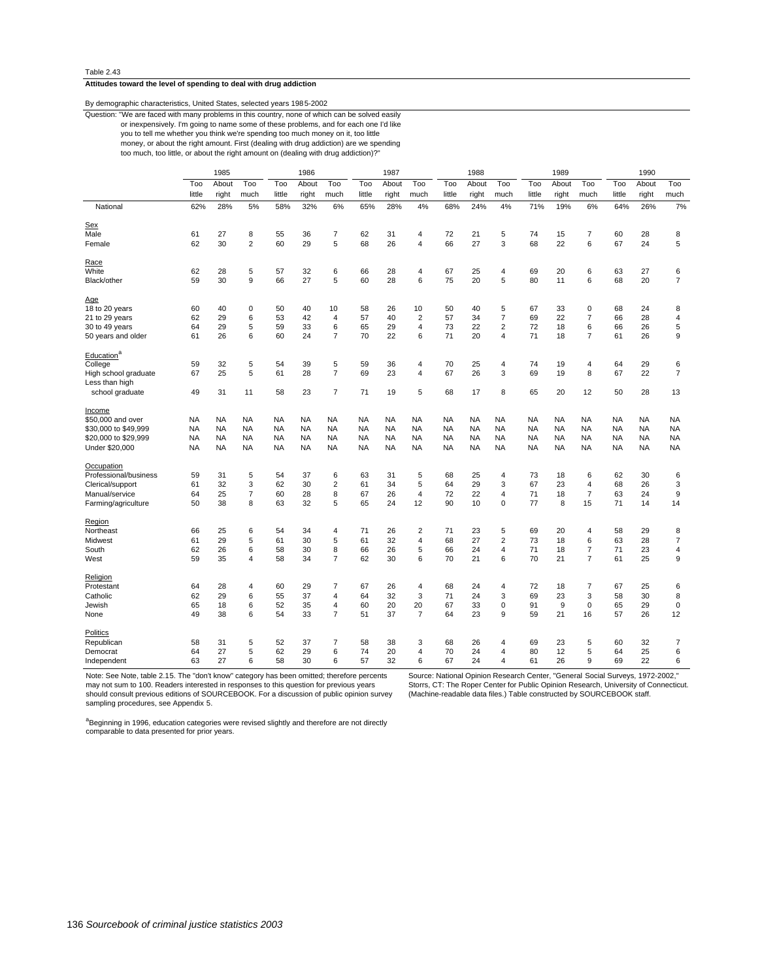# **Attitudes toward the level of spending to deal with drug addiction**

# By demographic characteristics, United States, selected years 1985-2002

or inexpensively. I'm going to name some of these problems, and for each one I'd like Question: "We are faced with many problems in this country, none of which can be solved easily

you to tell me whether you think we're spending too much money on it, too little

too much, too little, or about the right amount on (dealing with drug addiction)?" money, or about the right amount. First (dealing with drug addiction) are we spending

|                        |           | 1985      |                |           | 1986      |                |           | 1987      |                         |           | 1988      |                |           | 1989      |                |           | 1990      |                |
|------------------------|-----------|-----------|----------------|-----------|-----------|----------------|-----------|-----------|-------------------------|-----------|-----------|----------------|-----------|-----------|----------------|-----------|-----------|----------------|
|                        | Too       | About     | Too            | Too       | About     | Too            | Too       | About     | Too                     | Too       | About     | Too            | Too       | About     | Too            | Too       | About     | Too            |
|                        | little    | right     | much           | little    | right     | much           | little    | right     | much                    | little    | right     | much           | little    | right     | much           | little    | right     | much           |
| National               | 62%       | 28%       | 5%             | 58%       | 32%       | 6%             | 65%       | 28%       | 4%                      | 68%       | 24%       | 4%             | 71%       | 19%       | 6%             | 64%       | 26%       | 7%             |
| <b>Sex</b>             |           |           |                |           |           |                |           |           |                         |           |           |                |           |           |                |           |           |                |
| Male                   | 61        | 27        | 8              | 55        | 36        | 7              | 62        | 31        | $\overline{4}$          | 72        | 21        | 5              | 74        | 15        | $\overline{7}$ | 60        | 28        | 8              |
| Female                 | 62        | 30        | $\overline{2}$ | 60        | 29        | 5              | 68        | 26        | $\overline{4}$          | 66        | 27        | 3              | 68        | 22        | 6              | 67        | 24        | 5              |
| <u>Race</u>            |           |           |                |           |           |                |           |           |                         |           |           |                |           |           |                |           |           |                |
| White                  | 62        | 28        | 5              | 57        | 32        | 6              | 66        | 28        | 4                       | 67        | 25        | 4              | 69        | 20        | 6              | 63        | 27        | 6              |
| Black/other            | 59        | 30        | 9              | 66        | 27        | 5              | 60        | 28        | 6                       | 75        | 20        | 5              | 80        | 11        | 6              | 68        | 20        | $\overline{7}$ |
| Age                    |           |           |                |           |           |                |           |           |                         |           |           |                |           |           |                |           |           |                |
| 18 to 20 years         | 60        | 40        | $\mathbf 0$    | 50        | 40        | 10             | 58        | 26        | 10                      | 50        | 40        | 5              | 67        | 33        | 0              | 68        | 24        | 8              |
| 21 to 29 years         | 62        | 29        | 6              | 53        | 42        | 4              | 57        | 40        | $\overline{\mathbf{c}}$ | 57        | 34        | 7              | 69        | 22        | $\overline{7}$ | 66        | 28        | 4              |
| 30 to 49 years         | 64        | 29        | 5              | 59        | 33        | 6              | 65        | 29        | 4                       | 73        | 22        | $\overline{2}$ | 72        | 18        | 6              | 66        | 26        | 5              |
| 50 years and older     | 61        | 26        | 6              | 60        | 24        | $\overline{7}$ | 70        | 22        | 6                       | 71        | 20        | 4              | 71        | 18        | $\overline{7}$ | 61        | 26        | 9              |
| Education <sup>a</sup> |           |           |                |           |           |                |           |           |                         |           |           |                |           |           |                |           |           |                |
| College                | 59        | 32        | 5              | 54        | 39        | 5              | 59        | 36        | 4                       | 70        | 25        | 4              | 74        | 19        | 4              | 64        | 29        | 6              |
| High school graduate   | 67        | 25        | 5              | 61        | 28        | $\overline{7}$ | 69        | 23        | $\overline{\mathbf{4}}$ | 67        | 26        | 3              | 69        | 19        | 8              | 67        | 22        | $\overline{7}$ |
| Less than high         |           |           |                |           |           |                |           |           |                         |           |           |                |           |           |                |           |           |                |
| school graduate        | 49        | 31        | 11             | 58        | 23        | 7              | 71        | 19        | 5                       | 68        | 17        | 8              | 65        | 20        | 12             | 50        | 28        | 13             |
| Income                 |           |           |                |           |           |                |           |           |                         |           |           |                |           |           |                |           |           |                |
| \$50,000 and over      | <b>NA</b> | <b>NA</b> | <b>NA</b>      | NA        | <b>NA</b> | <b>NA</b>      | <b>NA</b> | NA        | <b>NA</b>               | <b>NA</b> | <b>NA</b> | <b>NA</b>      | NA        | <b>NA</b> | <b>NA</b>      | <b>NA</b> | <b>NA</b> | <b>NA</b>      |
| \$30,000 to \$49,999   | <b>NA</b> | <b>NA</b> | <b>NA</b>      | NA        | <b>NA</b> | <b>NA</b>      | <b>NA</b> | NA        | NA                      | <b>NA</b> | NA        | <b>NA</b>      | <b>NA</b> | <b>NA</b> | <b>NA</b>      | NA        | <b>NA</b> | <b>NA</b>      |
| \$20,000 to \$29,999   | <b>NA</b> | <b>NA</b> | <b>NA</b>      | <b>NA</b> | <b>NA</b> | <b>NA</b>      | <b>NA</b> | <b>NA</b> | <b>NA</b>               | <b>NA</b> | <b>NA</b> | <b>NA</b>      | <b>NA</b> | <b>NA</b> | <b>NA</b>      | <b>NA</b> | <b>NA</b> | <b>NA</b>      |
| Under \$20,000         | <b>NA</b> | <b>NA</b> | <b>NA</b>      | <b>NA</b> | <b>NA</b> | <b>NA</b>      | <b>NA</b> | <b>NA</b> | <b>NA</b>               | <b>NA</b> | <b>NA</b> | <b>NA</b>      | <b>NA</b> | <b>NA</b> | <b>NA</b>      | <b>NA</b> | <b>NA</b> | <b>NA</b>      |
| Occupation             |           |           |                |           |           |                |           |           |                         |           |           |                |           |           |                |           |           |                |
| Professional/business  | 59        | 31        | 5              | 54        | 37        | 6              | 63        | 31        | 5                       | 68        | 25        | 4              | 73        | 18        | 6              | 62        | 30        | 6              |
| Clerical/support       | 61        | 32        | 3              | 62        | 30        | $\overline{2}$ | 61        | 34        | 5                       | 64        | 29        | 3              | 67        | 23        | 4              | 68        | 26        | 3              |
| Manual/service         | 64        | 25        | $\overline{7}$ | 60        | 28        | 8              | 67        | 26        | $\overline{4}$          | 72        | 22        | 4              | 71        | 18        | $\overline{7}$ | 63        | 24        | 9              |
| Farming/agriculture    | 50        | 38        | 8              | 63        | 32        | 5              | 65        | 24        | 12                      | 90        | 10        | 0              | 77        | 8         | 15             | 71        | 14        | 14             |
|                        |           |           |                |           |           |                |           |           |                         |           |           |                |           |           |                |           |           |                |
| Region                 |           |           |                |           |           |                |           |           |                         |           |           |                |           |           |                |           |           |                |
| Northeast              | 66        | 25        | 6              | 54        | 34        | 4              | 71        | 26        | $\overline{\mathbf{c}}$ | 71        | 23        | 5              | 69        | 20        | 4              | 58        | 29        | 8              |
| Midwest                | 61        | 29        | 5              | 61        | 30        | 5              | 61        | 32        | $\overline{4}$          | 68        | 27        | $\overline{2}$ | 73        | 18        | 6              | 63        | 28        | $\overline{7}$ |
| South                  | 62        | 26        | 6              | 58        | 30        | 8              | 66        | 26        | 5                       | 66        | 24        | 4              | 71        | 18        | $\overline{7}$ | 71        | 23        | 4              |
| West                   | 59        | 35        | $\overline{4}$ | 58        | 34        | $\overline{7}$ | 62        | 30        | 6                       | 70        | 21        | 6              | 70        | 21        | $\overline{7}$ | 61        | 25        | 9              |
| Religion               |           |           |                |           |           |                |           |           |                         |           |           |                |           |           |                |           |           |                |
| Protestant             | 64        | 28        | $\overline{4}$ | 60        | 29        | 7              | 67        | 26        | 4                       | 68        | 24        | 4              | 72        | 18        | 7              | 67        | 25        | 6              |
| Catholic               | 62        | 29        | 6              | 55        | 37        | $\overline{4}$ | 64        | 32        | 3                       | 71        | 24        | 3              | 69        | 23        | 3              | 58        | 30        | 8              |
| Jewish                 | 65        | 18        | 6              | 52        | 35        | 4              | 60        | 20        | 20                      | 67        | 33        | 0              | 91        | 9         | 0              | 65        | 29        | $\pmb{0}$      |
| None                   | 49        | 38        | 6              | 54        | 33        | $\overline{7}$ | 51        | 37        | $\overline{7}$          | 64        | 23        | 9              | 59        | 21        | 16             | 57        | 26        | 12             |
| Politics               |           |           |                |           |           |                |           |           |                         |           |           |                |           |           |                |           |           |                |
| Republican             | 58        | 31        | 5              | 52        | 37        | 7              | 58        | 38        | 3                       | 68        | 26        | 4              | 69        | 23        | 5              | 60        | 32        | 7              |
| Democrat               | 64        | 27        | 5              | 62        | 29        | 6              | 74        | 20        | 4                       | 70        | 24        | 4              | 80        | 12        | 5              | 64        | 25        | 6              |
| Independent            | 63        | 27        | 6              | 58        | 30        | 6              | 57        | 32        | 6                       | 67        | 24        | 4              | 61        | 26        | 9              | 69        | 22        | 6              |

Note: See Note, table 2.15. The "don't know" category has been omitted; therefore percents may not sum to 100. Readers interested in responses to this question for previous years should consult previous editions of SOURCEBOOK. For a discussion of public opinion survey sampling procedures, see Appendix 5.

Source: National Opinion Research Center, "General Social Surveys, 1972-2002," Storrs, CT: The Roper Center for Public Opinion Research, University of Connecticut. (Machine-readable data files.) Table constructed by SOURCEBOOK staff.

a<br>Beginning in 1996, education categories were revised slightly and therefore are not directly<br>comparable to data presented for prior years.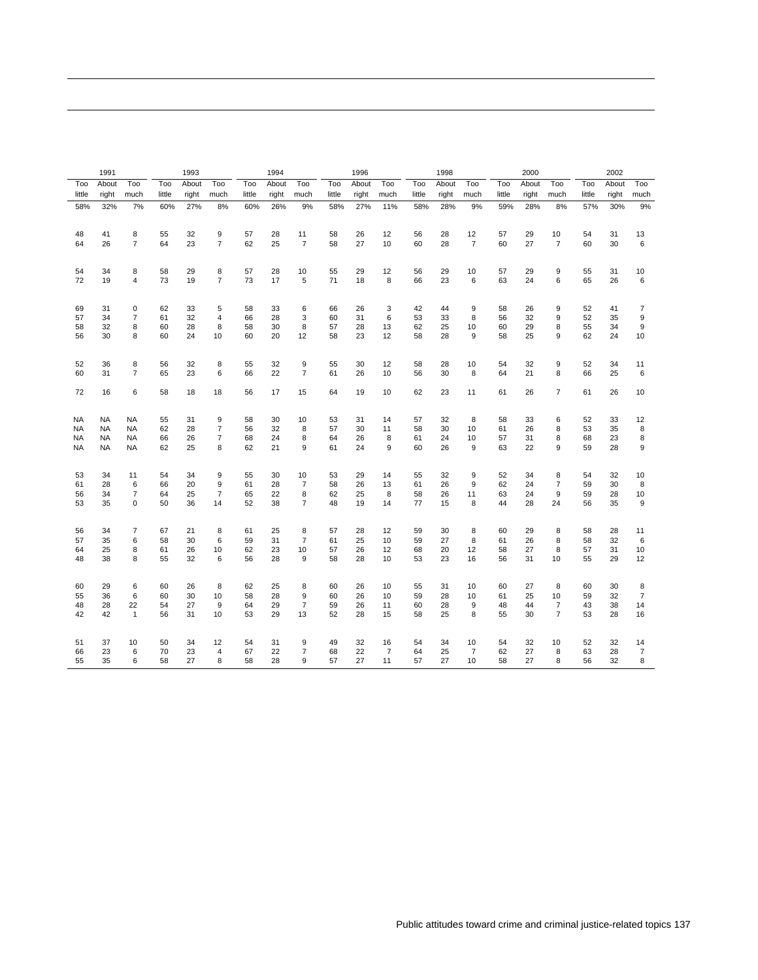|        | 1991      |                |        | 1993  |                |        | 1994  |                |        | 1996  |      |        | 1998  |                |        | 2000  |                |        | 2002  |                |
|--------|-----------|----------------|--------|-------|----------------|--------|-------|----------------|--------|-------|------|--------|-------|----------------|--------|-------|----------------|--------|-------|----------------|
| Too    | About     | Too            | Too    | About | Too            | Too    | About | Too            | Too    | About | Too  | Too    | About | Too            | Too    | About | Too            | Too    | About | Too            |
| little | right     | much           | little | right | much           | little | right | much           | little | right | much | little | right | much           | little | right | much           | little | right | much           |
| 58%    | 32%       | 7%             | 60%    | 27%   | 8%             | 60%    | 26%   | 9%             | 58%    | 27%   | 11%  | 58%    | 28%   | 9%             | 59%    | 28%   | 8%             | 57%    | 30%   | 9%             |
| 48     | 41        | 8              | 55     | 32    | 9              | 57     | 28    | 11             | 58     | 26    | 12   | 56     | 28    | 12             | 57     | 29    | 10             | 54     | 31    | 13             |
| 64     | 26        | $\overline{7}$ | 64     | 23    | $\overline{7}$ | 62     | 25    | 7              | 58     | 27    | 10   | 60     | 28    | $\overline{7}$ | 60     | 27    | $\overline{7}$ | 60     | 30    | 6              |
| 54     | 34        | 8              | 58     | 29    | 8              | 57     | 28    | 10             | 55     | 29    | 12   | 56     | 29    | 10             | 57     | 29    | 9              | 55     | 31    | 10             |
| 72     | 19        | $\overline{4}$ | 73     | 19    | $\overline{7}$ | 73     | 17    | 5              | 71     | 18    | 8    | 66     | 23    | 6              | 63     | 24    | 6              | 65     | 26    | 6              |
| 69     | 31        | $\mathbf 0$    | 62     | 33    | 5              | 58     | 33    | 6              | 66     | 26    | 3    | 42     | 44    | 9              | 58     | 26    | 9              | 52     | 41    | $\overline{7}$ |
| 57     | 34        | $\overline{7}$ | 61     | 32    | $\overline{4}$ | 66     | 28    | 3              | 60     | 31    | 6    | 53     | 33    | 8              | 56     | 32    | 9              | 52     | 35    | 9              |
| 58     | 32        | 8              | 60     | 28    | 8              | 58     | 30    | 8              | 57     | 28    | 13   | 62     | 25    | 10             | 60     | 29    | 8              | 55     | 34    | 9              |
| 56     | 30        | 8              | 60     | 24    | 10             | 60     | 20    | 12             | 58     | 23    | 12   | 58     | 28    | 9              | 58     | 25    | 9              | 62     | 24    | 10             |
| 52     | 36        | 8              | 56     | 32    | 8              | 55     | 32    | 9              | 55     | 30    | 12   | 58     | 28    | 10             | 54     | 32    | 9              | 52     | 34    | 11             |
| 60     | 31        | $\overline{7}$ | 65     | 23    | 6              | 66     | 22    | $\overline{7}$ | 61     | 26    | 10   | 56     | 30    | 8              | 64     | 21    | 8              | 66     | 25    | 6              |
| 72     | 16        | 6              | 58     | 18    | 18             | 56     | 17    | 15             | 64     | 19    | 10   | 62     | 23    | 11             | 61     | 26    | $\overline{7}$ | 61     | 26    | 10             |
| NA     | NA        | NA             | 55     | 31    | 9              | 58     | 30    | 10             | 53     | 31    | 14   | 57     | 32    | 8              | 58     | 33    | 6              | 52     | 33    | 12             |
| NA     | <b>NA</b> | NA             | 62     | 28    | 7              | 56     | 32    | 8              | 57     | 30    | 11   | 58     | 30    | 10             | 61     | 26    | 8              | 53     | 35    | 8              |
| NA     | <b>NA</b> | NA             | 66     | 26    | $\overline{7}$ | 68     | 24    | 8              | 64     | 26    | 8    | 61     | 24    | 10             | 57     | 31    | 8              | 68     | 23    | 8              |
| NA     | <b>NA</b> | NA             | 62     | 25    | 8              | 62     | 21    | 9              | 61     | 24    | 9    | 60     | 26    | 9              | 63     | 22    | 9              | 59     | 28    | 9              |
| 53     | 34        | 11             | 54     | 34    | 9              | 55     | 30    | 10             | 53     | 29    | 14   | 55     | 32    | 9              | 52     | 34    | 8              | 54     | 32    | 10             |
| 61     | 28        | 6              | 66     | 20    | 9              | 61     | 28    | 7              | 58     | 26    | 13   | 61     | 26    | 9              | 62     | 24    | 7              | 59     | 30    | 8              |
| 56     | 34        | 7              | 64     | 25    | $\overline{7}$ | 65     | 22    | 8              | 62     | 25    | 8    | 58     | 26    | 11             | 63     | 24    | 9              | 59     | 28    | 10             |
| 53     | 35        | $\mathbf 0$    | 50     | 36    | 14             | 52     | 38    | 7              | 48     | 19    | 14   | 77     | 15    | 8              | 44     | 28    | 24             | 56     | 35    | 9              |
| 56     | 34        | $\overline{7}$ | 67     | 21    | 8              | 61     | 25    | 8              | 57     | 28    | 12   | 59     | 30    | 8              | 60     | 29    | 8              | 58     | 28    | 11             |
| 57     | 35        | 6              | 58     | 30    | 6              | 59     | 31    | $\overline{7}$ | 61     | 25    | 10   | 59     | 27    | 8              | 61     | 26    | 8              | 58     | 32    | 6              |
| 64     | 25        | 8              | 61     | 26    | 10             | 62     | 23    | 10             | 57     | 26    | 12   | 68     | 20    | 12             | 58     | 27    | 8              | 57     | 31    | 10             |
| 48     | 38        | 8              | 55     | 32    | 6              | 56     | 28    | 9              | 58     | 28    | 10   | 53     | 23    | 16             | 56     | 31    | 10             | 55     | 29    | 12             |
| 60     | 29        | 6              | 60     | 26    | 8              | 62     | 25    | 8              | 60     | 26    | 10   | 55     | 31    | 10             | 60     | 27    | 8              | 60     | 30    | 8              |
| 55     | 36        | 6              | 60     | 30    | 10             | 58     | 28    | 9              | 60     | 26    | 10   | 59     | 28    | 10             | 61     | 25    | 10             | 59     | 32    | $\overline{7}$ |
| 48     | 28        | 22             | 54     | 27    | 9              | 64     | 29    | $\overline{7}$ | 59     | 26    | 11   | 60     | 28    | 9              | 48     | 44    | $\overline{7}$ | 43     | 38    | 14             |
| 42     | 42        | $\mathbf{1}$   | 56     | 31    | 10             | 53     | 29    | 13             | 52     | 28    | 15   | 58     | 25    | 8              | 55     | 30    | $\overline{7}$ | 53     | 28    | 16             |
| 51     | 37        | 10             | 50     | 34    | 12             | 54     | 31    | 9              | 49     | 32    | 16   | 54     | 34    | 10             | 54     | 32    | 10             | 52     | 32    | 14             |
| 66     | 23        | 6              | 70     | 23    | 4              | 67     | 22    | 7              | 68     | 22    | 7    | 64     | 25    | 7              | 62     | 27    | 8              | 63     | 28    | 7              |
| 55     | 35        | 6              | 58     | 27    | 8              | 58     | 28    | 9              | 57     | 27    | 11   | 57     | 27    | 10             | 58     | 27    | 8              | 56     | 32    | 8              |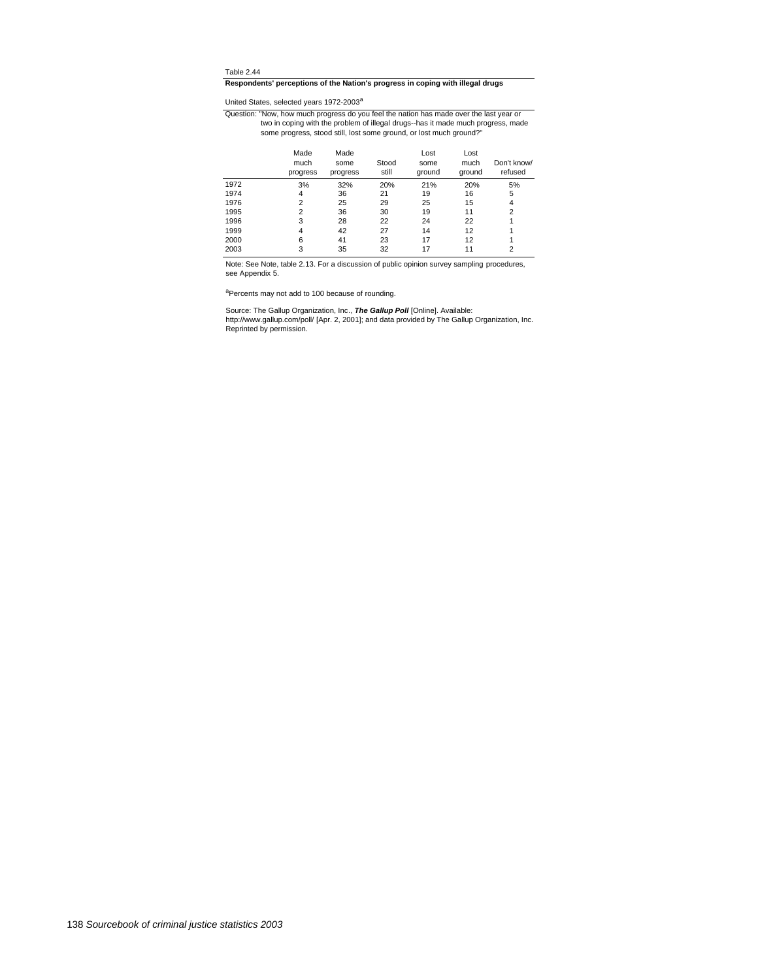# **Respondents' perceptions of the Nation's progress in coping with illegal drugs**

United States, selected years 1972-2003<sup>a</sup>

some progress, stood still, lost some ground, or lost much ground?" two in coping with the problem of illegal drugs--has it made much progress, made Question: "Now, how much progress do you feel the nation has made over the last year or

|      | Made<br>much<br>progress | Made<br>some<br>progress | Stood<br>still | Lost<br>some<br>ground | Lost<br>much<br>around | Don't know/<br>refused |
|------|--------------------------|--------------------------|----------------|------------------------|------------------------|------------------------|
| 1972 | 3%                       | 32%                      | 20%            | 21%                    | 20%                    | 5%                     |
| 1974 | 4                        | 36                       | 21             | 19                     | 16                     | 5                      |
| 1976 | $\overline{2}$           | 25                       | 29             | 25                     | 15                     | 4                      |
| 1995 | 2                        | 36                       | 30             | 19                     | 11                     | $\overline{2}$         |
| 1996 | 3                        | 28                       | 22             | 24                     | 22                     |                        |
| 1999 | 4                        | 42                       | 27             | 14                     | 12                     |                        |
| 2000 | 6                        | 41                       | 23             | 17                     | 12                     |                        |
| 2003 | 3                        | 35                       | 32             | 17                     | 11                     | 2                      |

Note: See Note, table 2.13. For a discussion of public opinion survey sampling procedures, see Appendix 5.

<sup>a</sup>Percents may not add to 100 because of rounding.

Source: The Gallup Organization, Inc., **The Gallup Poll** [Online]. Available: http://www.gallup.com/poll/ [Apr. 2, 2001]; and data provided by The Gallup Organization, Inc. Reprinted by permission.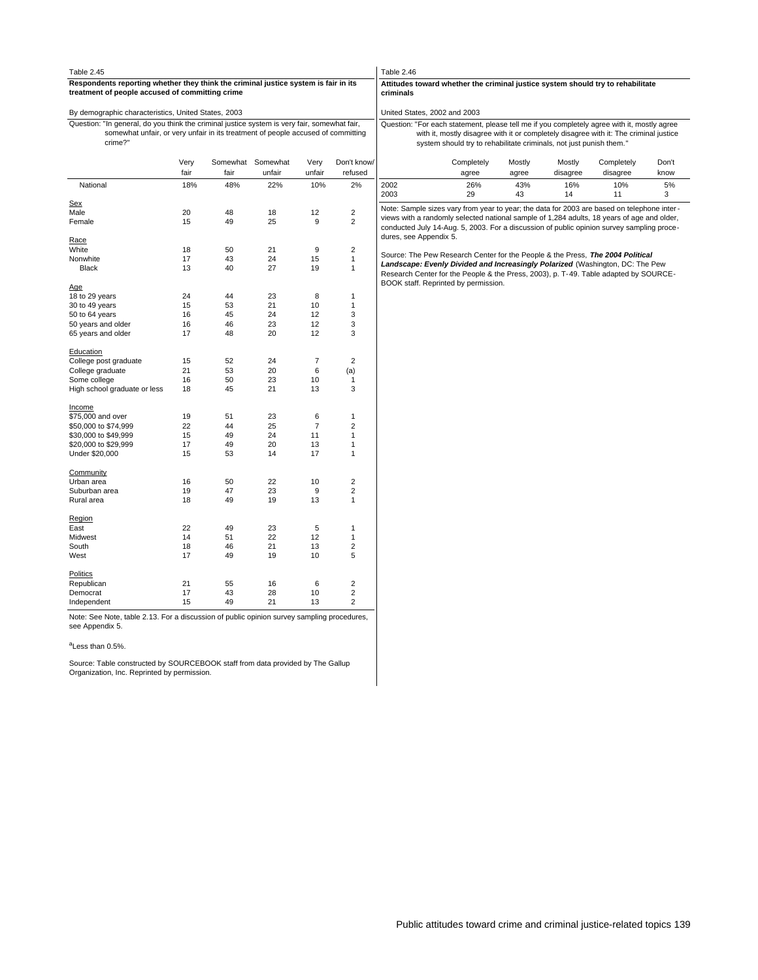| Table 2.45                                                                                                                             |                                                                                                                                                                                                                                                             |                   |          |                |                                | Table 2.46             |                                                                                              |                                      |           |           |                                                                                                                                                                                         |         |  |  |  |
|----------------------------------------------------------------------------------------------------------------------------------------|-------------------------------------------------------------------------------------------------------------------------------------------------------------------------------------------------------------------------------------------------------------|-------------------|----------|----------------|--------------------------------|------------------------|----------------------------------------------------------------------------------------------|--------------------------------------|-----------|-----------|-----------------------------------------------------------------------------------------------------------------------------------------------------------------------------------------|---------|--|--|--|
| Respondents reporting whether they think the criminal justice system is fair in its<br>treatment of people accused of committing crime |                                                                                                                                                                                                                                                             |                   |          |                |                                |                        | Attitudes toward whether the criminal justice system should try to rehabilitate<br>criminals |                                      |           |           |                                                                                                                                                                                         |         |  |  |  |
| By demographic characteristics, United States, 2003                                                                                    |                                                                                                                                                                                                                                                             |                   |          |                |                                |                        |                                                                                              | United States, 2002 and 2003         |           |           |                                                                                                                                                                                         |         |  |  |  |
| Question: "In general, do you think the criminal justice system is very fair, somewhat fair,                                           | Question: "For each statement, please tell me if you completely agree with it, mostly agree<br>with it, mostly disagree with it or completely disagree with it: The criminal justice<br>system should try to rehabilitate criminals, not just punish them." |                   |          |                |                                |                        |                                                                                              |                                      |           |           |                                                                                                                                                                                         |         |  |  |  |
| somewhat unfair, or very unfair in its treatment of people accused of committing<br>crime?"                                            |                                                                                                                                                                                                                                                             |                   |          |                |                                |                        |                                                                                              |                                      |           |           |                                                                                                                                                                                         |         |  |  |  |
|                                                                                                                                        | Very                                                                                                                                                                                                                                                        | Somewhat Somewhat |          | Very           | Don't know/                    |                        |                                                                                              | Completely                           | Mostly    | Mostly    | Completely                                                                                                                                                                              | Don't   |  |  |  |
|                                                                                                                                        | fair                                                                                                                                                                                                                                                        | fair              | unfair   | unfair         | refused                        |                        |                                                                                              | agree                                | agree     | disagree  | disagree                                                                                                                                                                                | know    |  |  |  |
| National                                                                                                                               | 18%                                                                                                                                                                                                                                                         | 48%               | 22%      | 10%            | 2%                             | 2002<br>2003           |                                                                                              | 26%<br>29                            | 43%<br>43 | 16%<br>14 | 10%<br>11                                                                                                                                                                               | 5%<br>3 |  |  |  |
| <u>Sex</u>                                                                                                                             |                                                                                                                                                                                                                                                             |                   |          |                |                                |                        |                                                                                              |                                      |           |           |                                                                                                                                                                                         |         |  |  |  |
| Male                                                                                                                                   | 20                                                                                                                                                                                                                                                          | 48                | 18       | 12             | $\overline{2}$                 |                        |                                                                                              |                                      |           |           | Note: Sample sizes vary from year to year; the data for 2003 are based on telephone inter-                                                                                              |         |  |  |  |
| Female                                                                                                                                 | 15                                                                                                                                                                                                                                                          | 49                | 25       | 9              | $\overline{2}$                 |                        |                                                                                              |                                      |           |           | views with a randomly selected national sample of 1,284 adults, 18 years of age and older,<br>conducted July 14-Aug. 5, 2003. For a discussion of public opinion survey sampling proce- |         |  |  |  |
|                                                                                                                                        |                                                                                                                                                                                                                                                             |                   |          |                |                                | dures, see Appendix 5. |                                                                                              |                                      |           |           |                                                                                                                                                                                         |         |  |  |  |
| <u>Race</u>                                                                                                                            |                                                                                                                                                                                                                                                             |                   |          |                |                                |                        |                                                                                              |                                      |           |           |                                                                                                                                                                                         |         |  |  |  |
| White                                                                                                                                  | 18<br>17                                                                                                                                                                                                                                                    | 50<br>43          | 21<br>24 | 9<br>15        | $\overline{2}$<br>$\mathbf{1}$ |                        |                                                                                              |                                      |           |           | Source: The Pew Research Center for the People & the Press, The 2004 Political                                                                                                          |         |  |  |  |
| Nonwhite<br><b>Black</b>                                                                                                               | 13                                                                                                                                                                                                                                                          | 40                | 27       | 19             | 1                              |                        |                                                                                              |                                      |           |           | Landscape: Evenly Divided and Increasingly Polarized (Washington, DC: The Pew                                                                                                           |         |  |  |  |
|                                                                                                                                        |                                                                                                                                                                                                                                                             |                   |          |                |                                |                        |                                                                                              |                                      |           |           | Research Center for the People & the Press, 2003), p. T-49. Table adapted by SOURCE-                                                                                                    |         |  |  |  |
| Age                                                                                                                                    |                                                                                                                                                                                                                                                             |                   |          |                |                                |                        |                                                                                              | BOOK staff. Reprinted by permission. |           |           |                                                                                                                                                                                         |         |  |  |  |
| 18 to 29 years                                                                                                                         | 24                                                                                                                                                                                                                                                          | 44                | 23       | 8              | 1                              |                        |                                                                                              |                                      |           |           |                                                                                                                                                                                         |         |  |  |  |
| 30 to 49 years                                                                                                                         | 15                                                                                                                                                                                                                                                          | 53                | 21       | 10             | 1                              |                        |                                                                                              |                                      |           |           |                                                                                                                                                                                         |         |  |  |  |
| 50 to 64 years                                                                                                                         | 16                                                                                                                                                                                                                                                          | 45                | 24       | 12             | 3                              |                        |                                                                                              |                                      |           |           |                                                                                                                                                                                         |         |  |  |  |
| 50 years and older                                                                                                                     | 16                                                                                                                                                                                                                                                          | 46                | 23       | 12             | 3                              |                        |                                                                                              |                                      |           |           |                                                                                                                                                                                         |         |  |  |  |
| 65 years and older                                                                                                                     | 17                                                                                                                                                                                                                                                          | 48                | 20       | 12             | 3                              |                        |                                                                                              |                                      |           |           |                                                                                                                                                                                         |         |  |  |  |
| <b>Education</b>                                                                                                                       |                                                                                                                                                                                                                                                             |                   |          |                |                                |                        |                                                                                              |                                      |           |           |                                                                                                                                                                                         |         |  |  |  |
| College post graduate                                                                                                                  | 15                                                                                                                                                                                                                                                          | 52                | 24       | 7              | $\overline{2}$                 |                        |                                                                                              |                                      |           |           |                                                                                                                                                                                         |         |  |  |  |
| College graduate                                                                                                                       | 21                                                                                                                                                                                                                                                          | 53                | 20       | 6              | (a)                            |                        |                                                                                              |                                      |           |           |                                                                                                                                                                                         |         |  |  |  |
| Some college                                                                                                                           | 16                                                                                                                                                                                                                                                          | 50                | 23       | 10             | 1                              |                        |                                                                                              |                                      |           |           |                                                                                                                                                                                         |         |  |  |  |
| High school graduate or less                                                                                                           | 18                                                                                                                                                                                                                                                          | 45                | 21       | 13             | 3                              |                        |                                                                                              |                                      |           |           |                                                                                                                                                                                         |         |  |  |  |
|                                                                                                                                        |                                                                                                                                                                                                                                                             |                   |          |                |                                |                        |                                                                                              |                                      |           |           |                                                                                                                                                                                         |         |  |  |  |
| <u>Income</u><br>\$75,000 and over                                                                                                     | 19                                                                                                                                                                                                                                                          | 51                | 23       | 6              | 1                              |                        |                                                                                              |                                      |           |           |                                                                                                                                                                                         |         |  |  |  |
| \$50,000 to \$74,999                                                                                                                   | 22                                                                                                                                                                                                                                                          | 44                | 25       | $\overline{7}$ | $\overline{2}$                 |                        |                                                                                              |                                      |           |           |                                                                                                                                                                                         |         |  |  |  |
| \$30,000 to \$49,999                                                                                                                   | 15                                                                                                                                                                                                                                                          | 49                | 24       | 11             | 1                              |                        |                                                                                              |                                      |           |           |                                                                                                                                                                                         |         |  |  |  |
| \$20,000 to \$29,999                                                                                                                   | 17                                                                                                                                                                                                                                                          | 49                | 20       | 13             | 1                              |                        |                                                                                              |                                      |           |           |                                                                                                                                                                                         |         |  |  |  |
| Under \$20,000                                                                                                                         | 15                                                                                                                                                                                                                                                          | 53                | 14       | 17             | 1                              |                        |                                                                                              |                                      |           |           |                                                                                                                                                                                         |         |  |  |  |
|                                                                                                                                        |                                                                                                                                                                                                                                                             |                   |          |                |                                |                        |                                                                                              |                                      |           |           |                                                                                                                                                                                         |         |  |  |  |
| Community                                                                                                                              |                                                                                                                                                                                                                                                             |                   |          |                |                                |                        |                                                                                              |                                      |           |           |                                                                                                                                                                                         |         |  |  |  |
| Urban area                                                                                                                             | 16                                                                                                                                                                                                                                                          | 50                | 22       | 10             | $\overline{\mathbf{c}}$        |                        |                                                                                              |                                      |           |           |                                                                                                                                                                                         |         |  |  |  |
| Suburban area                                                                                                                          | 19                                                                                                                                                                                                                                                          | 47                | 23       | 9              | $\overline{2}$                 |                        |                                                                                              |                                      |           |           |                                                                                                                                                                                         |         |  |  |  |
| Rural area                                                                                                                             | 18                                                                                                                                                                                                                                                          | 49                | 19       | 13             | 1                              |                        |                                                                                              |                                      |           |           |                                                                                                                                                                                         |         |  |  |  |
| Region                                                                                                                                 |                                                                                                                                                                                                                                                             |                   |          |                |                                |                        |                                                                                              |                                      |           |           |                                                                                                                                                                                         |         |  |  |  |
| East                                                                                                                                   | 22                                                                                                                                                                                                                                                          | 49                | 23       | $\sqrt{5}$     | 1                              |                        |                                                                                              |                                      |           |           |                                                                                                                                                                                         |         |  |  |  |
| Midwest                                                                                                                                | 14                                                                                                                                                                                                                                                          | 51                | 22       | 12             | 1                              |                        |                                                                                              |                                      |           |           |                                                                                                                                                                                         |         |  |  |  |
| South                                                                                                                                  | 18                                                                                                                                                                                                                                                          | 46                | 21       | 13             | $\overline{2}$                 |                        |                                                                                              |                                      |           |           |                                                                                                                                                                                         |         |  |  |  |
| West                                                                                                                                   | 17                                                                                                                                                                                                                                                          | 49                | 19       | 10             | 5                              |                        |                                                                                              |                                      |           |           |                                                                                                                                                                                         |         |  |  |  |
| Politics                                                                                                                               |                                                                                                                                                                                                                                                             |                   |          |                |                                |                        |                                                                                              |                                      |           |           |                                                                                                                                                                                         |         |  |  |  |
| Republican                                                                                                                             | 21                                                                                                                                                                                                                                                          | 55                | 16       | 6              | 2                              |                        |                                                                                              |                                      |           |           |                                                                                                                                                                                         |         |  |  |  |
| Democrat                                                                                                                               | 17                                                                                                                                                                                                                                                          | 43                | 28       | 10             | $\overline{2}$                 |                        |                                                                                              |                                      |           |           |                                                                                                                                                                                         |         |  |  |  |
| Independent                                                                                                                            | 15                                                                                                                                                                                                                                                          | 49                | 21       | 13             | $\overline{2}$                 |                        |                                                                                              |                                      |           |           |                                                                                                                                                                                         |         |  |  |  |

Note: See Note, table 2.13. For a discussion of public opinion survey sampling procedures, see Appendix 5.

<sup>a</sup>Less than 0.5%.

Source: Table constructed by SOURCEBOOK staff from data provided by The Gallup Organization, Inc. Reprinted by permission.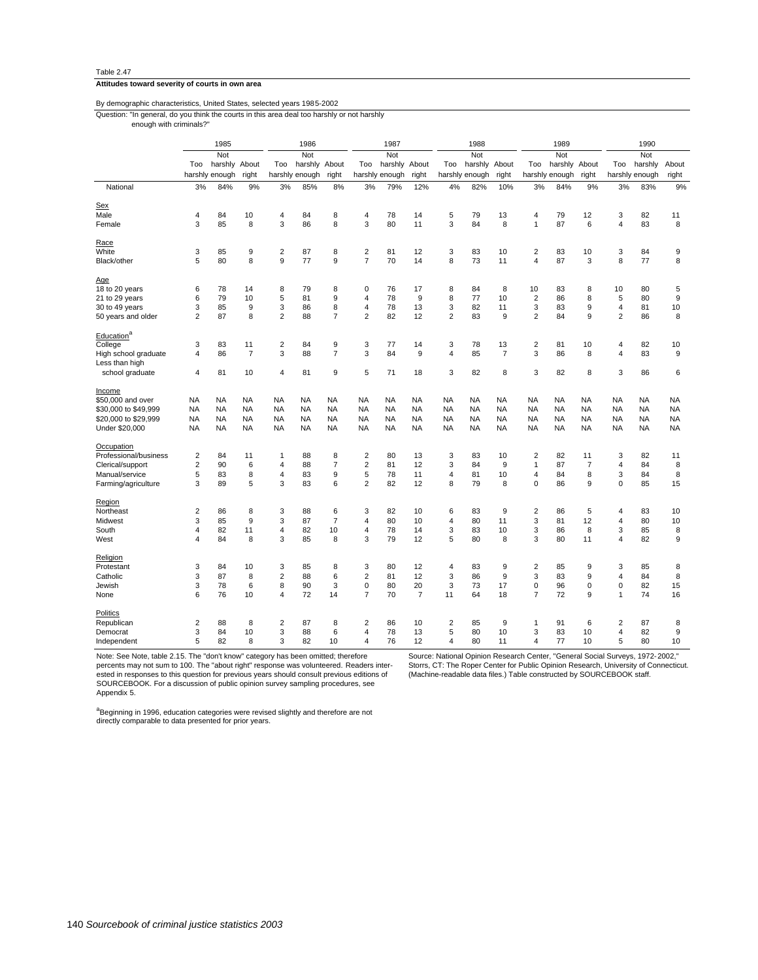#### **Attitudes toward severity of courts in own area**

By demographic characteristics, United States, selected years 1985-2002

Question: "In general, do you think the courts in this area deal too harshly or not harshly

enough with criminals?"

|                                        | 1985<br>Not    |                |                | 1986           |                | 1987           |                |                | 1988      |                         |                | 1989             |                |                | 1990           |                |                |                  |
|----------------------------------------|----------------|----------------|----------------|----------------|----------------|----------------|----------------|----------------|-----------|-------------------------|----------------|------------------|----------------|----------------|----------------|----------------|----------------|------------------|
|                                        |                |                | Not            |                | Not            |                | Not            |                |           | Not                     |                |                  | Not            |                |                |                |                |                  |
|                                        | Too            | harshly        | About          | Too            | harshly        | About          | Too            | harshly        | About     | Too                     | harshly        | About            | Too            | harshly        | About          | Too            | harshly        | About            |
|                                        |                | harshly enough | right          |                | harshly enough | right          |                | harshly enough | right     |                         | harshly enough | right            |                | harshly enough | right          |                | harshly enough | right            |
| National                               | 3%             | 84%            | 9%             | 3%             | 85%            | 8%             | 3%             | 79%            | 12%       | 4%                      | 82%            | 10%              | 3%             | 84%            | 9%             | 3%             | 83%            | 9%               |
| Sex                                    |                |                |                |                |                |                |                |                |           |                         |                |                  |                |                |                |                |                |                  |
| Male                                   | 4              | 84             | 10             | 4              | 84             | 8              | 4              | 78             | 14        | 5                       | 79             | 13               | 4              | 79             | 12             | 3              | 82             | 11               |
| Female                                 | 3              | 85             | 8              | 3              | 86             | 8              | 3              | 80             | 11        | 3                       | 84             | 8                | $\mathbf{1}$   | 87             | 6              | 4              | 83             | 8                |
| Race                                   |                |                |                |                |                |                |                |                |           |                         |                |                  |                |                |                |                |                |                  |
| White                                  | 3              | 85             | 9              | $\overline{2}$ | 87             | 8              | $\overline{2}$ | 81             | 12        | 3                       | 83             | 10               | $\overline{2}$ | 83             | 10             | 3              | 84             | 9                |
| Black/other                            | 5              | 80             | 8              | 9              | 77             | $\mathsf g$    | $\overline{7}$ | 70             | 14        | 8                       | 73             | 11               | $\overline{4}$ | 87             | 3              | 8              | 77             | 8                |
| Age                                    |                |                |                |                |                |                |                |                |           |                         |                |                  |                |                |                |                |                |                  |
| 18 to 20 years                         | 6              | 78             | 14             | 8              | 79             | 8              | 0              | 76             | 17        | 8                       | 84             | 8                | 10             | 83             | 8              | 10             | 80             | 5                |
| 21 to 29 years                         | 6              | 79             | 10             | 5              | 81             | 9              | 4              | 78             | 9         | 8                       | 77             | 10               | $\overline{2}$ | 86             | 8              | 5              | 80             | 9                |
| 30 to 49 years                         | 3              | 85             | 9              | 3              | 86             | 8              | 4              | 78             | 13        | 3                       | 82             | 11               | 3              | 83             | 9              | 4              | 81             | 10               |
| 50 years and older                     | $\overline{2}$ | 87             | 8              | 2              | 88             | $\overline{7}$ | $\overline{2}$ | 82             | 12        | $\overline{c}$          | 83             | 9                | $\overline{2}$ | 84             | 9              | $\overline{c}$ | 86             | 8                |
| Education <sup>a</sup>                 |                |                |                |                |                |                |                |                |           |                         |                |                  |                |                |                |                |                |                  |
| College                                | 3              | 83             | 11             | 2              | 84             | 9              | 3              | 77             | 14        | 3                       | 78             | 13               | $\overline{2}$ | 81             | 10             | 4              | 82             | 10               |
| High school graduate<br>Less than high | 4              | 86             | $\overline{7}$ | 3              | 88             | $\overline{7}$ | 3              | 84             | 9         | $\overline{4}$          | 85             | $\overline{7}$   | 3              | 86             | 8              | 4              | 83             | $\boldsymbol{9}$ |
| school graduate                        | $\overline{4}$ | 81             | 10             | 4              | 81             | 9              | 5              | 71             | 18        | 3                       | 82             | 8                | 3              | 82             | 8              | 3              | 86             | 6                |
| Income                                 |                |                |                |                |                |                |                |                |           |                         |                |                  |                |                |                |                |                |                  |
| \$50,000 and over                      | <b>NA</b>      | <b>NA</b>      | <b>NA</b>      | <b>NA</b>      | NA             | <b>NA</b>      | NA             | <b>NA</b>      | <b>NA</b> | <b>NA</b>               | <b>NA</b>      | <b>NA</b>        | <b>NA</b>      | <b>NA</b>      | <b>NA</b>      | NA             | NA             | <b>NA</b>        |
| \$30,000 to \$49,999                   | <b>NA</b>      | <b>NA</b>      | <b>NA</b>      | <b>NA</b>      | <b>NA</b>      | <b>NA</b>      | <b>NA</b>      | <b>NA</b>      | <b>NA</b> | <b>NA</b>               | <b>NA</b>      | <b>NA</b>        | <b>NA</b>      | <b>NA</b>      | <b>NA</b>      | <b>NA</b>      | <b>NA</b>      | <b>NA</b>        |
| \$20,000 to \$29,999                   | <b>NA</b>      | <b>NA</b>      | <b>NA</b>      | <b>NA</b>      | <b>NA</b>      | <b>NA</b>      | <b>NA</b>      | <b>NA</b>      | <b>NA</b> | <b>NA</b>               | <b>NA</b>      | <b>NA</b>        | <b>NA</b>      | <b>NA</b>      | <b>NA</b>      | <b>NA</b>      | <b>NA</b>      | <b>NA</b>        |
| Under \$20,000                         | <b>NA</b>      | <b>NA</b>      | <b>NA</b>      | <b>NA</b>      | NA             | <b>NA</b>      | NA             | <b>NA</b>      | <b>NA</b> | <b>NA</b>               | NA             | <b>NA</b>        | <b>NA</b>      | <b>NA</b>      | <b>NA</b>      | NA             | <b>NA</b>      | <b>NA</b>        |
| Occupation                             |                |                |                |                |                |                |                |                |           |                         |                |                  |                |                |                |                |                |                  |
| Professional/business                  | 2              | 84             | 11             | 1              | 88             | 8              | 2              | 80             | 13        | 3                       | 83             | 10               | 2              | 82             | 11             | 3              | 82             | 11               |
| Clerical/support                       | $\overline{2}$ | 90             | 6              | 4              | 88             | $\overline{7}$ | $\overline{2}$ | 81             | 12        | 3                       | 84             | $\boldsymbol{9}$ | 1              | 87             | $\overline{7}$ | 4              | 84             | 8                |
| Manual/service                         | 5              | 83             | 8              | 4              | 83             | 9              | 5              | 78             | 11        | 4                       | 81             | 10               | $\overline{4}$ | 84             | 8              | 3              | 84             | 8                |
| Farming/agriculture                    | 3              | 89             | 5              | 3              | 83             | 6              | $\overline{2}$ | 82             | 12        | 8                       | 79             | 8                | 0              | 86             | 9              | 0              | 85             | 15               |
|                                        |                |                |                |                |                |                |                |                |           |                         |                |                  |                |                |                |                |                |                  |
| Region                                 |                |                |                |                |                |                |                |                |           |                         |                |                  |                |                |                |                |                |                  |
| Northeast                              | $\overline{c}$ | 86             | 8              | 3              | 88             | 6              | 3              | 82             | 10        | 6                       | 83             | 9                | $\overline{2}$ | 86             | 5              | 4              | 83             | 10               |
| Midwest                                | 3              | 85             | 9              | 3              | 87             | $\overline{7}$ | 4              | 80             | 10        | $\sqrt{4}$              | 80             | 11               | 3              | 81             | 12             | 4              | 80             | 10               |
| South                                  | $\overline{4}$ | 82             | 11             | 4              | 82             | 10             | $\overline{4}$ | 78             | 14        | 3                       | 83             | 10               | 3              | 86             | 8              | 3              | 85             | 8                |
| West                                   | 4              | 84             | 8              | 3              | 85             | 8              | 3              | 79             | 12        | 5                       | 80             | 8                | 3              | 80             | 11             | 4              | 82             | 9                |
| Religion                               |                |                |                |                |                |                |                |                |           |                         |                |                  |                |                |                |                |                |                  |
| Protestant                             | 3              | 84             | 10             | 3              | 85             | 8              | 3              | 80             | 12        | 4                       | 83             | 9                | $\overline{2}$ | 85             | 9              | 3              | 85             | 8                |
| Catholic                               | 3              | 87             | 8              | 2              | 88             | 6              | $\overline{2}$ | 81             | 12        | 3                       | 86             | 9                | 3              | 83             | 9              | 4              | 84             | 8                |
| Jewish                                 | 3              | 78             | 6              | 8              | 90             | 3              | $\mathbf 0$    | 80             | 20        | 3                       | 73             | 17               | 0              | 96             | $\mathbf 0$    | 0              | 82             | 15               |
| None                                   | 6              | 76             | 10             | 4              | 72             | 14             | $\overline{7}$ | 70             | 7         | 11                      | 64             | 18               | $\overline{7}$ | 72             | 9              | $\mathbf{1}$   | 74             | 16               |
| Politics                               |                |                |                |                |                |                |                |                |           |                         |                |                  |                |                |                |                |                |                  |
| Republican                             | 2              | 88             | 8              | 2              | 87             | 8              | $\overline{2}$ | 86             | 10        | $\overline{\mathbf{c}}$ | 85             | 9                | 1              | 91             | 6              | $\overline{2}$ | 87             | 8                |
| Democrat                               | 3              | 84             | 10             | 3              | 88             | 6              | 4              | 78             | 13        | 5                       | 80             | 10               | 3              | 83             | 10             | 4              | 82             | 9                |
| Independent                            | 5              | 82             | 8              | 3              | 82             | 10             | $\overline{4}$ | 76             | 12        | $\overline{\mathbf{4}}$ | 80             | 11               | $\overline{4}$ | 77             | 10             | 5              | 80             | 10               |

Note: See Note, table 2.15. The "don't know" category has been omitted; therefore percents may not sum to 100. The "about right" response was volunteered. Readers interested in responses to this question for previous years should consult previous editions of SOURCEBOOK. For a discussion of public opinion survey sampling procedures, see Appendix 5.

Source: National Opinion Research Center, "General Social Surveys, 1972-2002,"<br>Storrs, CT: The Roper Center for Public Opinion Research, University of Connecticut.<br>(Machine-readable data files.) Table constructed by SOURCE

a<br>Beginning in 1996, education categories were revised slightly and therefore are not<br>directly comparable to data presented for prior years.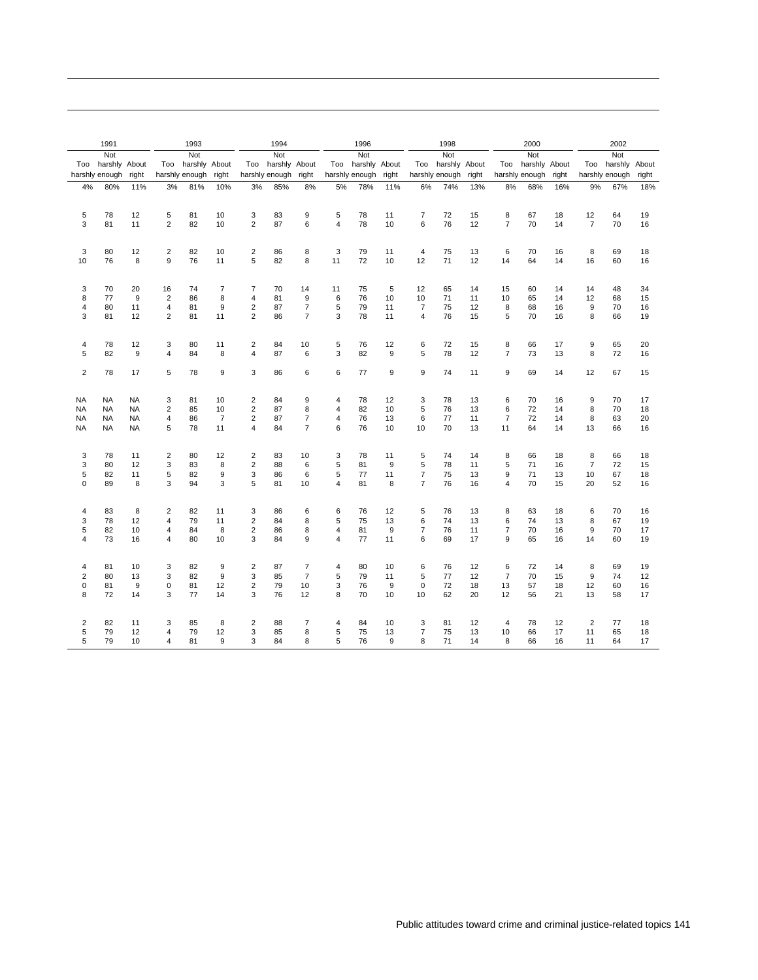|                 | 1991           |                  | 1993           |                |                | 1994                    |                |                | 1996           |               |       | 1998           |                |       | 2000           |                |       | 2002           |                |       |
|-----------------|----------------|------------------|----------------|----------------|----------------|-------------------------|----------------|----------------|----------------|---------------|-------|----------------|----------------|-------|----------------|----------------|-------|----------------|----------------|-------|
|                 | Not            |                  |                | Not            |                |                         | Not            |                |                | Not           |       |                | Not            |       |                | Not            |       |                | Not            |       |
| Too             | harshly About  |                  | Too            | harshly About  |                | Too                     | harshly About  |                | Too            | harshly About |       | Too            | harshly About  |       |                | Too harshly    | About | Too            | harshly About  |       |
|                 | harshly enough | right            |                | harshly enough | right          |                         | harshly enough | right          | harshly enough |               | right |                | harshly enough | right |                | harshly enough | right |                | harshly enough | right |
| 4%              | 80%            | 11%              | 3%             | 81%            | 10%            | 3%                      | 85%            | 8%             | 5%             | 78%           | 11%   | 6%             | 74%            | 13%   | 8%             | 68%            | 16%   | 9%             | 67%            | 18%   |
|                 |                |                  |                |                |                |                         |                |                |                |               |       |                |                |       |                |                |       |                |                |       |
|                 |                |                  |                |                |                |                         |                |                |                |               |       |                |                |       |                |                |       |                |                |       |
| 5               | 78             | 12               | 5              | 81             | 10             | 3                       | 83             | 9              | 5              | 78            | 11    | $\overline{7}$ | 72             | 15    | 8              | 67             | 18    | 12             | 64             | 19    |
| 3               | 81             | 11               | $\overline{2}$ | 82             | 10             | $\overline{2}$          | 87             | 6              | $\overline{4}$ | 78            | 10    | 6              | 76             | 12    | $\overline{7}$ | 70             | 14    | $\overline{7}$ | 70             | 16    |
|                 |                |                  |                |                |                |                         |                |                |                |               |       |                |                |       |                |                |       |                |                |       |
| 3               | 80             | 12               | $\overline{2}$ | 82             | 10             | $\overline{2}$          | 86             | 8              | 3              | 79            | 11    | $\overline{4}$ | 75             | 13    | 6              | 70             | 16    | 8              | 69             | 18    |
| 10              | 76             | 8                | 9              | 76             | 11             | 5                       | 82             | 8              | 11             | 72            | 10    | 12             | 71             | 12    | 14             | 64             | 14    | 16             | 60             | 16    |
|                 |                |                  |                |                |                |                         |                |                |                |               |       |                |                |       |                |                |       |                |                |       |
| 3               | 70             | 20               | 16             | 74             | $\overline{7}$ | $\overline{7}$          | 70             | 14             | 11             | 75            | 5     | 12             | 65             | 14    | 15             | 60             | 14    | 14             | 48             | 34    |
| 8               | 77             | 9                | $\overline{2}$ | 86             | 8              | 4                       | 81             | 9              | 6              | 76            | 10    | 10             | 71             | 11    | 10             | 65             | 14    | 12             | 68             | 15    |
| $\overline{4}$  | 80             | 11               | $\overline{4}$ | 81             | 9              | $\overline{2}$          | 87             | $\overline{7}$ | 5              | 79            | 11    | $\overline{7}$ | 75             | 12    | 8              | 68             | 16    | 9              | 70             | 16    |
| 3               | 81             | 12               | $\overline{2}$ | 81             | 11             | $\overline{2}$          | 86             | $\overline{7}$ | 3              | 78            | 11    | 4              | 76             | 15    | 5              | 70             | 16    | 8              | 66             | 19    |
|                 |                |                  |                |                |                |                         |                |                |                |               |       |                |                |       |                |                |       |                |                |       |
| $\overline{4}$  | 78             | 12               | 3              | 80             | 11             | $\overline{2}$          | 84             | 10             | 5              | 76            | 12    | 6              | 72             | 15    | 8              | 66             | 17    | 9              | 65             | 20    |
| 5               | 82             | $\boldsymbol{9}$ | $\overline{4}$ | 84             | 8              | 4                       | 87             | 6              | 3              | 82            | 9     | 5              | 78             | 12    | $\overline{7}$ | 73             | 13    | 8              | 72             | 16    |
|                 |                |                  |                |                |                |                         |                |                |                |               |       |                |                |       |                |                |       |                |                |       |
| $\overline{2}$  | 78             | 17               | 5              | 78             | 9              | 3                       | 86             | 6              | 6              | 77            | 9     | 9              | 74             | 11    | 9              | 69             | 14    | 12             | 67             | 15    |
|                 |                |                  |                |                |                |                         |                |                |                |               |       |                |                |       |                |                |       |                |                |       |
|                 |                | <b>NA</b>        | 3              | 81             | 10             |                         | 84             | 9              | 4              | 78            | 12    | 3              | 78             | 13    | 6              | 70             | 16    | 9              | 70             | 17    |
| NA<br><b>NA</b> | NA<br>NA       | <b>NA</b>        | $\overline{2}$ | 85             | 10             | 2<br>$\sqrt{2}$         | 87             | 8              | 4              | 82            | 10    | 5              | 76             | 13    | 6              | 72             | 14    | 8              | 70             | 18    |
| <b>NA</b>       | <b>NA</b>      | <b>NA</b>        | 4              | 86             | $\overline{7}$ | $\overline{2}$          | 87             | $\overline{7}$ | $\overline{4}$ | 76            | 13    | 6              | 77             | 11    | $\overline{7}$ | 72             | 14    | 8              | 63             | 20    |
| NA              |                | <b>NA</b>        | 5              | 78             | 11             | 4                       | 84             | $\overline{7}$ | 6              | 76            | 10    | 10             | 70             | 13    | 11             | 64             | 14    | 13             | 66             | 16    |
|                 | NA             |                  |                |                |                |                         |                |                |                |               |       |                |                |       |                |                |       |                |                |       |
| 3               | 78             | 11               | $\overline{2}$ | 80             | 12             | $\overline{2}$          | 83             | 10             | 3              | 78            | 11    | 5              | 74             | 14    | 8              | 66             | 18    | 8              | 66             | 18    |
| 3               | 80             | 12               | 3              | 83             | 8              | $\overline{c}$          | 88             | 6              | 5              | 81            | 9     | 5              | 78             | 11    | 5              | 71             | 16    | $\overline{7}$ | 72             | 15    |
| 5               | 82             | 11               | 5              | 82             | 9              | 3                       | 86             | 6              | 5              | 77            | 11    | $\overline{7}$ | 75             | 13    | 9              | 71             | 13    | 10             | 67             | 18    |
| 0               | 89             | 8                | 3              | 94             | 3              | 5                       | 81             | 10             | $\overline{4}$ | 81            | 8     | $\overline{7}$ | 76             | 16    | $\overline{4}$ | 70             | 15    | 20             | 52             | 16    |
|                 |                |                  |                |                |                |                         |                |                |                |               |       |                |                |       |                |                |       |                |                |       |
| 4               | 83             | 8                | 2              | 82             | 11             | 3                       | 86             | 6              | 6              | 76            | 12    | 5              | 76             | 13    | 8              | 63             | 18    | 6              | 70             | 16    |
| 3               | 78             | 12               | 4              | 79             | 11             | $\overline{\mathbf{c}}$ | 84             | 8              | 5              | 75            | 13    | 6              | 74             | 13    | 6              | 74             | 13    | 8              | 67             | 19    |
| 5               | 82             | 10               | $\overline{4}$ | 84             | 8              | $\overline{2}$          | 86             | 8              | $\overline{4}$ | 81            | 9     | $\overline{7}$ | 76             | 11    | $\overline{7}$ | 70             | 16    | 9              | 70             | 17    |
| 4               | 73             | 16               | 4              | 80             | 10             | 3                       | 84             | 9              | $\overline{4}$ | 77            | 11    | 6              | 69             | 17    | 9              | 65             | 16    | 14             | 60             | 19    |
|                 |                |                  |                |                |                |                         |                |                |                |               |       |                |                |       |                |                |       |                |                |       |
| 4               | 81             | 10               | 3              | 82             | 9              | $\overline{2}$          | 87             | $\overline{7}$ | 4              | 80            | 10    | 6              | 76             | 12    | 6              | 72             | 14    | 8              | 69             | 19    |
| $\overline{2}$  | 80             | 13               | 3              | 82             | 9              | 3                       | 85             | $\overline{7}$ | 5              | 79            | 11    | 5              | 77             | 12    | 7              | 70             | 15    | 9              | 74             | 12    |
| 0               | 81             | 9                | 0              | 81             | 12             | $\overline{2}$          | 79             | 10             | 3              | 76            | 9     | $\mathbf 0$    | 72             | 18    | 13             | 57             | 18    | 12             | 60             | 16    |
| 8               | 72             | 14               | 3              | 77             | 14             | 3                       | 76             | 12             | 8              | 70            | 10    | 10             | 62             | 20    | 12             | 56             | 21    | 13             | 58             | 17    |
|                 |                |                  |                |                |                |                         |                |                |                |               |       |                |                |       |                |                |       |                |                |       |
| 2               | 82             | 11               | 3              | 85             | 8              | $\overline{2}$          | 88             | 7              | 4              | 84            | 10    | 3              | 81             | 12    | 4              | 78             | 12    | $\overline{2}$ | 77             | 18    |
| 5               | 79             | 12               | 4              | 79             | 12             | 3                       | 85             | 8              | 5              | 75            | 13    | $\overline{7}$ | 75             | 13    | 10             | 66             | 17    | 11             | 65             | 18    |
| 5               | 79             | 10               | 4              | 81             | 9              | 3                       | 84             | 8              | 5              | 76            | 9     | 8              | 71             | 14    | 8              | 66             | 16    | 11             | 64             | 17    |
|                 |                |                  |                |                |                |                         |                |                |                |               |       |                |                |       |                |                |       |                |                |       |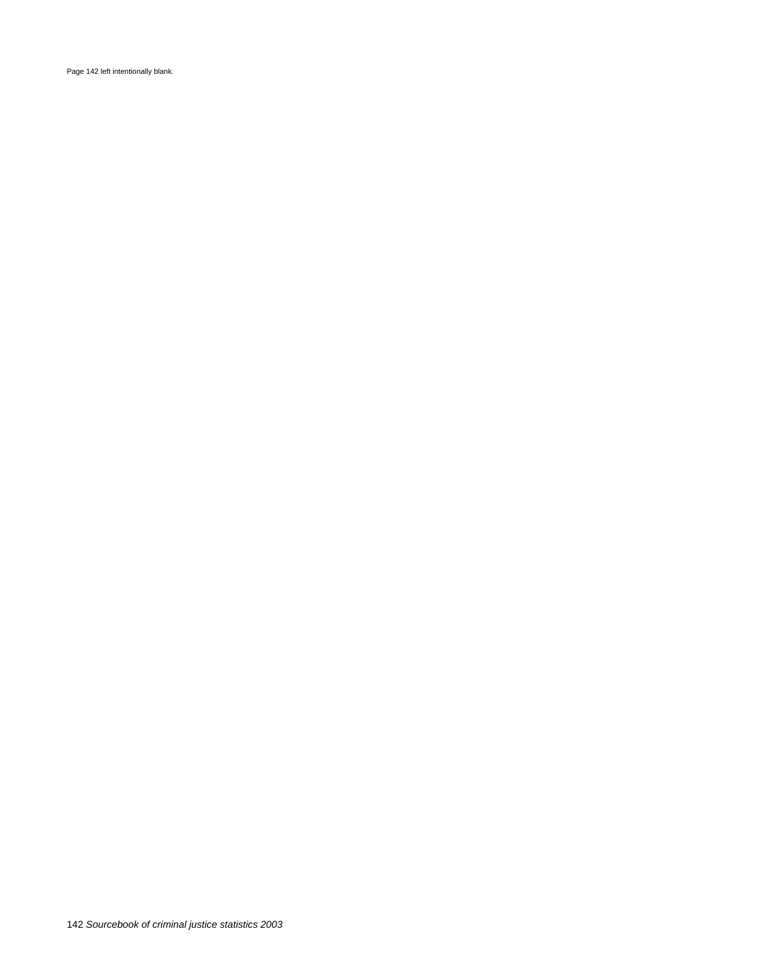Page 142 left intentionally blank.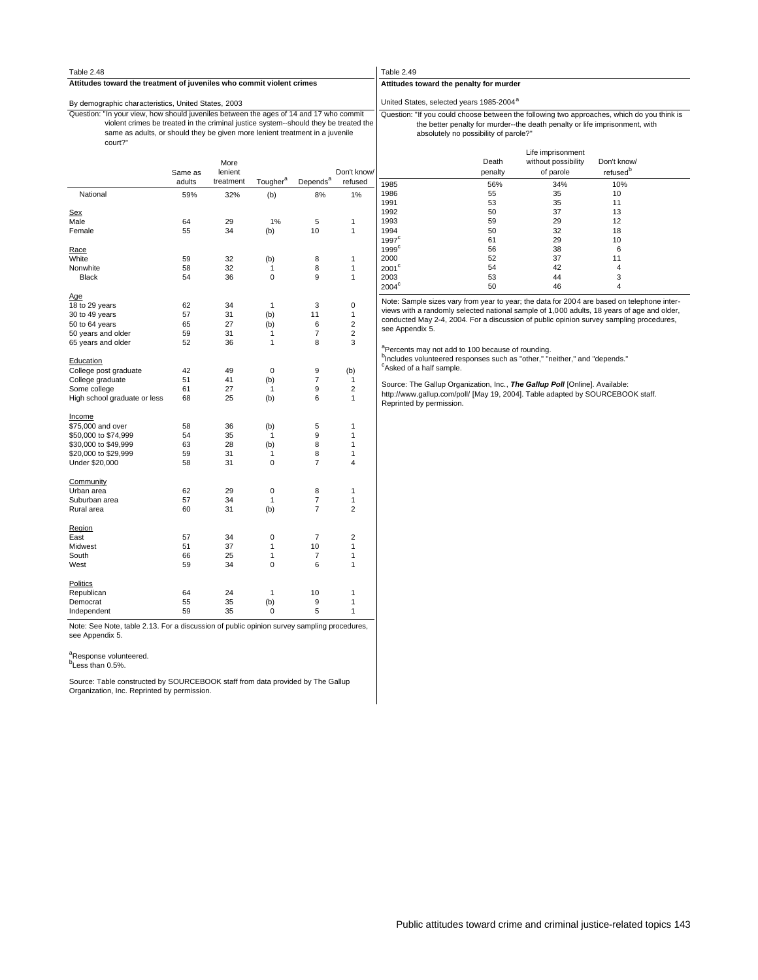| Table 2.48                                                                                                                                                                                                                                                                |         |                 |                      |                      |                         | Table 2.49                           |                                                               |                                                                                                                                                                           |                                     |  |
|---------------------------------------------------------------------------------------------------------------------------------------------------------------------------------------------------------------------------------------------------------------------------|---------|-----------------|----------------------|----------------------|-------------------------|--------------------------------------|---------------------------------------------------------------|---------------------------------------------------------------------------------------------------------------------------------------------------------------------------|-------------------------------------|--|
| Attitudes toward the treatment of juveniles who commit violent crimes                                                                                                                                                                                                     |         |                 |                      |                      |                         |                                      | Attitudes toward the penalty for murder                       |                                                                                                                                                                           |                                     |  |
| By demographic characteristics, United States, 2003                                                                                                                                                                                                                       |         |                 |                      |                      |                         |                                      | United States, selected years 1985-2004 <sup>a</sup>          |                                                                                                                                                                           |                                     |  |
| Question: "In your view, how should juveniles between the ages of 14 and 17 who commit<br>violent crimes be treated in the criminal justice system--should they be treated the<br>same as adults, or should they be given more lenient treatment in a juvenile<br>court?" |         |                 |                      |                      |                         |                                      | absolutely no possibility of parole?"                         | Question: "If you could choose between the following two approaches, which do you think is<br>the better penalty for murder--the death penalty or life imprisonment, with |                                     |  |
|                                                                                                                                                                                                                                                                           | Same as | More<br>lenient |                      |                      | Don't know              |                                      | Death<br>penalty                                              | Life imprisonment<br>without possibility<br>of parole                                                                                                                     | Don't know/<br>refused <sup>p</sup> |  |
|                                                                                                                                                                                                                                                                           | adults  | treatment       | Tougher <sup>a</sup> | Depends <sup>a</sup> | refused                 | 1985                                 | 56%                                                           | 34%                                                                                                                                                                       | 10%                                 |  |
| National                                                                                                                                                                                                                                                                  | 59%     | 32%             | (b)                  | 8%                   | 1%                      | 1986<br>1991                         | 55<br>53                                                      | 35<br>35                                                                                                                                                                  | 10<br>11                            |  |
| Sex                                                                                                                                                                                                                                                                       |         |                 |                      |                      |                         | 1992                                 | 50                                                            | 37                                                                                                                                                                        | 13                                  |  |
| Male                                                                                                                                                                                                                                                                      | 64      | 29              | 1%                   | 5                    | $\mathbf{1}$            | 1993                                 | 59                                                            | 29                                                                                                                                                                        | 12                                  |  |
| Female                                                                                                                                                                                                                                                                    | 55      | 34              | (b)                  | 10                   | $\mathbf{1}$            | 1994                                 | 50                                                            | 32                                                                                                                                                                        | 18                                  |  |
|                                                                                                                                                                                                                                                                           |         |                 |                      |                      |                         | 1997 <sup>c</sup>                    | 61                                                            | 29                                                                                                                                                                        | 10                                  |  |
| Race                                                                                                                                                                                                                                                                      |         |                 |                      |                      |                         | 1999 <sup>c</sup>                    | 56                                                            | 38                                                                                                                                                                        | 6                                   |  |
| White                                                                                                                                                                                                                                                                     | 59      | 32              | (b)                  | 8                    | $\mathbf{1}$            | 2000                                 | 52                                                            | 37                                                                                                                                                                        | 11                                  |  |
| Nonwhite                                                                                                                                                                                                                                                                  | 58      | 32              | $\mathbf{1}$         | 8                    | $\mathbf{1}$            | $2001^{\circ}$                       | 54                                                            | 42                                                                                                                                                                        | $\overline{4}$                      |  |
| <b>Black</b>                                                                                                                                                                                                                                                              | 54      | 36              | $\mathbf 0$          | 9                    | $\mathbf{1}$            | 2003                                 | 53                                                            | 44                                                                                                                                                                        | 3                                   |  |
|                                                                                                                                                                                                                                                                           |         |                 |                      |                      |                         | $2004^{\circ}$                       | 50                                                            | 46                                                                                                                                                                        | 4                                   |  |
| Age                                                                                                                                                                                                                                                                       |         |                 |                      |                      |                         |                                      |                                                               |                                                                                                                                                                           |                                     |  |
| 18 to 29 years                                                                                                                                                                                                                                                            | 62      | 34              | $\mathbf{1}$         | 3                    | $\pmb{0}$               |                                      |                                                               | Note: Sample sizes vary from year to year; the data for 2004 are based on telephone inter-                                                                                |                                     |  |
| 30 to 49 years                                                                                                                                                                                                                                                            | 57      | 31              | (b)                  | 11                   | $\mathbf{1}$            |                                      |                                                               | views with a randomly selected national sample of 1,000 adults, 18 years of age and older,                                                                                |                                     |  |
| 50 to 64 years                                                                                                                                                                                                                                                            | 65      | 27              | (b)                  | 6                    | $\overline{c}$          |                                      |                                                               | conducted May 2-4, 2004. For a discussion of public opinion survey sampling procedures,                                                                                   |                                     |  |
| 50 years and older                                                                                                                                                                                                                                                        | 59      | 31              | $\mathbf{1}$         | $\overline{7}$       | $\overline{c}$          | see Appendix 5.                      |                                                               |                                                                                                                                                                           |                                     |  |
|                                                                                                                                                                                                                                                                           |         | 36              |                      | 8                    | 3                       |                                      |                                                               |                                                                                                                                                                           |                                     |  |
| 65 years and older                                                                                                                                                                                                                                                        | 52      |                 | $\mathbf{1}$         |                      |                         |                                      | <sup>a</sup> Percents may not add to 100 because of rounding. | <sup>b</sup> Includes volunteered responses such as "other," "neither," and "depends."                                                                                    |                                     |  |
| Education                                                                                                                                                                                                                                                                 |         |                 |                      |                      |                         | <sup>c</sup> Asked of a half sample. |                                                               |                                                                                                                                                                           |                                     |  |
| College post graduate                                                                                                                                                                                                                                                     | 42      | 49              | $\mathbf 0$          | 9                    | (b)                     |                                      |                                                               |                                                                                                                                                                           |                                     |  |
| College graduate                                                                                                                                                                                                                                                          | 51      | 41              | (b)                  | $\overline{7}$       | $\mathbf{1}$            |                                      |                                                               | Source: The Gallup Organization, Inc., The Gallup Poll [Online]. Available:                                                                                               |                                     |  |
| Some college                                                                                                                                                                                                                                                              | 61      | 27              | $\mathbf{1}$         | 9                    | $\overline{c}$          |                                      |                                                               | http://www.gallup.com/poll/ [May 19, 2004]. Table adapted by SOURCEBOOK staff.                                                                                            |                                     |  |
| High school graduate or less                                                                                                                                                                                                                                              | 68      | 25              | (b)                  | 6                    | $\mathbf{1}$            | Reprinted by permission.             |                                                               |                                                                                                                                                                           |                                     |  |
| <b>Income</b>                                                                                                                                                                                                                                                             |         |                 |                      |                      |                         |                                      |                                                               |                                                                                                                                                                           |                                     |  |
| \$75,000 and over                                                                                                                                                                                                                                                         | 58      | 36              | (b)                  | 5                    | $\mathbf{1}$            |                                      |                                                               |                                                                                                                                                                           |                                     |  |
| \$50,000 to \$74,999                                                                                                                                                                                                                                                      | 54      | 35              | $\mathbf{1}$         | 9                    | $\mathbf{1}$            |                                      |                                                               |                                                                                                                                                                           |                                     |  |
| \$30,000 to \$49,999                                                                                                                                                                                                                                                      | 63      | 28              | (b)                  | 8                    | $\mathbf{1}$            |                                      |                                                               |                                                                                                                                                                           |                                     |  |
| \$20,000 to \$29,999                                                                                                                                                                                                                                                      | 59      | 31              | $\mathbf{1}$         | 8                    | $\mathbf{1}$            |                                      |                                                               |                                                                                                                                                                           |                                     |  |
| Under \$20,000                                                                                                                                                                                                                                                            | 58      | 31              | $\pmb{0}$            | $\overline{7}$       | $\overline{\mathbf{4}}$ |                                      |                                                               |                                                                                                                                                                           |                                     |  |
| Community                                                                                                                                                                                                                                                                 |         |                 |                      |                      |                         |                                      |                                                               |                                                                                                                                                                           |                                     |  |
| Urban area                                                                                                                                                                                                                                                                | 62      | 29              | $\pmb{0}$            | 8                    | 1                       |                                      |                                                               |                                                                                                                                                                           |                                     |  |
| Suburban area                                                                                                                                                                                                                                                             | 57      | 34              | $\mathbf{1}$         | $\overline{7}$       | $\mathbf{1}$            |                                      |                                                               |                                                                                                                                                                           |                                     |  |
| Rural area                                                                                                                                                                                                                                                                | 60      | 31              | (b)                  | $\overline{7}$       | $\overline{2}$          |                                      |                                                               |                                                                                                                                                                           |                                     |  |
| Region                                                                                                                                                                                                                                                                    |         |                 |                      |                      |                         |                                      |                                                               |                                                                                                                                                                           |                                     |  |
| East                                                                                                                                                                                                                                                                      | 57      | 34              | $\mathbf 0$          | $\overline{7}$       | $\overline{2}$          |                                      |                                                               |                                                                                                                                                                           |                                     |  |
| Midwest                                                                                                                                                                                                                                                                   | 51      | 37              | $\mathbf{1}$         | 10                   | $\mathbf{1}$            |                                      |                                                               |                                                                                                                                                                           |                                     |  |
| South                                                                                                                                                                                                                                                                     | 66      | 25              | $\mathbf{1}$         | 7                    | 1                       |                                      |                                                               |                                                                                                                                                                           |                                     |  |
| West                                                                                                                                                                                                                                                                      | 59      | 34              | 0                    | 6                    | 1                       |                                      |                                                               |                                                                                                                                                                           |                                     |  |
| <b>Politics</b>                                                                                                                                                                                                                                                           |         |                 |                      |                      |                         |                                      |                                                               |                                                                                                                                                                           |                                     |  |
| Republican                                                                                                                                                                                                                                                                | 64      | 24              | $\mathbf{1}$         | 10                   | 1                       |                                      |                                                               |                                                                                                                                                                           |                                     |  |
| Democrat                                                                                                                                                                                                                                                                  | 55      | 35              | (b)                  | 9                    | $\mathbf{1}$            |                                      |                                                               |                                                                                                                                                                           |                                     |  |
| Independent                                                                                                                                                                                                                                                               | 59      | 35              | $\mathbf 0$          | 5                    | $\mathbf{1}$            |                                      |                                                               |                                                                                                                                                                           |                                     |  |
| $1 - 1 - 0.40$<br>$\mathbf{r}$                                                                                                                                                                                                                                            |         |                 |                      |                      |                         |                                      |                                                               |                                                                                                                                                                           |                                     |  |

Note: See Note, table 2.13. For a discussion of public opinion survey sampling procedures, see Appendix 5.

<sup>a</sup>Response volunteered.<br><sup>b</sup>Less than 0.5%.

Source: Table constructed by SOURCEBOOK staff from data provided by The Gallup Organization, Inc. Reprinted by permission.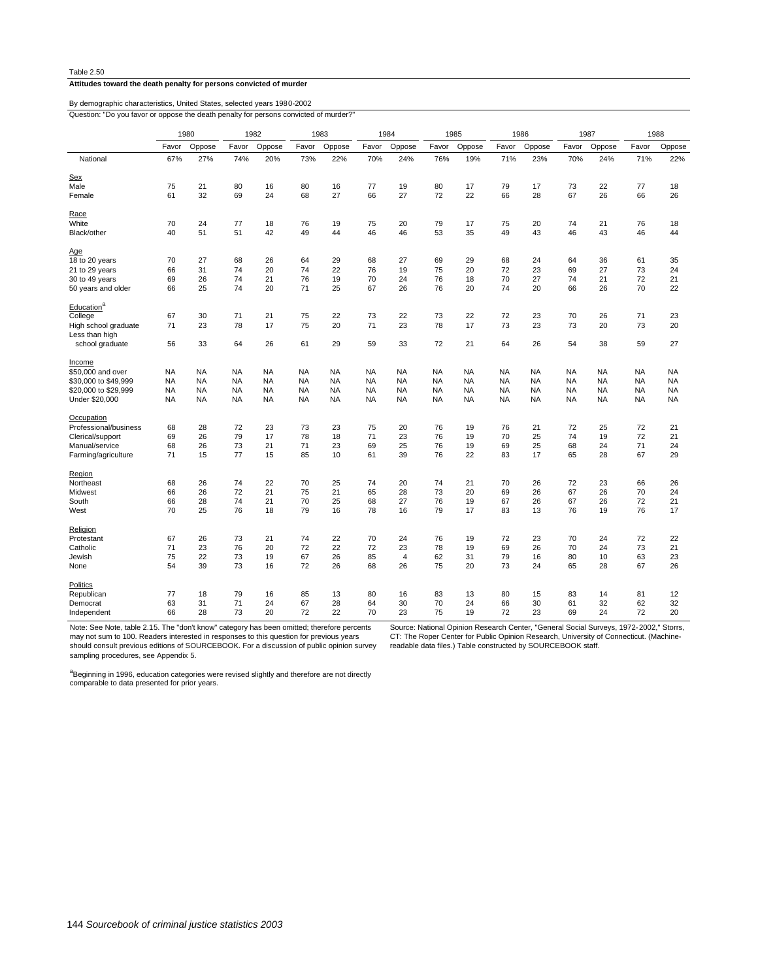#### **Attitudes toward the death penalty for persons convicted of murder**

Question: "Do you favor or oppose the death penalty for persons convicted of murder? By demographic characteristics, United States, selected years 1980-2002

Independent 66 28 73 20 72 22 70 23 75 19 72 23 69 24 72 20 Democrat 63 31 71 24 67 28 64 30 70 24 66 30 61 32 62 32 Republican 77 18 79 16 85 13 80 16 83 13 80 15 83 14 81 12 Politics<br>Republican None 54 39 73 16 72 26 68 26 75 20 73 24 65 28 67 26 Jewish 75 22 73 19 67 26 85 4 62 31 79 16 80 10 63 23 Catholic 71 23 76 20 72 22 72 23 78 19 69 26 70 24 73 21 Protestant 67 26 73 21 74 22 70 24 76 19 72 23 70 24 72 22 **Religion**<br>Protestant West 70 25 76 18 79 16 78 16 79 17 83 13 76 19 76 17 South 66 28 74 21 70 25 68 27 76 19 67 26 67 26 72 21 Midwest 66 26 72 21 75 21 65 28 73 20 69 26 67 26 70 24 Northeast 68 26 74 22 70 25 74 20 74 21 70 26 72 23 66 26 Region<br>Northeast Farming/agriculture 71 15 77 15 85 10 61 39 76 22 83 17 65 28 67 29 Manual/service 68 26 73 21 71 23 69 25 76 19 69 25 68 24 71 24 Clerical/support 69 26 79 17 78 18 71 23 76 19 70 25 74 19 72 21 Professional/business 68 28 72 23 73 23 75 20 76 19 76 21 72 25 72 21 **Occupation** Under \$20,000 NA NA NA NA NA NA NA NA NA NA NA NA NA NA NA NA \$20,000 to \$29,999 NA NA NA NA NA NA NA NA NA NA NA NA NA NA NA NA \$30,000 to \$49,999 NA NA NA NA NA NA NA NA NA NA NA NA NA NA NA NA \$50,000 and over NA NA NA NA NA NA NA NA NA NA NA NA NA NA NA NA Income school graduate 56 33 64 26 61 29 59 33 72 21 64 26 54 38 59 27 Less than high<br>school graduate High school graduate 71 23 78 17 75 20 71 23 78 17 73 23 73 20 73 20 College 67 30 71 21 75 22 73 22 73 22 72 23 70 26 71 23 Education® 50 years and older 66 25 74 20 71 25 67 26 76 20 74 20 66 26 70 22 30 to 49 years 69 26 74 21 76 19 70 24 76 18 70 27 74 21 72 21 21 to 29 years 66 31 74 20 74 22 76 19 75 20 72 23 69 27 73 24 18 to 20 years 70 27 68 26 64 29 68 27 69 29 68 24 64 36 61 35 Age<br>18 to 20 years Black/other 40 51 51 42 49 44 46 46 53 35 49 43 46 43 46 44 White 70 24 77 18 76 19 75 20 79 17 75 20 74 21 76 18 Race Female 61 32 69 24 68 27 66 27 72 22 66 28 67 26 66 26 Male 75 21 80 16 80 16 77 19 80 17 79 17 73 22 77 18 Sex<br>Male National 67% 27% 74% 20% 73% 22% 70% 24% 76% 19% 71% 23% 70% 24% 71% 22% Favor Oppose Favor Oppose Favor Oppose Favor Oppose Favor Oppose Favor Oppose Favor Oppose Favor Oppose 1980 1982 1983 1984 1985 1986 1987 1988

Note: See Note, table 2.15. The "don't know" category has been omitted; therefore percents

may not sum to 100. Readers interested in responses to this question for previous years should consult previous editions of SOURCEBOOK. For a discussion of public opinion survey sampling procedures, see Appendix 5.

Source: National Opinion Research Center, "General Social Surveys, 1972-2002," Storrs, CT: The Roper Center for Public Opinion Research, University of Connecticut. (Machinereadable data files.) Table constructed by SOURCEBOOK staff.

<sup>a</sup>Beginning in 1996, education categories were revised slightly and therefore are not directly comparable to data presented for prior years.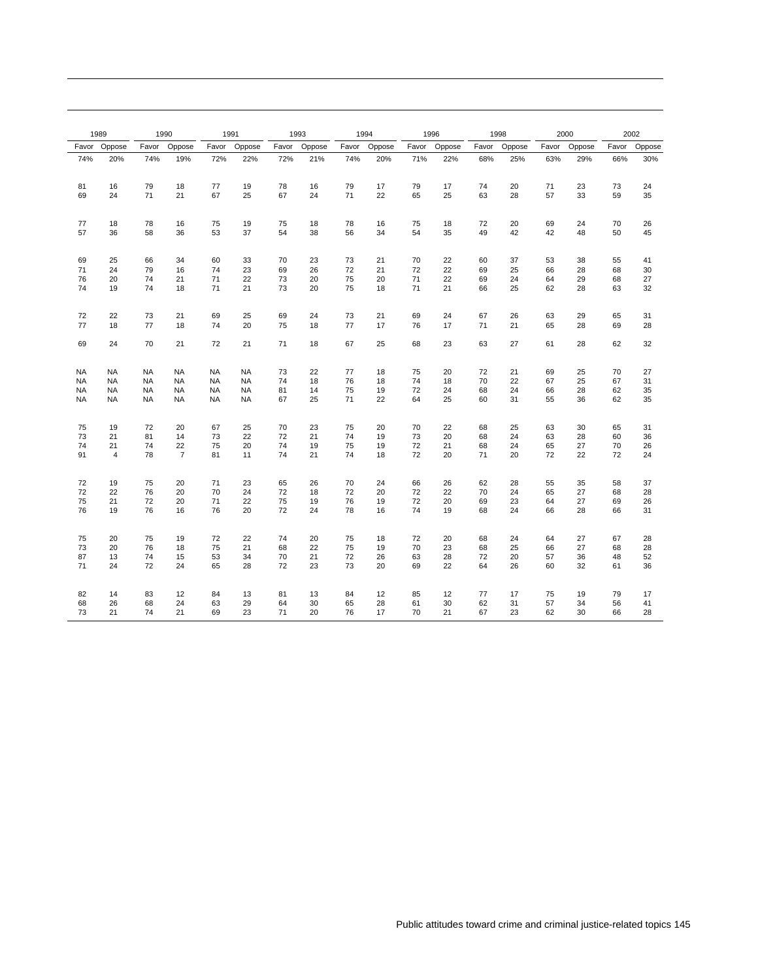|           | 1989           | 1990      |                |           | 1991      |       | 1993   | 1994  |        |       | 1996   |       | 1998   |       | 2000   |       | 2002   |
|-----------|----------------|-----------|----------------|-----------|-----------|-------|--------|-------|--------|-------|--------|-------|--------|-------|--------|-------|--------|
| Favor     | Oppose         | Favor     | Oppose         | Favor     | Oppose    | Favor | Oppose | Favor | Oppose | Favor | Oppose | Favor | Oppose | Favor | Oppose | Favor | Oppose |
| 74%       | 20%            | 74%       | 19%            | 72%       | 22%       | 72%   | 21%    | 74%   | 20%    | 71%   | 22%    | 68%   | 25%    | 63%   | 29%    | 66%   | 30%    |
| 81        | 16             | 79        | 18             | 77        | 19        | 78    | 16     | 79    | 17     | 79    | 17     | 74    | 20     | 71    | 23     | 73    | 24     |
| 69        | 24             | 71        | 21             | 67        | 25        | 67    | 24     | 71    | 22     | 65    | 25     | 63    | 28     | 57    | 33     | 59    | 35     |
| 77        | 18             | 78        | 16             | 75        | 19        | 75    | 18     | 78    | 16     | 75    | 18     | 72    | 20     | 69    | 24     | 70    | 26     |
| 57        | 36             | 58        | 36             | 53        | 37        | 54    | 38     | 56    | 34     | 54    | 35     | 49    | 42     | 42    | 48     | 50    | 45     |
| 69        | 25             | 66        | 34             | 60        | 33        | 70    | 23     | 73    | 21     | 70    | 22     | 60    | 37     | 53    | 38     | 55    | 41     |
| 71        | 24             | 79        | 16             | 74        | 23        | 69    | 26     | 72    | 21     | 72    | 22     | 69    | 25     | 66    | 28     | 68    | 30     |
| 76        | 20             | 74        | 21             | 71        | 22        | 73    | 20     | 75    | 20     | 71    | 22     | 69    | 24     | 64    | 29     | 68    | 27     |
| 74        | 19             | 74        | 18             | 71        | 21        | 73    | 20     | 75    | 18     | 71    | 21     | 66    | 25     | 62    | 28     | 63    | 32     |
| 72        | 22             | 73        | 21             | 69        | 25        | 69    | 24     | 73    | 21     | 69    | 24     | 67    | 26     | 63    | 29     | 65    | 31     |
| 77        | 18             | 77        | 18             | 74        | 20        | 75    | 18     | 77    | 17     | 76    | 17     | 71    | 21     | 65    | 28     | 69    | 28     |
| 69        | 24             | 70        | 21             | 72        | 21        | 71    | 18     | 67    | 25     | 68    | 23     | 63    | 27     | 61    | 28     | 62    | 32     |
| <b>NA</b> | <b>NA</b>      | <b>NA</b> | <b>NA</b>      | <b>NA</b> | <b>NA</b> | 73    | 22     | 77    | 18     | 75    | 20     | 72    | 21     | 69    | 25     | 70    | 27     |
| <b>NA</b> | <b>NA</b>      | <b>NA</b> | <b>NA</b>      | <b>NA</b> | <b>NA</b> | 74    | 18     | 76    | 18     | 74    | 18     | 70    | 22     | 67    | 25     | 67    | 31     |
| <b>NA</b> | <b>NA</b>      | <b>NA</b> | <b>NA</b>      | <b>NA</b> | <b>NA</b> | 81    | 14     | 75    | 19     | 72    | 24     | 68    | 24     | 66    | 28     | 62    | 35     |
| <b>NA</b> | <b>NA</b>      | <b>NA</b> | <b>NA</b>      | <b>NA</b> | <b>NA</b> | 67    | 25     | 71    | 22     | 64    | 25     | 60    | 31     | 55    | 36     | 62    | 35     |
| 75        | 19             | 72        | 20             | 67        | 25        | 70    | 23     | 75    | 20     | 70    | 22     | 68    | 25     | 63    | 30     | 65    | 31     |
| 73        | 21             | 81        | 14             | 73        | 22        | 72    | 21     | 74    | 19     | 73    | 20     | 68    | 24     | 63    | 28     | 60    | 36     |
| 74        | 21             | 74        | 22             | 75        | 20        | 74    | 19     | 75    | 19     | 72    | 21     | 68    | 24     | 65    | 27     | 70    | 26     |
| 91        | $\overline{4}$ | 78        | $\overline{7}$ | 81        | 11        | 74    | 21     | 74    | 18     | 72    | 20     | 71    | 20     | 72    | 22     | 72    | 24     |
| 72        | 19             | 75        | 20             | 71        | 23        | 65    | 26     | 70    | 24     | 66    | 26     | 62    | 28     | 55    | 35     | 58    | 37     |
| 72        | 22             | 76        | 20             | 70        | 24        | 72    | 18     | 72    | 20     | 72    | 22     | 70    | 24     | 65    | 27     | 68    | 28     |
| 75        | 21             | 72        | 20             | 71        | 22        | 75    | 19     | 76    | 19     | 72    | 20     | 69    | 23     | 64    | 27     | 69    | 26     |
| 76        | 19             | 76        | 16             | 76        | 20        | 72    | 24     | 78    | 16     | 74    | 19     | 68    | 24     | 66    | 28     | 66    | 31     |
| 75        | 20             | 75        | 19             | 72        | 22        | 74    | 20     | 75    | 18     | 72    | 20     | 68    | 24     | 64    | 27     | 67    | 28     |
| 73        | 20             | 76        | 18             | 75        | 21        | 68    | 22     | 75    | 19     | 70    | 23     | 68    | 25     | 66    | 27     | 68    | 28     |
| 87        | 13             | 74        | 15             | 53        | 34        | 70    | 21     | 72    | 26     | 63    | 28     | 72    | 20     | 57    | 36     | 48    | 52     |
| 71        | 24             | 72        | 24             | 65        | 28        | 72    | 23     | 73    | 20     | 69    | 22     | 64    | 26     | 60    | 32     | 61    | 36     |
| 82        | 14             | 83        | 12             | 84        | 13        | 81    | 13     | 84    | 12     | 85    | 12     | 77    | 17     | 75    | 19     | 79    | 17     |
| 68        | 26             | 68        | 24             | 63        | 29        | 64    | 30     | 65    | 28     | 61    | 30     | 62    | 31     | 57    | 34     | 56    | 41     |
| 73        | 21             | 74        | 21             | 69        | 23        | 71    | 20     | 76    | 17     | 70    | 21     | 67    | 23     | 62    | 30     | 66    | 28     |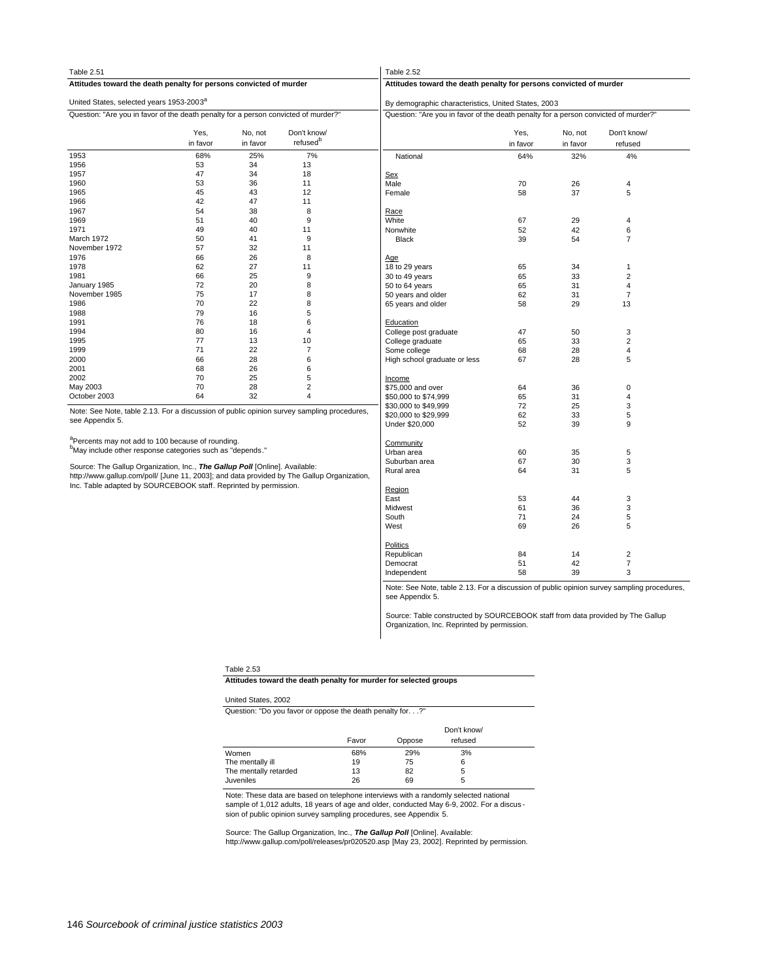| Table 2.51                                                                                 |                  |                     |                                     | Table 2.52                                                                          |                  |                     |                         |  |  |  |
|--------------------------------------------------------------------------------------------|------------------|---------------------|-------------------------------------|-------------------------------------------------------------------------------------|------------------|---------------------|-------------------------|--|--|--|
| Attitudes toward the death penalty for persons convicted of murder                         |                  |                     |                                     | Attitudes toward the death penalty for persons convicted of murder                  |                  |                     |                         |  |  |  |
| United States, selected years 1953-2003 <sup>a</sup>                                       |                  |                     |                                     | By demographic characteristics, United States, 2003                                 |                  |                     |                         |  |  |  |
| Question: "Are you in favor of the death penalty for a person convicted of murder?"        |                  |                     |                                     | Question: "Are you in favor of the death penalty for a person convicted of murder?" |                  |                     |                         |  |  |  |
|                                                                                            | Yes,<br>in favor | No, not<br>in favor | Don't know/<br>refused <sup>b</sup> |                                                                                     | Yes,<br>in favor | No, not<br>in favor | Don't know/<br>refused  |  |  |  |
| 1953                                                                                       | 68%              | 25%                 | 7%                                  | National                                                                            | 64%              | 32%                 | 4%                      |  |  |  |
| 1956                                                                                       | 53               | 34                  | 13                                  |                                                                                     |                  |                     |                         |  |  |  |
| 1957                                                                                       | 47               | 34                  | 18                                  | Sex                                                                                 |                  |                     |                         |  |  |  |
| 1960                                                                                       | 53               | 36                  | 11                                  | Male                                                                                | 70               | 26                  | 4                       |  |  |  |
| 1965                                                                                       | 45               | 43                  | 12                                  | Female                                                                              | 58               | 37                  | 5                       |  |  |  |
| 1966                                                                                       | 42               | 47                  | 11                                  |                                                                                     |                  |                     |                         |  |  |  |
| 1967                                                                                       | 54               | 38                  | 8                                   | Race                                                                                |                  |                     |                         |  |  |  |
| 1969                                                                                       | 51               | 40                  | 9                                   | White                                                                               | 67               | 29                  | 4                       |  |  |  |
| 1971                                                                                       | 49               | 40                  | 11                                  | Nonwhite                                                                            | 52               | 42                  | 6                       |  |  |  |
| March 1972                                                                                 | 50               | 41                  | 9                                   | Black                                                                               | 39               | 54                  | $\overline{7}$          |  |  |  |
| November 1972                                                                              | 57               | 32                  | 11                                  |                                                                                     |                  |                     |                         |  |  |  |
| 1976                                                                                       | 66               | 26                  | 8                                   | Age                                                                                 |                  |                     |                         |  |  |  |
| 1978                                                                                       | 62               | 27                  | 11                                  | 18 to 29 years                                                                      | 65               | 34                  | $\mathbf{1}$            |  |  |  |
| 1981                                                                                       | 66               | 25                  | 9                                   | 30 to 49 years                                                                      | 65               | 33                  | $\overline{\mathbf{c}}$ |  |  |  |
| January 1985                                                                               | 72               | 20                  | 8                                   | 50 to 64 years                                                                      | 65               | 31                  | 4                       |  |  |  |
| November 1985                                                                              | 75               | 17                  |                                     | 50 years and older                                                                  | 62               | 31                  | $\overline{7}$          |  |  |  |
| 1986                                                                                       | 70               | 22                  | 8                                   | 65 years and older                                                                  | 58               | 29                  | 13                      |  |  |  |
| 1988                                                                                       | 79               | 16                  | 5                                   |                                                                                     |                  |                     |                         |  |  |  |
| 1991                                                                                       | 76               | 18                  | 6                                   | Education                                                                           |                  |                     |                         |  |  |  |
| 1994                                                                                       | 80               | 16                  | 4                                   | College post graduate                                                               | 47               | 50                  | 3                       |  |  |  |
| 1995                                                                                       | 77               | 13                  | 10                                  | College graduate                                                                    | 65               | 33                  | 2                       |  |  |  |
| 1999                                                                                       | 71               | 22                  |                                     | Some college                                                                        | 68               | 28                  | 4                       |  |  |  |
| 2000                                                                                       | 66               | 28                  | 6                                   | High school graduate or less                                                        | 67               | 28                  | 5                       |  |  |  |
| 2001                                                                                       | 68               | 26                  | 6                                   |                                                                                     |                  |                     |                         |  |  |  |
| 2002                                                                                       | 70               | 25                  | 5                                   | Income                                                                              |                  |                     |                         |  |  |  |
| May 2003                                                                                   | 70               | 28                  | 2                                   | \$75,000 and over                                                                   | 64               | 36                  | 0                       |  |  |  |
| October 2003                                                                               | 64               | 32                  | 4                                   | \$50,000 to \$74,999                                                                | 65               | 31                  | 4                       |  |  |  |
|                                                                                            |                  |                     |                                     | \$30,000 to \$49,999                                                                | 3                |                     |                         |  |  |  |
| Note: See Note, table 2.13. For a discussion of public opinion survey sampling procedures, |                  |                     |                                     | \$20,000 to \$29,999                                                                | 72<br>62         | 25<br>33            | 5                       |  |  |  |
| see Appendix 5.                                                                            |                  |                     |                                     | Under \$20,000                                                                      | 52               | 39                  | 9                       |  |  |  |
|                                                                                            |                  |                     |                                     |                                                                                     |                  |                     |                         |  |  |  |
| <sup>a</sup> Percents may not add to 100 because of rounding.                              |                  |                     |                                     |                                                                                     |                  |                     |                         |  |  |  |
| <sup>b</sup> May include other response categories such as "depends."                      |                  |                     |                                     | Community                                                                           |                  |                     |                         |  |  |  |
|                                                                                            |                  |                     |                                     | Urban area<br>Suburban area                                                         | 60<br>67         | 35<br>30            | 5<br>3                  |  |  |  |
| Source: The Gallup Organization, Inc., The Gallup Poll [Online]. Available:                |                  |                     |                                     | 5                                                                                   |                  |                     |                         |  |  |  |
|                                                                                            | 1.1111111100001  |                     |                                     | Rural area                                                                          | 64               | 31                  |                         |  |  |  |

: The Gallup Organization, Inc., The Gallup Poll [Online]. Ava http://www.gallup.com/poll/ [June 11, 2003]; and data provided by The Gallup Organization, Inc. Table adapted by SOURCEBOOK staff. Reprinted by permission.

> Note: See Note, table 2.13. For a discussion of public opinion survey sampling procedures, see Appendix 5. Source: Table constructed by SOURCEBOOK staff from data provided by The Gallup Organization, Inc. Reprinted by permission.

Independent 58 39 3 Republican 84 14 2<br>Democrat 51 42 7

West 5 26 5 South 5 24 5 Midwest 36 36 31 East 53 44 3

#### Table 2.53

## **Attitudes toward the death penalty for murder for selected groups**

## United States, 2002

Question: "Do you favor or oppose the death penalty for. . .?"

|                       |       |        | Don't know/ |  |
|-----------------------|-------|--------|-------------|--|
|                       | Favor | Oppose | refused     |  |
| Women                 | 68%   | 29%    | 3%          |  |
| The mentally ill      | 19    | 75     | 6           |  |
| The mentally retarded | 13    | 82     | 5           |  |
| <b>Juveniles</b>      | 26    | 69     | 5           |  |

 $R$ epublican **Politics** 

Region

Note: These data are based on telephone interviews with a randomly selected national sample of 1,012 adults, 18 years of age and older, conducted May 6-9, 2002. For a discus sion of public opinion survey sampling procedures, see Appendix 5.

Source: The Gallup Organization, Inc., **The Gallup Poll** [Online]. Available: http://www.gallup.com/poll/releases/pr020520.asp [May 23, 2002]. Reprinted by permission.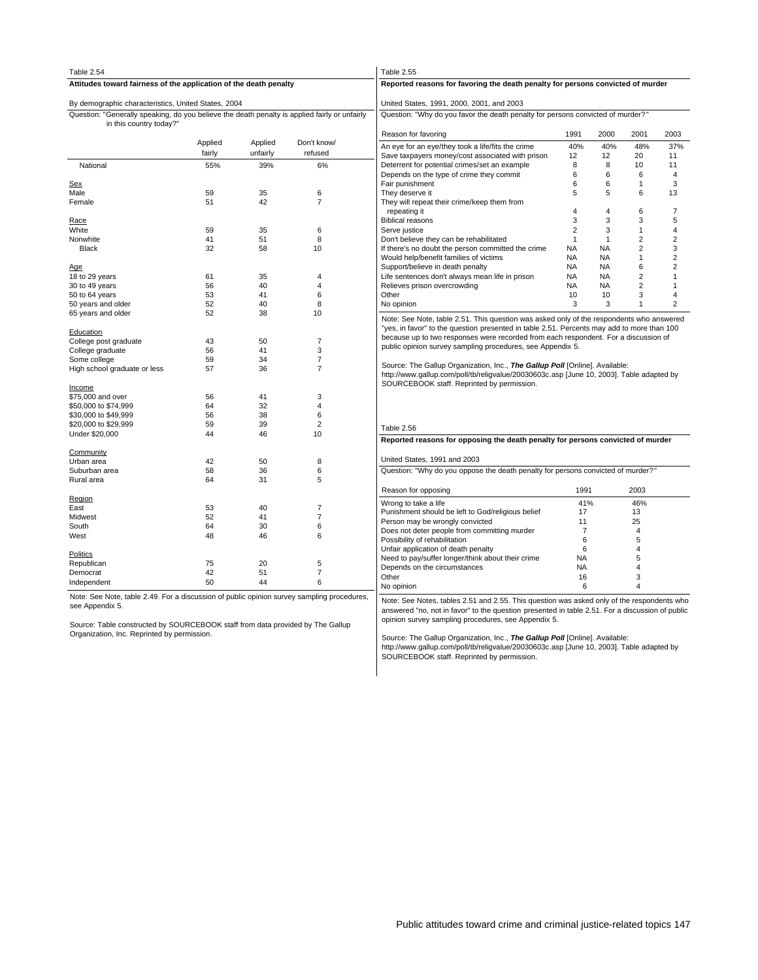| Table 2.54                                                                                                                                                                                      |          |          |                     | Table 2.55<br>Reported reasons for favoring the death penalty for persons convicted of murder                                                                                                                                                        |                 |              |                |                |  |  |  |  |  |
|-------------------------------------------------------------------------------------------------------------------------------------------------------------------------------------------------|----------|----------|---------------------|------------------------------------------------------------------------------------------------------------------------------------------------------------------------------------------------------------------------------------------------------|-----------------|--------------|----------------|----------------|--|--|--|--|--|
| Attitudes toward fairness of the application of the death penalty                                                                                                                               |          |          |                     |                                                                                                                                                                                                                                                      |                 |              |                |                |  |  |  |  |  |
| By demographic characteristics, United States, 2004                                                                                                                                             |          |          |                     | United States, 1991, 2000, 2001, and 2003                                                                                                                                                                                                            |                 |              |                |                |  |  |  |  |  |
| Question: "Generally speaking, do you believe the death penalty is applied fairly or unfairly<br>in this country today?"                                                                        |          |          |                     | Question: "Why do you favor the death penalty for persons convicted of murder?"                                                                                                                                                                      |                 |              |                |                |  |  |  |  |  |
|                                                                                                                                                                                                 |          |          |                     | Reason for favoring                                                                                                                                                                                                                                  | 1991            | 2000         | 2001           | 2003           |  |  |  |  |  |
|                                                                                                                                                                                                 | Applied  | Applied  | Don't know/         | An eye for an eye/they took a life/fits the crime                                                                                                                                                                                                    | 40%             | 40%          | 48%            | 37%            |  |  |  |  |  |
|                                                                                                                                                                                                 | fairly   | unfairly | refused             | Save taxpayers money/cost associated with prison                                                                                                                                                                                                     | 12              | 12           | 20             | 11             |  |  |  |  |  |
| National                                                                                                                                                                                        | 55%      | 39%      | 6%                  | Deterrent for potential crimes/set an example                                                                                                                                                                                                        | 8               | 8            | 10             | 11             |  |  |  |  |  |
|                                                                                                                                                                                                 |          |          |                     | Depends on the type of crime they commit                                                                                                                                                                                                             | 6               | 6            | 6              | 4              |  |  |  |  |  |
| Sex                                                                                                                                                                                             |          |          |                     | Fair punishment                                                                                                                                                                                                                                      | 6               | 6            | 1              | 3<br>13        |  |  |  |  |  |
| Male<br>Female                                                                                                                                                                                  | 59<br>51 | 35<br>42 | 6<br>$\overline{7}$ | They deserve it<br>5<br>5<br>6<br>They will repeat their crime/keep them from                                                                                                                                                                        |                 |              |                |                |  |  |  |  |  |
|                                                                                                                                                                                                 |          |          |                     | repeating it                                                                                                                                                                                                                                         | $\overline{4}$  | 4            | 6              | 7              |  |  |  |  |  |
| Race                                                                                                                                                                                            |          |          |                     | <b>Biblical reasons</b>                                                                                                                                                                                                                              | 3               | 3            | 3              | 5              |  |  |  |  |  |
| White                                                                                                                                                                                           | 59       | 35       | 6                   | Serve justice                                                                                                                                                                                                                                        | $\overline{2}$  | 3            | $\mathbf{1}$   | $\overline{4}$ |  |  |  |  |  |
| Nonwhite                                                                                                                                                                                        | 41       | 51       | 8                   | Don't believe they can be rehabilitated                                                                                                                                                                                                              | $\mathbf{1}$    | $\mathbf{1}$ | $\overline{2}$ | $\overline{2}$ |  |  |  |  |  |
| Black                                                                                                                                                                                           | 32       | 58       | 10                  | If there's no doubt the person committed the crime                                                                                                                                                                                                   | <b>NA</b>       | <b>NA</b>    | $\overline{2}$ | 3              |  |  |  |  |  |
|                                                                                                                                                                                                 |          |          |                     | Would help/benefit families of victims                                                                                                                                                                                                               | <b>NA</b>       | <b>NA</b>    | 1              | $\overline{2}$ |  |  |  |  |  |
| <u>Age</u>                                                                                                                                                                                      |          |          |                     | Support/believe in death penalty                                                                                                                                                                                                                     | <b>NA</b>       | <b>NA</b>    | 6              | $\overline{2}$ |  |  |  |  |  |
| 18 to 29 years                                                                                                                                                                                  | 61       | 35       | 4                   | Life sentences don't always mean life in prison                                                                                                                                                                                                      | <b>NA</b>       | <b>NA</b>    | $\overline{2}$ | $\mathbf{1}$   |  |  |  |  |  |
| 30 to 49 years                                                                                                                                                                                  | 56       | 40       | 4                   | Relieves prison overcrowding                                                                                                                                                                                                                         | <b>NA</b>       | NA           | $\overline{2}$ | $\mathbf{1}$   |  |  |  |  |  |
| 50 to 64 years                                                                                                                                                                                  | 53       | 41       | 6                   | Other                                                                                                                                                                                                                                                | 10              | 10           | 3              | $\overline{4}$ |  |  |  |  |  |
| 50 years and older                                                                                                                                                                              | 52       | 40       | 8                   | No opinion                                                                                                                                                                                                                                           | 3               | 3            | 1              | $\overline{2}$ |  |  |  |  |  |
| 65 years and older                                                                                                                                                                              | 52       | 38       | 10                  | Note: See Note, table 2.51. This question was asked only of the respondents who answered<br>"yes, in favor" to the question presented in table 2.51. Percents may add to more than 100                                                               |                 |              |                |                |  |  |  |  |  |
| Education                                                                                                                                                                                       |          |          |                     |                                                                                                                                                                                                                                                      |                 |              |                |                |  |  |  |  |  |
| College post graduate                                                                                                                                                                           | 43       | 50       | $\overline{7}$      | because up to two responses were recorded from each respondent. For a discussion of<br>public opinion survey sampling procedures, see Appendix 5.                                                                                                    |                 |              |                |                |  |  |  |  |  |
| College graduate                                                                                                                                                                                | 56       | 41       | 3                   |                                                                                                                                                                                                                                                      |                 |              |                |                |  |  |  |  |  |
| Some college                                                                                                                                                                                    | 59       | 34       | 7                   | Source: The Gallup Organization, Inc., The Gallup Poll [Online]. Available:                                                                                                                                                                          |                 |              |                |                |  |  |  |  |  |
| High school graduate or less                                                                                                                                                                    | 57       | 36       | $\overline{7}$      | http://www.gallup.com/poll/tb/religvalue/20030603c.asp [June 10, 2003]. Table adapted by<br>SOURCEBOOK staff. Reprinted by permission.                                                                                                               |                 |              |                |                |  |  |  |  |  |
| Income                                                                                                                                                                                          |          |          |                     |                                                                                                                                                                                                                                                      |                 |              |                |                |  |  |  |  |  |
| \$75,000 and over                                                                                                                                                                               | 56<br>64 | 41<br>32 | 3<br>4              |                                                                                                                                                                                                                                                      |                 |              |                |                |  |  |  |  |  |
| \$50,000 to \$74,999<br>\$30,000 to \$49,999                                                                                                                                                    | 56       | 38       | 6                   |                                                                                                                                                                                                                                                      |                 |              |                |                |  |  |  |  |  |
| \$20,000 to \$29,999                                                                                                                                                                            | 59       | 39       | $\overline{2}$      |                                                                                                                                                                                                                                                      |                 |              |                |                |  |  |  |  |  |
| Under \$20,000                                                                                                                                                                                  | 44       | 46       | 10                  | Table 2.56                                                                                                                                                                                                                                           |                 |              |                |                |  |  |  |  |  |
|                                                                                                                                                                                                 |          |          |                     | Reported reasons for opposing the death penalty for persons convicted of murder                                                                                                                                                                      |                 |              |                |                |  |  |  |  |  |
| Community<br>Urban area                                                                                                                                                                         | 42       | 50       | 8                   | United States, 1991 and 2003                                                                                                                                                                                                                         |                 |              |                |                |  |  |  |  |  |
| Suburban area                                                                                                                                                                                   | 58       | 36       | 6                   | Question: "Why do you oppose the death penalty for persons convicted of murder?"                                                                                                                                                                     |                 |              |                |                |  |  |  |  |  |
| Rural area                                                                                                                                                                                      | 64       | 31       | 5                   |                                                                                                                                                                                                                                                      |                 |              |                |                |  |  |  |  |  |
|                                                                                                                                                                                                 |          |          |                     | Reason for opposing                                                                                                                                                                                                                                  | 1991            |              | 2003           |                |  |  |  |  |  |
| Region<br>East                                                                                                                                                                                  | 53       | 40       | $\overline{7}$      | Wrong to take a life                                                                                                                                                                                                                                 | 41%             |              | 46%            |                |  |  |  |  |  |
| Midwest                                                                                                                                                                                         | 52       | 41       | $\overline{7}$      | Punishment should be left to God/religious belief                                                                                                                                                                                                    | 17              |              | 13             |                |  |  |  |  |  |
| South                                                                                                                                                                                           | 64       | 30       | 6                   | Person may be wrongly convicted                                                                                                                                                                                                                      | 11              |              | 25             |                |  |  |  |  |  |
| West                                                                                                                                                                                            | 48       | 46       | 6                   | Does not deter people from committing murder                                                                                                                                                                                                         | $\overline{7}$  |              | $\overline{4}$ |                |  |  |  |  |  |
|                                                                                                                                                                                                 |          |          |                     | Possibility of rehabilitation                                                                                                                                                                                                                        | 6               |              | 5              |                |  |  |  |  |  |
| Politics                                                                                                                                                                                        |          |          |                     | Unfair application of death penalty                                                                                                                                                                                                                  | 6               |              | 4              |                |  |  |  |  |  |
| Republican                                                                                                                                                                                      | 75       | 20       | 5                   | Need to pay/suffer longer/think about their crime<br>Depends on the circumstances                                                                                                                                                                    | NA<br><b>NA</b> |              | 5<br>4         |                |  |  |  |  |  |
| Democrat                                                                                                                                                                                        | 42       | 51       | 7                   | Other                                                                                                                                                                                                                                                | 16              |              | 3              |                |  |  |  |  |  |
| Independent                                                                                                                                                                                     | 50       | 44       | 6                   | No opinion                                                                                                                                                                                                                                           | 6               |              | 4              |                |  |  |  |  |  |
| Note: See Note, table 2.49. For a discussion of public opinion survey sampling procedures,<br>see Appendix 5.<br>Source: Table constructed by SOURCEBOOK staff from data provided by The Gallup |          |          |                     | Note: See Notes, tables 2.51 and 2.55. This question was asked only of the respondents who<br>answered "no, not in favor" to the question presented in table 2.51. For a discussion of public<br>opinion survey sampling procedures, see Appendix 5. |                 |              |                |                |  |  |  |  |  |
| Organization, Inc. Reprinted by permission.                                                                                                                                                     |          |          |                     | Source: The Callup Organization, Inc. The Callup Poll [Opline], Available:                                                                                                                                                                           |                 |              |                |                |  |  |  |  |  |

Source: The Gallup Organization, Inc., *The Gallup Poll* **[**Online]. Available:<br>http://www.gallup.com/poll/tb/religvalue/20030603c.asp [June 10, 2003]. Table adapted by<br>SOURCEBOOK staff. Reprinted by permission.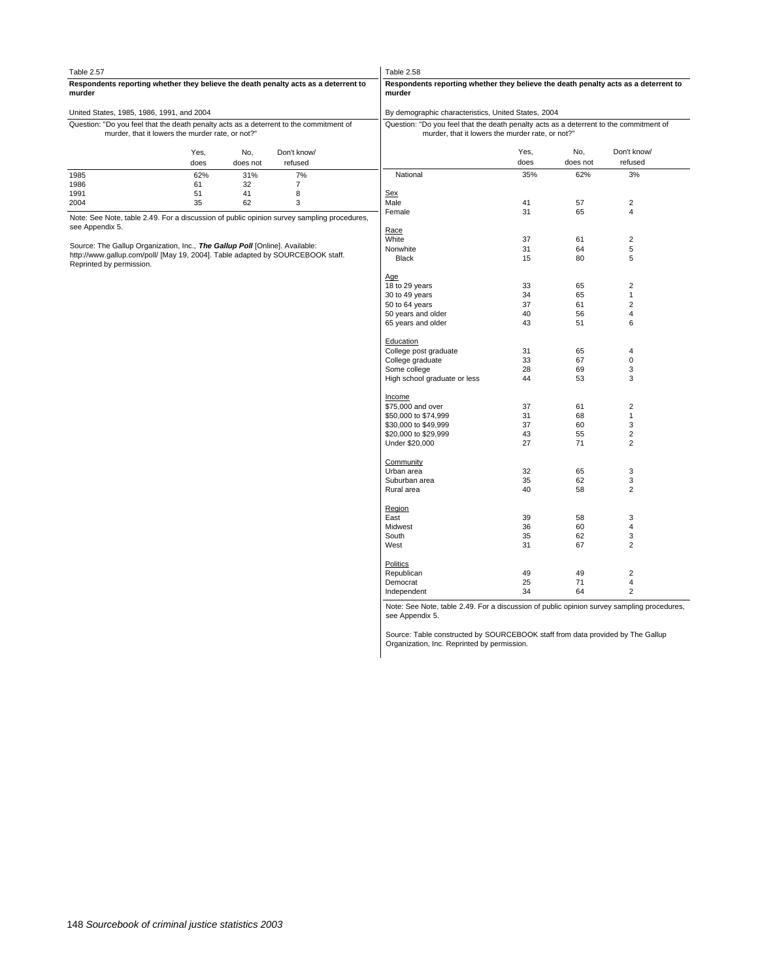| Table 2.57                                                                                                                                 |              |                 |                        | Table 2.58                                                                                                                                 |              |                 |                         |
|--------------------------------------------------------------------------------------------------------------------------------------------|--------------|-----------------|------------------------|--------------------------------------------------------------------------------------------------------------------------------------------|--------------|-----------------|-------------------------|
| Respondents reporting whether they believe the death penalty acts as a deterrent to<br>murder                                              |              |                 |                        | Respondents reporting whether they believe the death penalty acts as a deterrent to<br>murder                                              |              |                 |                         |
| United States, 1985, 1986, 1991, and 2004                                                                                                  |              |                 |                        | By demographic characteristics, United States, 2004                                                                                        |              |                 |                         |
| Question: "Do you feel that the death penalty acts as a deterrent to the commitment of<br>murder, that it lowers the murder rate, or not?" |              |                 |                        | Question: "Do you feel that the death penalty acts as a deterrent to the commitment of<br>murder, that it lowers the murder rate, or not?" |              |                 |                         |
|                                                                                                                                            | Yes,<br>does | No.<br>does not | Don't know/<br>refused |                                                                                                                                            | Yes,<br>does | No.<br>does not | Don't know/<br>refused  |
| 1985                                                                                                                                       | 62%          | 31%             | 7%                     | National                                                                                                                                   | 35%          | 62%             | 3%                      |
| 1986                                                                                                                                       | 61           | 32              | $\overline{7}$         |                                                                                                                                            |              |                 |                         |
| 1991                                                                                                                                       | 51           | 41              | 8                      | Sex                                                                                                                                        |              |                 |                         |
| 2004                                                                                                                                       | 35           | 62              | 3                      | Male                                                                                                                                       | 41           | 57              | $\overline{2}$          |
| Note: See Note, table 2.49. For a discussion of public opinion survey sampling procedures,<br>see Appendix 5.                              |              |                 |                        | Female                                                                                                                                     | 31           | 65              | 4                       |
|                                                                                                                                            |              |                 |                        | Race                                                                                                                                       |              |                 |                         |
| Source: The Gallup Organization, Inc., The Gallup Poll [Online]. Available:                                                                |              |                 |                        | White                                                                                                                                      | 37           | 61              | $\overline{2}$          |
| http://www.gallup.com/poll/ [May 19, 2004]. Table adapted by SOURCEBOOK staff.                                                             |              |                 |                        | Nonwhite                                                                                                                                   | 31           | 64              | $\,$ 5 $\,$             |
| Reprinted by permission.                                                                                                                   |              |                 |                        | Black                                                                                                                                      | 15           | 80              | 5                       |
|                                                                                                                                            |              |                 |                        | Age                                                                                                                                        |              |                 |                         |
|                                                                                                                                            |              |                 |                        | 18 to 29 years                                                                                                                             | 33           | 65              | $\overline{2}$          |
|                                                                                                                                            |              |                 |                        | 30 to 49 years                                                                                                                             | 34           | 65              | $\mathbf{1}$            |
|                                                                                                                                            |              |                 |                        | 50 to 64 years                                                                                                                             | 37           | 61              | $\overline{2}$          |
|                                                                                                                                            |              |                 |                        | 50 years and older                                                                                                                         | 40           | 56              | 4                       |
|                                                                                                                                            |              |                 |                        | 65 years and older                                                                                                                         | 43           | 51              | 6                       |
|                                                                                                                                            |              |                 |                        | Education                                                                                                                                  |              |                 |                         |
|                                                                                                                                            |              |                 |                        | College post graduate                                                                                                                      | 31           | 65              | $\overline{\mathbf{4}}$ |
|                                                                                                                                            |              |                 |                        | College graduate                                                                                                                           | 33           | 67              | $\mathbf 0$             |
|                                                                                                                                            |              |                 |                        | Some college                                                                                                                               | 28           | 69              | 3                       |
|                                                                                                                                            |              |                 |                        | High school graduate or less                                                                                                               | 44           | 53              | 3                       |
|                                                                                                                                            |              |                 |                        | Income                                                                                                                                     |              |                 |                         |
|                                                                                                                                            |              |                 |                        | \$75,000 and over                                                                                                                          | 37           | 61              | $\overline{c}$          |
|                                                                                                                                            |              |                 |                        | \$50,000 to \$74,999                                                                                                                       | 31           | 68              | $\mathbf{1}$            |
|                                                                                                                                            |              |                 |                        | \$30,000 to \$49,999                                                                                                                       | 37           | 60              | 3                       |
|                                                                                                                                            |              |                 |                        | \$20,000 to \$29,999                                                                                                                       | 43           | 55              | $\overline{2}$          |
|                                                                                                                                            |              |                 |                        | Under \$20,000                                                                                                                             | 27           | 71              | $\overline{2}$          |
|                                                                                                                                            |              |                 |                        | Community<br>Urban area                                                                                                                    | 32           | 65              | 3                       |
|                                                                                                                                            |              |                 |                        | Suburban area                                                                                                                              | 35           | 62              | 3                       |
|                                                                                                                                            |              |                 |                        |                                                                                                                                            | 40           | 58              | $\overline{2}$          |
|                                                                                                                                            |              |                 |                        | Rural area                                                                                                                                 |              |                 |                         |
|                                                                                                                                            |              |                 |                        | Region                                                                                                                                     |              |                 |                         |
|                                                                                                                                            |              |                 |                        | East                                                                                                                                       | 39           | 58              | 3                       |
|                                                                                                                                            |              |                 |                        | Midwest                                                                                                                                    | 36           | 60              | $\overline{\mathbf{4}}$ |
|                                                                                                                                            |              |                 |                        | South                                                                                                                                      | 35           | 62              | 3                       |
|                                                                                                                                            |              |                 |                        | West                                                                                                                                       | 31           | 67              | $\overline{2}$          |
|                                                                                                                                            |              |                 |                        | Politics<br>Republican                                                                                                                     | 49           | 49              | $\overline{2}$          |
|                                                                                                                                            |              |                 |                        | Democrat                                                                                                                                   | 25           | 71              | 4                       |
|                                                                                                                                            |              |                 |                        | Independent                                                                                                                                | 34           | 64              | $\overline{2}$          |
|                                                                                                                                            |              |                 |                        | Note: See Note, table 2.49. For a discussion of public opinion survey sampling procedures,<br>see Appendix 5.                              |              |                 |                         |
|                                                                                                                                            |              |                 |                        |                                                                                                                                            |              |                 |                         |

Source: Table constructed by SOURCEBOOK staff from data provided by The Gallup Organization, Inc. Reprinted by permission.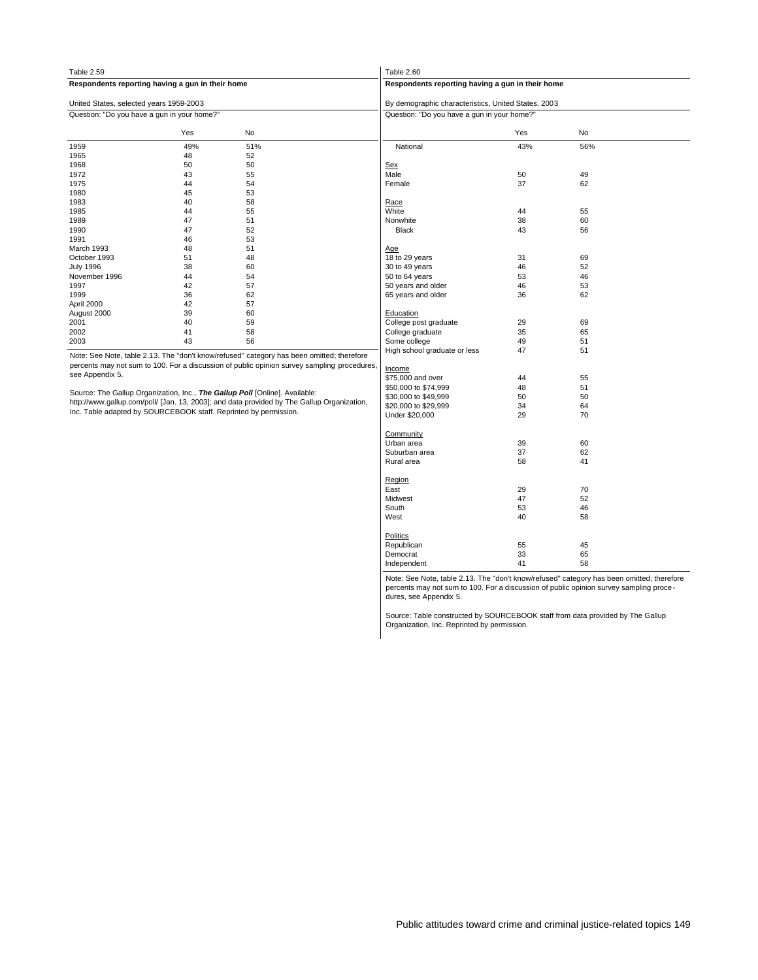| Table 2.59                                                                  |     |                                                                                             | Table 2.60                                          |     |           |  |  |  |  |
|-----------------------------------------------------------------------------|-----|---------------------------------------------------------------------------------------------|-----------------------------------------------------|-----|-----------|--|--|--|--|
| Respondents reporting having a gun in their home                            |     |                                                                                             | Respondents reporting having a gun in their home    |     |           |  |  |  |  |
| United States, selected years 1959-2003                                     |     |                                                                                             | By demographic characteristics, United States, 2003 |     |           |  |  |  |  |
| Question: "Do you have a gun in your home?"                                 |     |                                                                                             | Question: "Do you have a gun in your home?"         |     |           |  |  |  |  |
|                                                                             | Yes | No                                                                                          |                                                     | Yes | <b>No</b> |  |  |  |  |
| 1959                                                                        | 49% | 51%                                                                                         | National                                            | 43% | 56%       |  |  |  |  |
| 1965                                                                        | 48  | 52                                                                                          |                                                     |     |           |  |  |  |  |
| 1968                                                                        | 50  | 50                                                                                          | <b>Sex</b>                                          |     |           |  |  |  |  |
| 1972                                                                        | 43  | 55                                                                                          | Male                                                | 50  | 49        |  |  |  |  |
| 1975                                                                        | 44  | 54                                                                                          | Female                                              | 37  | 62        |  |  |  |  |
| 1980                                                                        | 45  | 53                                                                                          |                                                     |     |           |  |  |  |  |
| 1983                                                                        | 40  | 58                                                                                          | Race                                                |     |           |  |  |  |  |
| 1985                                                                        | 44  | 55                                                                                          | White                                               | 44  | 55        |  |  |  |  |
| 1989                                                                        | 47  | 51                                                                                          | Nonwhite                                            | 38  | 60        |  |  |  |  |
| 1990                                                                        | 47  | 52                                                                                          | <b>Black</b>                                        | 43  | 56        |  |  |  |  |
| 1991                                                                        | 46  | 53                                                                                          |                                                     |     |           |  |  |  |  |
| March 1993                                                                  | 48  | 51                                                                                          | Age                                                 |     |           |  |  |  |  |
| October 1993                                                                | 51  | 48                                                                                          | 18 to 29 years                                      | 31  | 69        |  |  |  |  |
| <b>July 1996</b>                                                            | 38  | 60                                                                                          | 30 to 49 years                                      | 46  | 52        |  |  |  |  |
| November 1996                                                               | 44  | 54                                                                                          | 50 to 64 years                                      | 53  | 46        |  |  |  |  |
| 1997                                                                        | 42  | 57                                                                                          | 50 years and older                                  | 46  | 53        |  |  |  |  |
| 1999                                                                        | 36  | 62                                                                                          | 65 years and older                                  | 36  | 62        |  |  |  |  |
| April 2000                                                                  | 42  | 57                                                                                          |                                                     |     |           |  |  |  |  |
| August 2000                                                                 | 39  | 60                                                                                          | Education                                           |     |           |  |  |  |  |
| 2001                                                                        | 40  | 59                                                                                          | College post graduate                               | 29  | 69        |  |  |  |  |
| 2002                                                                        | 41  | 58                                                                                          | College graduate                                    | 35  | 65        |  |  |  |  |
| 2003                                                                        | 43  | 56                                                                                          | Some college                                        | 49  | 51        |  |  |  |  |
|                                                                             |     | Note: See Note, table 2.13. The "don't know/refused" category has been omitted; therefore   | High school graduate or less                        | 47  | 51        |  |  |  |  |
|                                                                             |     | percents may not sum to 100. For a discussion of public opinion survey sampling procedures, |                                                     |     |           |  |  |  |  |
| see Appendix 5.                                                             |     |                                                                                             | Income                                              |     |           |  |  |  |  |
|                                                                             |     |                                                                                             | \$75,000 and over                                   | 44  | 55        |  |  |  |  |
| Source: The Gallup Organization, Inc., The Gallup Poll [Online]. Available: |     |                                                                                             | \$50,000 to \$74,999                                | 48  | 51        |  |  |  |  |
|                                                                             |     | http://www.gallup.com/poll/ [Jan. 13, 2003]; and data provided by The Gallup Organization,  | \$30,000 to \$49,999                                | 50  | 50        |  |  |  |  |
| Inc. Table adapted by SOURCEBOOK staff. Reprinted by permission.            |     |                                                                                             | \$20,000 to \$29,999                                | 34  | 64        |  |  |  |  |
|                                                                             |     |                                                                                             | Under \$20,000                                      | 29  | 70        |  |  |  |  |
|                                                                             |     |                                                                                             | Community                                           |     |           |  |  |  |  |
|                                                                             |     |                                                                                             | Urban area                                          | 39  | 60        |  |  |  |  |
|                                                                             |     |                                                                                             | Suburban area                                       | 37  | 62        |  |  |  |  |
|                                                                             |     |                                                                                             | Rural area                                          | 58  | 41        |  |  |  |  |
|                                                                             |     |                                                                                             | Region                                              |     |           |  |  |  |  |
|                                                                             |     |                                                                                             | East                                                | 70  |           |  |  |  |  |
|                                                                             |     |                                                                                             | 47<br>52<br>Midwest                                 |     |           |  |  |  |  |
|                                                                             |     |                                                                                             | South<br>53<br>46                                   |     |           |  |  |  |  |
|                                                                             |     |                                                                                             | West                                                | 40  | 58        |  |  |  |  |
|                                                                             |     |                                                                                             | Politics                                            |     |           |  |  |  |  |
|                                                                             |     |                                                                                             | Republican                                          | 55  | 45        |  |  |  |  |
|                                                                             |     |                                                                                             | Democrat                                            | 33  | 65        |  |  |  |  |
|                                                                             |     |                                                                                             | Independent                                         | 41  | 58        |  |  |  |  |

Note: See Note, table 2.13. The "don't know/refused" category has been omitted; therefore percents may not sum to 100. For a discussion of public opinion survey sampling proce - dures, see Appendix 5.

Source: Table constructed by SOURCEBOOK staff from data provided by The Gallup Organization, Inc. Reprinted by permission.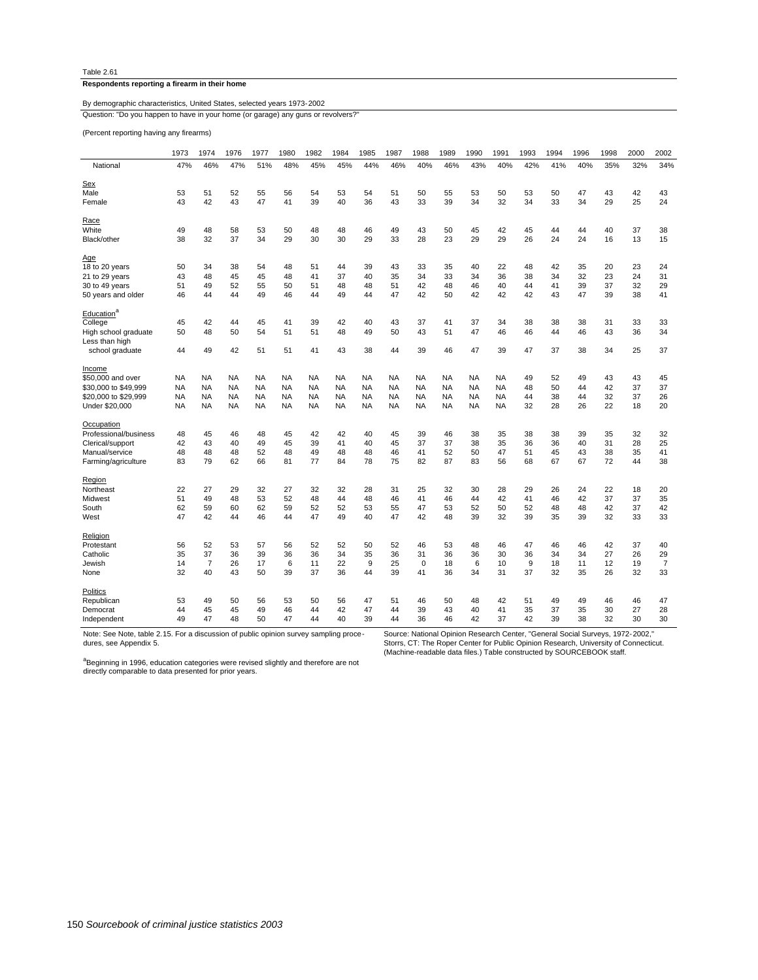## **Respondents reporting a firearm in their home**

## Question: "Do you happen to have in your home (or garage) any guns or revolvers? By demographic characteristics, United States, selected years 1973-2002

(Percent reporting having any firearms)

|                        | 1973      | 1974           | 1976      | 1977      | 1980      | 1982      | 1984      | 1985      | 1987      | 1988        | 1989      | 1990      | 1991      | 1993 | 1994 | 1996 | 1998 | 2000 | 2002           |
|------------------------|-----------|----------------|-----------|-----------|-----------|-----------|-----------|-----------|-----------|-------------|-----------|-----------|-----------|------|------|------|------|------|----------------|
| National               | 47%       | 46%            | 47%       | 51%       | 48%       | 45%       | 45%       | 44%       | 46%       | 40%         | 46%       | 43%       | 40%       | 42%  | 41%  | 40%  | 35%  | 32%  | 34%            |
| Sex                    |           |                |           |           |           |           |           |           |           |             |           |           |           |      |      |      |      |      |                |
| Male                   | 53        | 51             | 52        | 55        | 56        | 54        | 53        | 54        | 51        | 50          | 55        | 53        | 50        | 53   | 50   | 47   | 43   | 42   | 43             |
| Female                 | 43        | 42             | 43        | 47        | 41        | 39        | 40        | 36        | 43        | 33          | 39        | 34        | 32        | 34   | 33   | 34   | 29   | 25   | 24             |
| Race                   |           |                |           |           |           |           |           |           |           |             |           |           |           |      |      |      |      |      |                |
| White                  | 49        | 48             | 58        | 53        | 50        | 48        | 48        | 46        | 49        | 43          | 50        | 45        | 42        | 45   | 44   | 44   | 40   | 37   | 38             |
| Black/other            | 38        | 32             | 37        | 34        | 29        | 30        | 30        | 29        | 33        | 28          | 23        | 29        | 29        | 26   | 24   | 24   | 16   | 13   | 15             |
| Age                    |           |                |           |           |           |           |           |           |           |             |           |           |           |      |      |      |      |      |                |
| 18 to 20 years         | 50        | 34             | 38        | 54        | 48        | 51        | 44        | 39        | 43        | 33          | 35        | 40        | 22        | 48   | 42   | 35   | 20   | 23   | 24             |
| 21 to 29 years         | 43        | 48             | 45        | 45        | 48        | 41        | 37        | 40        | 35        | 34          | 33        | 34        | 36        | 38   | 34   | 32   | 23   | 24   | 31             |
| 30 to 49 years         | 51        | 49             | 52        | 55        | 50        | 51        | 48        | 48        | 51        | 42          | 48        | 46        | 40        | 44   | 41   | 39   | 37   | 32   | 29             |
| 50 years and older     | 46        | 44             | 44        | 49        | 46        | 44        | 49        | 44        | 47        | 42          | 50        | 42        | 42        | 42   | 43   | 47   | 39   | 38   | 41             |
| Education <sup>a</sup> |           |                |           |           |           |           |           |           |           |             |           |           |           |      |      |      |      |      |                |
| College                | 45        | 42             | 44        | 45        | 41        | 39        | 42        | 40        | 43        | 37          | 41        | 37        | 34        | 38   | 38   | 38   | 31   | 33   | 33             |
| High school graduate   | 50        | 48             | 50        | 54        | 51        | 51        | 48        | 49        | 50        | 43          | 51        | 47        | 46        | 46   | 44   | 46   | 43   | 36   | 34             |
| Less than high         |           |                |           |           |           |           |           |           |           |             |           |           |           |      |      |      |      |      |                |
| school graduate        | 44        | 49             | 42        | 51        | 51        | 41        | 43        | 38        | 44        | 39          | 46        | 47        | 39        | 47   | 37   | 38   | 34   | 25   | 37             |
| Income                 |           |                |           |           |           |           |           |           |           |             |           |           |           |      |      |      |      |      |                |
| \$50,000 and over      | <b>NA</b> | <b>NA</b>      | <b>NA</b> | <b>NA</b> | <b>NA</b> | <b>NA</b> | <b>NA</b> | <b>NA</b> | <b>NA</b> | <b>NA</b>   | <b>NA</b> | <b>NA</b> | <b>NA</b> | 49   | 52   | 49   | 43   | 43   | 45             |
| \$30,000 to \$49,999   | <b>NA</b> | <b>NA</b>      | <b>NA</b> | <b>NA</b> | <b>NA</b> | <b>NA</b> | <b>NA</b> | <b>NA</b> | <b>NA</b> | <b>NA</b>   | <b>NA</b> | <b>NA</b> | <b>NA</b> | 48   | 50   | 44   | 42   | 37   | 37             |
| \$20,000 to \$29,999   | <b>NA</b> | <b>NA</b>      | <b>NA</b> | <b>NA</b> | <b>NA</b> | <b>NA</b> | <b>NA</b> | NA        | <b>NA</b> | <b>NA</b>   | <b>NA</b> | <b>NA</b> | <b>NA</b> | 44   | 38   | 44   | 32   | 37   | 26             |
| Under \$20,000         | <b>NA</b> | <b>NA</b>      | <b>NA</b> | <b>NA</b> | <b>NA</b> | <b>NA</b> | <b>NA</b> | <b>NA</b> | <b>NA</b> | <b>NA</b>   | <b>NA</b> | <b>NA</b> | <b>NA</b> | 32   | 28   | 26   | 22   | 18   | 20             |
| Occupation             |           |                |           |           |           |           |           |           |           |             |           |           |           |      |      |      |      |      |                |
| Professional/business  | 48        | 45             | 46        | 48        | 45        | 42        | 42        | 40        | 45        | 39          | 46        | 38        | 35        | 38   | 38   | 39   | 35   | 32   | 32             |
| Clerical/support       | 42        | 43             | 40        | 49        | 45        | 39        | 41        | 40        | 45        | 37          | 37        | 38        | 35        | 36   | 36   | 40   | 31   | 28   | 25             |
| Manual/service         | 48        | 48             | 48        | 52        | 48        | 49        | 48        | 48        | 46        | 41          | 52        | 50        | 47        | 51   | 45   | 43   | 38   | 35   | 41             |
| Farming/agriculture    | 83        | 79             | 62        | 66        | 81        | 77        | 84        | 78        | 75        | 82          | 87        | 83        | 56        | 68   | 67   | 67   | 72   | 44   | 38             |
| Region                 |           |                |           |           |           |           |           |           |           |             |           |           |           |      |      |      |      |      |                |
| Northeast              | 22        | 27             | 29        | 32        | 27        | 32        | 32        | 28        | 31        | 25          | 32        | 30        | 28        | 29   | 26   | 24   | 22   | 18   | 20             |
| Midwest                | 51        | 49             | 48        | 53        | 52        | 48        | 44        | 48        | 46        | 41          | 46        | 44        | 42        | 41   | 46   | 42   | 37   | 37   | 35             |
| South                  | 62        | 59             | 60        | 62        | 59        | 52        | 52        | 53        | 55        | 47          | 53        | 52        | 50        | 52   | 48   | 48   | 42   | 37   | 42             |
| West                   | 47        | 42             | 44        | 46        | 44        | 47        | 49        | 40        | 47        | 42          | 48        | 39        | 32        | 39   | 35   | 39   | 32   | 33   | 33             |
| Religion               |           |                |           |           |           |           |           |           |           |             |           |           |           |      |      |      |      |      |                |
| Protestant             | 56        | 52             | 53        | 57        | 56        | 52        | 52        | 50        | 52        | 46          | 53        | 48        | 46        | 47   | 46   | 46   | 42   | 37   | 40             |
| Catholic               | 35        | 37             | 36        | 39        | 36        | 36        | 34        | 35        | 36        | 31          | 36        | 36        | 30        | 36   | 34   | 34   | 27   | 26   | 29             |
| Jewish                 | 14        | $\overline{7}$ | 26        | 17        | 6         | 11        | 22        | 9         | 25        | $\mathbf 0$ | 18        | 6         | 10        | 9    | 18   | 11   | 12   | 19   | $\overline{7}$ |
| None                   | 32        | 40             | 43        | 50        | 39        | 37        | 36        | 44        | 39        | 41          | 36        | 34        | 31        | 37   | 32   | 35   | 26   | 32   | 33             |
| Politics               |           |                |           |           |           |           |           |           |           |             |           |           |           |      |      |      |      |      |                |
| Republican             | 53        | 49             | 50        | 56        | 53        | 50        | 56        | 47        | 51        | 46          | 50        | 48        | 42        | 51   | 49   | 49   | 46   | 46   | 47             |
| Democrat               | 44        | 45             | 45        | 49        | 46        | 44        | 42        | 47        | 44        | 39          | 43        | 40        | 41        | 35   | 37   | 35   | 30   | 27   | 28             |
| Independent            | 49        | 47             | 48        | 50        | 47        | 44        | 40        | 39        | 44        | 36          | 46        | 42        | 37        | 42   | 39   | 38   | 32   | 30   | 30             |

Note: See Note, table 2.15. For a discussion of public opinion survey sampling procedures, see Appendix 5.

Source: National Opinion Research Center, "General Social Surveys, 1972-2002," Storrs, CT: The Roper Center for Public Opinion Research, University of Connecticut. (Machine-readable data files.) Table constructed by SOURCEBOOK staff.

a<br><sup>a</sup>Beginning in 1996, education categories were revised slightly and therefore are not<br>directly comparable to data presented for prior years.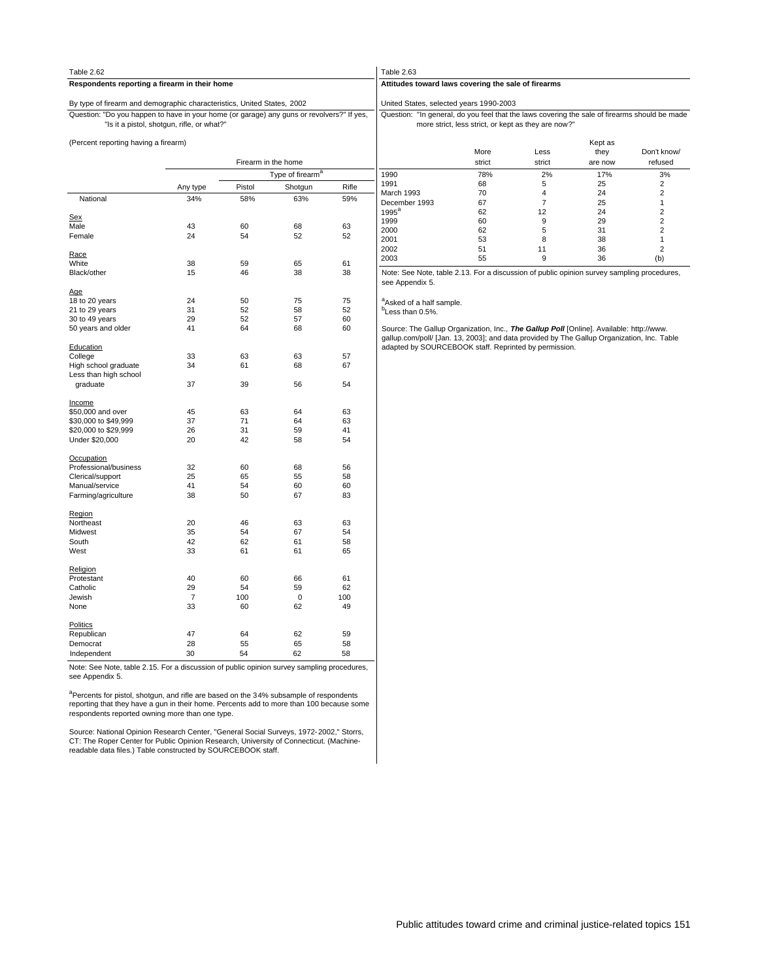| Table 2.62                                                                                                |                                            |          |                              |          | Table 2.63                                                                                                                                                                            |                                                     |                        |                 |                                  |  |  |  |  |  |  |
|-----------------------------------------------------------------------------------------------------------|--------------------------------------------|----------|------------------------------|----------|---------------------------------------------------------------------------------------------------------------------------------------------------------------------------------------|-----------------------------------------------------|------------------------|-----------------|----------------------------------|--|--|--|--|--|--|
| Respondents reporting a firearm in their home                                                             |                                            |          |                              |          | Attitudes toward laws covering the sale of firearms                                                                                                                                   |                                                     |                        |                 |                                  |  |  |  |  |  |  |
| By type of firearm and demographic characteristics, United States, 2002                                   |                                            |          |                              |          | United States, selected years 1990-2003                                                                                                                                               |                                                     |                        |                 |                                  |  |  |  |  |  |  |
| Question: "Do you happen to have in your home (or garage) any guns or revolvers?" If yes,                 | "Is it a pistol, shotgun, rifle, or what?" |          |                              |          | Question: "In general, do you feel that the laws covering the sale of firearms should be made                                                                                         | more strict, less strict, or kept as they are now?" |                        |                 |                                  |  |  |  |  |  |  |
| (Percent reporting having a firearm)                                                                      |                                            |          |                              |          |                                                                                                                                                                                       | More                                                | Less                   | Kept as<br>they | Don't know/                      |  |  |  |  |  |  |
|                                                                                                           |                                            |          | Firearm in the home          |          |                                                                                                                                                                                       | strict                                              | strict                 | are now         | refused                          |  |  |  |  |  |  |
|                                                                                                           |                                            |          | Type of firearm <sup>8</sup> |          | 1990                                                                                                                                                                                  | 78%                                                 | 2%                     | 17%             | 3%                               |  |  |  |  |  |  |
|                                                                                                           | Any type                                   | Pistol   | Shotgun                      | Rifle    | 1991                                                                                                                                                                                  | 68                                                  | 5                      | 25              | $\overline{2}$                   |  |  |  |  |  |  |
| National                                                                                                  | 34%                                        | 58%      | 63%                          | 59%      | March 1993                                                                                                                                                                            | 70                                                  | $\overline{4}$         | 24              | $\overline{2}$                   |  |  |  |  |  |  |
|                                                                                                           |                                            |          |                              |          | December 1993                                                                                                                                                                         | 67                                                  | $\overline{7}$         | 25              | 1                                |  |  |  |  |  |  |
| <b>Sex</b>                                                                                                |                                            |          |                              |          | $1995^a$<br>1999                                                                                                                                                                      | 62<br>60                                            | 12<br>$\boldsymbol{9}$ | 24              | $\overline{2}$<br>$\overline{2}$ |  |  |  |  |  |  |
| Male                                                                                                      | 43                                         | 60       | 68                           | 63       | 2000                                                                                                                                                                                  | 62                                                  | 5                      | 29<br>31        | $\overline{2}$                   |  |  |  |  |  |  |
| Female                                                                                                    | 24                                         | 54       | 52                           | 52       | 2001                                                                                                                                                                                  | 53                                                  | 8                      | 38              | 1                                |  |  |  |  |  |  |
|                                                                                                           |                                            |          |                              |          | 2002                                                                                                                                                                                  | 51                                                  | 11                     | 36              | $\overline{2}$                   |  |  |  |  |  |  |
| Race                                                                                                      |                                            |          |                              |          | 2003                                                                                                                                                                                  | 55                                                  | 9                      | 36              | (b)                              |  |  |  |  |  |  |
| White                                                                                                     | 38                                         | 59       | 65                           | 61       |                                                                                                                                                                                       |                                                     |                        |                 |                                  |  |  |  |  |  |  |
| Black/other                                                                                               | 15                                         | 46       | 38                           | 38       | Note: See Note, table 2.13. For a discussion of public opinion survey sampling procedures,<br>see Appendix 5.                                                                         |                                                     |                        |                 |                                  |  |  |  |  |  |  |
| Age                                                                                                       |                                            |          |                              |          |                                                                                                                                                                                       |                                                     |                        |                 |                                  |  |  |  |  |  |  |
| 18 to 20 years                                                                                            | 24                                         | 50       | 75                           | 75       | <sup>a</sup> Asked of a half sample.                                                                                                                                                  |                                                     |                        |                 |                                  |  |  |  |  |  |  |
| 21 to 29 years                                                                                            | 31                                         | 52       | 58                           | 52       | <sup>b</sup> Less than 0.5%.                                                                                                                                                          |                                                     |                        |                 |                                  |  |  |  |  |  |  |
| 30 to 49 years                                                                                            | 29                                         | 52       | 57                           | 60       |                                                                                                                                                                                       |                                                     |                        |                 |                                  |  |  |  |  |  |  |
| 50 years and older                                                                                        | 41                                         | 64       | 68                           | 60       | Source: The Gallup Organization, Inc., The Gallup Poll [Online]. Available: http://www.<br>gallup.com/poll/ [Jan. 13, 2003]; and data provided by The Gallup Organization, Inc. Table |                                                     |                        |                 |                                  |  |  |  |  |  |  |
| Education                                                                                                 | 33                                         | 63       | 63                           | 57       | adapted by SOURCEBOOK staff. Reprinted by permission.                                                                                                                                 |                                                     |                        |                 |                                  |  |  |  |  |  |  |
| College<br>High school graduate                                                                           | 34                                         | 61       | 68                           | 67       |                                                                                                                                                                                       |                                                     |                        |                 |                                  |  |  |  |  |  |  |
| Less than high school                                                                                     |                                            |          |                              |          |                                                                                                                                                                                       |                                                     |                        |                 |                                  |  |  |  |  |  |  |
| graduate                                                                                                  | 37                                         | 39       | 56                           | 54       |                                                                                                                                                                                       |                                                     |                        |                 |                                  |  |  |  |  |  |  |
|                                                                                                           |                                            |          |                              |          |                                                                                                                                                                                       |                                                     |                        |                 |                                  |  |  |  |  |  |  |
| Income<br>\$50,000 and over                                                                               | 45                                         | 63       | 64                           | 63       |                                                                                                                                                                                       |                                                     |                        |                 |                                  |  |  |  |  |  |  |
| \$30,000 to \$49,999                                                                                      | 37                                         | 71       | 64                           | 63       |                                                                                                                                                                                       |                                                     |                        |                 |                                  |  |  |  |  |  |  |
| \$20,000 to \$29,999                                                                                      | 26                                         | 31       | 59                           | 41       |                                                                                                                                                                                       |                                                     |                        |                 |                                  |  |  |  |  |  |  |
| Under \$20,000                                                                                            | 20                                         | 42       | 58                           | 54       |                                                                                                                                                                                       |                                                     |                        |                 |                                  |  |  |  |  |  |  |
|                                                                                                           |                                            |          |                              |          |                                                                                                                                                                                       |                                                     |                        |                 |                                  |  |  |  |  |  |  |
| Occupation<br>Professional/business                                                                       | 32                                         | 60       | 68                           | 56       |                                                                                                                                                                                       |                                                     |                        |                 |                                  |  |  |  |  |  |  |
| Clerical/support                                                                                          | 25                                         | 65       | 55                           | 58       |                                                                                                                                                                                       |                                                     |                        |                 |                                  |  |  |  |  |  |  |
| Manual/service                                                                                            | 41                                         | 54       | 60                           | 60       |                                                                                                                                                                                       |                                                     |                        |                 |                                  |  |  |  |  |  |  |
| Farming/agriculture                                                                                       | 38                                         | 50       | 67                           | 83       |                                                                                                                                                                                       |                                                     |                        |                 |                                  |  |  |  |  |  |  |
|                                                                                                           |                                            |          |                              |          |                                                                                                                                                                                       |                                                     |                        |                 |                                  |  |  |  |  |  |  |
| Region                                                                                                    |                                            |          |                              |          |                                                                                                                                                                                       |                                                     |                        |                 |                                  |  |  |  |  |  |  |
| Northeast                                                                                                 | 20                                         | 46       | 63                           | 63       |                                                                                                                                                                                       |                                                     |                        |                 |                                  |  |  |  |  |  |  |
| Midwest                                                                                                   | 35                                         | 54       | 67                           | 54       |                                                                                                                                                                                       |                                                     |                        |                 |                                  |  |  |  |  |  |  |
| South                                                                                                     | 42                                         | 62       | 61                           | 58       |                                                                                                                                                                                       |                                                     |                        |                 |                                  |  |  |  |  |  |  |
| West                                                                                                      | 33                                         | 61       | 61                           | 65       |                                                                                                                                                                                       |                                                     |                        |                 |                                  |  |  |  |  |  |  |
| Religion                                                                                                  |                                            |          |                              |          |                                                                                                                                                                                       |                                                     |                        |                 |                                  |  |  |  |  |  |  |
| Protestant                                                                                                | 40                                         | 60       | 66                           | 61       |                                                                                                                                                                                       |                                                     |                        |                 |                                  |  |  |  |  |  |  |
| Catholic                                                                                                  | 29                                         | 54       | 59                           | 62       |                                                                                                                                                                                       |                                                     |                        |                 |                                  |  |  |  |  |  |  |
| Jewish                                                                                                    | $\overline{7}$                             | 100      | $\mathsf 0$                  | 100      |                                                                                                                                                                                       |                                                     |                        |                 |                                  |  |  |  |  |  |  |
| None                                                                                                      | 33                                         | 60       | 62                           | 49       |                                                                                                                                                                                       |                                                     |                        |                 |                                  |  |  |  |  |  |  |
| Politics                                                                                                  |                                            |          |                              |          |                                                                                                                                                                                       |                                                     |                        |                 |                                  |  |  |  |  |  |  |
| Republican                                                                                                | 47<br>28                                   | 64       | 62                           | 59       |                                                                                                                                                                                       |                                                     |                        |                 |                                  |  |  |  |  |  |  |
| Democrat                                                                                                  | 30                                         | 55<br>54 | 65<br>62                     | 58<br>58 |                                                                                                                                                                                       |                                                     |                        |                 |                                  |  |  |  |  |  |  |
| Independent<br>Note: See Note, table 2.15. For a discussion of public opinion survey sampling procedures, |                                            |          |                              |          |                                                                                                                                                                                       |                                                     |                        |                 |                                  |  |  |  |  |  |  |
| see Appendix 5.                                                                                           |                                            |          |                              |          |                                                                                                                                                                                       |                                                     |                        |                 |                                  |  |  |  |  |  |  |
|                                                                                                           |                                            |          |                              |          |                                                                                                                                                                                       |                                                     |                        |                 |                                  |  |  |  |  |  |  |

<sup>a</sup>Percents for pistol, shotgun, and rifle are based on the 34% subsample of respondents<br>reporting that they have a gun in their home. Percents add to more than 100 because some<br>respondents reported owning more than one ty

Source: National Opinion Research Center, "General Social Surveys, 1972-2002," Storrs,<br>CT: The Roper Center for Public Opinion Research, University of Connecticut. (Machine-<br>readable data files.) Table constructed by SOURC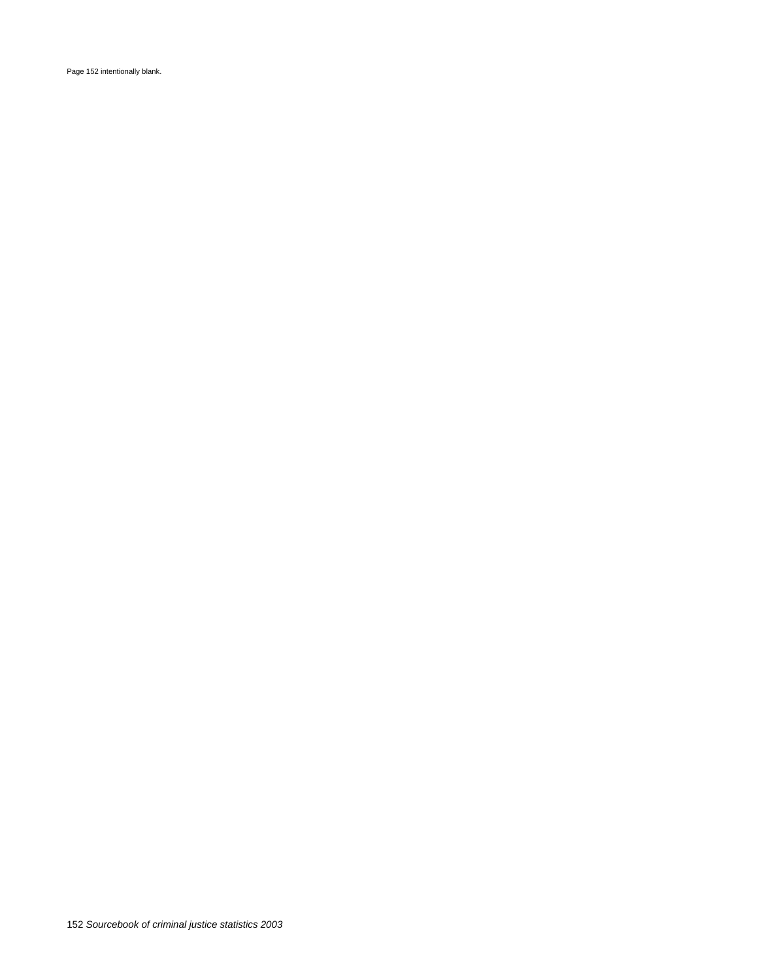Page 152 intentionally blank.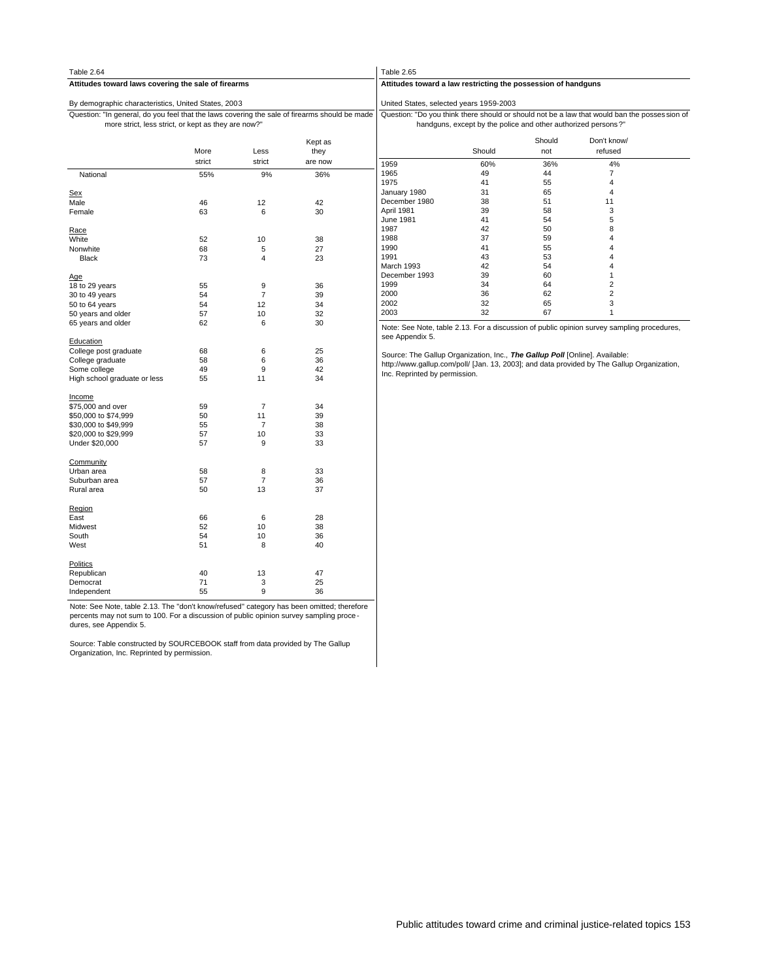| Table 2.64                                                                                                                                           |        |                |                 | Table 2.65                                                                  |                                                               |               |                                                                                               |  |  |  |
|------------------------------------------------------------------------------------------------------------------------------------------------------|--------|----------------|-----------------|-----------------------------------------------------------------------------|---------------------------------------------------------------|---------------|-----------------------------------------------------------------------------------------------|--|--|--|
| Attitudes toward laws covering the sale of firearms                                                                                                  |        |                |                 | Attitudes toward a law restricting the possession of handguns               |                                                               |               |                                                                                               |  |  |  |
| By demographic characteristics, United States, 2003                                                                                                  |        |                |                 | United States, selected years 1959-2003                                     |                                                               |               |                                                                                               |  |  |  |
| Question: "In general, do you feel that the laws covering the sale of firearms should be made<br>more strict, less strict, or kept as they are now?" |        |                |                 |                                                                             | handguns, except by the police and other authorized persons?" |               | Question: "Do you think there should or should not be a law that would ban the posses sion of |  |  |  |
|                                                                                                                                                      | More   | Less           | Kept as<br>they |                                                                             | Should                                                        | Should<br>not | Don't know/<br>refused                                                                        |  |  |  |
|                                                                                                                                                      | strict | strict         | are now         |                                                                             |                                                               |               |                                                                                               |  |  |  |
|                                                                                                                                                      |        |                |                 | 1959                                                                        | 60%                                                           | 36%           | 4%                                                                                            |  |  |  |
| National                                                                                                                                             | 55%    | 9%             | 36%             | 1965                                                                        | 49                                                            | 44            | 7                                                                                             |  |  |  |
|                                                                                                                                                      |        |                |                 | 1975                                                                        | 41                                                            | 55            | $\overline{4}$                                                                                |  |  |  |
| <b>Sex</b>                                                                                                                                           |        |                |                 | January 1980                                                                | 31                                                            | 65            | $\overline{4}$                                                                                |  |  |  |
| Male                                                                                                                                                 | 46     | 12             | 42              | December 1980                                                               | 38                                                            | 51            | 11                                                                                            |  |  |  |
| Female                                                                                                                                               | 63     | 6              | 30              | April 1981                                                                  | 39                                                            | 58            | $\mathsf 3$                                                                                   |  |  |  |
|                                                                                                                                                      |        |                |                 | June 1981                                                                   | 41                                                            | 54            | 5                                                                                             |  |  |  |
| Race                                                                                                                                                 |        |                |                 | 1987                                                                        | 42                                                            | 50            | 8                                                                                             |  |  |  |
| White                                                                                                                                                | 52     | 10             | 38              | 1988                                                                        | 37                                                            | 59            | $\overline{4}$                                                                                |  |  |  |
| Nonwhite                                                                                                                                             | 68     | 5              | 27              | 1990                                                                        | 41                                                            | 55            | $\overline{4}$                                                                                |  |  |  |
| <b>Black</b>                                                                                                                                         | 73     | 4              | 23              | 1991                                                                        | 43                                                            | 53            | $\overline{\mathbf{4}}$                                                                       |  |  |  |
|                                                                                                                                                      |        |                |                 | March 1993                                                                  | 42                                                            | 54            | $\overline{4}$                                                                                |  |  |  |
| <u>Age</u>                                                                                                                                           |        |                |                 | December 1993                                                               | 39                                                            | 60            | $\mathbf{1}$                                                                                  |  |  |  |
| 18 to 29 years                                                                                                                                       | 55     | $\mathsf g$    | 36              | 1999                                                                        | 34                                                            | 64            | $\overline{2}$                                                                                |  |  |  |
| 30 to 49 years                                                                                                                                       | 54     | 7              | 39              | 2000                                                                        | 36                                                            | 62            | $\overline{2}$                                                                                |  |  |  |
| 50 to 64 years                                                                                                                                       | 54     | 12             | 34              | 2002                                                                        | 32                                                            | 65            | 3                                                                                             |  |  |  |
| 50 years and older                                                                                                                                   | 57     | 10             | 32              | 2003                                                                        | 32                                                            | 67            | $\mathbf{1}$                                                                                  |  |  |  |
| 65 years and older                                                                                                                                   | 62     | 6              | 30              |                                                                             |                                                               |               | Note: See Note, table 2.13. For a discussion of public opinion survey sampling procedures,    |  |  |  |
| Education                                                                                                                                            |        |                |                 | see Appendix 5.                                                             |                                                               |               |                                                                                               |  |  |  |
| College post graduate                                                                                                                                | 68     | 6              | 25              |                                                                             |                                                               |               |                                                                                               |  |  |  |
| College graduate                                                                                                                                     | 58     | 6              | 36              | Source: The Gallup Organization, Inc., The Gallup Poll [Online]. Available: |                                                               |               |                                                                                               |  |  |  |
| Some college                                                                                                                                         | 49     | 9              | 42              |                                                                             |                                                               |               | http://www.gallup.com/poll/ [Jan. 13, 2003]; and data provided by The Gallup Organization,    |  |  |  |
| High school graduate or less                                                                                                                         | 55     | 11             | 34              | Inc. Reprinted by permission.                                               |                                                               |               |                                                                                               |  |  |  |
| Income                                                                                                                                               |        |                |                 |                                                                             |                                                               |               |                                                                                               |  |  |  |
| \$75,000 and over                                                                                                                                    | 59     | $\overline{7}$ | 34              |                                                                             |                                                               |               |                                                                                               |  |  |  |
| \$50,000 to \$74,999                                                                                                                                 | 50     | 11             | 39              |                                                                             |                                                               |               |                                                                                               |  |  |  |
| \$30,000 to \$49,999                                                                                                                                 | 55     | $\overline{7}$ | 38              |                                                                             |                                                               |               |                                                                                               |  |  |  |
| \$20,000 to \$29,999                                                                                                                                 | 57     | 10             | 33              |                                                                             |                                                               |               |                                                                                               |  |  |  |
| Under \$20,000                                                                                                                                       | 57     | 9              | 33              |                                                                             |                                                               |               |                                                                                               |  |  |  |
| Community                                                                                                                                            |        |                |                 |                                                                             |                                                               |               |                                                                                               |  |  |  |
| Urban area                                                                                                                                           | 58     | 8              | 33              |                                                                             |                                                               |               |                                                                                               |  |  |  |
| Suburban area                                                                                                                                        | 57     | $\overline{7}$ | 36              |                                                                             |                                                               |               |                                                                                               |  |  |  |
| Rural area                                                                                                                                           | 50     | 13             | 37              |                                                                             |                                                               |               |                                                                                               |  |  |  |
| Region                                                                                                                                               |        |                |                 |                                                                             |                                                               |               |                                                                                               |  |  |  |
| East                                                                                                                                                 | 66     | 6              | 28              |                                                                             |                                                               |               |                                                                                               |  |  |  |
| Midwest                                                                                                                                              | 52     | 10             | 38              |                                                                             |                                                               |               |                                                                                               |  |  |  |
| South                                                                                                                                                | 54     | 10             | 36              |                                                                             |                                                               |               |                                                                                               |  |  |  |
| West                                                                                                                                                 | 51     | 8              | 40              |                                                                             |                                                               |               |                                                                                               |  |  |  |
| <b>Politics</b>                                                                                                                                      |        |                |                 |                                                                             |                                                               |               |                                                                                               |  |  |  |
| Republican                                                                                                                                           | 40     | 13             | 47              |                                                                             |                                                               |               |                                                                                               |  |  |  |
| Democrat                                                                                                                                             | 71     | 3              | 25              |                                                                             |                                                               |               |                                                                                               |  |  |  |
| Independent                                                                                                                                          | 55     | 9              | 36              |                                                                             |                                                               |               |                                                                                               |  |  |  |

Note: See Note, table 2.13. The "don't know/refused" category has been omitted; therefore percents may not sum to 100. For a discussion of public opinion survey sampling proce - dures, see Appendix 5.

Source: Table constructed by SOURCEBOOK staff from data provided by The Gallup Organization, Inc. Reprinted by permission.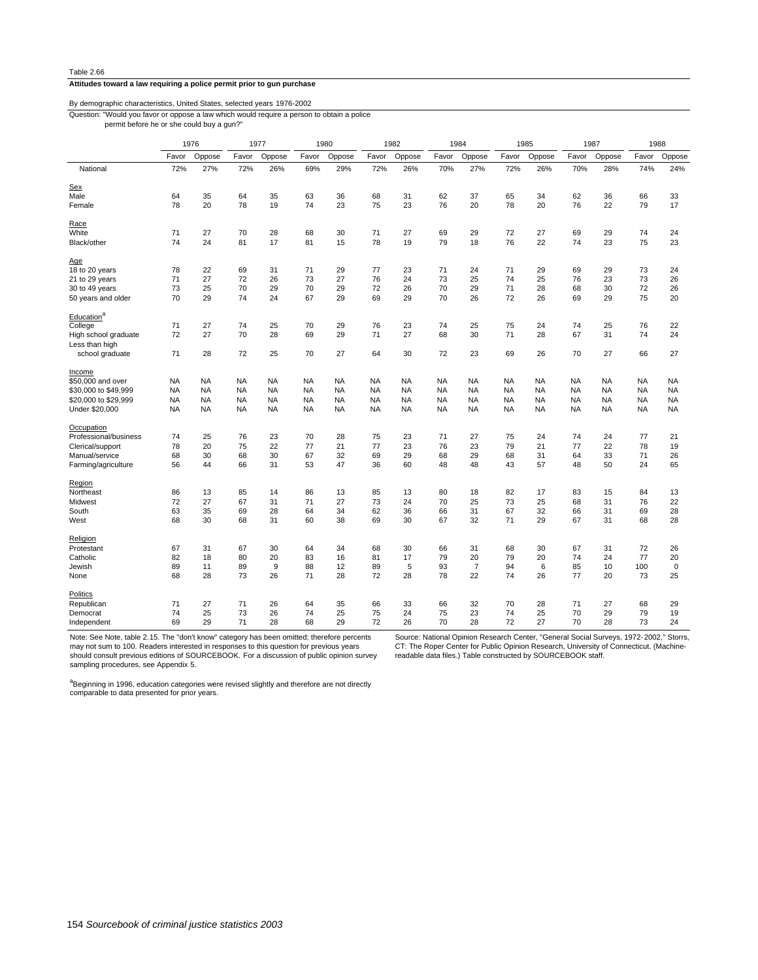## **Attitudes toward a law requiring a police permit prior to gun purchase**

## By demographic characteristics, United States, selected years 1976-2002

Question: "Would you favor or oppose a law which would require a person to obtain a police

permit before he or she could buy a gun?"

|                                        | 1976      |           | 1977<br>1980 |           |           |           | 1982      |           | 1984      |                | 1985      |           | 1987      | 1988      |           |             |
|----------------------------------------|-----------|-----------|--------------|-----------|-----------|-----------|-----------|-----------|-----------|----------------|-----------|-----------|-----------|-----------|-----------|-------------|
|                                        | Favor     | Oppose    | Favor        | Oppose    | Favor     | Oppose    | Favor     | Oppose    | Favor     | Oppose         | Favor     | Oppose    | Favor     | Oppose    | Favor     | Oppose      |
| National                               | 72%       | 27%       | 72%          | 26%       | 69%       | 29%       | 72%       | 26%       | 70%       | 27%            | 72%       | 26%       | 70%       | 28%       | 74%       | 24%         |
| Sex                                    |           |           |              |           |           |           |           |           |           |                |           |           |           |           |           |             |
| Male                                   | 64        | 35        | 64           | 35        | 63        | 36        | 68        | 31        | 62        | 37             | 65        | 34        | 62        | 36        | 66        | 33          |
| Female                                 | 78        | 20        | 78           | 19        | 74        | 23        | 75        | 23        | 76        | 20             | 78        | 20        | 76        | 22        | 79        | 17          |
| Race                                   |           |           |              |           |           |           |           |           |           |                |           |           |           |           |           |             |
| White                                  | 71        | 27        | 70           | 28        | 68        | 30        | 71        | 27        | 69        | 29             | 72        | 27        | 69        | 29        | 74        | 24          |
| Black/other                            | 74        | 24        | 81           | 17        | 81        | 15        | 78        | 19        | 79        | 18             | 76        | 22        | 74        | 23        | 75        | 23          |
| Age                                    |           |           |              |           |           |           |           |           |           |                |           |           |           |           |           |             |
| 18 to 20 years                         | 78        | 22        | 69           | 31        | 71        | 29        | 77        | 23        | 71        | 24             | 71        | 29        | 69        | 29        | 73        | 24          |
| 21 to 29 years                         | 71        | 27        | 72           | 26        | 73        | 27        | 76        | 24        | 73        | 25             | 74        | 25        | 76        | 23        | 73        | 26          |
| 30 to 49 years                         | 73        | 25        | 70           | 29        | 70        | 29        | 72        | 26        | 70        | 29             | 71        | 28        | 68        | 30        | 72        | 26          |
| 50 years and older                     | 70        | 29        | 74           | 24        | 67        | 29        | 69        | 29        | 70        | 26             | 72        | 26        | 69        | 29        | 75        | 20          |
| Education <sup>a</sup>                 |           |           |              |           |           |           |           |           |           |                |           |           |           |           |           |             |
| College                                | 71        | 27        | 74           | 25        | 70        | 29        | 76        | 23        | 74        | 25             | 75        | 24        | 74        | 25        | 76        | 22          |
| High school graduate<br>Less than high | 72        | 27        | 70           | 28        | 69        | 29        | 71        | 27        | 68        | 30             | 71        | 28        | 67        | 31        | 74        | 24          |
| school graduate                        | 71        | 28        | 72           | 25        | 70        | 27        | 64        | 30        | 72        | 23             | 69        | 26        | 70        | 27        | 66        | 27          |
| Income                                 |           |           |              |           |           |           |           |           |           |                |           |           |           |           |           |             |
| \$50,000 and over                      | NA        | <b>NA</b> | <b>NA</b>    | <b>NA</b> | <b>NA</b> | <b>NA</b> | <b>NA</b> | <b>NA</b> | <b>NA</b> | <b>NA</b>      | <b>NA</b> | <b>NA</b> | <b>NA</b> | <b>NA</b> | <b>NA</b> | <b>NA</b>   |
| \$30,000 to \$49,999                   | NA        | NA        | <b>NA</b>    | NA        | <b>NA</b> | <b>NA</b> | <b>NA</b> | <b>NA</b> | <b>NA</b> | <b>NA</b>      | NA        | <b>NA</b> | <b>NA</b> | NA        | NA        | <b>NA</b>   |
| \$20,000 to \$29,999                   | <b>NA</b> | NA        | <b>NA</b>    | NA        | <b>NA</b> | <b>NA</b> | <b>NA</b> | <b>NA</b> | <b>NA</b> | <b>NA</b>      | <b>NA</b> | <b>NA</b> | <b>NA</b> | <b>NA</b> | <b>NA</b> | <b>NA</b>   |
| Under \$20,000                         | <b>NA</b> | <b>NA</b> | <b>NA</b>    | <b>NA</b> | <b>NA</b> | <b>NA</b> | <b>NA</b> | <b>NA</b> | <b>NA</b> | <b>NA</b>      | <b>NA</b> | <b>NA</b> | <b>NA</b> | <b>NA</b> | <b>NA</b> | <b>NA</b>   |
|                                        |           |           |              |           |           |           |           |           |           |                |           |           |           |           |           |             |
| Occupation                             |           |           |              |           |           |           |           |           |           |                |           |           |           |           |           |             |
| Professional/business                  | 74        | 25        | 76           | 23        | 70        | 28        | 75        | 23        | 71        | 27             | 75        | 24        | 74        | 24        | 77        | 21          |
| Clerical/support                       | 78        | 20        | 75           | 22        | 77        | 21        | 77        | 23        | 76        | 23             | 79        | 21        | 77        | 22        | 78        | 19          |
| Manual/service                         | 68        | 30        | 68           | 30        | 67        | 32        | 69        | 29        | 68        | 29             | 68        | 31        | 64        | 33        | 71        | 26          |
| Farming/agriculture                    | 56        | 44        | 66           | 31        | 53        | 47        | 36        | 60        | 48        | 48             | 43        | 57        | 48        | 50        | 24        | 65          |
| Region                                 |           |           |              |           |           |           |           |           |           |                |           |           |           |           |           |             |
| Northeast                              | 86        | 13        | 85           | 14        | 86        | 13        | 85        | 13        | 80        | 18             | 82        | 17        | 83        | 15        | 84        | 13          |
| Midwest                                | 72        | 27        | 67           | 31        | 71        | 27        | 73        | 24        | 70        | 25             | 73        | 25        | 68        | 31        | 76        | 22          |
| South                                  | 63        | 35        | 69           | 28        | 64        | 34        | 62        | 36        | 66        | 31             | 67        | 32        | 66        | 31        | 69        | 28          |
| West                                   | 68        | 30        | 68           | 31        | 60        | 38        | 69        | 30        | 67        | 32             | 71        | 29        | 67        | 31        | 68        | 28          |
| Religion                               |           |           |              |           |           |           |           |           |           |                |           |           |           |           |           |             |
| Protestant                             | 67        | 31        | 67           | 30        | 64        | 34        | 68        | 30        | 66        | 31             | 68        | 30        | 67        | 31        | 72        | 26          |
| Catholic                               | 82        | 18        | 80           | 20        | 83        | 16        | 81        | 17        | 79        | 20             | 79        | 20        | 74        | 24        | 77        | 20          |
| Jewish                                 | 89        | 11        | 89           | 9         | 88        | 12        | 89        | 5         | 93        | $\overline{7}$ | 94        | 6         | 85        | 10        | 100       | $\mathbf 0$ |
| None                                   | 68        | 28        | 73           | 26        | 71        | 28        | 72        | 28        | 78        | 22             | 74        | 26        | 77        | 20        | 73        | 25          |
| Politics                               |           |           |              |           |           |           |           |           |           |                |           |           |           |           |           |             |
| Republican                             | 71        | 27        | 71           | 26        | 64        | 35        | 66        | 33        | 66        | 32             | 70        | 28        | 71        | 27        | 68        | 29          |
| Democrat                               | 74        | 25        | 73           | 26        | 74        | 25        | 75        | 24        | 75        | 23             | 74        | 25        | 70        | 29        | 79        | 19          |
| Independent                            | 69        | 29        | 71           | 28        | 68        | 29        | 72        | 26        | 70        | 28             | 72        | 27        | 70        | 28        | 73        | 24          |

Note: See Note, table 2.15. The "don't know" category has been omitted; therefore percents

may not sum to 100. Readers interested in responses to this question for previous years should consult previous editions of SOURCEBOOK. For a discussion of public opinion survey sampling procedures, see Appendix 5.

Source: National Opinion Research Center, "General Social Surveys, 1972-2002," Storrs, CT: The Roper Center for Public Opinion Research, University of Connecticut. (Machinereadable data files.) Table constructed by SOURCEBOOK staff.

a<br>Beginning in 1996, education categories were revised slightly and therefore are not directly<br>comparable to data presented for prior years.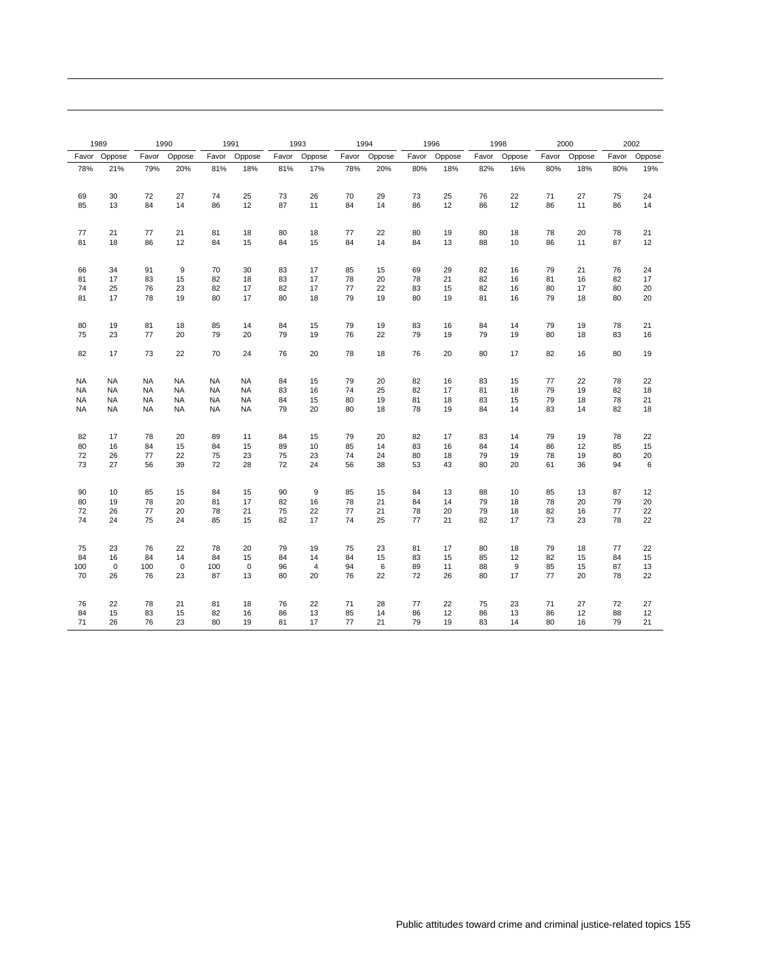|                 | 1989                   |                        | 1990                   |                        | 1991                   |          | 1993                 |          | 1994     |          | 1996     |          | 1998     |          | 2000     |          | 2002     |
|-----------------|------------------------|------------------------|------------------------|------------------------|------------------------|----------|----------------------|----------|----------|----------|----------|----------|----------|----------|----------|----------|----------|
| Favor           | Oppose                 | Favor                  | Oppose                 | Favor                  | Oppose                 | Favor    | Oppose               | Favor    | Oppose   | Favor    | Oppose   | Favor    | Oppose   | Favor    | Oppose   | Favor    | Oppose   |
| 78%             | 21%                    | 79%                    | 20%                    | 81%                    | 18%                    | 81%      | 17%                  | 78%      | 20%      | 80%      | 18%      | 82%      | 16%      | 80%      | 18%      | 80%      | 19%      |
| 69<br>85        | 30<br>13               | 72<br>84               | 27<br>14               | 74<br>86               | 25<br>12               | 73<br>87 | 26<br>11             | 70<br>84 | 29<br>14 | 73<br>86 | 25<br>12 | 76<br>86 | 22<br>12 | 71<br>86 | 27<br>11 | 75<br>86 | 24<br>14 |
|                 |                        |                        |                        |                        |                        |          |                      |          |          |          |          |          |          |          |          |          |          |
| 77              | 21                     | 77                     | 21                     | 81                     | 18                     | 80       | 18                   | 77       | 22       | 80       | 19       | 80       | 18       | 78       | 20       | 78       | 21       |
| 81              | 18                     | 86                     | 12                     | 84                     | 15                     | 84       | 15                   | 84       | 14       | 84       | 13       | 88       | 10       | 86       | 11       | 87       | 12       |
| 66              | 34                     | 91                     | 9                      | 70                     | 30                     | 83       | 17                   | 85       | 15       | 69       | 29       | 82       | 16       | 79       | 21       | 76       | 24       |
| 81<br>74        | 17<br>25               | 83<br>76               | 15<br>23               | 82<br>82               | 18<br>17               | 83<br>82 | 17<br>17             | 78<br>77 | 20<br>22 | 78<br>83 | 21<br>15 | 82<br>82 | 16<br>16 | 81<br>80 | 16<br>17 | 82<br>80 | 17<br>20 |
| 81              | 17                     | 78                     | 19                     | 80                     | 17                     | 80       | 18                   | 79       | 19       | 80       | 19       | 81       | 16       | 79       | 18       | 80       | 20       |
| 80              | 19                     | 81                     | 18                     | 85                     | 14                     | 84       | 15                   | 79       | 19       | 83       | 16       | 84       | 14       | 79       | 19       | 78       | 21       |
| 75              | 23                     | 77                     | 20                     | 79                     | 20                     | 79       | 19                   | 76       | 22       | 79       | 19       | 79       | 19       | 80       | 18       | 83       | 16       |
| 82              | 17                     | 73                     | 22                     | 70                     | 24                     | 76       | 20                   | 78       | 18       | 76       | 20       | 80       | 17       | 82       | 16       | 80       | 19       |
| <b>NA</b>       | <b>NA</b>              | <b>NA</b>              | <b>NA</b>              | <b>NA</b>              | <b>NA</b>              | 84       | 15                   | 79       | 20       | 82       | 16       | 83       | 15       | 77       | 22       | 78       | 22       |
| <b>NA</b><br>NA | <b>NA</b><br><b>NA</b> | <b>NA</b><br><b>NA</b> | <b>NA</b><br><b>NA</b> | <b>NA</b><br><b>NA</b> | <b>NA</b><br><b>NA</b> | 83<br>84 | 16<br>15             | 74<br>80 | 25<br>19 | 82<br>81 | 17<br>18 | 81<br>83 | 18<br>15 | 79<br>79 | 19<br>18 | 82<br>78 | 18<br>21 |
| NA              | <b>NA</b>              | <b>NA</b>              | <b>NA</b>              | NA                     | <b>NA</b>              | 79       | 20                   | 80       | 18       | 78       | 19       | 84       | 14       | 83       | 14       | 82       | 18       |
| 82              | 17                     | 78                     | 20                     | 89                     | 11                     | 84       | 15                   | 79       | 20       | 82       | 17       | 83       | 14       | 79       | 19       | 78       | 22       |
| 80<br>72        | 16<br>26               | 84<br>77               | 15<br>22               | 84<br>75               | 15<br>23               | 89<br>75 | 10<br>23             | 85<br>74 | 14<br>24 | 83<br>80 | 16<br>18 | 84<br>79 | 14<br>19 | 86<br>78 | 12<br>19 | 85<br>80 | 15<br>20 |
| 73              | 27                     | 56                     | 39                     | 72                     | 28                     | 72       | 24                   | 56       | 38       | 53       | 43       | 80       | 20       | 61       | 36       | 94       | 6        |
| 90              | 10                     | 85                     | 15                     | 84                     | 15                     | 90       | $\boldsymbol{9}$     | 85       | 15       | 84       | 13       | 88       | 10       | 85       | 13       | 87       | 12       |
| 80<br>72        | 19<br>26               | 78<br>77               | 20<br>20               | 81<br>78               | 17<br>21               | 82<br>75 | 16<br>22             | 78<br>77 | 21<br>21 | 84<br>78 | 14<br>20 | 79<br>79 | 18<br>18 | 78<br>82 | 20<br>16 | 79<br>77 | 20<br>22 |
| 74              | 24                     | 75                     | 24                     | 85                     | 15                     | 82       | 17                   | 74       | 25       | 77       | 21       | 82       | 17       | 73       | 23       | 78       | 22       |
| 75              | 23                     | 76                     | 22                     | 78                     | 20                     | 79       | 19                   | 75       | 23       | 81       | 17       | 80       | 18       | 79       | 18       | 77       | 22       |
| 84<br>100       | 16<br>$\mathbf 0$      | 84<br>100              | 14<br>$\mathbf 0$      | 84<br>100              | 15<br>$\mathbf 0$      | 84<br>96 | 14<br>$\overline{4}$ | 84<br>94 | 15<br>6  | 83<br>89 | 15<br>11 | 85<br>88 | 12<br>9  | 82<br>85 | 15<br>15 | 84<br>87 | 15<br>13 |
| 70              | 26                     | 76                     | 23                     | 87                     | 13                     | 80       | 20                   | 76       | 22       | 72       | 26       | 80       | 17       | 77       | 20       | 78       | 22       |
| 76              | 22                     | 78                     | 21                     | 81                     | 18                     | 76       | 22                   | 71       | 28       | 77       | 22       | 75       | 23       | 71       | 27       | 72       | 27       |
| 84<br>71        | 15<br>26               | 83<br>76               | 15<br>23               | 82<br>80               | 16<br>19               | 86<br>81 | 13<br>17             | 85<br>77 | 14<br>21 | 86<br>79 | 12<br>19 | 86<br>83 | 13<br>14 | 86<br>80 | 12<br>16 | 88<br>79 | 12<br>21 |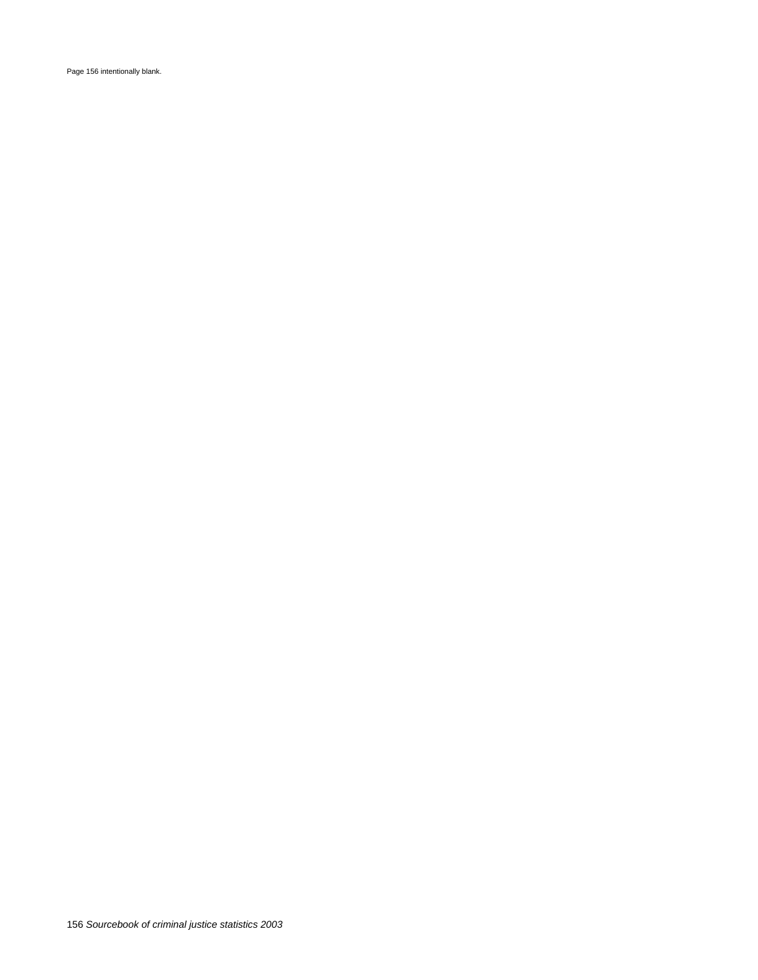Page 156 intentionally blank.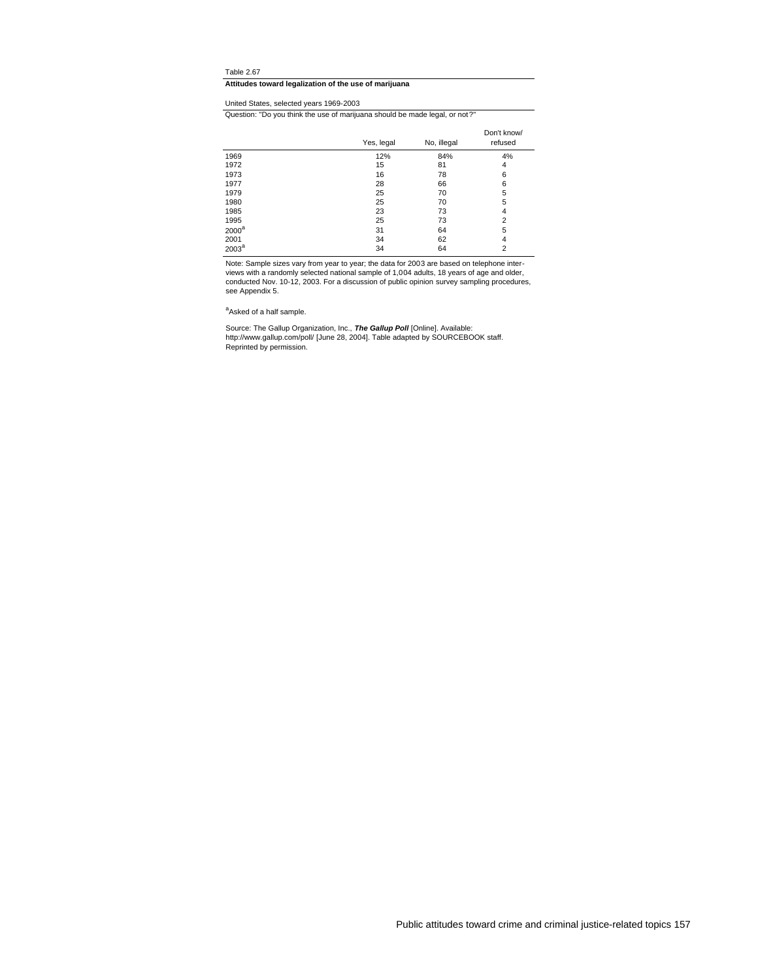## **Attitudes toward legalization of the use of marijuana**

## United States, selected years 1969-2003

Question: "Do you think the use of marijuana should be made legal, or not?"

|                   | Yes, legal | No, illegal | Don't know/<br>refused |
|-------------------|------------|-------------|------------------------|
| 1969              | 12%        | 84%         | 4%                     |
| 1972              | 15         | 81          | 4                      |
| 1973              | 16         | 78          | 6                      |
| 1977              | 28         | 66          | 6                      |
| 1979              | 25         | 70          | 5                      |
| 1980              | 25         | 70          | 5                      |
| 1985              | 23         | 73          | 4                      |
| 1995              | 25         | 73          | 2                      |
| $2000^a$          | 31         | 64          | 5                      |
| 2001              | 34         | 62          | 4                      |
| 2003 <sup>a</sup> | 34         | 64          | 2                      |

Note: Sample sizes vary from year to year; the data for 2003 are based on telephone inter-<br>views with a randomly selected national sample of 1,004 adults, 18 years of age and older,<br>conducted Nov. 10-12, 2003. For a discus see Appendix 5.

<sup>a</sup>Asked of a half sample.

Source: The Gallup Organization, Inc., *The Gallup Poll* **[**Online]. Available:<br>http://www.gallup.com/poll/ [June 28, 2004]. Table adapted by SOURCEBOOK staff.<br>Reprinted by permission.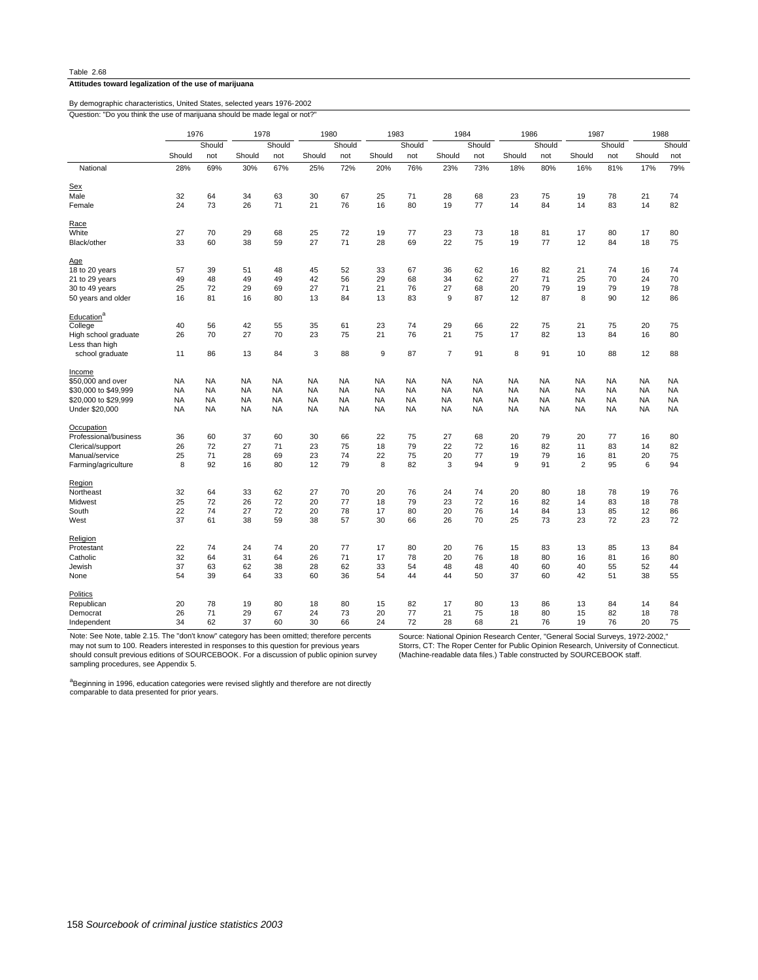## **Attitudes toward legalization of the use of marijuana**

Question: "Do you think the use of marijuana should be made legal or not?" By demographic characteristics, United States, selected years 1976-2002

|                        | 1976      |           | 1978      |           | 1980      |           | 1983      |           | 1984           |           | 1986      |           | 1987           |           | 1988      |           |
|------------------------|-----------|-----------|-----------|-----------|-----------|-----------|-----------|-----------|----------------|-----------|-----------|-----------|----------------|-----------|-----------|-----------|
|                        |           | Should    |           | Should    |           | Should    |           | Should    |                | Should    |           | Should    |                | Should    |           | Should    |
|                        | Should    | not       | Should    | not       | Should    | not       | Should    | not       | Should         | not       | Should    | not       | Should         | not       | Should    | not       |
| National               | 28%       | 69%       | 30%       | 67%       | 25%       | 72%       | 20%       | 76%       | 23%            | 73%       | 18%       | 80%       | 16%            | 81%       | 17%       | 79%       |
| Sex                    |           |           |           |           |           |           |           |           |                |           |           |           |                |           |           |           |
| Male                   | 32        | 64        | 34        | 63        | 30        | 67        | 25        | 71        | 28             | 68        | 23        | 75        | 19             | 78        | 21        | 74        |
| Female                 | 24        | 73        | 26        | 71        | 21        | 76        | 16        | 80        | 19             | 77        | 14        | 84        | 14             | 83        | 14        | 82        |
| Race                   |           |           |           |           |           |           |           |           |                |           |           |           |                |           |           |           |
| White                  | 27        | 70        | 29        | 68        | 25        | 72        | 19        | 77        | 23             | 73        | 18        | 81        | 17             | 80        | 17        | 80        |
| Black/other            | 33        | 60        | 38        | 59        | 27        | 71        | 28        | 69        | 22             | 75        | 19        | 77        | 12             | 84        | 18        | 75        |
| Age                    |           |           |           |           |           |           |           |           |                |           |           |           |                |           |           |           |
| 18 to 20 years         | 57        | 39        | 51        | 48        | 45        | 52        | 33        | 67        | 36             | 62        | 16        | 82        | 21             | 74        | 16        | 74        |
| 21 to 29 years         | 49        | 48        | 49        | 49        | 42        | 56        | 29        | 68        | 34             | 62        | 27        | 71        | 25             | 70        | 24        | 70        |
| 30 to 49 years         | 25        | 72        | 29        | 69        | 27        | 71        | 21        | 76        | 27             | 68        | 20        | 79        | 19             | 79        | 19        | 78        |
|                        |           |           |           |           |           |           | 13        |           |                | 87        | 12        | 87        | 8              | 90        |           |           |
| 50 years and older     | 16        | 81        | 16        | 80        | 13        | 84        |           | 83        | 9              |           |           |           |                |           | 12        | 86        |
| Education <sup>a</sup> |           |           |           |           |           |           |           |           |                |           |           |           |                |           |           |           |
| College                | 40        | 56        | 42        | 55        | 35        | 61        | 23        | 74        | 29             | 66        | 22        | 75        | 21             | 75        | 20        | 75        |
| High school graduate   | 26        | 70        | 27        | 70        | 23        | 75        | 21        | 76        | 21             | 75        | 17        | 82        | 13             | 84        | 16        | 80        |
| Less than high         |           |           |           |           |           |           |           |           |                |           |           |           |                |           |           |           |
| school graduate        | 11        | 86        | 13        | 84        | 3         | 88        | 9         | 87        | $\overline{7}$ | 91        | 8         | 91        | 10             | 88        | 12        | 88        |
| Income                 |           |           |           |           |           |           |           |           |                |           |           |           |                |           |           |           |
| \$50,000 and over      | <b>NA</b> | NA        | <b>NA</b> | NA        | <b>NA</b> | <b>NA</b> | <b>NA</b> | <b>NA</b> | <b>NA</b>      | NA        | NA        | NA        | NA             | <b>NA</b> | <b>NA</b> | <b>NA</b> |
| \$30,000 to \$49,999   | <b>NA</b> | <b>NA</b> | <b>NA</b> | <b>NA</b> | <b>NA</b> | <b>NA</b> | <b>NA</b> | <b>NA</b> | <b>NA</b>      | <b>NA</b> | NA        | <b>NA</b> | <b>NA</b>      | <b>NA</b> | <b>NA</b> | NA        |
|                        |           |           | <b>NA</b> | <b>NA</b> | <b>NA</b> |           | <b>NA</b> | <b>NA</b> | <b>NA</b>      |           | <b>NA</b> |           |                |           |           |           |
| \$20,000 to \$29,999   | <b>NA</b> | <b>NA</b> |           |           |           | <b>NA</b> |           |           |                | <b>NA</b> |           | <b>NA</b> | <b>NA</b>      | <b>NA</b> | <b>NA</b> | <b>NA</b> |
| Under \$20,000         | <b>NA</b> | <b>NA</b> | <b>NA</b> | <b>NA</b> | <b>NA</b> | <b>NA</b> | <b>NA</b> | <b>NA</b> | <b>NA</b>      | <b>NA</b> | <b>NA</b> | <b>NA</b> | <b>NA</b>      | <b>NA</b> | <b>NA</b> | <b>NA</b> |
| Occupation             |           |           |           |           |           |           |           |           |                |           |           |           |                |           |           |           |
| Professional/business  | 36        | 60        | 37        | 60        | 30        | 66        | 22        | 75        | 27             | 68        | 20        | 79        | 20             | 77        | 16        | 80        |
| Clerical/support       | 26        | 72        | 27        | 71        | 23        | 75        | 18        | 79        | 22             | 72        | 16        | 82        | 11             | 83        | 14        | 82        |
| Manual/service         | 25        | 71        | 28        | 69        | 23        | 74        | 22        | 75        | 20             | 77        | 19        | 79        | 16             | 81        | 20        | 75        |
| Farming/agriculture    | 8         | 92        | 16        | 80        | 12        | 79        | 8         | 82        | 3              | 94        | 9         | 91        | $\overline{2}$ | 95        | 6         | 94        |
| Region                 |           |           |           |           |           |           |           |           |                |           |           |           |                |           |           |           |
| Northeast              | 32        | 64        | 33        | 62        | 27        | 70        | 20        | 76        | 24             | 74        | 20        | 80        | 18             | 78        | 19        | 76        |
| Midwest                | 25        | 72        | 26        | 72        | 20        | 77        | 18        | 79        | 23             | 72        | 16        | 82        | 14             | 83        | 18        | 78        |
| South                  | 22        | 74        | 27        | 72        | 20        | 78        | 17        | 80        | 20             | 76        | 14        | 84        | 13             | 85        | 12        | 86        |
| West                   | 37        | 61        | 38        | 59        | 38        | 57        | 30        | 66        | 26             | 70        | 25        | 73        | 23             | 72        | 23        | 72        |
| Religion               |           |           |           |           |           |           |           |           |                |           |           |           |                |           |           |           |
| Protestant             | 22        | 74        | 24        | 74        | 20        | 77        | 17        | 80        | 20             | 76        | 15        | 83        | 13             | 85        | 13        | 84        |
| Catholic               | 32        | 64        | 31        | 64        | 26        | 71        | 17        | 78        | 20             | 76        | 18        | 80        | 16             | 81        | 16        | 80        |
|                        |           |           |           |           |           |           |           |           |                |           |           |           |                |           |           |           |
| Jewish                 | 37        | 63        | 62        | 38        | 28        | 62        | 33        | 54        | 48             | 48        | 40        | 60        | 40             | 55        | 52        | 44        |
| None                   | 54        | 39        | 64        | 33        | 60        | 36        | 54        | 44        | 44             | 50        | 37        | 60        | 42             | 51        | 38        | 55        |
| <b>Politics</b>        |           |           |           |           |           |           |           |           |                |           |           |           |                |           |           |           |
| Republican             | 20        | 78        | 19        | 80        | 18        | 80        | 15        | 82        | 17             | 80        | 13        | 86        | 13             | 84        | 14        | 84        |
| Democrat               | 26        | 71        | 29        | 67        | 24        | 73        | 20        | 77        | 21             | 75        | 18        | 80        | 15             | 82        | 18        | 78        |
| Independent            | 34        | 62        | 37        | 60        | 30        | 66        | 24        | 72        | 28             | 68        | 21        | 76        | 19             | 76        | 20        | 75        |

Note: See Note, table 2.15. The "don't know" category has been omitted; therefore percents

may not sum to 100. Readers interested in responses to this question for previous years should consult previous editions of SOURCEBOOK. For a discussion of public opinion survey sampling procedures, see Appendix 5.

Source: National Opinion Research Center, "General Social Surveys, 1972-2002," Storrs, CT: The Roper Center for Public Opinion Research, University of Connecticut. (Machine-readable data files.) Table constructed by SOURCEBOOK staff.

a<br><sup>a</sup>Beginning in 1996, education categories were revised slightly and therefore are not directly<br>comparable to data presented for prior years.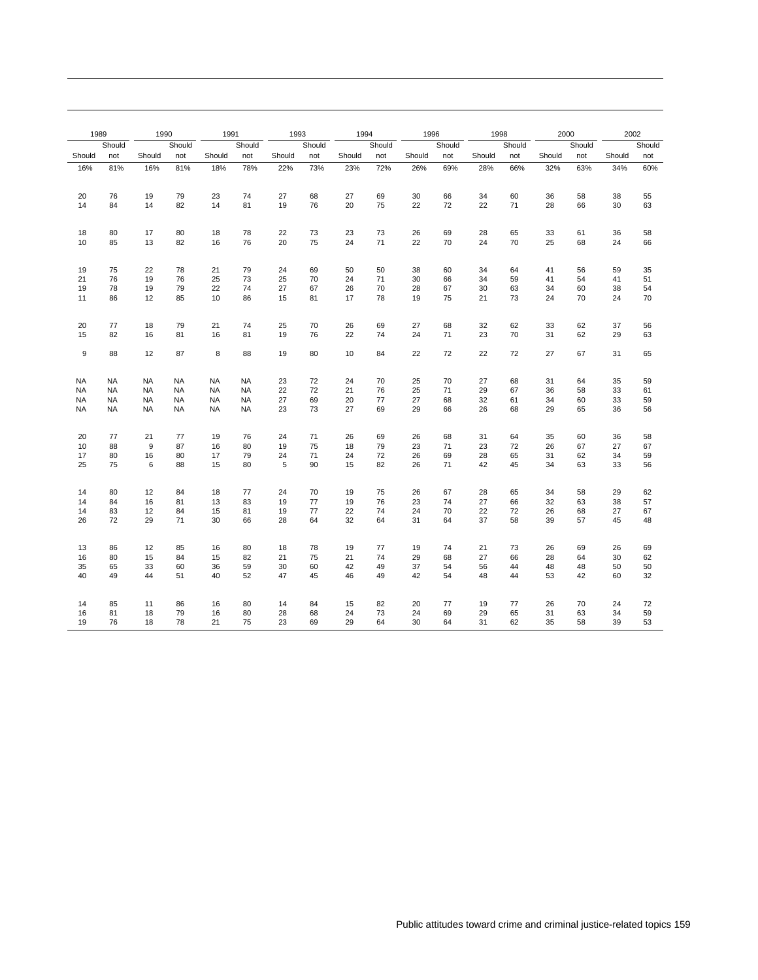| 1989      |           | 1990      |           | 1991      |           | 1993     |          | 1994     |          | 1996     |          | 1998     |          | 2000     |          | 2002     |          |
|-----------|-----------|-----------|-----------|-----------|-----------|----------|----------|----------|----------|----------|----------|----------|----------|----------|----------|----------|----------|
|           | Should    |           | Should    |           | Should    |          | Should   |          | Should   |          | Should   |          | Should   |          | Should   |          | Should   |
| Should    | not       | Should    | not       | Should    | not       | Should   | not      | Should   | not      | Should   | not      | Should   | not      | Should   | not      | Should   | not      |
| 16%       | 81%       | 16%       | 81%       | 18%       | 78%       | 22%      | 73%      | 23%      | 72%      | 26%      | 69%      | 28%      | 66%      | 32%      | 63%      | 34%      | 60%      |
|           |           |           |           |           |           |          |          |          |          |          |          |          |          |          |          |          |          |
| 20        | 76        | 19        | 79        | 23        | 74        | 27       | 68       | 27       | 69       | 30       | 66       | 34       | 60       | 36       | 58       | 38       | 55       |
| 14        | 84        | 14        | 82        | 14        | 81        | 19       | 76       | 20       | 75       | 22       | 72       | 22       | 71       | 28       | 66       | 30       | 63       |
|           |           |           |           |           |           |          |          |          |          |          |          |          |          |          |          |          |          |
| 18        | 80        | 17        | 80        | 18        | 78        | 22       | 73       | 23       | 73       | 26       | 69       | 28       | 65       | 33       | 61       | 36       | 58       |
| 10        | 85        | 13        | 82        | 16        | 76        | 20       | 75       | 24       | 71       | 22       | 70       | 24       | 70       | 25       | 68       | 24       | 66       |
|           |           |           |           |           |           |          |          |          |          |          |          |          |          |          |          |          |          |
|           |           |           |           |           |           |          |          |          |          |          |          |          |          |          |          |          |          |
| 19<br>21  | 75<br>76  | 22<br>19  | 78<br>76  | 21<br>25  | 79<br>73  | 24<br>25 | 69<br>70 | 50<br>24 | 50<br>71 | 38<br>30 | 60<br>66 | 34<br>34 | 64<br>59 | 41<br>41 | 56<br>54 | 59<br>41 | 35<br>51 |
| 19        | 78        | 19        | 79        | 22        | 74        | 27       | 67       | 26       | 70       | 28       | 67       | 30       | 63       | 34       | 60       | 38       | 54       |
| 11        | 86        | 12        | 85        | 10        | 86        | 15       | 81       | 17       | 78       | 19       | 75       | 21       | 73       | 24       | 70       | 24       | 70       |
|           |           |           |           |           |           |          |          |          |          |          |          |          |          |          |          |          |          |
| 20        | 77        | 18        | 79        | 21        | 74        | 25       | 70       | 26       | 69       | 27       | 68       | 32       | 62       | 33       | 62       | 37       |          |
| 15        | 82        | 16        | 81        | 16        | 81        | 19       | 76       | 22       | 74       | 24       | 71       | 23       | 70       | 31       | 62       | 29       | 56<br>63 |
|           |           |           |           |           |           |          |          |          |          |          |          |          |          |          |          |          |          |
| 9         | 88        | 12        | 87        | 8         | 88        | 19       | 80       | 10       | 84       | 22       | 72       | 22       | 72       | 27       | 67       | 31       | 65       |
|           |           |           |           |           |           |          |          |          |          |          |          |          |          |          |          |          |          |
| <b>NA</b> | <b>NA</b> | <b>NA</b> | <b>NA</b> | <b>NA</b> | <b>NA</b> | 23       | 72       | 24       | 70       | 25       | 70       | 27       | 68       | 31       | 64       | 35       | 59       |
| <b>NA</b> | <b>NA</b> | <b>NA</b> | <b>NA</b> | <b>NA</b> | <b>NA</b> | 22       | 72       | 21       | 76       | 25       | 71       | 29       | 67       | 36       | 58       | 33       | 61       |
| <b>NA</b> | <b>NA</b> | <b>NA</b> | <b>NA</b> | <b>NA</b> | <b>NA</b> | 27       | 69       | 20       | 77       | 27       | 68       | 32       | 61       | 34       | 60       | 33       | 59       |
| <b>NA</b> | <b>NA</b> | <b>NA</b> | <b>NA</b> | <b>NA</b> | <b>NA</b> | 23       | 73       | 27       | 69       | 29       | 66       | 26       | 68       | 29       | 65       | 36       | 56       |
|           |           |           |           |           |           |          |          |          |          |          |          |          |          |          |          |          |          |
| 20        | 77        | 21        | 77        | 19        | 76        | 24       | 71       | 26       | 69       | 26       | 68       | 31       | 64       | 35       | 60       | 36       | 58       |
| 10        | 88        | 9         | 87        | 16        | 80        | 19       | 75       | 18       | 79       | 23       | 71       | 23       | 72       | 26       | 67       | 27       | 67       |
| 17        | 80        | 16        | 80        | 17        | 79        | 24<br>5  | 71<br>90 | 24       | 72<br>82 | 26       | 69       | 28       | 65       | 31       | 62       | 34       | 59<br>56 |
| 25        | 75        | 6         | 88        | 15        | 80        |          |          | 15       |          | 26       | 71       | 42       | 45       | 34       | 63       | 33       |          |
|           |           |           |           |           |           |          |          |          |          |          |          |          |          |          |          |          |          |
| 14        | 80        | 12        | 84        | 18        | 77        | 24       | 70       | 19       | 75       | 26       | 67       | 28       | 65       | 34       | 58       | 29       | 62       |
| 14        | 84        | 16        | 81        | 13        | 83        | 19       | 77<br>77 | 19<br>22 | 76<br>74 | 23<br>24 | 74<br>70 | 27       | 66       | 32       | 63       | 38       | 57       |
| 14<br>26  | 83<br>72  | 12<br>29  | 84<br>71  | 15<br>30  | 81<br>66  | 19<br>28 | 64       | 32       | 64       | 31       | 64       | 22<br>37 | 72<br>58 | 26<br>39 | 68<br>57 | 27<br>45 | 67<br>48 |
|           |           |           |           |           |           |          |          |          |          |          |          |          |          |          |          |          |          |
|           |           |           |           |           |           |          |          |          |          |          |          |          |          |          |          |          |          |
| 13<br>16  | 86<br>80  | 12<br>15  | 85<br>84  | 16<br>15  | 80<br>82  | 18<br>21 | 78<br>75 | 19<br>21 | 77<br>74 | 19<br>29 | 74<br>68 | 21<br>27 | 73<br>66 | 26<br>28 | 69<br>64 | 26<br>30 | 69<br>62 |
| 35        | 65        | 33        | 60        | 36        | 59        | 30       | 60       | 42       | 49       | 37       | 54       | 56       | 44       | 48       | 48       | 50       | 50       |
| 40        | 49        | 44        | 51        | 40        | 52        | 47       | 45       | 46       | 49       | 42       | 54       | 48       | 44       | 53       | 42       | 60       | 32       |
|           |           |           |           |           |           |          |          |          |          |          |          |          |          |          |          |          |          |
| 14        | 85        | 11        | 86        | 16        | 80        |          |          | 15       | 82       | 20       | 77       | 19       | 77       | 26       | 70       | 24       |          |
| 16        | 81        | 18        | 79        | 16        | 80        | 14<br>28 | 84<br>68 | 24       | 73       | 24       | 69       | 29       | 65       | 31       | 63       | 34       | 72<br>59 |
| 19        | 76        | 18        | 78        | 21        | 75        | 23       | 69       | 29       | 64       | 30       | 64       | 31       | 62       | 35       | 58       | 39       | 53       |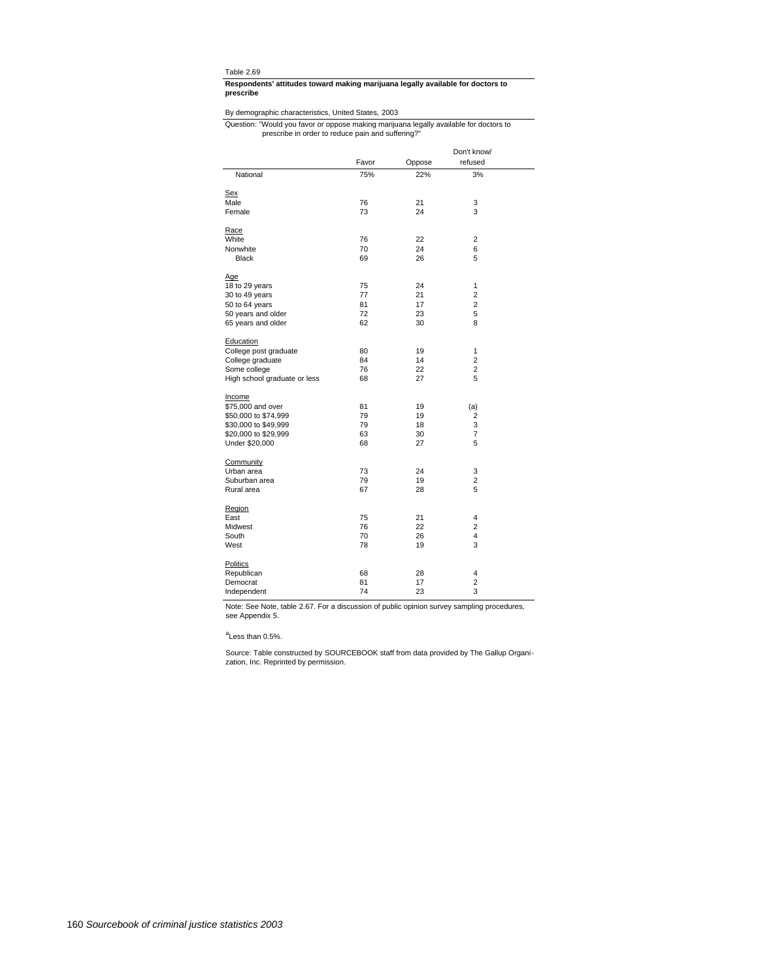#### **prescribe Respondents' attitudes toward making marijuana legally available for doctors to**

# By demographic characteristics, United States, 2003

#### prescribe in order to reduce pain and suffering?" Question: "Would you favor or oppose making marijuana legally available for doctors to

|                              |       |        | Don't know/    |  |
|------------------------------|-------|--------|----------------|--|
|                              | Favor | Oppose | refused        |  |
| National                     | 75%   | 22%    | 3%             |  |
| Sex                          |       |        |                |  |
| Male                         | 76    | 21     | 3              |  |
| Female                       | 73    | 24     | 3              |  |
|                              |       |        |                |  |
| Race                         |       |        |                |  |
| White                        | 76    | 22     | $\overline{c}$ |  |
| Nonwhite                     | 70    | 24     | 6              |  |
| <b>Black</b>                 | 69    | 26     | 5              |  |
| Age                          |       |        |                |  |
| 18 to 29 years               | 75    | 24     | 1              |  |
| 30 to 49 years               | 77    | 21     | 2              |  |
| 50 to 64 years               | 81    | 17     | $\overline{2}$ |  |
| 50 years and older           | 72    | 23     | 5              |  |
| 65 years and older           | 62    | 30     | 8              |  |
|                              |       |        |                |  |
| Education                    |       |        |                |  |
| College post graduate        | 80    | 19     | 1              |  |
| College graduate             | 84    | 14     | $\overline{2}$ |  |
| Some college                 | 76    | 22     | $\overline{2}$ |  |
| High school graduate or less | 68    | 27     | 5              |  |
|                              |       |        |                |  |
| Income<br>\$75,000 and over  | 81    | 19     |                |  |
| \$50,000 to \$74,999         | 79    | 19     | (a)<br>2       |  |
| \$30,000 to \$49,999         | 79    | 18     | 3              |  |
| \$20,000 to \$29,999         | 63    | 30     | 7              |  |
| Under \$20,000               | 68    | 27     | 5              |  |
|                              |       |        |                |  |
| Community                    |       |        |                |  |
| Urban area                   | 73    | 24     | 3              |  |
| Suburban area                | 79    | 19     | 2              |  |
| Rural area                   | 67    | 28     | 5              |  |
| Region                       |       |        |                |  |
| East                         | 75    | 21     | 4              |  |
| Midwest                      | 76    | 22     | $\overline{2}$ |  |
| South                        | 70    | 26     | 4              |  |
| West                         | 78    | 19     | 3              |  |
|                              |       |        |                |  |
| Politics                     |       |        |                |  |
| Republican                   | 68    | 28     | $\overline{4}$ |  |
| Democrat                     | 81    | 17     | $\overline{2}$ |  |
| Independent                  | 74    | 23     | 3              |  |

Note: See Note, table 2.67. For a discussion of public opinion survey sampling procedures, see Appendix 5.

<sup>a</sup>Less than 0.5%.

Source: Table constructed by SOURCEBOOK staff from data provided by The Gallup Organi-zation, Inc. Reprinted by permission.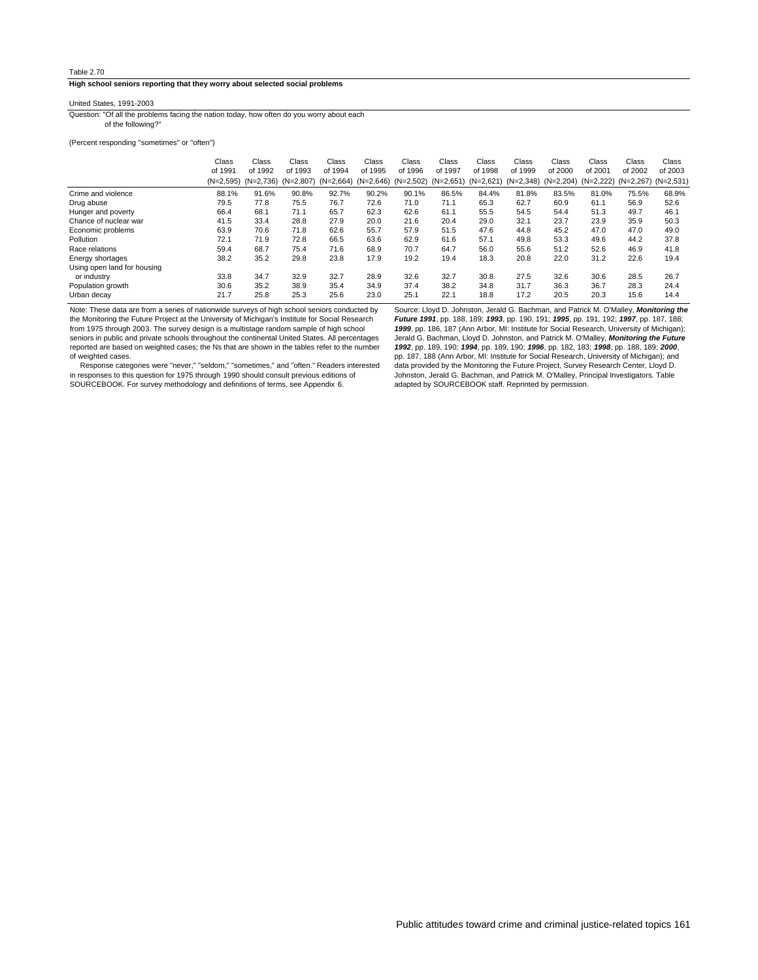**High school seniors reporting that they worry about selected social problems**

## United States, 1991-2003

of the following?" Question: "Of all the problems facing the nation today, how often do you worry about each

(Percent responding "sometimes" or "often")

|                             | Class   | Class                               | Class   | Class       | Class                               | Class   | Class   | Class                                   | Class   | Class   | Class   | Class               | Class   |
|-----------------------------|---------|-------------------------------------|---------|-------------|-------------------------------------|---------|---------|-----------------------------------------|---------|---------|---------|---------------------|---------|
|                             | of 1991 | of 1992                             | of 1993 | of 1994     | of 1995                             | of 1996 | of 1997 | of 1998                                 | of 1999 | of 2000 | of 2001 | of 2002             | of 2003 |
|                             |         | $(N=2,595)$ $(N=2,736)$ $(N=2,807)$ |         | $(N=2,664)$ | $(N=2,646)$ $(N=2,502)$ $(N=2,651)$ |         |         | (N=2,621) (N=2,348) (N=2,204) (N=2,222) |         |         |         | (N=2,267) (N=2,531) |         |
| Crime and violence          | 88.1%   | 91.6%                               | 90.8%   | 92.7%       | 90.2%                               | 90.1%   | 86.5%   | 84.4%                                   | 81.8%   | 83.5%   | 81.0%   | 75.5%               | 68.9%   |
| Drug abuse                  | 79.5    | 77.8                                | 75.5    | 76.7        | 72.6                                | 71.0    | 71.1    | 65.3                                    | 62.7    | 60.9    | 61.1    | 56.9                | 52.6    |
| Hunger and poverty          | 66.4    | 68.1                                | 71.1    | 65.7        | 62.3                                | 62.6    | 61.1    | 55.5                                    | 54.5    | 54.4    | 51.3    | 49.7                | 46.1    |
| Chance of nuclear war       | 41.5    | 33.4                                | 28.8    | 27.9        | 20.0                                | 21.6    | 20.4    | 29.0                                    | 32.1    | 23.7    | 23.9    | 35.9                | 50.3    |
| Economic problems           | 63.9    | 70.6                                | 71.8    | 62.6        | 55.7                                | 57.9    | 51.5    | 47.6                                    | 44.8    | 45.2    | 47.0    | 47.0                | 49.0    |
| Pollution                   | 72.1    | 71.9                                | 72.8    | 66.5        | 63.6                                | 62.9    | 61.6    | 57.1                                    | 49.8    | 53.3    | 49.6    | 44.2                | 37.8    |
| Race relations              | 59.4    | 68.7                                | 75.4    | 71.6        | 68.9                                | 70.7    | 64.7    | 56.0                                    | 55.6    | 51.2    | 52.6    | 46.9                | 41.8    |
| Energy shortages            | 38.2    | 35.2                                | 29.8    | 23.8        | 17.9                                | 19.2    | 19.4    | 18.3                                    | 20.8    | 22.0    | 31.2    | 22.6                | 19.4    |
| Using open land for housing |         |                                     |         |             |                                     |         |         |                                         |         |         |         |                     |         |
| or industry                 | 33.8    | 34.7                                | 32.9    | 32.7        | 28.9                                | 32.6    | 32.7    | 30.8                                    | 27.5    | 32.6    | 30.6    | 28.5                | 26.7    |
| Population growth           | 30.6    | 35.2                                | 38.9    | 35.4        | 34.9                                | 37.4    | 38.2    | 34.8                                    | 31.7    | 36.3    | 36.7    | 28.3                | 24.4    |
| Urban decav                 | 21.7    | 25.8                                | 25.3    | 25.6        | 23.0                                | 25.1    | 22.1    | 18.8                                    | 17.2    | 20.5    | 20.3    | 15.6                | 14.4    |

Note: These data are from a series of nationwide surveys of high school seniors conducted by the Monitoring the Future Project at the University of Michigan's Institute for Social Research from 1975 through 2003. The survey design is a multistage random sample of high school seniors in public and private schools throughout the continental United States. All percentages reported are based on weighted cases; the Ns that are shown in the tables refer to the number of weighted cases.

 Response categories were "never," "seldom," "sometimes," and "often." Readers interested in responses to this question for 1975 through 1990 should consult previous editions of SOURCEBOOK. For survey methodology and definitions of terms, see Appendix 6.

Source: Lloyd D. Johnston, Jerald G. Bachman, and Patrick M. O'Malley, **Monitoring the Future 1991**, pp. 188, 189; **1993**, pp. 190, 191; **1995**, pp. 191, 192; **1997**, pp. 187, 188; **1999**, pp. 186, 187 (Ann Arbor, MI: Institute for Social Research, University of Michigan); Jerald G. Bachman, Lloyd D. Johnston, and Patrick M. O'Malley, **Monitoring the Future 1992**, pp. 189, 190; **1994**, pp. 189, 190; **1996**, pp. 182, 183; **1998**, pp. 188, 189; **2000**, pp. 187, 188 (Ann Arbor, MI: Institute for Social Research, University of Michigan); and data provided by the Monitoring the Future Project, Survey Research Center, Lloyd D. Johnston, Jerald G. Bachman, and Patrick M. O'Malley, Principal Investigators. Table adapted by SOURCEBOOK staff. Reprinted by permission.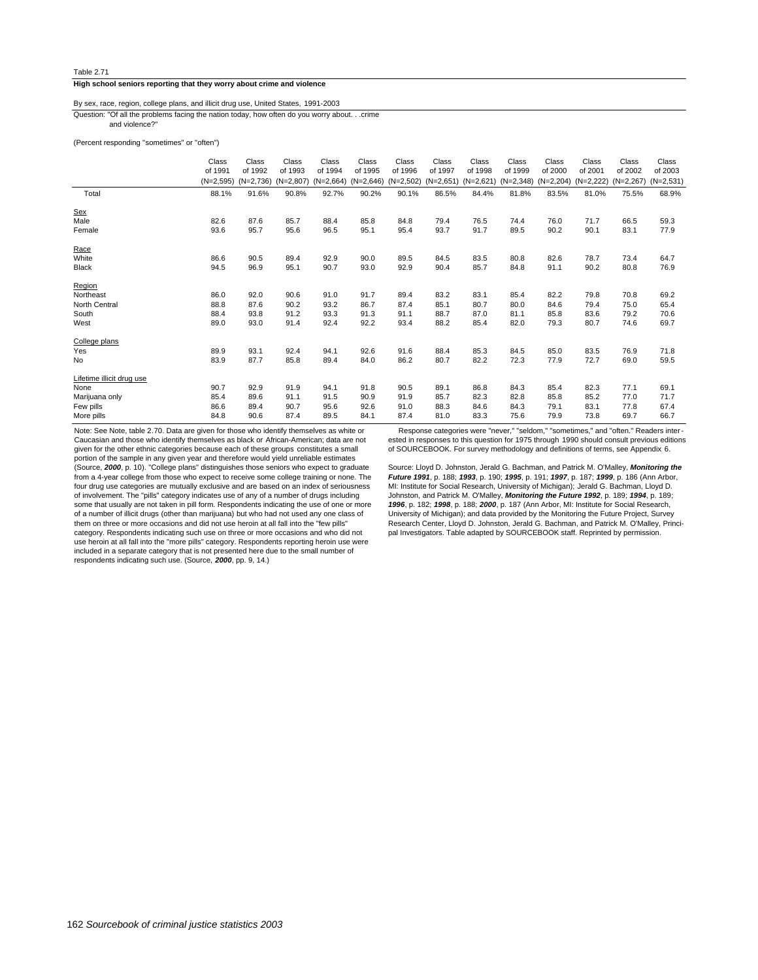#### **High school seniors reporting that they worry about crime and violence**

#### and violence?" Question: "Of all the problems facing the nation today, how often do you worry about. . .crime By sex, race, region, college plans, and illicit drug use, United States, 1991-2003

## (Percent responding "sometimes" or "often")

|                           | Class       | Class       | Class       | Class       | Class       | Class       | Class       | Class       | Class       | Class       | Class       | Class       | Class       |
|---------------------------|-------------|-------------|-------------|-------------|-------------|-------------|-------------|-------------|-------------|-------------|-------------|-------------|-------------|
|                           | of 1991     | of 1992     | of 1993     | of 1994     | of 1995     | of 1996     | of 1997     | of 1998     | of 1999     | of 2000     | of 2001     | of 2002     | of 2003     |
|                           | $(N=2,595)$ | $(N=2,736)$ | $(N=2,807)$ | $(N=2,664)$ | $(N=2,646)$ | $(N=2,502)$ | $(N=2,651)$ | $(N=2,621)$ | $(N=2,348)$ | $(N=2,204)$ | $(N=2,222)$ | $(N=2,267)$ | $(N=2,531)$ |
| Total                     | 88.1%       | 91.6%       | 90.8%       | 92.7%       | 90.2%       | 90.1%       | 86.5%       | 84.4%       | 81.8%       | 83.5%       | 81.0%       | 75.5%       | 68.9%       |
| <u>Sex</u>                |             |             |             |             |             |             |             |             |             |             |             |             |             |
| Male                      | 82.6        | 87.6        | 85.7        | 88.4        | 85.8        | 84.8        | 79.4        | 76.5        | 74.4        | 76.0        | 71.7        | 66.5        | 59.3        |
| Female                    | 93.6        | 95.7        | 95.6        | 96.5        | 95.1        | 95.4        | 93.7        | 91.7        | 89.5        | 90.2        | 90.1        | 83.1        | 77.9        |
| Race                      |             |             |             |             |             |             |             |             |             |             |             |             |             |
| White                     | 86.6        | 90.5        | 89.4        | 92.9        | 90.0        | 89.5        | 84.5        | 83.5        | 80.8        | 82.6        | 78.7        | 73.4        | 64.7        |
| <b>Black</b>              | 94.5        | 96.9        | 95.1        | 90.7        | 93.0        | 92.9        | 90.4        | 85.7        | 84.8        | 91.1        | 90.2        | 80.8        | 76.9        |
| Region                    |             |             |             |             |             |             |             |             |             |             |             |             |             |
| Northeast                 | 86.0        | 92.0        | 90.6        | 91.0        | 91.7        | 89.4        | 83.2        | 83.1        | 85.4        | 82.2        | 79.8        | 70.8        | 69.2        |
| North Central             | 88.8        | 87.6        | 90.2        | 93.2        | 86.7        | 87.4        | 85.1        | 80.7        | 80.0        | 84.6        | 79.4        | 75.0        | 65.4        |
| South                     | 88.4        | 93.8        | 91.2        | 93.3        | 91.3        | 91.1        | 88.7        | 87.0        | 81.1        | 85.8        | 83.6        | 79.2        | 70.6        |
| West                      | 89.0        | 93.0        | 91.4        | 92.4        | 92.2        | 93.4        | 88.2        | 85.4        | 82.0        | 79.3        | 80.7        | 74.6        | 69.7        |
| College plans             |             |             |             |             |             |             |             |             |             |             |             |             |             |
| Yes                       | 89.9        | 93.1        | 92.4        | 94.1        | 92.6        | 91.6        | 88.4        | 85.3        | 84.5        | 85.0        | 83.5        | 76.9        | 71.8        |
| <b>No</b>                 | 83.9        | 87.7        | 85.8        | 89.4        | 84.0        | 86.2        | 80.7        | 82.2        | 72.3        | 77.9        | 72.7        | 69.0        | 59.5        |
| Lifetime illicit drug use |             |             |             |             |             |             |             |             |             |             |             |             |             |
| None                      | 90.7        | 92.9        | 91.9        | 94.1        | 91.8        | 90.5        | 89.1        | 86.8        | 84.3        | 85.4        | 82.3        | 77.1        | 69.1        |
| Marijuana only            | 85.4        | 89.6        | 91.1        | 91.5        | 90.9        | 91.9        | 85.7        | 82.3        | 82.8        | 85.8        | 85.2        | 77.0        | 71.7        |
| Few pills                 | 86.6        | 89.4        | 90.7        | 95.6        | 92.6        | 91.0        | 88.3        | 84.6        | 84.3        | 79.1        | 83.1        | 77.8        | 67.4        |
| More pills                | 84.8        | 90.6        | 87.4        | 89.5        | 84.1        | 87.4        | 81.0        | 83.3        | 75.6        | 79.9        | 73.8        | 69.7        | 66.7        |

Note: See Note, table 2.70. Data are given for those who identify themselves as white or Caucasian and those who identify themselves as black or African-American; data are not given for the other ethnic categories because each of these groups constitutes a small portion of the sample in any given year and therefore would yield unreliable estimates (Source, **2000**, p. 10). "College plans" distinguishes those seniors who expect to graduate from a 4-year college from those who expect to receive some college training or none. The four drug use categories are mutually exclusive and are based on an index of seriousness of involvement. The "pills" category indicates use of any of a number of drugs including some that usually are not taken in pill form. Respondents indicating the use of one or more of a number of illicit drugs (other than marijuana) but who had not used any one class of them on three or more occasions and did not use heroin at all fall into the "few pills" category. Respondents indicating such use on three or more occasions and who did not use heroin at all fall into the "more pills" category. Respondents reporting heroin use were included in a separate category that is not presented here due to the small number of respondents indicating such use. (Source, **2000**, pp. 9, 14.)

 Response categories were "never," "seldom," "sometimes," and "often." Readers inter ested in responses to this question for 1975 through 1990 should consult previous editions of SOURCEBOOK. For survey methodology and definitions of terms, see Appendix 6.

Source: Lloyd D. Johnston, Jerald G. Bachman, and Patrick M. O'Malley, **Monitoring the Future 1991**, p. 188; **1993**, p. 190; **1995**, p. 191; **1997**, p. 187; **1999**, p. 186 (Ann Arbor, MI: Institute for Social Research, University of Michigan); Jerald G. Bachman, Lloyd D. Johnston, and Patrick M. O'Malley, **Monitoring the Future 1992**, p. 189; **1994**, p. 189; **1996**, p. 182; **1998**, p. 188; **2000**, p. 187 (Ann Arbor, MI: Institute for Social Research, University of Michigan); and data provided by the Monitoring the Future Project, Survey Research Center, Lloyd D. Johnston, Jerald G. Bachman, and Patrick M. O'Malley, Principal Investigators. Table adapted by SOURCEBOOK staff. Reprinted by permission.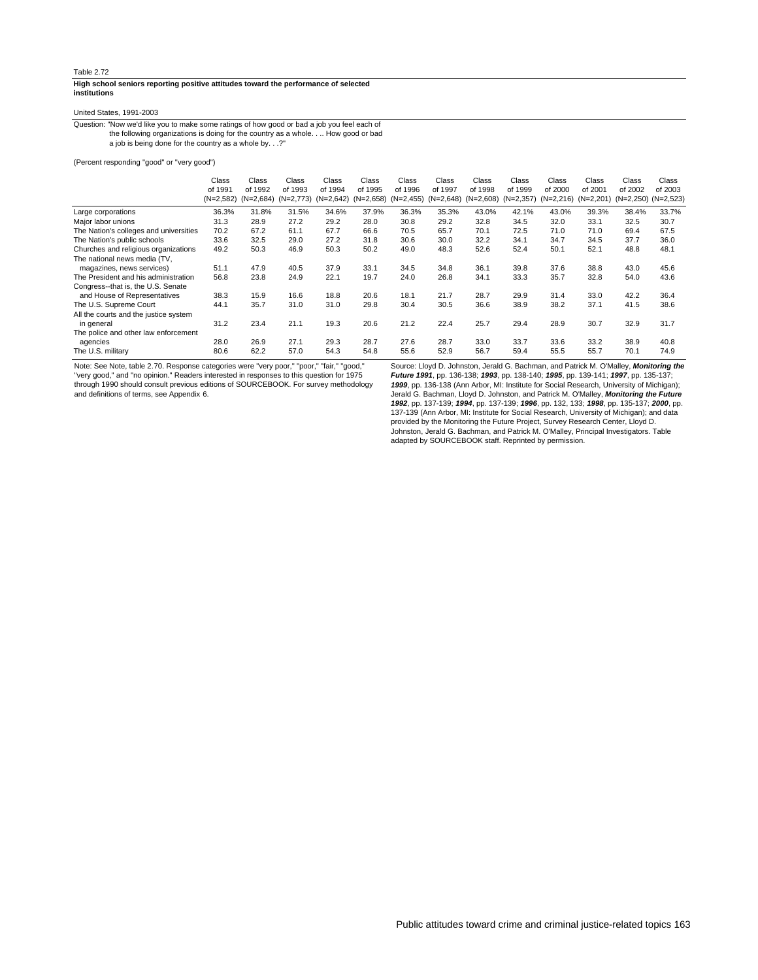#### **institutions High school seniors reporting positive attitudes toward the performance of selected**

#### United States, 1991-2003

a job is being done for the country as a whole by. . .?" the following organizations is doing for the country as a whole. . .. How good or bad Question: "Now we'd like you to make some ratings of how good or bad a job you feel each of

(Percent responding "good" or "very good")

|                                        | Class       | Class       | Class   | Class                               | Class   | Class        | Class                   | Class   | Class       | Class   | Class                   | Class                   | Class   |
|----------------------------------------|-------------|-------------|---------|-------------------------------------|---------|--------------|-------------------------|---------|-------------|---------|-------------------------|-------------------------|---------|
|                                        | of 1991     | of 1992     | of 1993 | of 1994                             | of 1995 | of 1996      | of 1997                 | of 1998 | of 1999     | of 2000 | of 2001                 | of 2002                 | of 2003 |
|                                        | $(N=2,582)$ | $(N=2.684)$ |         | $(N=2,773)$ $(N=2,642)$ $(N=2,658)$ |         | $(N=2, 455)$ | $(N=2,648)$ $(N=2,608)$ |         | $(N=2,357)$ |         | $(N=2,216)$ $(N=2,201)$ | $(N=2,250)$ $(N=2,523)$ |         |
| Large corporations                     | 36.3%       | 31.8%       | 31.5%   | 34.6%                               | 37.9%   | 36.3%        | 35.3%                   | 43.0%   | 42.1%       | 43.0%   | 39.3%                   | 38.4%                   | 33.7%   |
| Major labor unions                     | 31.3        | 28.9        | 27.2    | 29.2                                | 28.0    | 30.8         | 29.2                    | 32.8    | 34.5        | 32.0    | 33.1                    | 32.5                    | 30.7    |
| The Nation's colleges and universities | 70.2        | 67.2        | 61.1    | 67.7                                | 66.6    | 70.5         | 65.7                    | 70.1    | 72.5        | 71.0    | 71.0                    | 69.4                    | 67.5    |
| The Nation's public schools            | 33.6        | 32.5        | 29.0    | 27.2                                | 31.8    | 30.6         | 30.0                    | 32.2    | 34.1        | 34.7    | 34.5                    | 37.7                    | 36.0    |
| Churches and religious organizations   | 49.2        | 50.3        | 46.9    | 50.3                                | 50.2    | 49.0         | 48.3                    | 52.6    | 52.4        | 50.1    | 52.1                    | 48.8                    | 48.1    |
| The national news media (TV,           |             |             |         |                                     |         |              |                         |         |             |         |                         |                         |         |
| magazines, news services)              | 51.1        | 47.9        | 40.5    | 37.9                                | 33.1    | 34.5         | 34.8                    | 36.1    | 39.8        | 37.6    | 38.8                    | 43.0                    | 45.6    |
| The President and his administration   | 56.8        | 23.8        | 24.9    | 22.1                                | 19.7    | 24.0         | 26.8                    | 34.1    | 33.3        | 35.7    | 32.8                    | 54.0                    | 43.6    |
| Congress--that is, the U.S. Senate     |             |             |         |                                     |         |              |                         |         |             |         |                         |                         |         |
| and House of Representatives           | 38.3        | 15.9        | 16.6    | 18.8                                | 20.6    | 18.1         | 21.7                    | 28.7    | 29.9        | 31.4    | 33.0                    | 42.2                    | 36.4    |
| The U.S. Supreme Court                 | 44.1        | 35.7        | 31.0    | 31.0                                | 29.8    | 30.4         | 30.5                    | 36.6    | 38.9        | 38.2    | 37.1                    | 41.5                    | 38.6    |
| All the courts and the justice system  |             |             |         |                                     |         |              |                         |         |             |         |                         |                         |         |
| in general                             | 31.2        | 23.4        | 21.1    | 19.3                                | 20.6    | 21.2         | 22.4                    | 25.7    | 29.4        | 28.9    | 30.7                    | 32.9                    | 31.7    |
| The police and other law enforcement   |             |             |         |                                     |         |              |                         |         |             |         |                         |                         |         |
| agencies                               | 28.0        | 26.9        | 27.1    | 29.3                                | 28.7    | 27.6         | 28.7                    | 33.0    | 33.7        | 33.6    | 33.2                    | 38.9                    | 40.8    |
| The U.S. military                      | 80.6        | 62.2        | 57.0    | 54.3                                | 54.8    | 55.6         | 52.9                    | 56.7    | 59.4        | 55.5    | 55.7                    | 70.1                    | 74.9    |
|                                        |             |             |         |                                     |         |              |                         |         |             |         |                         |                         |         |

Note: See Note, table 2.70. Response categories were "very poor," "poor," "fair," "good," "very good," and "no opinion." Readers interested in responses to this question for 1975

through 1990 should consult previous editions of SOURCEBOOK. For survey methodology and definitions of terms, see Appendix 6.

Source: Lloyd D. Johnston, Jerald G. Bachman, and Patrick M. O'Malley, **Monitoring the Future 1991**, pp. 136-138; **1993**, pp. 138-140; **1995**, pp. 139-141; **1997**, pp. 135-137; **1999**, pp. 136-138 (Ann Arbor, MI: Institute for Social Research, University of Michigan); Jerald G. Bachman, Lloyd D. Johnston, and Patrick M. O'Malley, **Monitoring the Future 1992**, pp. 137-139; **1994**, pp. 137-139; **1996**, pp. 132, 133; **1998**, pp. 135-137; **2000**, pp. 137-139 (Ann Arbor, MI: Institute for Social Research, University of Michigan); and data provided by the Monitoring the Future Project, Survey Research Center, Lloyd D. Johnston, Jerald G. Bachman, and Patrick M. O'Malley, Principal Investigators. Table adapted by SOURCEBOOK staff. Reprinted by permission.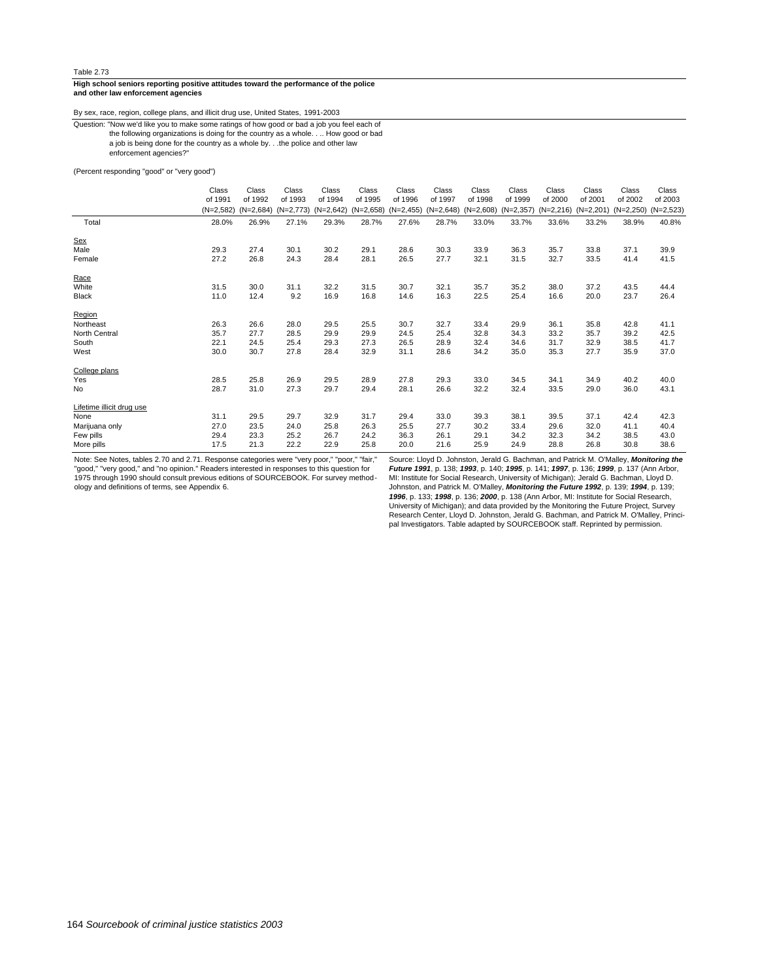#### **and other law enforcement agencies High school seniors reporting positive attitudes toward the performance of the police**

By sex, race, region, college plans, and illicit drug use, United States, 1991-2003

a job is being done for the country as a whole by. . .the police and other law the following organizations is doing for the country as a whole. . .. How good or bad Question: "Now we'd like you to make some ratings of how good or bad a job you feel each of

enforcement agencies?"

#### (Percent responding "good" or "very good")

|                           | Class       | Class       | Class       | Class       | Class       | Class        | Class       | Class       | Class       | Class       | Class       | Class       | Class       |
|---------------------------|-------------|-------------|-------------|-------------|-------------|--------------|-------------|-------------|-------------|-------------|-------------|-------------|-------------|
|                           | of 1991     | of 1992     | of 1993     | of 1994     | of 1995     | of 1996      | of 1997     | of 1998     | of 1999     | of 2000     | of 2001     | of 2002     | of 2003     |
|                           | $(N=2,582)$ | $(N=2,684)$ | $(N=2,773)$ | $(N=2,642)$ | $(N=2,658)$ | $(N=2, 455)$ | $(N=2,648)$ | $(N=2,608)$ | $(N=2,357)$ | $(N=2,216)$ | $(N=2,201)$ | $(N=2,250)$ | $(N=2,523)$ |
| Total                     | 28.0%       | 26.9%       | 27.1%       | 29.3%       | 28.7%       | 27.6%        | 28.7%       | 33.0%       | 33.7%       | 33.6%       | 33.2%       | 38.9%       | 40.8%       |
| <b>Sex</b>                |             |             |             |             |             |              |             |             |             |             |             |             |             |
| Male                      | 29.3        | 27.4        | 30.1        | 30.2        | 29.1        | 28.6         | 30.3        | 33.9        | 36.3        | 35.7        | 33.8        | 37.1        | 39.9        |
| Female                    | 27.2        | 26.8        | 24.3        | 28.4        | 28.1        | 26.5         | 27.7        | 32.1        | 31.5        | 32.7        | 33.5        | 41.4        | 41.5        |
| Race                      |             |             |             |             |             |              |             |             |             |             |             |             |             |
| White                     | 31.5        | 30.0        | 31.1        | 32.2        | 31.5        | 30.7         | 32.1        | 35.7        | 35.2        | 38.0        | 37.2        | 43.5        | 44.4        |
| <b>Black</b>              | 11.0        | 12.4        | 9.2         | 16.9        | 16.8        | 14.6         | 16.3        | 22.5        | 25.4        | 16.6        | 20.0        | 23.7        | 26.4        |
| Region                    |             |             |             |             |             |              |             |             |             |             |             |             |             |
| Northeast                 | 26.3        | 26.6        | 28.0        | 29.5        | 25.5        | 30.7         | 32.7        | 33.4        | 29.9        | 36.1        | 35.8        | 42.8        | 41.1        |
| North Central             | 35.7        | 27.7        | 28.5        | 29.9        | 29.9        | 24.5         | 25.4        | 32.8        | 34.3        | 33.2        | 35.7        | 39.2        | 42.5        |
| South                     | 22.1        | 24.5        | 25.4        | 29.3        | 27.3        | 26.5         | 28.9        | 32.4        | 34.6        | 31.7        | 32.9        | 38.5        | 41.7        |
| West                      | 30.0        | 30.7        | 27.8        | 28.4        | 32.9        | 31.1         | 28.6        | 34.2        | 35.0        | 35.3        | 27.7        | 35.9        | 37.0        |
| College plans             |             |             |             |             |             |              |             |             |             |             |             |             |             |
| Yes                       | 28.5        | 25.8        | 26.9        | 29.5        | 28.9        | 27.8         | 29.3        | 33.0        | 34.5        | 34.1        | 34.9        | 40.2        | 40.0        |
| <b>No</b>                 | 28.7        | 31.0        | 27.3        | 29.7        | 29.4        | 28.1         | 26.6        | 32.2        | 32.4        | 33.5        | 29.0        | 36.0        | 43.1        |
| Lifetime illicit drug use |             |             |             |             |             |              |             |             |             |             |             |             |             |
| None                      | 31.1        | 29.5        | 29.7        | 32.9        | 31.7        | 29.4         | 33.0        | 39.3        | 38.1        | 39.5        | 37.1        | 42.4        | 42.3        |
| Marijuana only            | 27.0        | 23.5        | 24.0        | 25.8        | 26.3        | 25.5         | 27.7        | 30.2        | 33.4        | 29.6        | 32.0        | 41.1        | 40.4        |
| Few pills                 | 29.4        | 23.3        | 25.2        | 26.7        | 24.2        | 36.3         | 26.1        | 29.1        | 34.2        | 32.3        | 34.2        | 38.5        | 43.0        |
| More pills                | 17.5        | 21.3        | 22.2        | 22.9        | 25.8        | 20.0         | 21.6        | 25.9        | 24.9        | 28.8        | 26.8        | 30.8        | 38.6        |

Note: See Notes, tables 2.70 and 2.71. Response categories were "very poor," "poor," "fair,"<br>"good," "very good," and "no opinion." Readers interested in responses to this question for<br>1975 through 1990 should consult prev ology and definitions of terms, see Appendix 6.

Source: Lloyd D. Johnston, Jerald G. Bachman, and Patrick M. O'Malley, *Monitoring the<br>Future 1991*, p. 138; 1993, p. 140; 1995, p. 141; 1997, p. 136; 1999, p. 137 (Ann Arbor,<br>MI: Institute for Social Research, University **1996**, p. 133; **1998**, p. 136; **2000**, p. 138 (Ann Arbor, MI: Institute for Social Research, University of Michigan); and data provided by the Monitoring the Future Project, Survey Research Center, Lloyd D. Johnston, Jerald G. Bachman, and Patrick M. O'Malley, Princi-pal Investigators. Table adapted by SOURCEBOOK staff. Reprinted by permission.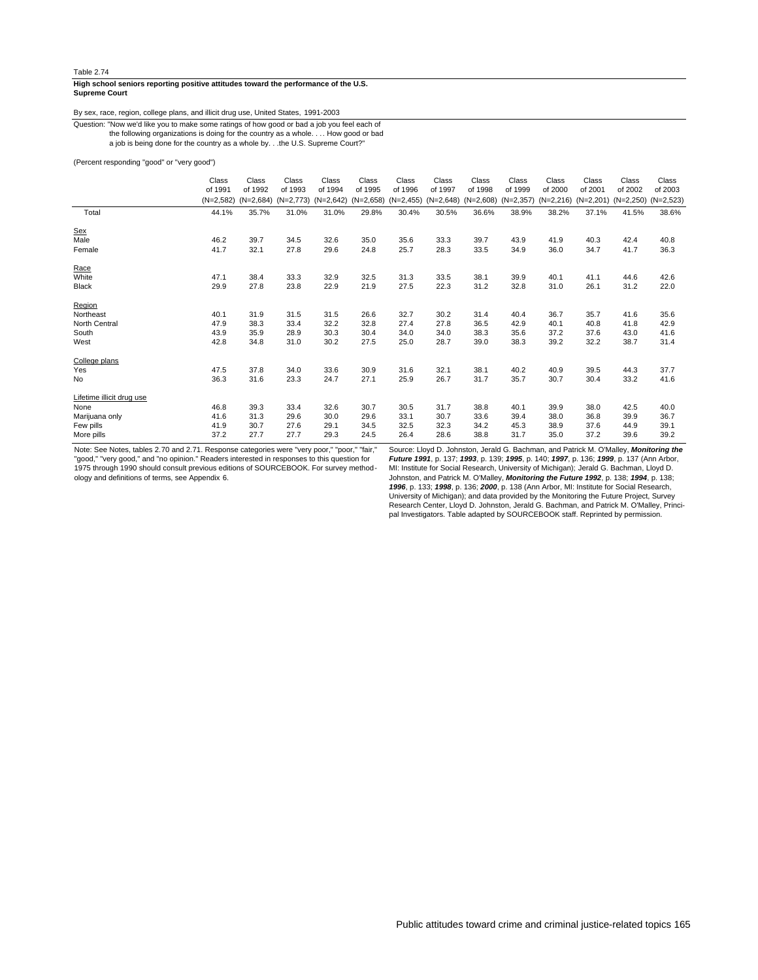#### **Supreme Court High school seniors reporting positive attitudes toward the performance of the U.S.**

## By sex, race, region, college plans, and illicit drug use, United States, 1991-2003

the following organizations is doing for the country as a whole. . .. How good or bad Question: "Now we'd like you to make some ratings of how good or bad a job you feel each of

a job is being done for the country as a whole by. . .the U.S. Supreme Court?"

(Percent responding "good" or "very good")

|                           | Class       | Class       | Class       | Class       | Class       | Class        | Class       | Class       | Class       | Class       | Class       | Class       | Class       |
|---------------------------|-------------|-------------|-------------|-------------|-------------|--------------|-------------|-------------|-------------|-------------|-------------|-------------|-------------|
|                           | of 1991     | of 1992     | of 1993     | of 1994     | of 1995     | of 1996      | of 1997     | of 1998     | of 1999     | of 2000     | of 2001     | of 2002     | of 2003     |
|                           | $(N=2,582)$ | $(N=2,684)$ | $(N=2,773)$ | $(N=2,642)$ | $(N=2,658)$ | $(N=2, 455)$ | $(N=2,648)$ | $(N=2,608)$ | $(N=2,357)$ | $(N=2,216)$ | $(N=2,201)$ | $(N=2,250)$ | $(N=2,523)$ |
| Total                     | 44.1%       | 35.7%       | 31.0%       | 31.0%       | 29.8%       | 30.4%        | 30.5%       | 36.6%       | 38.9%       | 38.2%       | 37.1%       | 41.5%       | 38.6%       |
| Sex                       |             |             |             |             |             |              |             |             |             |             |             |             |             |
| Male                      | 46.2        | 39.7        | 34.5        | 32.6        | 35.0        | 35.6         | 33.3        | 39.7        | 43.9        | 41.9        | 40.3        | 42.4        | 40.8        |
| Female                    | 41.7        | 32.1        | 27.8        | 29.6        | 24.8        | 25.7         | 28.3        | 33.5        | 34.9        | 36.0        | 34.7        | 41.7        | 36.3        |
| Race                      |             |             |             |             |             |              |             |             |             |             |             |             |             |
| White                     | 47.1        | 38.4        | 33.3        | 32.9        | 32.5        | 31.3         | 33.5        | 38.1        | 39.9        | 40.1        | 41.1        | 44.6        | 42.6        |
| <b>Black</b>              | 29.9        | 27.8        | 23.8        | 22.9        | 21.9        | 27.5         | 22.3        | 31.2        | 32.8        | 31.0        | 26.1        | 31.2        | 22.0        |
| Region                    |             |             |             |             |             |              |             |             |             |             |             |             |             |
| Northeast                 | 40.1        | 31.9        | 31.5        | 31.5        | 26.6        | 32.7         | 30.2        | 31.4        | 40.4        | 36.7        | 35.7        | 41.6        | 35.6        |
| North Central             | 47.9        | 38.3        | 33.4        | 32.2        | 32.8        | 27.4         | 27.8        | 36.5        | 42.9        | 40.1        | 40.8        | 41.8        | 42.9        |
| South                     | 43.9        | 35.9        | 28.9        | 30.3        | 30.4        | 34.0         | 34.0        | 38.3        | 35.6        | 37.2        | 37.6        | 43.0        | 41.6        |
| West                      | 42.8        | 34.8        | 31.0        | 30.2        | 27.5        | 25.0         | 28.7        | 39.0        | 38.3        | 39.2        | 32.2        | 38.7        | 31.4        |
| College plans             |             |             |             |             |             |              |             |             |             |             |             |             |             |
| Yes                       | 47.5        | 37.8        | 34.0        | 33.6        | 30.9        | 31.6         | 32.1        | 38.1        | 40.2        | 40.9        | 39.5        | 44.3        | 37.7        |
| <b>No</b>                 | 36.3        | 31.6        | 23.3        | 24.7        | 27.1        | 25.9         | 26.7        | 31.7        | 35.7        | 30.7        | 30.4        | 33.2        | 41.6        |
| Lifetime illicit drug use |             |             |             |             |             |              |             |             |             |             |             |             |             |
| None                      | 46.8        | 39.3        | 33.4        | 32.6        | 30.7        | 30.5         | 31.7        | 38.8        | 40.1        | 39.9        | 38.0        | 42.5        | 40.0        |
| Marijuana only            | 41.6        | 31.3        | 29.6        | 30.0        | 29.6        | 33.1         | 30.7        | 33.6        | 39.4        | 38.0        | 36.8        | 39.9        | 36.7        |
| Few pills                 | 41.9        | 30.7        | 27.6        | 29.1        | 34.5        | 32.5         | 32.3        | 34.2        | 45.3        | 38.9        | 37.6        | 44.9        | 39.1        |
| More pills                | 37.2        | 27.7        | 27.7        | 29.3        | 24.5        | 26.4         | 28.6        | 38.8        | 31.7        | 35.0        | 37.2        | 39.6        | 39.2        |

Note: See Notes, tables 2.70 and 2.71. Response categories were "very poor," "poor," "fair," "good," "very good," and "no opinion." Readers interested in responses to this question for 1975 through 1990 should consult previous editions of SOURCEBOOK. For survey method-ology and definitions of terms, see Appendix 6.

Source: Lloyd D. Johnston, Jerald G. Bachman, and Patrick M. O'Malley, **Monitoring the Future 1991**, p. 137; **1993**, p. 139; **1995**, p. 140; **1997**, p. 136; **1999**, p. 137 (Ann Arbor, MI: Institute for Social Research, University of Michigan); Jerald G. Bachman, Lloyd D.<br>Johnston, and Patrick M. O'Malley, **Monitoring the Future 1992**, p. 138; 1**994**, p. 138;<br>**1996**, p. 133; **1998,** p. 136; **2000,** p. 13 University of Michigan); and data provided by the Monitoring the Future Project, Survey Research Center, Lloyd D. Johnston, Jerald G. Bachman, and Patrick M. O'Malley, Principal Investigators. Table adapted by SOURCEBOOK staff. Reprinted by permission.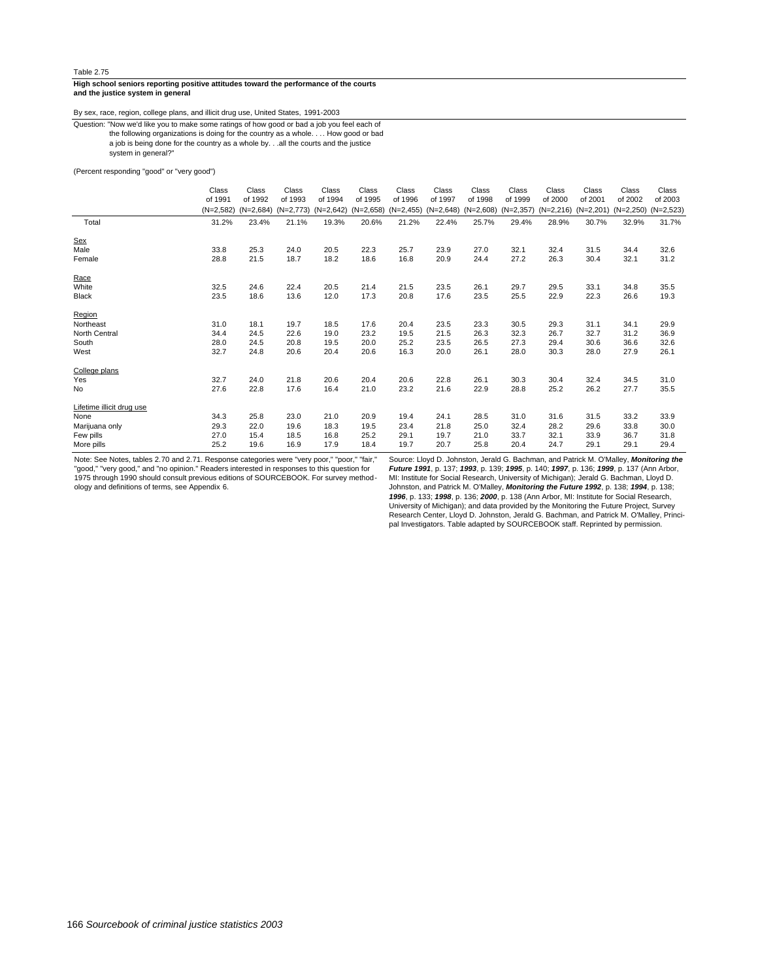#### **and the justice system in general High school seniors reporting positive attitudes toward the performance of the courts**

By sex, race, region, college plans, and illicit drug use, United States, 1991-2003

a job is being done for the country as a whole by. . .all the courts and the justice the following organizations is doing for the country as a whole. . .. How good or bad Question: "Now we'd like you to make some ratings of how good or bad a job you feel each of

system in general?"

#### (Percent responding "good" or "very good")

|                           | Class       | Class       | Class       | Class       | Class       | Class        | Class       | Class       | Class       | Class       | Class       | Class       | Class       |
|---------------------------|-------------|-------------|-------------|-------------|-------------|--------------|-------------|-------------|-------------|-------------|-------------|-------------|-------------|
|                           | of 1991     | of 1992     | of 1993     | of 1994     | of 1995     | of 1996      | of 1997     | of 1998     | of 1999     | of 2000     | of 2001     | of 2002     | of 2003     |
|                           | $(N=2,582)$ | $(N=2,684)$ | $(N=2,773)$ | $(N=2,642)$ | $(N=2,658)$ | $(N=2, 455)$ | $(N=2,648)$ | $(N=2,608)$ | $(N=2,357)$ | $(N=2,216)$ | $(N=2,201)$ | $(N=2,250)$ | $(N=2,523)$ |
| Total                     | 31.2%       | 23.4%       | 21.1%       | 19.3%       | 20.6%       | 21.2%        | 22.4%       | 25.7%       | 29.4%       | 28.9%       | 30.7%       | 32.9%       | 31.7%       |
| Sex                       |             |             |             |             |             |              |             |             |             |             |             |             |             |
| Male                      | 33.8        | 25.3        | 24.0        | 20.5        | 22.3        | 25.7         | 23.9        | 27.0        | 32.1        | 32.4        | 31.5        | 34.4        | 32.6        |
| Female                    | 28.8        | 21.5        | 18.7        | 18.2        | 18.6        | 16.8         | 20.9        | 24.4        | 27.2        | 26.3        | 30.4        | 32.1        | 31.2        |
| Race                      |             |             |             |             |             |              |             |             |             |             |             |             |             |
| White                     | 32.5        | 24.6        | 22.4        | 20.5        | 21.4        | 21.5         | 23.5        | 26.1        | 29.7        | 29.5        | 33.1        | 34.8        | 35.5        |
| <b>Black</b>              | 23.5        | 18.6        | 13.6        | 12.0        | 17.3        | 20.8         | 17.6        | 23.5        | 25.5        | 22.9        | 22.3        | 26.6        | 19.3        |
| Region                    |             |             |             |             |             |              |             |             |             |             |             |             |             |
| Northeast                 | 31.0        | 18.1        | 19.7        | 18.5        | 17.6        | 20.4         | 23.5        | 23.3        | 30.5        | 29.3        | 31.1        | 34.1        | 29.9        |
| North Central             | 34.4        | 24.5        | 22.6        | 19.0        | 23.2        | 19.5         | 21.5        | 26.3        | 32.3        | 26.7        | 32.7        | 31.2        | 36.9        |
| South                     | 28.0        | 24.5        | 20.8        | 19.5        | 20.0        | 25.2         | 23.5        | 26.5        | 27.3        | 29.4        | 30.6        | 36.6        | 32.6        |
| West                      | 32.7        | 24.8        | 20.6        | 20.4        | 20.6        | 16.3         | 20.0        | 26.1        | 28.0        | 30.3        | 28.0        | 27.9        | 26.1        |
| College plans             |             |             |             |             |             |              |             |             |             |             |             |             |             |
| Yes                       | 32.7        | 24.0        | 21.8        | 20.6        | 20.4        | 20.6         | 22.8        | 26.1        | 30.3        | 30.4        | 32.4        | 34.5        | 31.0        |
| <b>No</b>                 | 27.6        | 22.8        | 17.6        | 16.4        | 21.0        | 23.2         | 21.6        | 22.9        | 28.8        | 25.2        | 26.2        | 27.7        | 35.5        |
| Lifetime illicit drug use |             |             |             |             |             |              |             |             |             |             |             |             |             |
| None                      | 34.3        | 25.8        | 23.0        | 21.0        | 20.9        | 19.4         | 24.1        | 28.5        | 31.0        | 31.6        | 31.5        | 33.2        | 33.9        |
| Marijuana only            | 29.3        | 22.0        | 19.6        | 18.3        | 19.5        | 23.4         | 21.8        | 25.0        | 32.4        | 28.2        | 29.6        | 33.8        | 30.0        |
| Few pills                 | 27.0        | 15.4        | 18.5        | 16.8        | 25.2        | 29.1         | 19.7        | 21.0        | 33.7        | 32.1        | 33.9        | 36.7        | 31.8        |
| More pills                | 25.2        | 19.6        | 16.9        | 17.9        | 18.4        | 19.7         | 20.7        | 25.8        | 20.4        | 24.7        | 29.1        | 29.1        | 29.4        |

Note: See Notes, tables 2.70 and 2.71. Response categories were "very poor," "poor," "fair,"<br>"good," "very good," and "no opinion." Readers interested in responses to this question for<br>1975 through 1990 should consult prev ology and definitions of terms, see Appendix 6.

Source: Lloyd D. Johnston, Jerald G. Bachman, and Patrick M. O'Malley, *Monitoring the<br>Future 1991*, p. 137; 1993, p. 139; 1995, p. 140; 1997, p. 136; 1999, p. 137 (Ann Arbor,<br>MI: Institute for Social Research, University **1996**, p. 133; **1998**, p. 136; **2000**, p. 138 (Ann Arbor, MI: Institute for Social Research, University of Michigan); and data provided by the Monitoring the Future Project, Survey Research Center, Lloyd D. Johnston, Jerald G. Bachman, and Patrick M. O'Malley, Princi-pal Investigators. Table adapted by SOURCEBOOK staff. Reprinted by permission.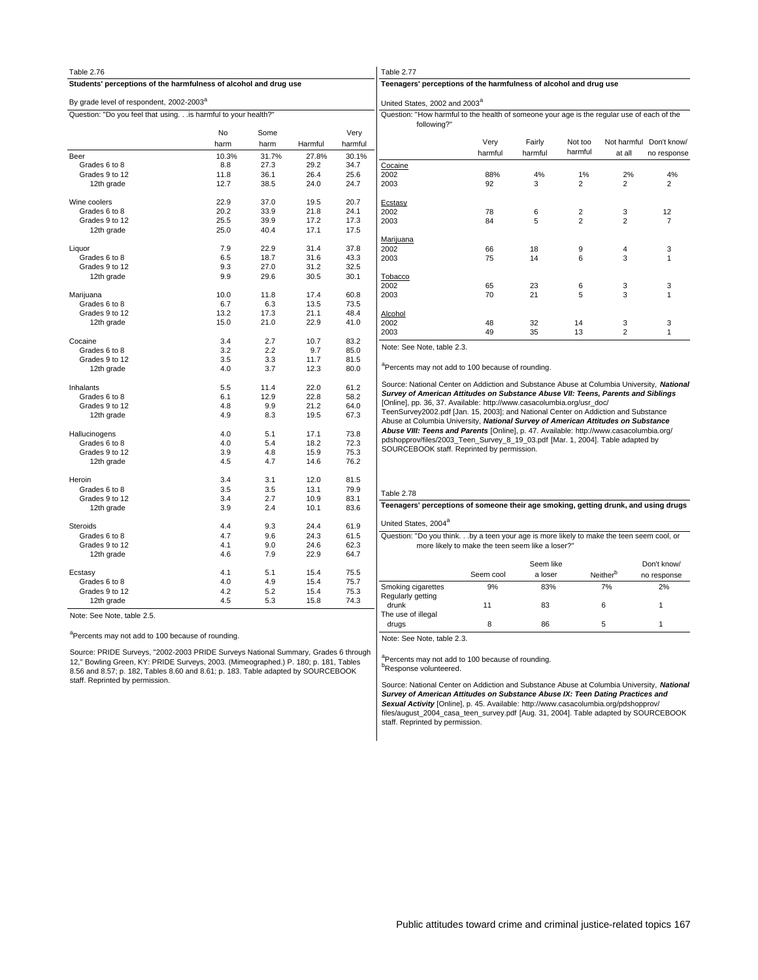| Table 2.76                                                       |       |       |         |         | Table 2.77                                                                                                                                    |                                                  |                |                |                      |
|------------------------------------------------------------------|-------|-------|---------|---------|-----------------------------------------------------------------------------------------------------------------------------------------------|--------------------------------------------------|----------------|----------------|----------------------|
| Students' perceptions of the harmfulness of alcohol and drug use |       |       |         |         | Teenagers' perceptions of the harmfulness of alcohol and drug use                                                                             |                                                  |                |                |                      |
| By grade level of respondent, 2002-2003 <sup>a</sup>             |       |       |         |         | United States, 2002 and 2003 <sup>a</sup>                                                                                                     |                                                  |                |                |                      |
| Question: "Do you feel that using.is harmful to your health?"    |       |       |         |         | Question: "How harmful to the health of someone your age is the regular<br>following?"                                                        |                                                  |                |                |                      |
|                                                                  | No    | Some  |         | Very    |                                                                                                                                               |                                                  |                |                |                      |
|                                                                  | harm  | harm  | Harmful | harmful |                                                                                                                                               | Very                                             | Fairly         | Not too        | Not                  |
| Beer                                                             | 10.3% | 31.7% | 27.8%   | 30.1%   |                                                                                                                                               | harmful                                          | harmful        | harmful        |                      |
| Grades 6 to 8                                                    | 8.8   | 27.3  | 29.2    | 34.7    | Cocaine                                                                                                                                       |                                                  |                |                |                      |
| Grades 9 to 12                                                   | 11.8  | 36.1  | 26.4    | 25.6    | 2002                                                                                                                                          | 88%                                              | 4%             | 1%             |                      |
| 12th grade                                                       | 12.7  | 38.5  | 24.0    | 24.7    | 2003                                                                                                                                          | 92                                               | 3              | $\overline{2}$ |                      |
| Wine coolers                                                     | 22.9  | 37.0  | 19.5    | 20.7    | <b>Ecstasy</b>                                                                                                                                |                                                  |                |                |                      |
| Grades 6 to 8                                                    | 20.2  | 33.9  | 21.8    | 24.1    | 2002                                                                                                                                          | 78                                               | 6              | $\overline{2}$ |                      |
| Grades 9 to 12                                                   | 25.5  | 39.9  | 17.2    | 17.3    | 2003                                                                                                                                          | 84                                               | 5              | $\overline{2}$ |                      |
| 12th grade                                                       | 25.0  | 40.4  | 17.1    | 17.5    |                                                                                                                                               |                                                  |                |                |                      |
|                                                                  |       |       |         |         | Marijuana                                                                                                                                     |                                                  |                |                |                      |
| Liquor                                                           | 7.9   | 22.9  | 31.4    | 37.8    | 2002                                                                                                                                          | 66                                               | 18             | 9              |                      |
| Grades 6 to 8                                                    | 6.5   | 18.7  | 31.6    | 43.3    | 2003                                                                                                                                          | 75                                               | 14             | 6              |                      |
| Grades 9 to 12                                                   | 9.3   | 27.0  | 31.2    | 32.5    |                                                                                                                                               |                                                  |                |                |                      |
| 12th grade                                                       | 9.9   | 29.6  | 30.5    | 30.1    | <b>Tobacco</b>                                                                                                                                |                                                  |                |                |                      |
|                                                                  |       |       |         |         | 2002                                                                                                                                          | 65                                               | 23             | 6              |                      |
| Marijuana                                                        | 10.0  | 11.8  | 17.4    | 60.8    | 2003                                                                                                                                          | 70                                               | 21             | 5              |                      |
| Grades 6 to 8                                                    | 6.7   | 6.3   | 13.5    | 73.5    |                                                                                                                                               |                                                  |                |                |                      |
| Grades 9 to 12                                                   | 13.2  | 17.3  | 21.1    | 48.4    | Alcohol                                                                                                                                       |                                                  |                |                |                      |
| 12th grade                                                       | 15.0  | 21.0  | 22.9    | 41.0    | 2002                                                                                                                                          | 48                                               | 32             | 14             |                      |
|                                                                  |       |       |         |         | 2003                                                                                                                                          | 49                                               | 35             | 13             |                      |
| Cocaine                                                          | 3.4   | 2.7   | 10.7    | 83.2    |                                                                                                                                               |                                                  |                |                |                      |
| Grades 6 to 8                                                    | 3.2   | 2.2   | 9.7     | 85.0    | Note: See Note, table 2.3.                                                                                                                    |                                                  |                |                |                      |
| Grades 9 to 12                                                   | 3.5   | 3.3   | 11.7    | 81.5    |                                                                                                                                               |                                                  |                |                |                      |
| 12th grade                                                       | 4.0   | 3.7   | 12.3    | 80.0    | <sup>a</sup> Percents may not add to 100 because of rounding.                                                                                 |                                                  |                |                |                      |
| Inhalants                                                        | 5.5   | 11.4  | 22.0    | 61.2    | Source: National Center on Addiction and Substance Abuse at Columbia                                                                          |                                                  |                |                |                      |
| Grades 6 to 8                                                    | 6.1   | 12.9  | 22.8    | 58.2    | Survey of American Attitudes on Substance Abuse VII: Teens, Pare                                                                              |                                                  |                |                |                      |
| Grades 9 to 12                                                   | 4.8   | 9.9   | 21.2    | 64.0    | [Online], pp. 36, 37. Available: http://www.casacolumbia.org/usr_doc/                                                                         |                                                  |                |                |                      |
| 12th grade                                                       | 4.9   | 8.3   | 19.5    | 67.3    | TeenSurvey2002.pdf [Jan. 15, 2003]; and National Center on Addiction a<br>Abuse at Columbia University, National Survey of American Attitudes |                                                  |                |                |                      |
| Hallucinogens                                                    | 4.0   | 5.1   | 17.1    | 73.8    | Abuse VIII: Teens and Parents [Online], p. 47. Available: http://www.ca                                                                       |                                                  |                |                |                      |
| Grades 6 to 8                                                    | 4.0   | 5.4   | 18.2    | 72.3    | pdshopprov/files/2003_Teen_Survey_8_19_03.pdf [Mar. 1, 2004]. Table                                                                           |                                                  |                |                |                      |
| Grades 9 to 12                                                   | 3.9   | 4.8   | 15.9    | 75.3    | SOURCEBOOK staff. Reprinted by permission.                                                                                                    |                                                  |                |                |                      |
| 12th grade                                                       | 4.5   | 4.7   | 14.6    | 76.2    |                                                                                                                                               |                                                  |                |                |                      |
| Heroin                                                           | 3.4   | 3.1   | 12.0    | 81.5    |                                                                                                                                               |                                                  |                |                |                      |
| Grades 6 to 8                                                    | 3.5   | 3.5   | 13.1    | 79.9    |                                                                                                                                               |                                                  |                |                |                      |
| Grades 9 to 12                                                   | 3.4   | 2.7   | 10.9    | 83.1    | Table 2.78                                                                                                                                    |                                                  |                |                |                      |
| 12th grade                                                       | 3.9   | 2.4   | 10.1    | 83.6    | Teenagers' perceptions of someone their age smoking, getting drur                                                                             |                                                  |                |                |                      |
| Steroids                                                         | 4.4   | 9.3   | 24.4    | 61.9    | United States, 2004 <sup>a</sup>                                                                                                              |                                                  |                |                |                      |
| Grades 6 to 8                                                    | 4.7   | 9.6   | 24.3    | 61.5    | Question: "Do you think.by a teen your age is more likely to make the                                                                         |                                                  |                |                |                      |
| Grades 9 to 12                                                   | 4.1   | 9.0   | 24.6    | 62.3    |                                                                                                                                               | more likely to make the teen seem like a loser?" |                |                |                      |
| 12th grade                                                       | 4.6   | 7.9   | 22.9    | 64.7    |                                                                                                                                               |                                                  |                |                |                      |
|                                                                  |       |       |         |         |                                                                                                                                               |                                                  | Seem like      |                |                      |
| Ecstasy                                                          | 4.1   | 5.1   | 15.4    | 75.5    |                                                                                                                                               | Seem cool                                        | a loser        |                | Neither <sup>b</sup> |
| Grades 6 to 8                                                    | 4.0   | 4.9   | 15.4    | 75.7    |                                                                                                                                               |                                                  |                |                |                      |
| Grades 9 to 12                                                   | 4.2   | 5.2   | 15.4    | 75.3    | Smoking cigarettes                                                                                                                            | 9%                                               | 83%            |                | 7%                   |
| 12th grade                                                       | 4.5   | 5.3   | 15.8    | 74.3    | Regularly getting                                                                                                                             | A                                                | 0 <sup>0</sup> |                |                      |

| Question: "How harmful to the health of someone your age is the regular use of each of the<br>following?" |         |         |                         |                |                         |
|-----------------------------------------------------------------------------------------------------------|---------|---------|-------------------------|----------------|-------------------------|
|                                                                                                           | Very    | Fairly  | Not too                 |                | Not harmful Don't know/ |
|                                                                                                           | harmful | harmful | harmful                 | at all         | no response             |
| Cocaine                                                                                                   |         |         |                         |                |                         |
| 2002                                                                                                      | 88%     | 4%      | 1%                      | 2%             | 4%                      |
| 2003                                                                                                      | 92      | 3       | $\overline{2}$          | $\overline{2}$ | $\overline{2}$          |
| Ecstasy                                                                                                   |         |         |                         |                |                         |
| 2002                                                                                                      | 78      | 6       | $\overline{\mathbf{c}}$ | 3              | 12                      |
| 2003                                                                                                      | 84      | 5       | $\overline{a}$          | $\overline{a}$ | $\overline{7}$          |
| Marijuana                                                                                                 |         |         |                         |                |                         |
| 2002                                                                                                      | 66      | 18      | 9                       | 4              | 3                       |
| 2003                                                                                                      | 75      | 14      | 6                       | 3              | 1                       |
| <b>Tobacco</b>                                                                                            |         |         |                         |                |                         |
| 2002                                                                                                      | 65      | 23      | 6                       | 3              | 3                       |
| 2003                                                                                                      | 70      | 21      | 5                       | 3              | $\mathbf{1}$            |
| Alcohol                                                                                                   |         |         |                         |                |                         |
| 2002                                                                                                      | 48      | 32      | 14                      | 3              | 3                       |
| 2003                                                                                                      | 49      | 35      | 13                      | $\overline{2}$ | 1                       |

burce: National Center on Addiction and Substance Abuse at Columbia University, National **Survey of American Attitudes on Substance Abuse VII: Teens, Parents and Siblings** mine], pp. 36, 37. Available: http://www.casacolumbia.org/usr\_doc/ enSurvey2002.pdf [Jan. 15, 2003]; and National Center on Addiction and Substance **Abuse at Columbia University, National Survey of American Attitudes on Substance Abuse VIII: Teens and Parents** [Online], p. 47. Available: http://www.casacolumbia.org/ lshopprov/files/2003\_Teen\_Survey\_8\_19\_03.pdf [Mar. 1, 2004]. Table adapted by SOURCEBOOK staff. Reprinted by permission.

#### ble  $2.78$

## **Teenagers' perceptions of someone their age smoking, getting drunk, and using drugs**

## nited States, 2004<sup>a</sup>

more likely to make the teen seem like a loser?" uestion: "Do you think. . .by a teen your age is more likely to make the teen seem cool, or

|                             | Seem cool | Seem like<br>a loser | Neither <sup>b</sup> | Don't know/<br>no response |
|-----------------------------|-----------|----------------------|----------------------|----------------------------|
| Smoking cigarettes          | 9%        | 83%                  | 7%                   | 2%                         |
| Regularly getting<br>drunk  | 11        | 83                   | 6                    |                            |
| The use of illegal<br>drugs | 8         | 86                   | 5                    |                            |

Note: See Note, table 2.3.

<sup>a</sup>Percents may not add to 100 because of rounding. **b**Response volunteered.

Source: National Center on Addiction and Substance Abuse at Columbia University, **National** *Survey of American Attitudes on Substance Abuse IX: Teen Dating Practices and*<br>*Sexual Activity [*Online], p. 45. Available: http://www.casacolumbia.org/pdshopprov/<br>files/august\_2004\_casa\_teen\_survey.pdf [Aug. 31, 2004]. staff. Reprinted by permission.

Note: See Note, table 2.5.

<sup>a</sup>Percents may not add to 100 because of rounding.

Source: PRIDE Surveys, "2002-2003 PRIDE Surveys National Summary, Grades 6 through 12," Bowling Green, KY: PRIDE Surveys, 2003. (Mimeographed.) P. 180; p. 181, Tables 8.56 and 8.57; p. 182, Tables 8.60 and 8.61; p. 183. Table adapted by SOURCEBOOK staff. Reprinted by permission.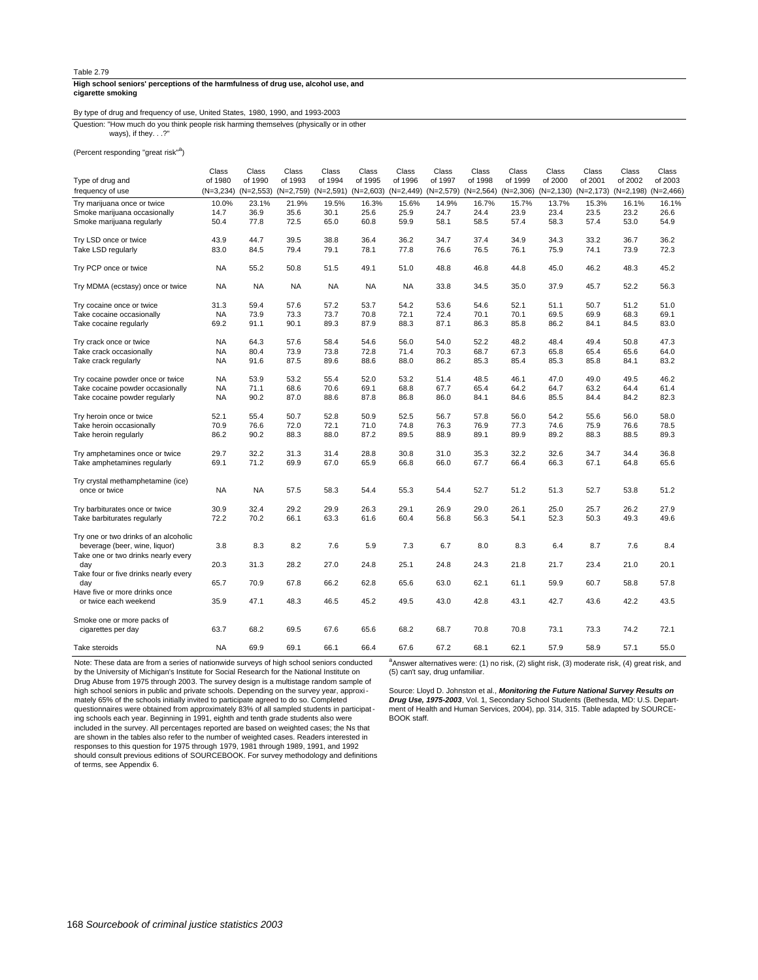#### **cigarette smoking High school seniors' perceptions of the harmfulness of drug use, alcohol use, and**

By type of drug and frequency of use, United States, 1980, 1990, and 1993-2003

ways), if they. . .?" Question: "How much do you think people risk harming themselves (physically or in other

(Percent responding "great risk"<sup>a</sup>)

|                                       | Class       | Class        | Class       | Class       | Class       | Class       | Class     | Class       | Class       | Class        | Class        | Class        | Class       |
|---------------------------------------|-------------|--------------|-------------|-------------|-------------|-------------|-----------|-------------|-------------|--------------|--------------|--------------|-------------|
| Type of drug and                      | of 1980     | of 1990      | of 1993     | of 1994     | of 1995     | of 1996     | of 1997   | of 1998     | of 1999     | of 2000      | of 2001      | of 2002      | of 2003     |
| frequency of use                      | $(N=3,234)$ | $(N=2, 553)$ | $(N=2,759)$ | $(N=2,591)$ | $(N=2,603)$ | $(N=2,449)$ | (N=2,579) | $(N=2,564)$ | $(N=2,306)$ | $(N=2, 130)$ | $(N=2, 173)$ | $(N=2, 198)$ | $(N=2,466)$ |
| Try marijuana once or twice           | 10.0%       | 23.1%        | 21.9%       | 19.5%       | 16.3%       | 15.6%       | 14.9%     | 16.7%       | 15.7%       | 13.7%        | 15.3%        | 16.1%        | 16.1%       |
| Smoke marijuana occasionally          | 14.7        | 36.9         | 35.6        | 30.1        | 25.6        | 25.9        | 24.7      | 24.4        | 23.9        | 23.4         | 23.5         | 23.2         | 26.6        |
| Smoke marijuana regularly             | 50.4        | 77.8         | 72.5        | 65.0        | 60.8        | 59.9        | 58.1      | 58.5        | 57.4        | 58.3         | 57.4         | 53.0         | 54.9        |
|                                       |             |              |             |             |             |             |           |             |             |              |              |              |             |
| Try LSD once or twice                 | 43.9        | 44.7         | 39.5        | 38.8        | 36.4        | 36.2        | 34.7      | 37.4        | 34.9        | 34.3         | 33.2         | 36.7         | 36.2        |
| Take LSD regularly                    | 83.0        | 84.5         | 79.4        | 79.1        | 78.1        | 77.8        | 76.6      | 76.5        | 76.1        | 75.9         | 74.1         | 73.9         | 72.3        |
|                                       |             |              |             |             |             |             |           |             |             |              |              |              |             |
| Try PCP once or twice                 | <b>NA</b>   | 55.2         | 50.8        | 51.5        | 49.1        | 51.0        | 48.8      | 46.8        | 44.8        | 45.0         | 46.2         | 48.3         | 45.2        |
|                                       |             |              |             |             |             |             |           |             |             |              |              |              |             |
| Try MDMA (ecstasy) once or twice      | <b>NA</b>   | <b>NA</b>    | <b>NA</b>   | <b>NA</b>   | <b>NA</b>   | <b>NA</b>   | 33.8      | 34.5        | 35.0        | 37.9         | 45.7         | 52.2         | 56.3        |
|                                       |             |              |             |             |             |             |           |             |             |              |              |              |             |
| Try cocaine once or twice             | 31.3        | 59.4         | 57.6        | 57.2        | 53.7        | 54.2        | 53.6      | 54.6        | 52.1        | 51.1         | 50.7         | 51.2         | 51.0        |
| Take cocaine occasionally             | <b>NA</b>   | 73.9         | 73.3        | 73.7        | 70.8        | 72.1        | 72.4      | 70.1        | 70.1        | 69.5         | 69.9         | 68.3         | 69.1        |
| Take cocaine regularly                | 69.2        | 91.1         | 90.1        | 89.3        | 87.9        | 88.3        | 87.1      | 86.3        | 85.8        | 86.2         | 84.1         | 84.5         | 83.0        |
|                                       |             |              |             |             |             |             |           |             |             |              |              |              |             |
| Try crack once or twice               | <b>NA</b>   | 64.3         | 57.6        | 58.4        | 54.6        | 56.0        | 54.0      | 52.2        | 48.2        | 48.4         | 49.4         | 50.8         | 47.3        |
| Take crack occasionally               | <b>NA</b>   | 80.4         | 73.9        | 73.8        | 72.8        | 71.4        | 70.3      | 68.7        | 67.3        | 65.8         | 65.4         | 65.6         | 64.0        |
| Take crack regularly                  | <b>NA</b>   | 91.6         | 87.5        | 89.6        | 88.6        | 88.0        | 86.2      | 85.3        | 85.4        | 85.3         | 85.8         | 84.1         | 83.2        |
| Try cocaine powder once or twice      | <b>NA</b>   | 53.9         | 53.2        | 55.4        | 52.0        | 53.2        | 51.4      | 48.5        | 46.1        | 47.0         | 49.0         | 49.5         | 46.2        |
| Take cocaine powder occasionally      | <b>NA</b>   | 71.1         | 68.6        | 70.6        | 69.1        | 68.8        | 67.7      | 65.4        | 64.2        | 64.7         | 63.2         | 64.4         | 61.4        |
| Take cocaine powder regularly         | <b>NA</b>   | 90.2         | 87.0        | 88.6        | 87.8        | 86.8        | 86.0      | 84.1        | 84.6        | 85.5         | 84.4         | 84.2         | 82.3        |
|                                       |             |              |             |             |             |             |           |             |             |              |              |              |             |
| Try heroin once or twice              | 52.1        | 55.4         | 50.7        | 52.8        | 50.9        | 52.5        | 56.7      | 57.8        | 56.0        | 54.2         | 55.6         | 56.0         | 58.0        |
| Take heroin occasionally              | 70.9        | 76.6         | 72.0        | 72.1        | 71.0        | 74.8        | 76.3      | 76.9        | 77.3        | 74.6         | 75.9         | 76.6         | 78.5        |
| Take heroin regularly                 | 86.2        | 90.2         | 88.3        | 88.0        | 87.2        | 89.5        | 88.9      | 89.1        | 89.9        | 89.2         | 88.3         | 88.5         | 89.3        |
|                                       |             |              |             |             |             |             |           |             |             |              |              |              |             |
| Try amphetamines once or twice        | 29.7        | 32.2         | 31.3        | 31.4        | 28.8        | 30.8        | 31.0      | 35.3        | 32.2        | 32.6         | 34.7         | 34.4         | 36.8        |
| Take amphetamines regularly           | 69.1        | 71.2         | 69.9        | 67.0        | 65.9        | 66.8        | 66.0      | 67.7        | 66.4        | 66.3         | 67.1         | 64.8         | 65.6        |
|                                       |             |              |             |             |             |             |           |             |             |              |              |              |             |
| Try crystal methamphetamine (ice)     |             |              |             |             |             |             |           |             |             |              |              |              |             |
| once or twice                         | <b>NA</b>   | <b>NA</b>    | 57.5        | 58.3        | 54.4        | 55.3        | 54.4      | 52.7        | 51.2        | 51.3         | 52.7         | 53.8         | 51.2        |
|                                       |             |              |             |             |             |             |           |             |             |              |              |              |             |
| Try barbiturates once or twice        | 30.9        | 32.4         | 29.2        | 29.9        | 26.3        | 29.1        | 26.9      | 29.0        | 26.1        | 25.0         | 25.7         | 26.2         | 27.9        |
| Take barbiturates regularly           | 72.2        | 70.2         | 66.1        | 63.3        | 61.6        | 60.4        | 56.8      | 56.3        | 54.1        | 52.3         | 50.3         | 49.3         | 49.6        |
|                                       |             |              |             |             |             |             |           |             |             |              |              |              |             |
| Try one or two drinks of an alcoholic |             |              |             |             |             |             |           |             |             |              |              |              |             |
| beverage (beer, wine, liquor)         | 3.8         | 8.3          | 8.2         | 7.6         | 5.9         | 7.3         | 6.7       | 8.0         | 8.3         | 6.4          | 8.7          | 7.6          | 8.4         |
| Take one or two drinks nearly every   |             |              |             |             |             |             |           |             |             |              |              |              |             |
| day                                   | 20.3        | 31.3         | 28.2        | 27.0        | 24.8        | 25.1        | 24.8      | 24.3        | 21.8        | 21.7         | 23.4         | 21.0         | 20.1        |
| Take four or five drinks nearly every |             |              |             |             |             |             |           |             |             |              |              |              |             |
| day                                   | 65.7        | 70.9         | 67.8        | 66.2        | 62.8        | 65.6        | 63.0      | 62.1        | 61.1        | 59.9         | 60.7         | 58.8         | 57.8        |
| Have five or more drinks once         |             |              |             |             |             |             |           |             |             |              |              |              |             |
| or twice each weekend                 | 35.9        | 47.1         | 48.3        | 46.5        | 45.2        | 49.5        | 43.0      | 42.8        | 43.1        | 42.7         | 43.6         | 42.2         | 43.5        |
| Smoke one or more packs of            |             |              |             |             |             |             |           |             |             |              |              |              |             |
| cigarettes per day                    | 63.7        | 68.2         | 69.5        | 67.6        | 65.6        | 68.2        | 68.7      | 70.8        | 70.8        | 73.1         | 73.3         | 74.2         | 72.1        |
|                                       |             |              |             |             |             |             |           |             |             |              |              |              |             |
| Take steroids                         | <b>NA</b>   | 69.9         | 69.1        | 66.1        | 66.4        | 67.6        | 67.2      | 68.1        | 62.1        | 57.9         | 58.9         | 57.1         | 55.0        |
|                                       |             |              |             |             |             |             |           |             |             |              |              |              |             |

Note: These data are from a series of nationwide surveys of high school seniors conducted by the University of Michigan's Institute for Social Research for the National Institute on Drug Abuse from 1975 through 2003. The survey design is a multistage random sample of high school seniors in public and private schools. Depending on the survey year, approxi mately 65% of the schools initially invited to participate agreed to do so. Completed questionnaires were obtained from approximately 83% of all sampled students in participat ing schools each year. Beginning in 1991, eighth and tenth grade students also were included in the survey. All percentages reported are based on weighted cases; the Ns that are shown in the tables also refer to the number of weighted cases. Readers interested in responses to this question for 1975 through 1979, 1981 through 1989, 1991, and 1992 should consult previous editions of SOURCEBOOK. For survey methodology and definitions of terms, see Appendix 6.

<sup>a</sup>Answer alternatives were: (1) no risk, (2) slight risk, (3) moderate risk, (4) great risk, and (5) can't say, drug unfamiliar.

Source: Lloyd D. Johnston et al., **Monitoring the Future National Survey Results on Drug Use, 1975-2003**, Vol. 1, Secondary School Students (Bethesda, MD: U.S. Department of Health and Human Services, 2004), pp. 314, 315. Table adapted by SOURCE-BOOK staff.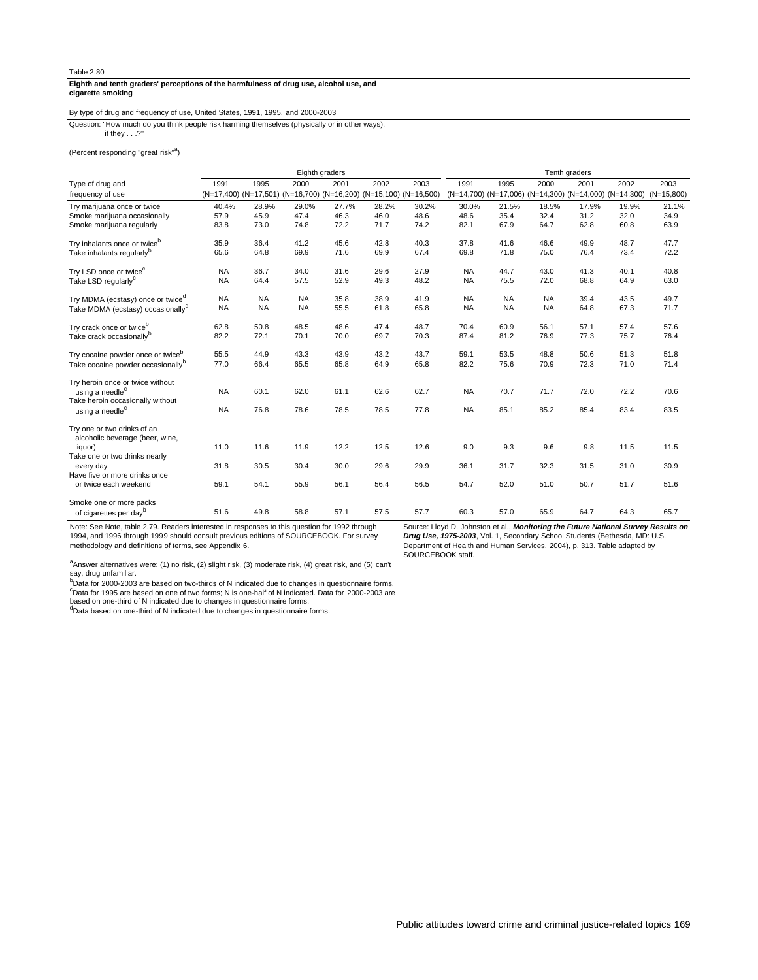## **cigarette smoking Eighth and tenth graders' perceptions of the harmfulness of drug use, alcohol use, and**

# By type of drug and frequency of use, United States, 1991, 1995, and 2000-2003

if they . . .?" Question: "How much do you think people risk harming themselves (physically or in other ways),

(Percent responding "great risk"<sup>a</sup>)

|                                                                 |           |                                                                   | Eighth graders |       |       |       | Tenth graders |           |                                                                   |       |       |       |
|-----------------------------------------------------------------|-----------|-------------------------------------------------------------------|----------------|-------|-------|-------|---------------|-----------|-------------------------------------------------------------------|-------|-------|-------|
| Type of drug and                                                | 1991      | 1995                                                              | 2000           | 2001  | 2002  | 2003  | 1991          | 1995      | 2000                                                              | 2001  | 2002  | 2003  |
| frequency of use                                                |           | (N=17,400) (N=17,501) (N=16,700) (N=16,200) (N=15,100) (N=16,500) |                |       |       |       |               |           | (N=14,700) (N=17,006) (N=14,300) (N=14,000) (N=14,300) (N=15,800) |       |       |       |
| Try marijuana once or twice                                     | 40.4%     | 28.9%                                                             | 29.0%          | 27.7% | 28.2% | 30.2% | 30.0%         | 21.5%     | 18.5%                                                             | 17.9% | 19.9% | 21.1% |
| Smoke marijuana occasionally                                    | 57.9      | 45.9                                                              | 47.4           | 46.3  | 46.0  | 48.6  | 48.6          | 35.4      | 32.4                                                              | 31.2  | 32.0  | 34.9  |
| Smoke marijuana regularly                                       | 83.8      | 73.0                                                              | 74.8           | 72.2  | 71.7  | 74.2  | 82.1          | 67.9      | 64.7                                                              | 62.8  | 60.8  | 63.9  |
| Try inhalants once or twice <sup>b</sup>                        | 35.9      | 36.4                                                              | 41.2           | 45.6  | 42.8  | 40.3  | 37.8          | 41.6      | 46.6                                                              | 49.9  | 48.7  | 47.7  |
| Take inhalants regularly <sup>b</sup>                           | 65.6      | 64.8                                                              | 69.9           | 71.6  | 69.9  | 67.4  | 69.8          | 71.8      | 75.0                                                              | 76.4  | 73.4  | 72.2  |
| Try LSD once or twice <sup>c</sup>                              | <b>NA</b> | 36.7                                                              | 34.0           | 31.6  | 29.6  | 27.9  | <b>NA</b>     | 44.7      | 43.0                                                              | 41.3  | 40.1  | 40.8  |
| Take LSD regularly <sup>c</sup>                                 | <b>NA</b> | 64.4                                                              | 57.5           | 52.9  | 49.3  | 48.2  | <b>NA</b>     | 75.5      | 72.0                                                              | 68.8  | 64.9  | 63.0  |
| Try MDMA (ecstasy) once or twice <sup>d</sup>                   | <b>NA</b> | <b>NA</b>                                                         | <b>NA</b>      | 35.8  | 38.9  | 41.9  | <b>NA</b>     | <b>NA</b> | <b>NA</b>                                                         | 39.4  | 43.5  | 49.7  |
| Take MDMA (ecstasy) occasionally <sup>d</sup>                   | <b>NA</b> | <b>NA</b>                                                         | <b>NA</b>      | 55.5  | 61.8  | 65.8  | <b>NA</b>     | <b>NA</b> | <b>NA</b>                                                         | 64.8  | 67.3  | 71.7  |
| Try crack once or twice <sup>b</sup>                            | 62.8      | 50.8                                                              | 48.5           | 48.6  | 47.4  | 48.7  | 70.4          | 60.9      | 56.1                                                              | 57.1  | 57.4  | 57.6  |
| Take crack occasionally <sup>b</sup>                            | 82.2      | 72.1                                                              | 70.1           | 70.0  | 69.7  | 70.3  | 87.4          | 81.2      | 76.9                                                              | 77.3  | 75.7  | 76.4  |
| Try cocaine powder once or twice <sup>b</sup>                   | 55.5      | 44.9                                                              | 43.3           | 43.9  | 43.2  | 43.7  | 59.1          | 53.5      | 48.8                                                              | 50.6  | 51.3  | 51.8  |
| Take cocaine powder occasionally <sup>b</sup>                   | 77.0      | 66.4                                                              | 65.5           | 65.8  | 64.9  | 65.8  | 82.2          | 75.6      | 70.9                                                              | 72.3  | 71.0  | 71.4  |
| Try heroin once or twice without                                |           |                                                                   |                |       |       |       |               |           |                                                                   |       |       |       |
| using a needle <sup>c</sup><br>Take heroin occasionally without | <b>NA</b> | 60.1                                                              | 62.0           | 61.1  | 62.6  | 62.7  | <b>NA</b>     | 70.7      | 71.7                                                              | 72.0  | 72.2  | 70.6  |
| using a needle <sup>c</sup>                                     | <b>NA</b> | 76.8                                                              | 78.6           | 78.5  | 78.5  | 77.8  | <b>NA</b>     | 85.1      | 85.2                                                              | 85.4  | 83.4  | 83.5  |
| Try one or two drinks of an<br>alcoholic beverage (beer, wine,  |           |                                                                   |                |       |       |       |               |           |                                                                   |       |       |       |
| liquor)                                                         | 11.0      | 11.6                                                              | 11.9           | 12.2  | 12.5  | 12.6  | 9.0           | 9.3       | 9.6                                                               | 9.8   | 11.5  | 11.5  |
| Take one or two drinks nearly<br>every day                      | 31.8      | 30.5                                                              | 30.4           | 30.0  | 29.6  | 29.9  | 36.1          | 31.7      | 32.3                                                              | 31.5  | 31.0  | 30.9  |
| Have five or more drinks once                                   |           |                                                                   |                |       |       |       |               |           |                                                                   |       |       |       |
| or twice each weekend                                           | 59.1      | 54.1                                                              | 55.9           | 56.1  | 56.4  | 56.5  | 54.7          | 52.0      | 51.0                                                              | 50.7  | 51.7  | 51.6  |
| Smoke one or more packs                                         |           |                                                                   |                |       |       |       |               |           |                                                                   |       |       |       |
| of cigarettes per day <sup>b</sup>                              | 51.6      | 49.8                                                              | 58.8           | 57.1  | 57.5  | 57.7  | 60.3          | 57.0      | 65.9                                                              | 64.7  | 64.3  | 65.7  |

Note: See Note, table 2.79. Readers interested in responses to this question for 1992 through 1994, and 1996 through 1999 should consult previous editions of SOURCEBOOK. For survey methodology and definitions of terms, see Appendix 6.

Source: Lloyd D. Johnston et al., **Monitoring the Future National Survey Results on Drug Use, 1975-2003**, Vol. 1, Secondary School Students (Bethesda, MD: U.S. Department of Health and Human Services, 2004), p. 313. Table adapted by SOURCEBOOK staff.

<sup>a</sup>Answer alternatives were: (1) no risk, (2) slight risk, (3) moderate risk, (4) great risk, and (5) can't say, drug unfamiliar.<br><sup>b</sup>Data for 2000-2003 are based on two-thirds of N indicated due to changes in questionnaire forms.

<sup>c</sup>Data for 1995 are based on one of two forms; N is one-half of N indicated. Data for 2000-2003 are<br>based on one-third of N indicated due to changes in questionnaire forms.

<sup>d</sup>Data based on one-third of N indicated due to changes in questionnaire forms.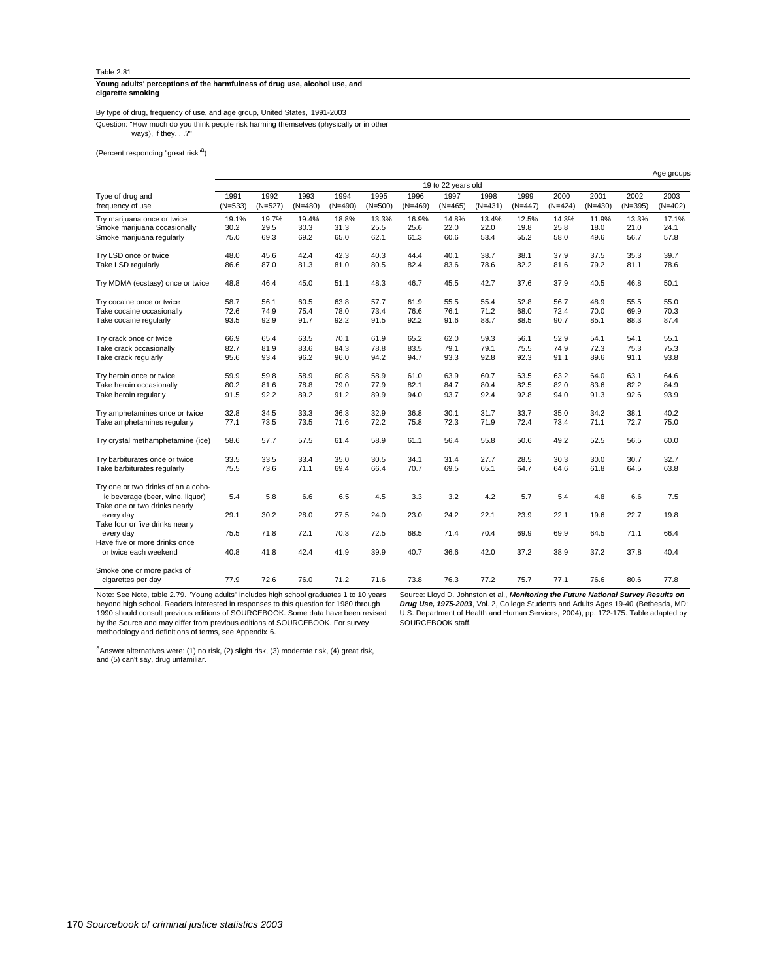#### **cigarette smoking Young adults' perceptions of the harmfulness of drug use, alcohol use, and**

# By type of drug, frequency of use, and age group, United States, 1991-2003

ways), if they. . .?" Question: "How much do you think people risk harming themselves (physically or in other

(Percent responding "great risk"<sup>a</sup>)

|                                     |           |           |           |           |           |           |                    |           |           |           |           |           | Age groups |
|-------------------------------------|-----------|-----------|-----------|-----------|-----------|-----------|--------------------|-----------|-----------|-----------|-----------|-----------|------------|
|                                     |           |           |           |           |           |           | 19 to 22 years old |           |           |           |           |           |            |
| Type of drug and                    | 1991      | 1992      | 1993      | 1994      | 1995      | 1996      | 1997               | 1998      | 1999      | 2000      | 2001      | 2002      | 2003       |
| frequency of use                    | $(N=533)$ | $(N=527)$ | $(N=480)$ | $(N=490)$ | $(N=500)$ | $(N=469)$ | $(N=465)$          | $(N=431)$ | $(N=447)$ | $(N=424)$ | $(N=430)$ | $(N=395)$ | $(N=402)$  |
| Try marijuana once or twice         | 19.1%     | 19.7%     | 19.4%     | 18.8%     | 13.3%     | 16.9%     | 14.8%              | 13.4%     | 12.5%     | 14.3%     | 11.9%     | 13.3%     | 17.1%      |
| Smoke marijuana occasionally        | 30.2      | 29.5      | 30.3      | 31.3      | 25.5      | 25.6      | 22.0               | 22.0      | 19.8      | 25.8      | 18.0      | 21.0      | 24.1       |
| Smoke marijuana regularly           | 75.0      | 69.3      | 69.2      | 65.0      | 62.1      | 61.3      | 60.6               | 53.4      | 55.2      | 58.0      | 49.6      | 56.7      | 57.8       |
| Try LSD once or twice               | 48.0      | 45.6      | 42.4      | 42.3      | 40.3      | 44.4      | 40.1               | 38.7      | 38.1      | 37.9      | 37.5      | 35.3      | 39.7       |
| Take LSD regularly                  | 86.6      | 87.0      | 81.3      | 81.0      | 80.5      | 82.4      | 83.6               | 78.6      | 82.2      | 81.6      | 79.2      | 81.1      | 78.6       |
| Try MDMA (ecstasy) once or twice    | 48.8      | 46.4      | 45.0      | 51.1      | 48.3      | 46.7      | 45.5               | 42.7      | 37.6      | 37.9      | 40.5      | 46.8      | 50.1       |
| Try cocaine once or twice           | 58.7      | 56.1      | 60.5      | 63.8      | 57.7      | 61.9      | 55.5               | 55.4      | 52.8      | 56.7      | 48.9      | 55.5      | 55.0       |
| Take cocaine occasionally           | 72.6      | 74.9      | 75.4      | 78.0      | 73.4      | 76.6      | 76.1               | 71.2      | 68.0      | 72.4      | 70.0      | 69.9      | 70.3       |
| Take cocaine regularly              | 93.5      | 92.9      | 91.7      | 92.2      | 91.5      | 92.2      | 91.6               | 88.7      | 88.5      | 90.7      | 85.1      | 88.3      | 87.4       |
| Try crack once or twice             | 66.9      | 65.4      | 63.5      | 70.1      | 61.9      | 65.2      | 62.0               | 59.3      | 56.1      | 52.9      | 54.1      | 54.1      | 55.1       |
| Take crack occasionally             | 82.7      | 81.9      | 83.6      | 84.3      | 78.8      | 83.5      | 79.1               | 79.1      | 75.5      | 74.9      | 72.3      | 75.3      | 75.3       |
| Take crack regularly                | 95.6      | 93.4      | 96.2      | 96.0      | 94.2      | 94.7      | 93.3               | 92.8      | 92.3      | 91.1      | 89.6      | 91.1      | 93.8       |
| Try heroin once or twice            | 59.9      | 59.8      | 58.9      | 60.8      | 58.9      | 61.0      | 63.9               | 60.7      | 63.5      | 63.2      | 64.0      | 63.1      | 64.6       |
| Take heroin occasionally            | 80.2      | 81.6      | 78.8      | 79.0      | 77.9      | 82.1      | 84.7               | 80.4      | 82.5      | 82.0      | 83.6      | 82.2      | 84.9       |
| Take heroin regularly               | 91.5      | 92.2      | 89.2      | 91.2      | 89.9      | 94.0      | 93.7               | 92.4      | 92.8      | 94.0      | 91.3      | 92.6      | 93.9       |
| Try amphetamines once or twice      | 32.8      | 34.5      | 33.3      | 36.3      | 32.9      | 36.8      | 30.1               | 31.7      | 33.7      | 35.0      | 34.2      | 38.1      | 40.2       |
| Take amphetamines regularly         | 77.1      | 73.5      | 73.5      | 71.6      | 72.2      | 75.8      | 72.3               | 71.9      | 72.4      | 73.4      | 71.1      | 72.7      | 75.0       |
| Try crystal methamphetamine (ice)   | 58.6      | 57.7      | 57.5      | 61.4      | 58.9      | 61.1      | 56.4               | 55.8      | 50.6      | 49.2      | 52.5      | 56.5      | 60.0       |
| Try barbiturates once or twice      | 33.5      | 33.5      | 33.4      | 35.0      | 30.5      | 34.1      | 31.4               | 27.7      | 28.5      | 30.3      | 30.0      | 30.7      | 32.7       |
| Take barbiturates regularly         | 75.5      | 73.6      | 71.1      | 69.4      | 66.4      | 70.7      | 69.5               | 65.1      | 64.7      | 64.6      | 61.8      | 64.5      | 63.8       |
| Try one or two drinks of an alcoho- |           |           |           |           |           |           |                    |           |           |           |           |           |            |
| lic beverage (beer, wine, liquor)   | 5.4       | 5.8       | 6.6       | 6.5       | 4.5       | 3.3       | 3.2                | 4.2       | 5.7       | 5.4       | 4.8       | 6.6       | 7.5        |
| Take one or two drinks nearly       |           |           |           |           |           |           |                    |           |           |           |           |           |            |
| every day                           | 29.1      | 30.2      | 28.0      | 27.5      | 24.0      | 23.0      | 24.2               | 22.1      | 23.9      | 22.1      | 19.6      | 22.7      | 19.8       |
| Take four or five drinks nearly     |           |           |           |           |           |           |                    |           |           |           |           |           |            |
| every day                           | 75.5      | 71.8      | 72.1      | 70.3      | 72.5      | 68.5      | 71.4               | 70.4      | 69.9      | 69.9      | 64.5      | 71.1      | 66.4       |
| Have five or more drinks once       |           |           |           |           |           |           |                    |           |           |           |           |           |            |
| or twice each weekend               | 40.8      | 41.8      | 42.4      | 41.9      | 39.9      | 40.7      | 36.6               | 42.0      | 37.2      | 38.9      | 37.2      | 37.8      | 40.4       |
| Smoke one or more packs of          |           |           |           |           |           |           |                    |           |           |           |           |           |            |
| cigarettes per day                  | 77.9      | 72.6      | 76.0      | 71.2      | 71.6      | 73.8      | 76.3               | 77.2      | 75.7      | 77.1      | 76.6      | 80.6      | 77.8       |

Note: See Note, table 2.79. "Young adults" includes high school graduates 1 to 10 years beyond high school. Readers interested in responses to this question for 1980 through 1990 should consult previous editions of SOURCEBOOK. Some data have been revised by the Source and may differ from previous editions of SOURCEBOOK. For survey methodology and definitions of terms, see Appendix 6.

Source: Lloyd D. Johnston et al., **Monitoring the Future National Survey Results on Drug Use, 1975-2003**, Vol. 2, College Students and Adults Ages 19-40 (Bethesda, MD: U.S. Department of Health and Human Services, 2004), pp. 172-175. Table adapted by SOURCEBOOK staff.

<sup>a</sup>Answer alternatives were: (1) no risk, (2) slight risk, (3) moderate risk, (4) great risk,<br>and (5) can't say, drug unfamiliar.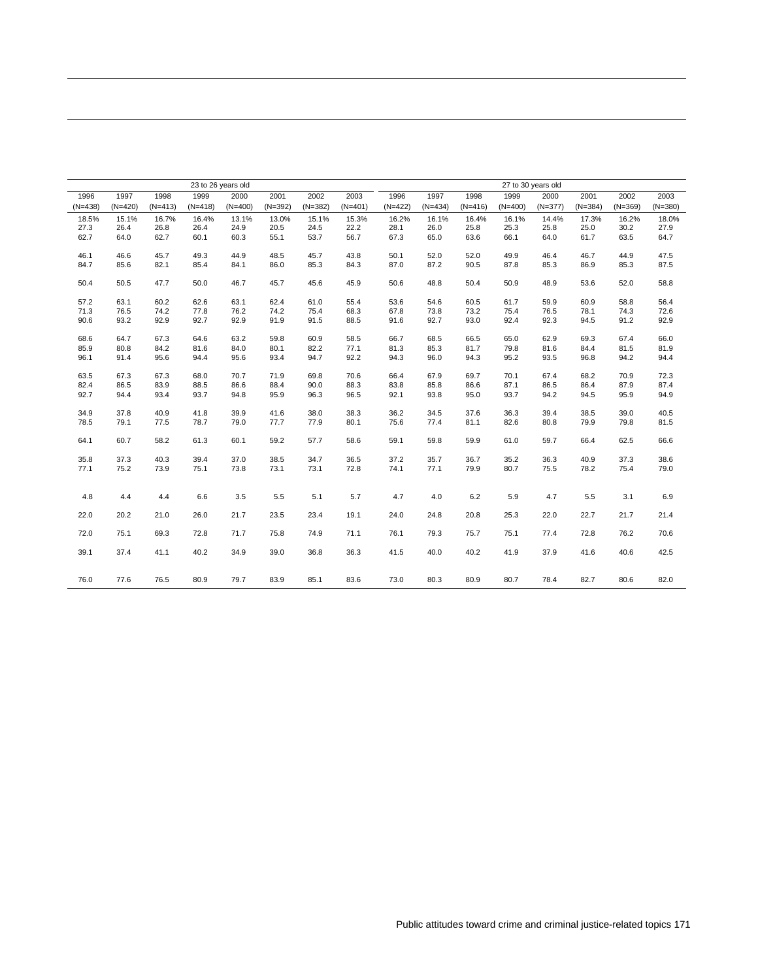|           | 23 to 26 years old<br>1997<br>1998<br>2001<br>1999<br>2000<br>2002 |           |           |           |           |           |           |           | 27 to 30 years old |           |           |           |           |           |           |
|-----------|--------------------------------------------------------------------|-----------|-----------|-----------|-----------|-----------|-----------|-----------|--------------------|-----------|-----------|-----------|-----------|-----------|-----------|
| 1996      |                                                                    |           |           |           |           |           | 2003      | 1996      | 1997               | 1998      | 1999      | 2000      | 2001      | 2002      | 2003      |
| $(N=438)$ | $(N=420)$                                                          | $(N=413)$ | $(N=418)$ | $(N=400)$ | $(N=392)$ | $(N=382)$ | $(N=401)$ | $(N=422)$ | $(N=434)$          | $(N=416)$ | $(N=400)$ | $(N=377)$ | $(N=384)$ | $(N=369)$ | $(N=380)$ |
| 18.5%     | 15.1%                                                              | 16.7%     | 16.4%     | 13.1%     | 13.0%     | 15.1%     | 15.3%     | 16.2%     | 16.1%              | 16.4%     | 16.1%     | 14.4%     | 17.3%     | 16.2%     | 18.0%     |
| 27.3      | 26.4                                                               | 26.8      | 26.4      | 24.9      | 20.5      | 24.5      | 22.2      | 28.1      | 26.0               | 25.8      | 25.3      | 25.8      | 25.0      | 30.2      | 27.9      |
| 62.7      | 64.0                                                               | 62.7      | 60.1      | 60.3      | 55.1      | 53.7      | 56.7      | 67.3      | 65.0               | 63.6      | 66.1      | 64.0      | 61.7      | 63.5      | 64.7      |
| 46.1      | 46.6                                                               | 45.7      | 49.3      | 44.9      | 48.5      | 45.7      | 43.8      | 50.1      | 52.0               | 52.0      | 49.9      | 46.4      | 46.7      | 44.9      | 47.5      |
| 84.7      | 85.6                                                               | 82.1      | 85.4      | 84.1      | 86.0      | 85.3      | 84.3      | 87.0      | 87.2               | 90.5      | 87.8      | 85.3      | 86.9      | 85.3      | 87.5      |
| 50.4      | 50.5                                                               | 47.7      | 50.0      | 46.7      | 45.7      | 45.6      | 45.9      | 50.6      | 48.8               | 50.4      | 50.9      | 48.9      | 53.6      | 52.0      | 58.8      |
| 57.2      | 63.1                                                               | 60.2      | 62.6      | 63.1      | 62.4      | 61.0      | 55.4      | 53.6      | 54.6               | 60.5      | 61.7      | 59.9      | 60.9      | 58.8      | 56.4      |
| 71.3      | 76.5                                                               | 74.2      | 77.8      | 76.2      | 74.2      | 75.4      | 68.3      | 67.8      | 73.8               | 73.2      | 75.4      | 76.5      | 78.1      | 74.3      | 72.6      |
| 90.6      | 93.2                                                               | 92.9      | 92.7      | 92.9      | 91.9      | 91.5      | 88.5      | 91.6      | 92.7               | 93.0      | 92.4      | 92.3      | 94.5      | 91.2      | 92.9      |
| 68.6      | 64.7                                                               | 67.3      | 64.6      | 63.2      | 59.8      | 60.9      | 58.5      | 66.7      | 68.5               | 66.5      | 65.0      | 62.9      | 69.3      | 67.4      | 66.0      |
| 85.9      | 80.8                                                               | 84.2      | 81.6      | 84.0      | 80.1      | 82.2      | 77.1      | 81.3      | 85.3               | 81.7      | 79.8      | 81.6      | 84.4      | 81.5      | 81.9      |
| 96.1      | 91.4                                                               | 95.6      | 94.4      | 95.6      | 93.4      | 94.7      | 92.2      | 94.3      | 96.0               | 94.3      | 95.2      | 93.5      | 96.8      | 94.2      | 94.4      |
| 63.5      | 67.3                                                               | 67.3      | 68.0      | 70.7      | 71.9      | 69.8      | 70.6      | 66.4      | 67.9               | 69.7      | 70.1      | 67.4      | 68.2      | 70.9      | 72.3      |
| 82.4      | 86.5                                                               | 83.9      | 88.5      | 86.6      | 88.4      | 90.0      | 88.3      | 83.8      | 85.8               | 86.6      | 87.1      | 86.5      | 86.4      | 87.9      | 87.4      |
| 92.7      | 94.4                                                               | 93.4      | 93.7      | 94.8      | 95.9      | 96.3      | 96.5      | 92.1      | 93.8               | 95.0      | 93.7      | 94.2      | 94.5      | 95.9      | 94.9      |
| 34.9      | 37.8                                                               | 40.9      | 41.8      | 39.9      | 41.6      | 38.0      | 38.3      | 36.2      | 34.5               | 37.6      | 36.3      | 39.4      | 38.5      | 39.0      | 40.5      |
| 78.5      | 79.1                                                               | 77.5      | 78.7      | 79.0      | 77.7      | 77.9      | 80.1      | 75.6      | 77.4               | 81.1      | 82.6      | 80.8      | 79.9      | 79.8      | 81.5      |
| 64.1      | 60.7                                                               | 58.2      | 61.3      | 60.1      | 59.2      | 57.7      | 58.6      | 59.1      | 59.8               | 59.9      | 61.0      | 59.7      | 66.4      | 62.5      | 66.6      |
| 35.8      | 37.3                                                               | 40.3      | 39.4      | 37.0      | 38.5      | 34.7      | 36.5      | 37.2      | 35.7               | 36.7      | 35.2      | 36.3      | 40.9      | 37.3      | 38.6      |
| 77.1      | 75.2                                                               | 73.9      | 75.1      | 73.8      | 73.1      | 73.1      | 72.8      | 74.1      | 77.1               | 79.9      | 80.7      | 75.5      | 78.2      | 75.4      | 79.0      |
|           |                                                                    |           |           |           |           |           |           |           |                    |           |           |           |           |           |           |
| 4.8       | 4.4                                                                | 4.4       | 6.6       | 3.5       | 5.5       | 5.1       | 5.7       | 4.7       | 4.0                | 6.2       | 5.9       | 4.7       | 5.5       | 3.1       | 6.9       |
| 22.0      | 20.2                                                               | 21.0      | 26.0      | 21.7      | 23.5      | 23.4      | 19.1      | 24.0      | 24.8               | 20.8      | 25.3      | 22.0      | 22.7      | 21.7      | 21.4      |
| 72.0      | 75.1                                                               | 69.3      | 72.8      | 71.7      | 75.8      | 74.9      | 71.1      | 76.1      | 79.3               | 75.7      | 75.1      | 77.4      | 72.8      | 76.2      | 70.6      |
| 39.1      | 37.4                                                               | 41.1      | 40.2      | 34.9      | 39.0      | 36.8      | 36.3      | 41.5      | 40.0               | 40.2      | 41.9      | 37.9      | 41.6      | 40.6      | 42.5      |
| 76.0      | 77.6                                                               | 76.5      | 80.9      | 79.7      | 83.9      | 85.1      | 83.6      | 73.0      | 80.3               | 80.9      | 80.7      | 78.4      | 82.7      | 80.6      | 82.0      |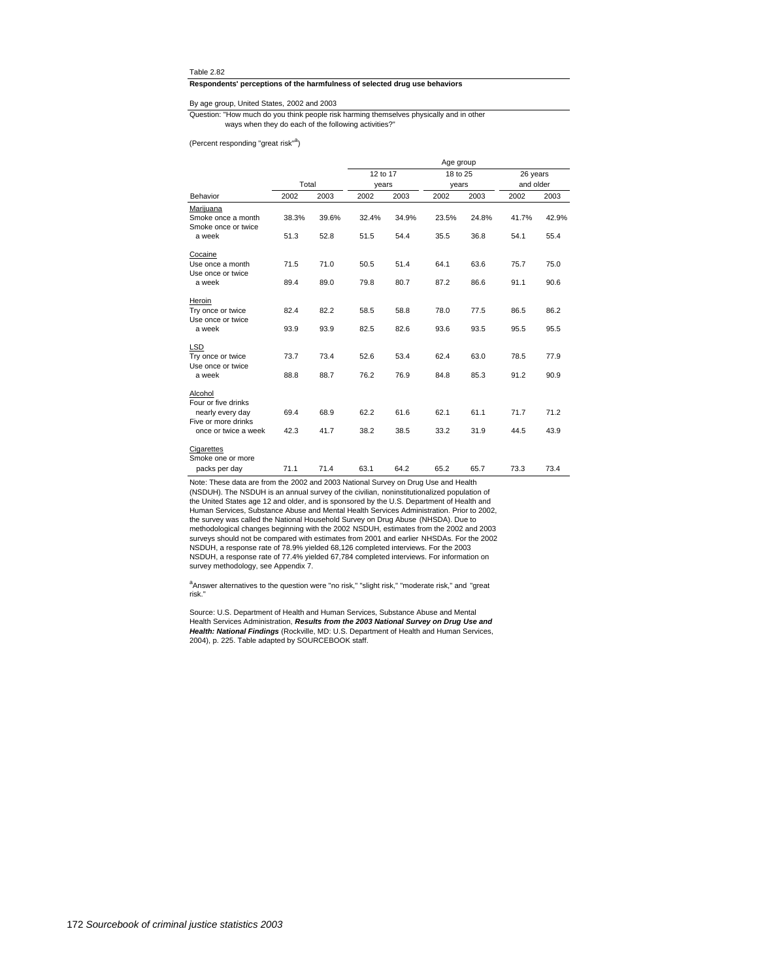#### **Respondents' perceptions of the harmfulness of selected drug use behaviors**

## By age group, United States, 2002 and 2003

ways when they do each of the following activities?" Question: "How much do you think people risk harming themselves physically and in other

(Percent responding "great risk"<sup>a</sup>)

|                                           |       |       |          |       | Age group |       |           |       |
|-------------------------------------------|-------|-------|----------|-------|-----------|-------|-----------|-------|
|                                           |       |       | 12 to 17 |       | 18 to 25  |       | 26 years  |       |
|                                           | Total |       | years    |       | years     |       | and older |       |
| Behavior                                  | 2002  | 2003  | 2002     | 2003  | 2002      | 2003  | 2002      | 2003  |
| Marijuana                                 |       |       |          |       |           |       |           |       |
| Smoke once a month<br>Smoke once or twice | 38.3% | 39.6% | 32.4%    | 34.9% | 23.5%     | 24.8% | 41.7%     | 42.9% |
| a week                                    | 51.3  | 52.8  | 51.5     | 54.4  | 35.5      | 36.8  | 54.1      | 55.4  |
| Cocaine                                   |       |       |          |       |           |       |           |       |
| Use once a month<br>Use once or twice     | 71.5  | 71.0  | 50.5     | 51.4  | 64.1      | 63.6  | 75.7      | 75.0  |
| a week                                    | 89.4  | 89.0  | 79.8     | 80.7  | 87.2      | 86.6  | 91.1      | 90.6  |
| Heroin                                    |       |       |          |       |           |       |           |       |
| Try once or twice<br>Use once or twice    | 82.4  | 82.2  | 58.5     | 58.8  | 78.0      | 77.5  | 86.5      | 86.2  |
| a week                                    | 93.9  | 93.9  | 82.5     | 82.6  | 93.6      | 93.5  | 95.5      | 95.5  |
| <b>LSD</b>                                |       |       |          |       |           |       |           |       |
| Try once or twice<br>Use once or twice    | 73.7  | 73.4  | 52.6     | 53.4  | 62.4      | 63.0  | 78.5      | 77.9  |
| a week                                    | 88.8  | 88.7  | 76.2     | 76.9  | 84.8      | 85.3  | 91.2      | 90.9  |
| Alcohol<br>Four or five drinks            |       |       |          |       |           |       |           |       |
| nearly every day<br>Five or more drinks   | 69.4  | 68.9  | 62.2     | 61.6  | 62.1      | 61.1  | 71.7      | 71.2  |
| once or twice a week                      | 42.3  | 41.7  | 38.2     | 38.5  | 33.2      | 31.9  | 44.5      | 43.9  |
| Cigarettes                                |       |       |          |       |           |       |           |       |
| Smoke one or more                         |       |       |          |       |           |       |           |       |
| packs per day                             | 71.1  | 71.4  | 63.1     | 64.2  | 65.2      | 65.7  | 73.3      | 73.4  |

Note: These data are from the 2002 and 2003 National Survey on Drug Use and Health (NSDUH). The NSDUH is an annual survey of the civilian, noninstitutionalized population of<br>the United States age 12 and older, and is sponsored by the U.S. Department of Health and<br>Human Services, Substance Abuse and Menta the survey was called the National Household Survey on Drug Abuse (NHSDA). Due to methodological changes beginning with the 2002 NSDUH, estimates from the 2002 and 2003 surveys should not be compared with estimates from 2001 and earlier NHSDAs. For the 2002 NSDUH, a response rate of 78.9% yielded 68,126 completed interviews. For the 2003<br>NSDUH, a response rate of 77.4% yielded 67,784 completed interviews. For information on<br>survey methodology, see Appendix 7.

<sup>a</sup>Answer alternatives to the question were "no risk," "slight risk," "moderate risk," and "great risk."

Source: U.S. Department of Health and Human Services, Substance Abuse and Mental<br>Health Services Administration, R**es***ults from the 2003 National Survey on Drug Use and***<br>***Health: National Findings* **(Rockville, MD: U.S. Dep** 2004), p. 225. Table adapted by SOURCEBOOK staff.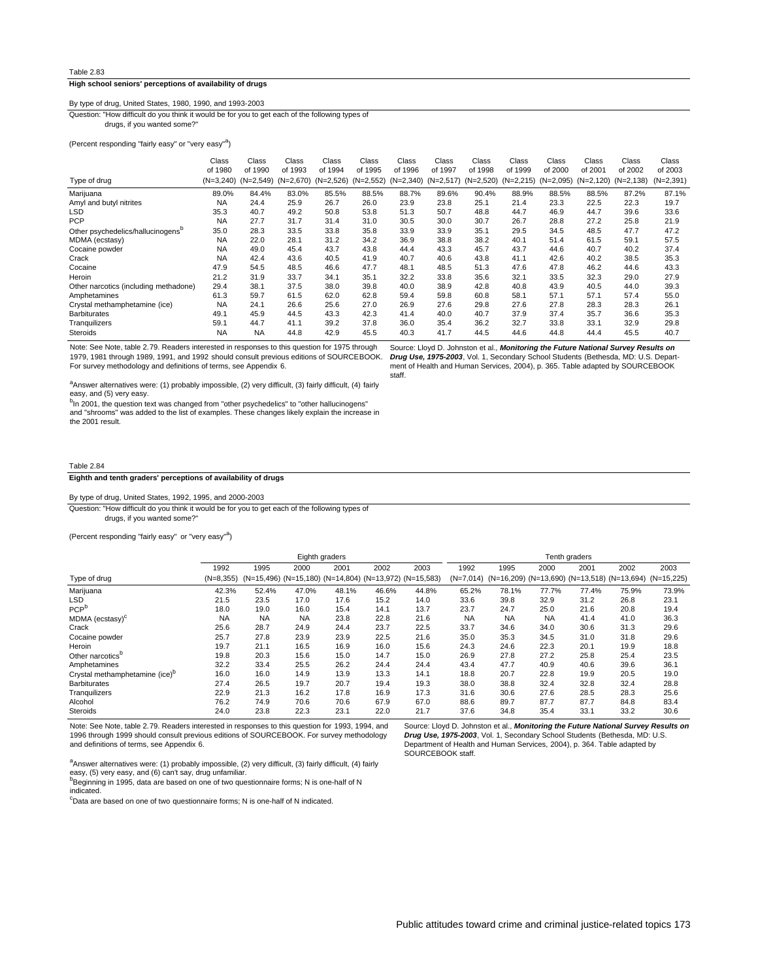# **High school seniors' perceptions of availability of drugs**

## By type of drug, United States, 1980, 1990, and 1993-2003

drugs, if you wanted some?" Question: "How difficult do you think it would be for you to get each of the following types of

(Percent responding "fairly easy" or "very easy"<sup>a</sup>)

|                                               | Class       | Class       | Class       | Class       | Class       | Class       | Class       | Class       | Class       | Class       | Class        | Class        | Class       |
|-----------------------------------------------|-------------|-------------|-------------|-------------|-------------|-------------|-------------|-------------|-------------|-------------|--------------|--------------|-------------|
|                                               | of 1980     | of 1990     | of 1993     | of 1994     | of 1995     | of 1996     | of 1997     | of 1998     | of 1999     | of 2000     | of 2001      | of 2002      | of 2003     |
| Type of drug                                  | $(N=3.240)$ | $(N=2,549)$ | $(N=2,670)$ | $(N=2,526)$ | $(N=2,552)$ | $(N=2,340)$ | $(N=2,517)$ | $(N=2,520)$ | $(N=2,215)$ | $(N=2,095)$ | $(N=2, 120)$ | $(N=2, 138)$ | $(N=2,391)$ |
| Marijuana                                     | 89.0%       | 84.4%       | 83.0%       | 85.5%       | 88.5%       | 88.7%       | 89.6%       | 90.4%       | 88.9%       | 88.5%       | 88.5%        | 87.2%        | 87.1%       |
| Amyl and butyl nitrites                       | <b>NA</b>   | 24.4        | 25.9        | 26.7        | 26.0        | 23.9        | 23.8        | 25.1        | 21.4        | 23.3        | 22.5         | 22.3         | 19.7        |
| <b>LSD</b>                                    | 35.3        | 40.7        | 49.2        | 50.8        | 53.8        | 51.3        | 50.7        | 48.8        | 44.7        | 46.9        | 44.7         | 39.6         | 33.6        |
| <b>PCP</b>                                    | <b>NA</b>   | 27.7        | 31.7        | 31.4        | 31.0        | 30.5        | 30.0        | 30.7        | 26.7        | 28.8        | 27.2         | 25.8         | 21.9        |
| Other psychedelics/hallucinogens <sup>b</sup> | 35.0        | 28.3        | 33.5        | 33.8        | 35.8        | 33.9        | 33.9        | 35.1        | 29.5        | 34.5        | 48.5         | 47.7         | 47.2        |
| MDMA (ecstasy)                                | <b>NA</b>   | 22.0        | 28.1        | 31.2        | 34.2        | 36.9        | 38.8        | 38.2        | 40.1        | 51.4        | 61.5         | 59.1         | 57.5        |
| Cocaine powder                                | <b>NA</b>   | 49.0        | 45.4        | 43.7        | 43.8        | 44.4        | 43.3        | 45.7        | 43.7        | 44.6        | 40.7         | 40.2         | 37.4        |
| Crack                                         | <b>NA</b>   | 42.4        | 43.6        | 40.5        | 41.9        | 40.7        | 40.6        | 43.8        | 41.1        | 42.6        | 40.2         | 38.5         | 35.3        |
| Cocaine                                       | 47.9        | 54.5        | 48.5        | 46.6        | 47.7        | 48.1        | 48.5        | 51.3        | 47.6        | 47.8        | 46.2         | 44.6         | 43.3        |
| Heroin                                        | 21.2        | 31.9        | 33.7        | 34.1        | 35.1        | 32.2        | 33.8        | 35.6        | 32.1        | 33.5        | 32.3         | 29.0         | 27.9        |
| Other narcotics (including methadone)         | 29.4        | 38.1        | 37.5        | 38.0        | 39.8        | 40.0        | 38.9        | 42.8        | 40.8        | 43.9        | 40.5         | 44.0         | 39.3        |
| Amphetamines                                  | 61.3        | 59.7        | 61.5        | 62.0        | 62.8        | 59.4        | 59.8        | 60.8        | 58.1        | 57.1        | 57.1         | 57.4         | 55.0        |
| Crystal methamphetamine (ice)                 | <b>NA</b>   | 24.1        | 26.6        | 25.6        | 27.0        | 26.9        | 27.6        | 29.8        | 27.6        | 27.8        | 28.3         | 28.3         | 26.1        |
| <b>Barbiturates</b>                           | 49.1        | 45.9        | 44.5        | 43.3        | 42.3        | 41.4        | 40.0        | 40.7        | 37.9        | 37.4        | 35.7         | 36.6         | 35.3        |
| Tranquilizers                                 | 59.1        | 44.7        | 41.1        | 39.2        | 37.8        | 36.0        | 35.4        | 36.2        | 32.7        | 33.8        | 33.1         | 32.9         | 29.8        |
| <b>Steroids</b>                               | <b>NA</b>   | <b>NA</b>   | 44.8        | 42.9        | 45.5        | 40.3        | 41.7        | 44.5        | 44.6        | 44.8        | 44.4         | 45.5         | 40.7        |

Note: See Note, table 2.79. Readers interested in responses to this question for 1975 through 1979, 1981 through 1989, 1991, and 1992 should consult previous editions of SOURCEBOOK. For survey methodology and definitions of terms, see Appendix 6.

<sup>a</sup>Answer alternatives were: (1) probably impossible, (2) very difficult, (3) fairly difficult, (4) fairly easy, and (5) very easy.

<sup>b</sup>In 2001, the question text was changed from "other psychedelics" to "other hallucinogens"<br>and "shrooms" was added to the list of examples. These changes likely explain the increase in the 2001 result.

#### Table 2.84

## **Eighth and tenth graders' perceptions of availability of drugs**

# By type of drug, United States, 1992, 1995, and 2000-2003

drugs, if you wanted some?" Question: "How difficult do you think it would be for you to get each of the following types of

(Percent responding "fairly easy" or "very easy"<sup>a</sup>)

|                                            |             |                                                        |           | Eighth graders |       |       | Tenth graders |           |                                               |       |       |              |
|--------------------------------------------|-------------|--------------------------------------------------------|-----------|----------------|-------|-------|---------------|-----------|-----------------------------------------------|-------|-------|--------------|
|                                            | 1992        | 1995                                                   | 2000      | 2001           | 2002  | 2003  | 1992          | 1995      | 2000                                          | 2001  | 2002  | 2003         |
| Type of drug                               | $(N=8,355)$ | (N=15,496) (N=15,180) (N=14,804) (N=13,972) (N=15,583) |           |                |       |       | $(N=7,014)$   |           | $(N=16,209)$ (N=13,690) (N=13,518) (N=13,694) |       |       | $(N=15,225)$ |
| Marijuana                                  | 42.3%       | 52.4%                                                  | 47.0%     | 48.1%          | 46.6% | 44.8% | 65.2%         | 78.1%     | 77.7%                                         | 77.4% | 75.9% | 73.9%        |
| <b>LSD</b>                                 | 21.5        | 23.5                                                   | 17.0      | 17.6           | 15.2  | 14.0  | 33.6          | 39.8      | 32.9                                          | 31.2  | 26.8  | 23.1         |
| PCP <sup>b</sup>                           | 18.0        | 19.0                                                   | 16.0      | 15.4           | 14.1  | 13.7  | 23.7          | 24.7      | 25.0                                          | 21.6  | 20.8  | 19.4         |
| MDMA (ecstasy) <sup>c</sup>                | <b>NA</b>   | <b>NA</b>                                              | <b>NA</b> | 23.8           | 22.8  | 21.6  | <b>NA</b>     | <b>NA</b> | <b>NA</b>                                     | 41.4  | 41.0  | 36.3         |
| Crack                                      | 25.6        | 28.7                                                   | 24.9      | 24.4           | 23.7  | 22.5  | 33.7          | 34.6      | 34.0                                          | 30.6  | 31.3  | 29.6         |
| Cocaine powder                             | 25.7        | 27.8                                                   | 23.9      | 23.9           | 22.5  | 21.6  | 35.0          | 35.3      | 34.5                                          | 31.0  | 31.8  | 29.6         |
| Heroin                                     | 19.7        | 21.1                                                   | 16.5      | 16.9           | 16.0  | 15.6  | 24.3          | 24.6      | 22.3                                          | 20.1  | 19.9  | 18.8         |
| Other narcotics <sup>b</sup>               | 19.8        | 20.3                                                   | 15.6      | 15.0           | 14.7  | 15.0  | 26.9          | 27.8      | 27.2                                          | 25.8  | 25.4  | 23.5         |
| Amphetamines                               | 32.2        | 33.4                                                   | 25.5      | 26.2           | 24.4  | 24.4  | 43.4          | 47.7      | 40.9                                          | 40.6  | 39.6  | 36.1         |
| Crystal methamphetamine (ice) <sup>b</sup> | 16.0        | 16.0                                                   | 14.9      | 13.9           | 13.3  | 14.1  | 18.8          | 20.7      | 22.8                                          | 19.9  | 20.5  | 19.0         |
| <b>Barbiturates</b>                        | 27.4        | 26.5                                                   | 19.7      | 20.7           | 19.4  | 19.3  | 38.0          | 38.8      | 32.4                                          | 32.8  | 32.4  | 28.8         |
| Tranquilizers                              | 22.9        | 21.3                                                   | 16.2      | 17.8           | 16.9  | 17.3  | 31.6          | 30.6      | 27.6                                          | 28.5  | 28.3  | 25.6         |
| Alcohol                                    | 76.2        | 74.9                                                   | 70.6      | 70.6           | 67.9  | 67.0  | 88.6          | 89.7      | 87.7                                          | 87.7  | 84.8  | 83.4         |
| <b>Steroids</b>                            | 24.0        | 23.8                                                   | 22.3      | 23.1           | 22.0  | 21.7  | 37.6          | 34.8      | 35.4                                          | 33.1  | 33.2  | 30.6         |

Note: See Note, table 2.79. Readers interested in responses to this question for 1993, 1994, and 1996 through 1999 should consult previous editions of SOURCEBOOK. For survey methodology and definitions of terms, see Appendix 6.

**Drug Use, 1975-2003**, Vol. 1, Secondary School Students (Bethesda, MD: U.S. Department of Health and Human Services, 2004), p. 364. Table adapted by SOURCEBOOK staff.

Source: Lloyd D. Johnston et al., **Monitoring the Future National Survey Results on**

<sup>a</sup>Answer alternatives were: (1) probably impossible, (2) very difficult, (3) fairly difficult, (4) fairly easy, (5) very easy, and (6) can't say, drug unfamiliar.

b<br>Beginning in 1995, data are based on one of two questionnaire forms; N is one-half of N indicated.

<sup>c</sup>Data are based on one of two questionnaire forms; N is one-half of N indicated.

Source: Lloyd D. Johnston et al., **Monitoring the Future National Survey Results on Drug Use, 1975-2003**, Vol. 1, Secondary School Students (Bethesda, MD: U.S. Department of Health and Human Services, 2004), p. 365. Table adapted by SOURCEBOOK staff.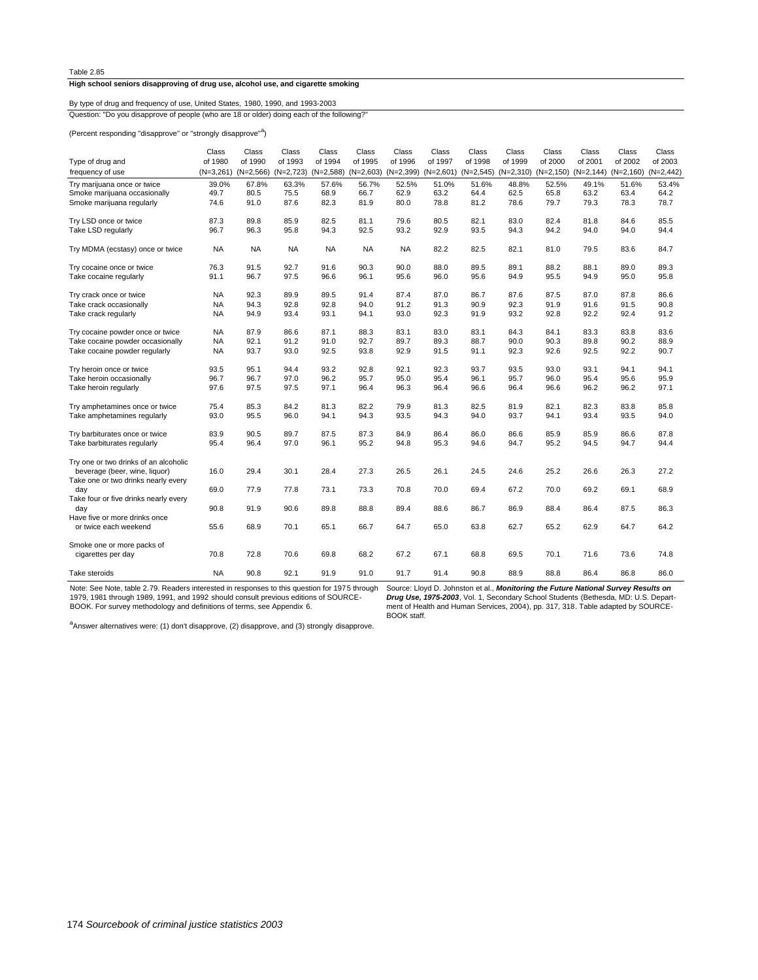## **High school seniors disapproving of drug use, alcohol use, and cigarette smoking**

Question: "Do you disapprove of people (who are 18 or older) doing each of the following? By type of drug and frequency of use, United States, 1980, 1990, and 1993-2003

(Percent responding "disapprove" or "strongly disapprove"<sup>a</sup>)

| Type of drug and                                                                                              | Class        | Class        | Class        | Class        | Class        | Class        | Class        | Class        | Class        | Class        | Class        | Class        | Class        |
|---------------------------------------------------------------------------------------------------------------|--------------|--------------|--------------|--------------|--------------|--------------|--------------|--------------|--------------|--------------|--------------|--------------|--------------|
|                                                                                                               | of 1980      | of 1990      | of 1993      | of 1994      | of 1995      | of 1996      | of 1997      | of 1998      | of 1999      | of 2000      | of 2001      | of 2002      | of 2003      |
| frequency of use                                                                                              | $(N=3,261)$  | $(N=2,566)$  | $(N=2,723)$  | $(N=2,588)$  | $(N=2,603)$  | $(N=2,399)$  | $(N=2,601)$  | $(N=2,545)$  | $(N=2,310)$  | $(N=2, 150)$ | $(N=2, 144)$ | $(N=2,160)$  | $(N=2,442)$  |
| Try marijuana once or twice                                                                                   | 39.0%        | 67.8%        | 63.3%        | 57.6%        | 56.7%        | 52.5%        | 51.0%        | 51.6%        | 48.8%        | 52.5%        | 49.1%        | 51.6%        | 53.4%        |
| Smoke marijuana occasionally                                                                                  | 49.7         | 80.5         | 75.5         | 68.9         | 66.7         | 62.9         | 63.2         | 64.4         | 62.5         | 65.8         | 63.2         | 63.4         | 64.2         |
| Smoke marijuana regularly                                                                                     | 74.6         | 91.0         | 87.6         | 82.3         | 81.9         | 80.0         | 78.8         | 81.2         | 78.6         | 79.7         | 79.3         | 78.3         | 78.7         |
| Try LSD once or twice                                                                                         | 87.3         | 89.8         | 85.9         | 82.5         | 81.1         | 79.6         | 80.5         | 82.1         | 83.0         | 82.4         | 81.8         | 84.6         | 85.5         |
| Take LSD regularly                                                                                            | 96.7         | 96.3         | 95.8         | 94.3         | 92.5         | 93.2         | 92.9         | 93.5         | 94.3         | 94.2         | 94.0         | 94.0         | 94.4         |
| Try MDMA (ecstasy) once or twice                                                                              | <b>NA</b>    | <b>NA</b>    | <b>NA</b>    | <b>NA</b>    | <b>NA</b>    | <b>NA</b>    | 82.2         | 82.5         | 82.1         | 81.0         | 79.5         | 83.6         | 84.7         |
| Try cocaine once or twice                                                                                     | 76.3         | 91.5         | 92.7         | 91.6         | 90.3         | 90.0         | 88.0         | 89.5         | 89.1         | 88.2         | 88.1         | 89.0         | 89.3         |
| Take cocaine regularly                                                                                        | 91.1         | 96.7         | 97.5         | 96.6         | 96.1         | 95.6         | 96.0         | 95.6         | 94.9         | 95.5         | 94.9         | 95.0         | 95.8         |
| Try crack once or twice                                                                                       | <b>NA</b>    | 92.3         | 89.9         | 89.5         | 91.4         | 87.4         | 87.0         | 86.7         | 87.6         | 87.5         | 87.0         | 87.8         | 86.6         |
| Take crack occasionally                                                                                       | <b>NA</b>    | 94.3         | 92.8         | 92.8         | 94.0         | 91.2         | 91.3         | 90.9         | 92.3         | 91.9         | 91.6         | 91.5         | 90.8         |
| Take crack regularly                                                                                          | <b>NA</b>    | 94.9         | 93.4         | 93.1         | 94.1         | 93.0         | 92.3         | 91.9         | 93.2         | 92.8         | 92.2         | 92.4         | 91.2         |
| Try cocaine powder once or twice                                                                              | <b>NA</b>    | 87.9         | 86.6         | 87.1         | 88.3         | 83.1         | 83.0         | 83.1         | 84.3         | 84.1         | 83.3         | 83.8         | 83.6         |
| Take cocaine powder occasionally                                                                              | <b>NA</b>    | 92.1         | 91.2         | 91.0         | 92.7         | 89.7         | 89.3         | 88.7         | 90.0         | 90.3         | 89.8         | 90.2         | 88.9         |
| Take cocaine powder regularly                                                                                 | <b>NA</b>    | 93.7         | 93.0         | 92.5         | 93.8         | 92.9         | 91.5         | 91.1         | 92.3         | 92.6         | 92.5         | 92.2         | 90.7         |
| Try heroin once or twice                                                                                      | 93.5         | 95.1         | 94.4         | 93.2         | 92.8         | 92.1         | 92.3         | 93.7         | 93.5         | 93.0         | 93.1         | 94.1         | 94.1         |
| Take heroin occasionally                                                                                      | 96.7         | 96.7         | 97.0         | 96.2         | 95.7         | 95.0         | 95.4         | 96.1         | 95.7         | 96.0         | 95.4         | 95.6         | 95.9         |
| Take heroin regularly                                                                                         | 97.6         | 97.5         | 97.5         | 97.1         | 96.4         | 96.3         | 96.4         | 96.6         | 96.4         | 96.6         | 96.2         | 96.2         | 97.1         |
| Try amphetamines once or twice                                                                                | 75.4         | 85.3         | 84.2         | 81.3         | 82.2         | 79.9         | 81.3         | 82.5         | 81.9         | 82.1         | 82.3         | 83.8         | 85.8         |
| Take amphetamines regularly                                                                                   | 93.0         | 95.5         | 96.0         | 94.1         | 94.3         | 93.5         | 94.3         | 94.0         | 93.7         | 94.1         | 93.4         | 93.5         | 94.0         |
| Try barbiturates once or twice                                                                                | 83.9         | 90.5         | 89.7         | 87.5         | 87.3         | 84.9         | 86.4         | 86.0         | 86.6         | 85.9         | 85.9         | 86.6         | 87.8         |
| Take barbiturates regularly                                                                                   | 95.4         | 96.4         | 97.0         | 96.1         | 95.2         | 94.8         | 95.3         | 94.6         | 94.7         | 95.2         | 94.5         | 94.7         | 94.4         |
| Try one or two drinks of an alcoholic<br>beverage (beer, wine, liquor)<br>Take one or two drinks nearly every | 16.0         | 29.4         | 30.1         | 28.4         | 27.3         | 26.5         | 26.1         | 24.5         | 24.6         | 25.2         | 26.6         | 26.3         | 27.2         |
| day<br>Take four or five drinks nearly every                                                                  | 69.0         | 77.9         | 77.8         | 73.1         | 73.3         | 70.8         | 70.0         | 69.4         | 67.2         | 70.0         | 69.2         | 69.1         | 68.9         |
| day<br>Have five or more drinks once<br>or twice each weekend                                                 | 90.8<br>55.6 | 91.9<br>68.9 | 90.6<br>70.1 | 89.8<br>65.1 | 88.8<br>66.7 | 89.4<br>64.7 | 88.6<br>65.0 | 86.7<br>63.8 | 86.9<br>62.7 | 88.4<br>65.2 | 86.4<br>62.9 | 87.5<br>64.7 | 86.3<br>64.2 |
| Smoke one or more packs of<br>cigarettes per day                                                              | 70.8         | 72.8         | 70.6         | 69.8         | 68.2         | 67.2         | 67.1         | 68.8         | 69.5         | 70.1         | 71.6         | 73.6         | 74.8         |
| Take steroids                                                                                                 | <b>NA</b>    | 90.8         | 92.1         | 91.9         | 91.0         | 91.7         | 91.4         | 90.8         | 88.9         | 88.8         | 86.4         | 86.8         | 86.0         |

Note: See Note, table 2.79. Readers interested in responses to this question for 1975 through Source: Lloyd D. Johnston et al., *Monitoring the Future National Survey Results on* 1979, 1981 through 1989, 1991, and 1992 should consult previous editions of SOURCE-BOOK. For survey methodology and definitions of terms, see Appendix 6.

**Drug Use, 1975-2003**, Vol. 1, Secondary School Students (Bethesda, MD: U.S. Depart-ment of Health and Human Services, 2004), pp. 317, 318. Table adapted by SOURCE-BOOK staff.

<sup>a</sup>Answer alternatives were: (1) don't disapprove, (2) disapprove, and (3) strongly disapprove.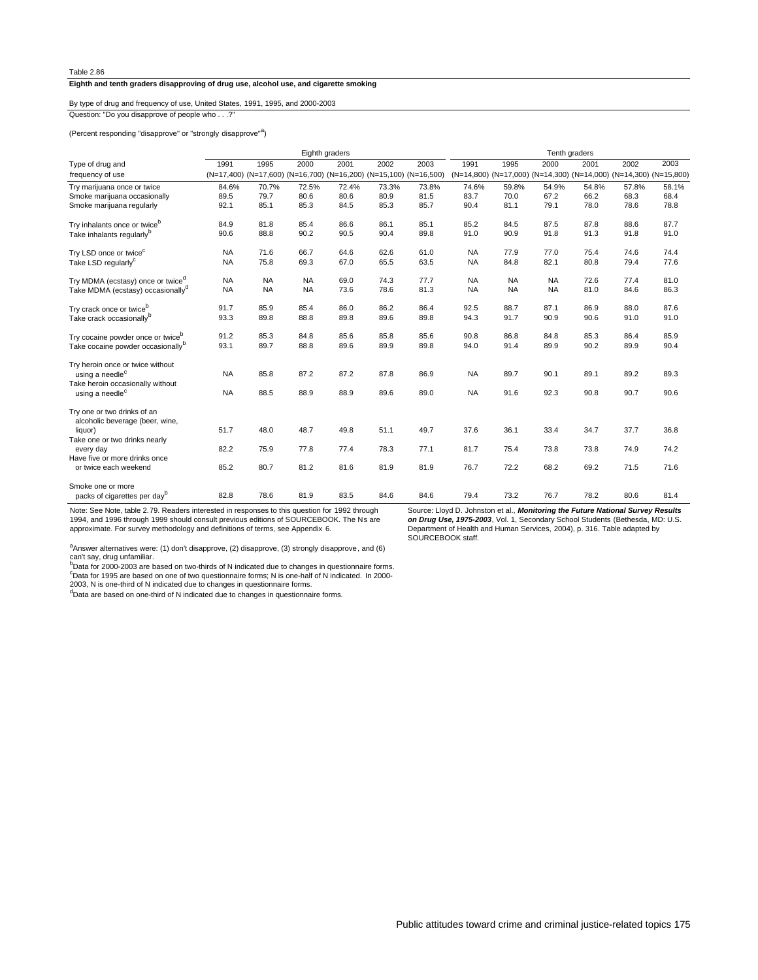**Eighth and tenth graders disapproving of drug use, alcohol use, and cigarette smoking**

By type of drug and frequency of use, United States, 1991, 1995, and 2000-2003

Question: "Do you disapprove of people who . . .?

(Percent responding "disapprove" or "strongly disapprove"<sup>a</sup>)

|                                               | Eighth graders |           |                                                                   |       |       |       |           | Tenth graders                                                     |           |       |       |       |  |  |
|-----------------------------------------------|----------------|-----------|-------------------------------------------------------------------|-------|-------|-------|-----------|-------------------------------------------------------------------|-----------|-------|-------|-------|--|--|
| Type of drug and                              | 1991           | 1995      | 2000                                                              | 2001  | 2002  | 2003  | 1991      | 1995                                                              | 2000      | 2001  | 2002  | 2003  |  |  |
| frequency of use                              |                |           | (N=17,400) (N=17,600) (N=16,700) (N=16,200) (N=15,100) (N=16,500) |       |       |       |           | (N=14,800) (N=17,000) (N=14,300) (N=14,000) (N=14,300) (N=15,800) |           |       |       |       |  |  |
| Try marijuana once or twice                   | 84.6%          | 70.7%     | 72.5%                                                             | 72.4% | 73.3% | 73.8% | 74.6%     | 59.8%                                                             | 54.9%     | 54.8% | 57.8% | 58.1% |  |  |
| Smoke marijuana occasionally                  | 89.5           | 79.7      | 80.6                                                              | 80.6  | 80.9  | 81.5  | 83.7      | 70.0                                                              | 67.2      | 66.2  | 68.3  | 68.4  |  |  |
| Smoke marijuana regularly                     | 92.1           | 85.1      | 85.3                                                              | 84.5  | 85.3  | 85.7  | 90.4      | 81.1                                                              | 79.1      | 78.0  | 78.6  | 78.8  |  |  |
| Try inhalants once or twice <sup>b</sup>      | 84.9           | 81.8      | 85.4                                                              | 86.6  | 86.1  | 85.1  | 85.2      | 84.5                                                              | 87.5      | 87.8  | 88.6  | 87.7  |  |  |
| Take inhalants regularly <sup>b</sup>         | 90.6           | 88.8      | 90.2                                                              | 90.5  | 90.4  | 89.8  | 91.0      | 90.9                                                              | 91.8      | 91.3  | 91.8  | 91.0  |  |  |
|                                               |                |           |                                                                   |       |       |       |           |                                                                   |           |       |       |       |  |  |
| Try LSD once or twice <sup>c</sup>            | <b>NA</b>      | 71.6      | 66.7                                                              | 64.6  | 62.6  | 61.0  | <b>NA</b> | 77.9                                                              | 77.0      | 75.4  | 74.6  | 74.4  |  |  |
| Take LSD regularly <sup>c</sup>               | <b>NA</b>      | 75.8      | 69.3                                                              | 67.0  | 65.5  | 63.5  | <b>NA</b> | 84.8                                                              | 82.1      | 80.8  | 79.4  | 77.6  |  |  |
| Try MDMA (ecstasy) once or twice <sup>d</sup> | <b>NA</b>      | <b>NA</b> | <b>NA</b>                                                         | 69.0  | 74.3  | 77.7  | <b>NA</b> | <b>NA</b>                                                         | <b>NA</b> | 72.6  | 77.4  | 81.0  |  |  |
| Take MDMA (ecstasy) occasionally <sup>d</sup> | <b>NA</b>      | <b>NA</b> | <b>NA</b>                                                         | 73.6  | 78.6  | 81.3  | <b>NA</b> | <b>NA</b>                                                         | <b>NA</b> | 81.0  | 84.6  | 86.3  |  |  |
|                                               |                |           |                                                                   |       |       |       |           |                                                                   |           |       |       |       |  |  |
| Try crack once or twice <sup>b</sup>          | 91.7           | 85.9      | 85.4                                                              | 86.0  | 86.2  | 86.4  | 92.5      | 88.7                                                              | 87.1      | 86.9  | 88.0  | 87.6  |  |  |
| Take crack occasionallyb                      | 93.3           | 89.8      | 88.8                                                              | 89.8  | 89.6  | 89.8  | 94.3      | 91.7                                                              | 90.9      | 90.6  | 91.0  | 91.0  |  |  |
| Try cocaine powder once or twice <sup>b</sup> | 91.2           | 85.3      | 84.8                                                              | 85.6  | 85.8  | 85.6  | 90.8      | 86.8                                                              | 84.8      | 85.3  | 86.4  | 85.9  |  |  |
| Take cocaine powder occasionally <sup>b</sup> | 93.1           | 89.7      | 88.8                                                              | 89.6  | 89.9  | 89.8  | 94.0      | 91.4                                                              | 89.9      | 90.2  | 89.9  | 90.4  |  |  |
| Try heroin once or twice without              |                |           |                                                                   |       |       |       |           |                                                                   |           |       |       |       |  |  |
| using a needle <sup>c</sup>                   | <b>NA</b>      | 85.8      | 87.2                                                              | 87.2  | 87.8  | 86.9  | <b>NA</b> | 89.7                                                              | 90.1      | 89.1  | 89.2  | 89.3  |  |  |
| Take heroin occasionally without              |                |           |                                                                   |       |       |       |           |                                                                   |           |       |       |       |  |  |
| using a needle <sup>c</sup>                   | <b>NA</b>      | 88.5      | 88.9                                                              | 88.9  | 89.6  | 89.0  | <b>NA</b> | 91.6                                                              | 92.3      | 90.8  | 90.7  | 90.6  |  |  |
|                                               |                |           |                                                                   |       |       |       |           |                                                                   |           |       |       |       |  |  |
| Try one or two drinks of an                   |                |           |                                                                   |       |       |       |           |                                                                   |           |       |       |       |  |  |
| alcoholic beverage (beer, wine,               |                |           |                                                                   |       |       |       |           |                                                                   |           |       |       |       |  |  |
| liquor)<br>Take one or two drinks nearly      | 51.7           | 48.0      | 48.7                                                              | 49.8  | 51.1  | 49.7  | 37.6      | 36.1                                                              | 33.4      | 34.7  | 37.7  | 36.8  |  |  |
| every day                                     | 82.2           | 75.9      | 77.8                                                              | 77.4  | 78.3  | 77.1  | 81.7      | 75.4                                                              | 73.8      | 73.8  | 74.9  | 74.2  |  |  |
| Have five or more drinks once                 |                |           |                                                                   |       |       |       |           |                                                                   |           |       |       |       |  |  |
| or twice each weekend                         | 85.2           | 80.7      | 81.2                                                              | 81.6  | 81.9  | 81.9  | 76.7      | 72.2                                                              | 68.2      | 69.2  | 71.5  | 71.6  |  |  |
|                                               |                |           |                                                                   |       |       |       |           |                                                                   |           |       |       |       |  |  |
| Smoke one or more                             |                |           |                                                                   |       |       |       |           |                                                                   |           |       |       |       |  |  |
| packs of cigarettes per day <sup>b</sup>      | 82.8           | 78.6      | 81.9                                                              | 83.5  | 84.6  | 84.6  | 79.4      | 73.2                                                              | 76.7      | 78.2  | 80.6  | 81.4  |  |  |

Note: See Note, table 2.79. Readers interested in responses to this question for 1992 through 1994, and 1996 through 1999 should consult previous editions of SOURCEBOOK. The Ns are approximate. For survey methodology and definitions of terms, see Appendix 6.

Source: Lloyd D. Johnston et al., **Monitoring the Future National Survey Results on Drug Use, 1975-2003**, Vol. 1, Secondary School Students (Bethesda, MD: U.S. Department of Health and Human Services, 2004), p. 316. Table adapted by SOURCEBOOK staff.

aAnswer alternatives were: (1) don't disapprove, (2) disapprove, (3) strongly disapprove, and (6)

can't say, drug unfamiliar.<br><sup>5</sup>Data for 2000-2003 are based on two-thirds of N indicated due to changes in questionnaire forms.<br>"Data for 1995 are based on one of two questionnaire forms; N is one-half of N indicated. In 2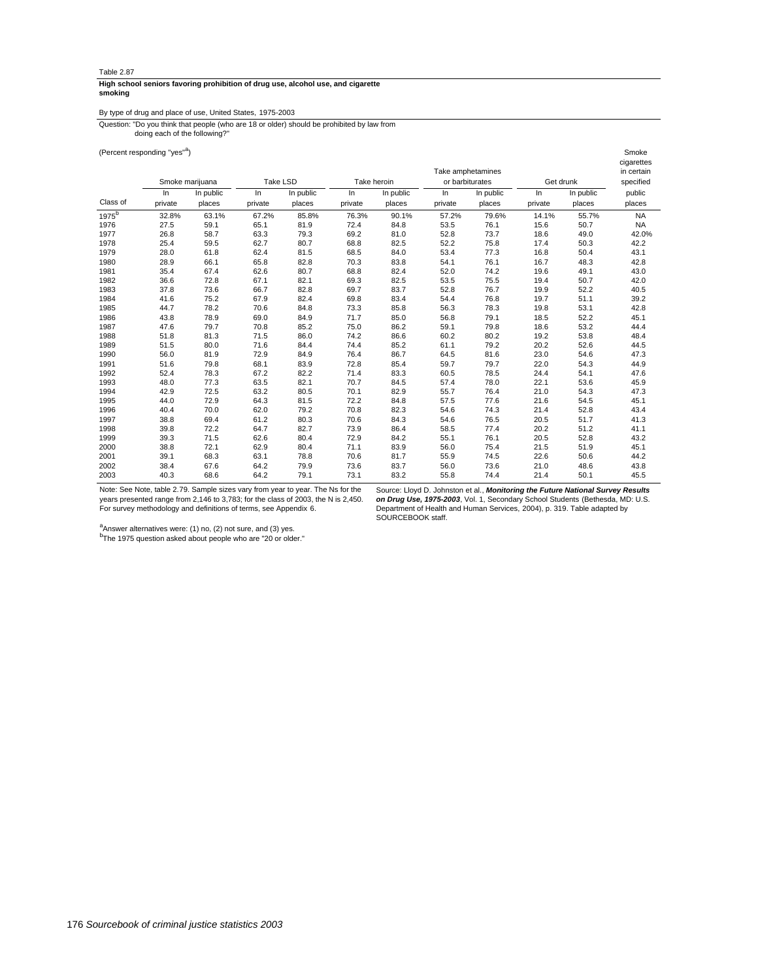#### **smoking High school seniors favoring prohibition of drug use, alcohol use, and cigarette**

By type of drug and place of use, United States, 1975-2003

doing each of the following?" Question: "Do you think that people (who are 18 or older) should be prohibited by law from

(Percent responding "yes" Smoke <sup>a</sup> )

|                   |         |                 |         |           |             |           |                   |           |           |           | cigarettes |
|-------------------|---------|-----------------|---------|-----------|-------------|-----------|-------------------|-----------|-----------|-----------|------------|
|                   |         |                 |         |           |             |           | Take amphetamines |           |           |           | in certain |
|                   |         | Smoke marijuana |         | Take LSD  | Take heroin |           | or barbiturates   |           | Get drunk |           | specified  |
|                   | In      | In public       | ln      | In public | In          | In public | ln                | In public | In        | In public | public     |
| Class of          | private | places          | private | places    | private     | places    | private           | places    | private   | places    | places     |
| 1975 <sup>b</sup> | 32.8%   | 63.1%           | 67.2%   | 85.8%     | 76.3%       | 90.1%     | 57.2%             | 79.6%     | 14.1%     | 55.7%     | <b>NA</b>  |
| 1976              | 27.5    | 59.1            | 65.1    | 81.9      | 72.4        | 84.8      | 53.5              | 76.1      | 15.6      | 50.7      | <b>NA</b>  |
| 1977              | 26.8    | 58.7            | 63.3    | 79.3      | 69.2        | 81.0      | 52.8              | 73.7      | 18.6      | 49.0      | 42.0%      |
| 1978              | 25.4    | 59.5            | 62.7    | 80.7      | 68.8        | 82.5      | 52.2              | 75.8      | 17.4      | 50.3      | 42.2       |
| 1979              | 28.0    | 61.8            | 62.4    | 81.5      | 68.5        | 84.0      | 53.4              | 77.3      | 16.8      | 50.4      | 43.1       |
| 1980              | 28.9    | 66.1            | 65.8    | 82.8      | 70.3        | 83.8      | 54.1              | 76.1      | 16.7      | 48.3      | 42.8       |
| 1981              | 35.4    | 67.4            | 62.6    | 80.7      | 68.8        | 82.4      | 52.0              | 74.2      | 19.6      | 49.1      | 43.0       |
| 1982              | 36.6    | 72.8            | 67.1    | 82.1      | 69.3        | 82.5      | 53.5              | 75.5      | 19.4      | 50.7      | 42.0       |
| 1983              | 37.8    | 73.6            | 66.7    | 82.8      | 69.7        | 83.7      | 52.8              | 76.7      | 19.9      | 52.2      | 40.5       |
| 1984              | 41.6    | 75.2            | 67.9    | 82.4      | 69.8        | 83.4      | 54.4              | 76.8      | 19.7      | 51.1      | 39.2       |
| 1985              | 44.7    | 78.2            | 70.6    | 84.8      | 73.3        | 85.8      | 56.3              | 78.3      | 19.8      | 53.1      | 42.8       |
| 1986              | 43.8    | 78.9            | 69.0    | 84.9      | 71.7        | 85.0      | 56.8              | 79.1      | 18.5      | 52.2      | 45.1       |
| 1987              | 47.6    | 79.7            | 70.8    | 85.2      | 75.0        | 86.2      | 59.1              | 79.8      | 18.6      | 53.2      | 44.4       |
| 1988              | 51.8    | 81.3            | 71.5    | 86.0      | 74.2        | 86.6      | 60.2              | 80.2      | 19.2      | 53.8      | 48.4       |
| 1989              | 51.5    | 80.0            | 71.6    | 84.4      | 74.4        | 85.2      | 61.1              | 79.2      | 20.2      | 52.6      | 44.5       |
| 1990              | 56.0    | 81.9            | 72.9    | 84.9      | 76.4        | 86.7      | 64.5              | 81.6      | 23.0      | 54.6      | 47.3       |
| 1991              | 51.6    | 79.8            | 68.1    | 83.9      | 72.8        | 85.4      | 59.7              | 79.7      | 22.0      | 54.3      | 44.9       |
| 1992              | 52.4    | 78.3            | 67.2    | 82.2      | 71.4        | 83.3      | 60.5              | 78.5      | 24.4      | 54.1      | 47.6       |
| 1993              | 48.0    | 77.3            | 63.5    | 82.1      | 70.7        | 84.5      | 57.4              | 78.0      | 22.1      | 53.6      | 45.9       |
| 1994              | 42.9    | 72.5            | 63.2    | 80.5      | 70.1        | 82.9      | 55.7              | 76.4      | 21.0      | 54.3      | 47.3       |
| 1995              | 44.0    | 72.9            | 64.3    | 81.5      | 72.2        | 84.8      | 57.5              | 77.6      | 21.6      | 54.5      | 45.1       |
| 1996              | 40.4    | 70.0            | 62.0    | 79.2      | 70.8        | 82.3      | 54.6              | 74.3      | 21.4      | 52.8      | 43.4       |
| 1997              | 38.8    | 69.4            | 61.2    | 80.3      | 70.6        | 84.3      | 54.6              | 76.5      | 20.5      | 51.7      | 41.3       |
| 1998              | 39.8    | 72.2            | 64.7    | 82.7      | 73.9        | 86.4      | 58.5              | 77.4      | 20.2      | 51.2      | 41.1       |
| 1999              | 39.3    | 71.5            | 62.6    | 80.4      | 72.9        | 84.2      | 55.1              | 76.1      | 20.5      | 52.8      | 43.2       |
| 2000              | 38.8    | 72.1            | 62.9    | 80.4      | 71.1        | 83.9      | 56.0              | 75.4      | 21.5      | 51.9      | 45.1       |
| 2001              | 39.1    | 68.3            | 63.1    | 78.8      | 70.6        | 81.7      | 55.9              | 74.5      | 22.6      | 50.6      | 44.2       |
| 2002              | 38.4    | 67.6            | 64.2    | 79.9      | 73.6        | 83.7      | 56.0              | 73.6      | 21.0      | 48.6      | 43.8       |
| 2003              | 40.3    | 68.6            | 64.2    | 79.1      | 73.1        | 83.2      | 55.8              | 74.4      | 21.4      | 50.1      | 45.5       |

Note: See Note, table 2.79. Sample sizes vary from year to year. The Ns for the years presented range from 2,146 to 3,783; for the class of 2003, the N is 2,450. For survey methodology and definitions of terms, see Appendix 6.

Source: Lloyd D. Johnston et al., **Monitoring the Future National Survey Results on Drug Use, 1975-2003**, Vol. 1, Secondary School Students (Bethesda, MD: U.S. Department of Health and Human Services, 2004), p. 319. Table adapted by SOURCEBOOK staff.

<sup>a</sup>Answer alternatives were: (1) no, (2) not sure, and (3) yes.<br><sup>b</sup>The 1975 question asked about people who are "20 or older."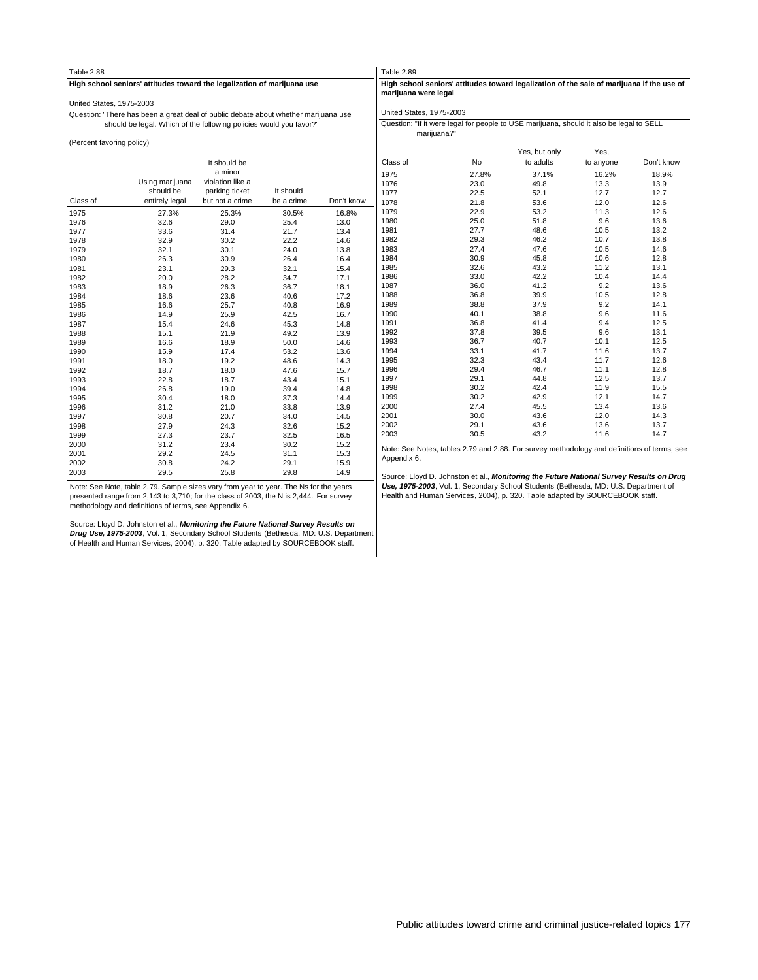| United States, 1975-2003  | High school seniors' attitudes toward the legalization of marijuana use             |                  |            |            |                          |                                                                                             |                            |                   |            |
|---------------------------|-------------------------------------------------------------------------------------|------------------|------------|------------|--------------------------|---------------------------------------------------------------------------------------------|----------------------------|-------------------|------------|
|                           |                                                                                     |                  |            |            | marijuana were legal     | High school seniors' attitudes toward legalization of the sale of marijuana if the use of   |                            |                   |            |
|                           |                                                                                     |                  |            |            |                          |                                                                                             |                            |                   |            |
|                           | Question: "There has been a great deal of public debate about whether marijuana use |                  |            |            | United States, 1975-2003 |                                                                                             |                            |                   |            |
|                           | should be legal. Which of the following policies would you favor?"                  |                  |            |            | marijuana?"              | Question: "If it were legal for people to USE marijuana, should it also be legal to SELL    |                            |                   |            |
| (Percent favoring policy) |                                                                                     |                  |            |            |                          |                                                                                             |                            |                   |            |
|                           |                                                                                     | It should be     |            |            | Class of                 | No                                                                                          | Yes, but only<br>to adults | Yes,<br>to anyone | Don't know |
|                           |                                                                                     | a minor          |            |            | 1975                     | 27.8%                                                                                       | 37.1%                      | 16.2%             | 18.9%      |
|                           | Using marijuana                                                                     | violation like a |            |            | 1976                     | 23.0                                                                                        | 49.8                       | 13.3              | 13.9       |
|                           | should be                                                                           | parking ticket   | It should  |            | 1977                     | 22.5                                                                                        | 52.1                       | 12.7              | 12.7       |
| Class of                  | entirely legal                                                                      | but not a crime  | be a crime | Don't know | 1978                     | 21.8                                                                                        | 53.6                       | 12.0              | 12.6       |
| 1975                      | 27.3%                                                                               | 25.3%            | 30.5%      | 16.8%      | 1979                     | 22.9                                                                                        | 53.2                       | 11.3              | 12.6       |
| 1976                      | 32.6                                                                                | 29.0             | 25.4       | 13.0       | 1980                     | 25.0                                                                                        | 51.8                       | 9.6               | 13.6       |
| 1977                      | 33.6                                                                                | 31.4             | 21.7       | 13.4       | 1981                     | 27.7                                                                                        | 48.6                       | 10.5              | 13.2       |
| 1978                      | 32.9                                                                                | 30.2             | 22.2       | 14.6       | 1982                     | 29.3                                                                                        | 46.2                       | 10.7              | 13.8       |
| 1979                      | 32.1                                                                                | 30.1             | 24.0       | 13.8       | 1983                     | 27.4                                                                                        | 47.6                       | 10.5              | 14.6       |
| 1980                      | 26.3                                                                                | 30.9             | 26.4       | 16.4       | 1984                     | 30.9                                                                                        | 45.8                       | 10.6              | 12.8       |
| 1981                      | 23.1                                                                                | 29.3             | 32.1       | 15.4       | 1985                     | 32.6                                                                                        | 43.2                       | 11.2              | 13.1       |
| 1982                      | 20.0                                                                                | 28.2             | 34.7       | 17.1       | 1986                     | 33.0                                                                                        | 42.2                       | 10.4              | 14.4       |
| 1983                      | 18.9                                                                                | 26.3             | 36.7       | 18.1       | 1987                     | 36.0                                                                                        | 41.2                       | 9.2               | 13.6       |
| 1984                      | 18.6                                                                                | 23.6             | 40.6       | 17.2       | 1988                     | 36.8                                                                                        | 39.9                       | 10.5              | 12.8       |
| 1985                      | 16.6                                                                                | 25.7             | 40.8       | 16.9       | 1989                     | 38.8                                                                                        | 37.9                       | 9.2               | 14.1       |
| 1986                      | 14.9                                                                                | 25.9             | 42.5       | 16.7       | 1990                     | 40.1                                                                                        | 38.8                       | 9.6               | 11.6       |
| 1987                      | 15.4                                                                                | 24.6             | 45.3       | 14.8       | 1991                     | 36.8                                                                                        | 41.4                       | 9.4               | 12.5       |
| 1988                      | 15.1                                                                                | 21.9             | 49.2       | 13.9       | 1992                     | 37.8                                                                                        | 39.5                       | 9.6               | 13.1       |
| 1989                      | 16.6                                                                                | 18.9             | 50.0       | 14.6       | 1993                     | 36.7                                                                                        | 40.7                       | 10.1              | 12.5       |
| 1990                      | 15.9                                                                                | 17.4             | 53.2       | 13.6       | 1994                     | 33.1                                                                                        | 41.7                       | 11.6              | 13.7       |
| 1991                      | 18.0                                                                                | 19.2             | 48.6       | 14.3       | 1995                     | 32.3                                                                                        | 43.4                       | 11.7              | 12.6       |
| 1992                      | 18.7                                                                                | 18.0             | 47.6       | 15.7       | 1996                     | 29.4                                                                                        | 46.7                       | 11.1              | 12.8       |
| 1993                      | 22.8                                                                                | 18.7             | 43.4       | 15.1       | 1997                     | 29.1                                                                                        | 44.8                       | 12.5              | 13.7       |
| 1994                      | 26.8                                                                                | 19.0             | 39.4       | 14.8       | 1998                     | 30.2                                                                                        | 42.4                       | 11.9              | 15.5       |
| 1995                      | 30.4                                                                                | 18.0             | 37.3       | 14.4       | 1999                     | 30.2                                                                                        | 42.9                       | 12.1              | 14.7       |
| 1996                      | 31.2                                                                                | 21.0             | 33.8       | 13.9       | 2000                     | 27.4                                                                                        | 45.5                       | 13.4              | 13.6       |
| 1997                      | 30.8                                                                                | 20.7             | 34.0       | 14.5       | 2001                     | 30.0                                                                                        | 43.6                       | 12.0              | 14.3       |
| 1998                      | 27.9                                                                                | 24.3             | 32.6       | 15.2       | 2002                     | 29.1                                                                                        | 43.6                       | 13.6              | 13.7       |
| 1999                      | 27.3                                                                                | 23.7             | 32.5       | 16.5       | 2003                     | 30.5                                                                                        | 43.2                       | 11.6              | 14.7       |
| 2000                      | 31.2                                                                                | 23.4             | 30.2       | 15.2       |                          | Note: See Notes, tables 2.79 and 2.88. For survey methodology and definitions of terms, see |                            |                   |            |
| 2001                      | 29.2                                                                                | 24.5             | 31.1       | 15.3       |                          |                                                                                             |                            |                   |            |
| 2002                      | 30.8                                                                                | 24.2             | 29.1       | 15.9       | Appendix 6.              |                                                                                             |                            |                   |            |
| 2003                      | 29.5                                                                                | 25.8             | 29.8       | 14.9       |                          | Source: Lloyd D. Johnston et al., Monitoring the Future National Survey Results on Drug     |                            |                   |            |

Note: See Note, table 2.79. Sample sizes vary from year to year. The Ns for the years<br>presented range from 2,143 to 3,710; for the class of 2003, the N is 2,444. For survey<br>methodology and definitions of terms, see Appendi

Source: Lloyd D. Johnston et al., **Monitoring the Future National Survey Results on**<br>**Drug Use, 1975-2003,** Vol. 1, Secondary School Students (Bethesda, MD: U.S. Department<br>of Health and Human Services, 2004), p. 320. Tabl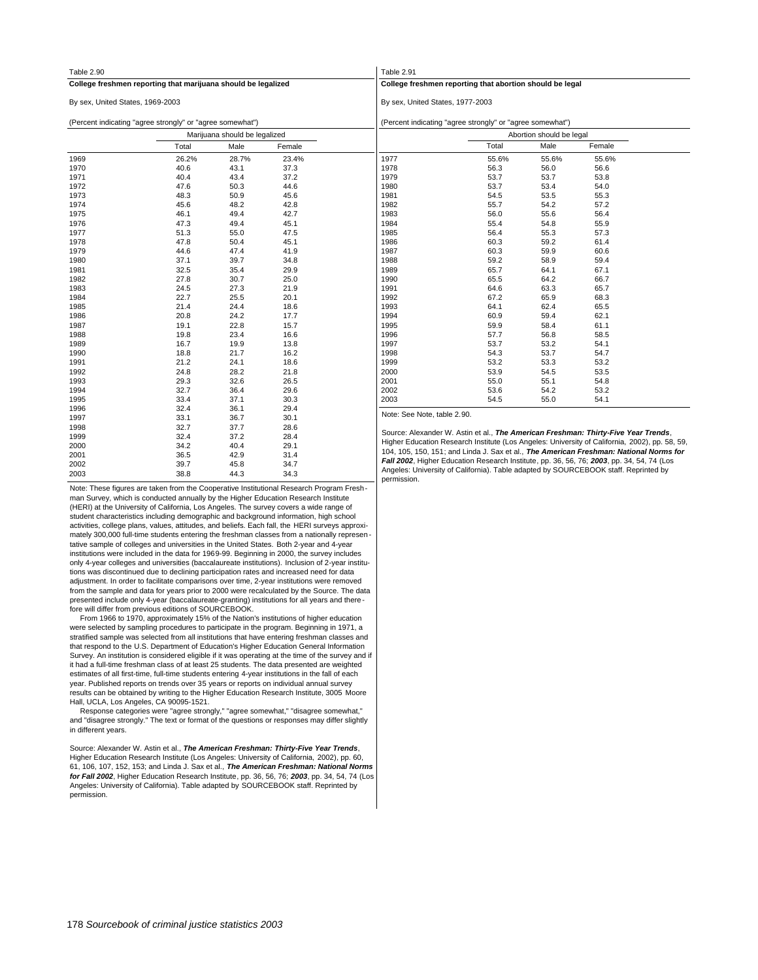| Table 2.90                       |                                                               |                               |        | Table 2.91                       |                                                                                              |       |        |  |  |  |
|----------------------------------|---------------------------------------------------------------|-------------------------------|--------|----------------------------------|----------------------------------------------------------------------------------------------|-------|--------|--|--|--|
|                                  | College freshmen reporting that marijuana should be legalized |                               |        |                                  | College freshmen reporting that abortion should be legal                                     |       |        |  |  |  |
| By sex, United States, 1969-2003 |                                                               |                               |        | By sex, United States, 1977-2003 |                                                                                              |       |        |  |  |  |
|                                  | (Percent indicating "agree strongly" or "agree somewhat")     |                               |        |                                  | (Percent indicating "agree strongly" or "agree somewhat")                                    |       |        |  |  |  |
|                                  |                                                               | Marijuana should be legalized |        |                                  | Abortion should be legal                                                                     |       |        |  |  |  |
|                                  | Total                                                         | Male                          | Female |                                  | Total                                                                                        | Male  | Female |  |  |  |
| 1969                             | 26.2%                                                         | 28.7%                         | 23.4%  | 1977                             | 55.6%                                                                                        | 55.6% | 55.6%  |  |  |  |
| 1970                             | 40.6                                                          | 43.1                          | 37.3   | 1978                             | 56.3                                                                                         | 56.0  | 56.6   |  |  |  |
| 1971                             | 40.4                                                          | 43.4                          | 37.2   | 1979                             | 53.7                                                                                         | 53.7  | 53.8   |  |  |  |
| 1972                             | 47.6                                                          | 50.3                          | 44.6   | 1980                             | 53.7                                                                                         | 53.4  | 54.0   |  |  |  |
| 1973                             | 48.3                                                          | 50.9                          | 45.6   | 1981                             | 54.5                                                                                         | 53.5  | 55.3   |  |  |  |
| 1974                             | 45.6                                                          | 48.2                          | 42.8   | 1982                             | 55.7                                                                                         | 54.2  | 57.2   |  |  |  |
| 1975                             | 46.1                                                          | 49.4                          | 42.7   | 1983                             | 56.0                                                                                         | 55.6  | 56.4   |  |  |  |
| 1976                             | 47.3                                                          | 49.4                          | 45.1   | 1984                             | 55.4                                                                                         | 54.8  | 55.9   |  |  |  |
| 1977                             | 51.3                                                          | 55.0                          | 47.5   | 1985                             | 56.4                                                                                         | 55.3  | 57.3   |  |  |  |
| 1978                             | 47.8                                                          | 50.4                          | 45.1   | 1986                             | 60.3                                                                                         | 59.2  | 61.4   |  |  |  |
| 1979                             | 44.6                                                          | 47.4                          | 41.9   | 1987                             | 60.3                                                                                         | 59.9  | 60.6   |  |  |  |
| 1980                             | 37.1                                                          | 39.7                          | 34.8   | 1988                             | 59.2                                                                                         | 58.9  | 59.4   |  |  |  |
| 1981                             | 32.5                                                          | 35.4                          | 29.9   | 1989                             | 65.7                                                                                         | 64.1  | 67.1   |  |  |  |
| 1982                             | 27.8                                                          | 30.7                          | 25.0   | 1990                             | 65.5                                                                                         | 64.2  | 66.7   |  |  |  |
| 1983                             | 24.5                                                          | 27.3                          | 21.9   | 1991                             | 64.6                                                                                         | 63.3  | 65.7   |  |  |  |
| 1984                             | 22.7                                                          | 25.5                          | 20.1   | 1992                             | 67.2                                                                                         | 65.9  | 68.3   |  |  |  |
| 1985                             | 21.4                                                          | 24.4                          | 18.6   | 1993                             | 64.1                                                                                         | 62.4  | 65.5   |  |  |  |
| 1986                             | 20.8                                                          | 24.2                          | 17.7   | 1994                             | 60.9                                                                                         | 59.4  | 62.1   |  |  |  |
| 1987                             | 19.1                                                          | 22.8                          | 15.7   | 1995                             | 59.9                                                                                         | 58.4  | 61.1   |  |  |  |
| 1988                             | 19.8                                                          | 23.4                          | 16.6   | 1996                             | 57.7                                                                                         | 56.8  | 58.5   |  |  |  |
| 1989                             | 16.7                                                          | 19.9                          | 13.8   | 1997                             | 53.7                                                                                         | 53.2  | 54.1   |  |  |  |
| 1990                             | 18.8                                                          | 21.7                          | 16.2   | 1998                             | 54.3                                                                                         | 53.7  | 54.7   |  |  |  |
| 1991                             | 21.2                                                          | 24.1                          | 18.6   | 1999                             | 53.2                                                                                         | 53.3  | 53.2   |  |  |  |
| 1992                             | 24.8                                                          | 28.2                          | 21.8   | 2000                             | 53.9                                                                                         | 54.5  | 53.5   |  |  |  |
| 1993                             | 29.3                                                          | 32.6                          | 26.5   | 2001                             | 55.0                                                                                         | 55.1  | 54.8   |  |  |  |
| 1994                             | 32.7                                                          | 36.4                          | 29.6   | 2002                             | 53.6                                                                                         | 54.2  | 53.2   |  |  |  |
| 1995                             | 33.4                                                          | 37.1                          | 30.3   | 2003                             | 54.5                                                                                         | 55.0  | 54.1   |  |  |  |
| 1996                             | 32.4                                                          | 36.1                          | 29.4   |                                  |                                                                                              |       |        |  |  |  |
| 1997                             | 33.1                                                          | 36.7                          | 30.1   | Note: See Note, table 2.90.      |                                                                                              |       |        |  |  |  |
| 1998                             | 32.7                                                          | 37.7                          | 28.6   |                                  |                                                                                              |       |        |  |  |  |
| 1999                             | 32.4                                                          | 37.2                          | 28.4   |                                  | Source: Alexander W. Astin et al., The American Freshman: Thirty-Five Year Trends,           |       |        |  |  |  |
| 2000                             | 34.2                                                          | 40.4                          | 29.1   |                                  | Higher Education Research Institute (Los Angeles: University of California, 2002), pp. 58, 5 |       |        |  |  |  |
| 2001                             | 36.5                                                          | 42.9                          | 31.4   |                                  | 104, 105, 150, 151; and Linda J. Sax et al., The American Freshman: National Norms fo        |       |        |  |  |  |
|                                  |                                                               |                               |        |                                  | Fell 2002 Uiches Education Dessenb Institute on 20 FC 70: 2002 an 24 F4 Z4 (Lee              |       |        |  |  |  |

Note: These figures are taken from the Cooperative Institutional Research Program Fresh man Survey, which is conducted annually by the Higher Education Research Institute (HERI) at the University of California, Los Angeles. The survey covers a wide range of student characteristics including demographic and background information, high school activities, college plans, values, attitudes, and beliefs. Each fall, the HERI surveys approximately 300,000 full-time students entering the freshman classes from a nationally represen tative sample of colleges and universities in the United States. Both 2-year and 4-year institutions were included in the data for 1969-99. Beginning in 2000, the survey includes only 4-year colleges and universities (baccalaureate institutions). Inclusion of 2-year institutions was discontinued due to declining participation rates and increased need for data adjustment. In order to facilitate comparisons over time, 2-year institutions were removed from the sample and data for years prior to 2000 were recalculated by the Source. The data presented include only 4-year (baccalaureate-granting) institutions for all years and there fore will differ from previous editions of SOURCEBOOK.

2003 38.8 44.3 34.3 2002 39.7 45.8 34.7

 From 1966 to 1970, approximately 15% of the Nation's institutions of higher education were selected by sampling procedures to participate in the program. Beginning in 1971, a stratified sample was selected from all institutions that have entering freshman classes and that respond to the U.S. Department of Education's Higher Education General Information Survey. An institution is considered eligible if it was operating at the time of the survey and if it had a full-time freshman class of at least 25 students. The data presented are weighted estimates of all first-time, full-time students entering 4-year institutions in the fall of each year. Published reports on trends over 35 years or reports on individual annual survey results can be obtained by writing to the Higher Education Research Institute, 3005 Moore Hall, UCLA, Los Angeles, CA 90095-1521.

 Response categories were "agree strongly," "agree somewhat," "disagree somewhat," and "disagree strongly." The text or format of the questions or responses may differ slightly in different years.

Source: Alexander W. Astin et al., **The American Freshman: Thirty-Five Year Trends**, Higher Education Research Institute (Los Angeles: University of California, 2002), pp. 60, 61, 106, 107, 152, 153; and Linda J. Sax et al., **The American Freshman: National Norms for Fall 2002**, Higher Education Research Institute, pp. 36, 56, 76; **2003**, pp. 34, 54, 74 (Los Angeles: University of California). Table adapted by SOURCEBOOK staff. Reprinted by permission.

Higher Education Research Institute (Los Angeles: University of California, 2002), pp. 58, 59, 104, 105, 150, 151; and Linda J. Sax et al., **The American Freshman: National Norms for Fall 2002**, Higher Education Research Institute, pp. 36, 56, 76; **2003**, pp. 34, 54, 74 (Los Angeles: University of California). Table adapted by SOURCEBOOK staff. Reprinted by permission.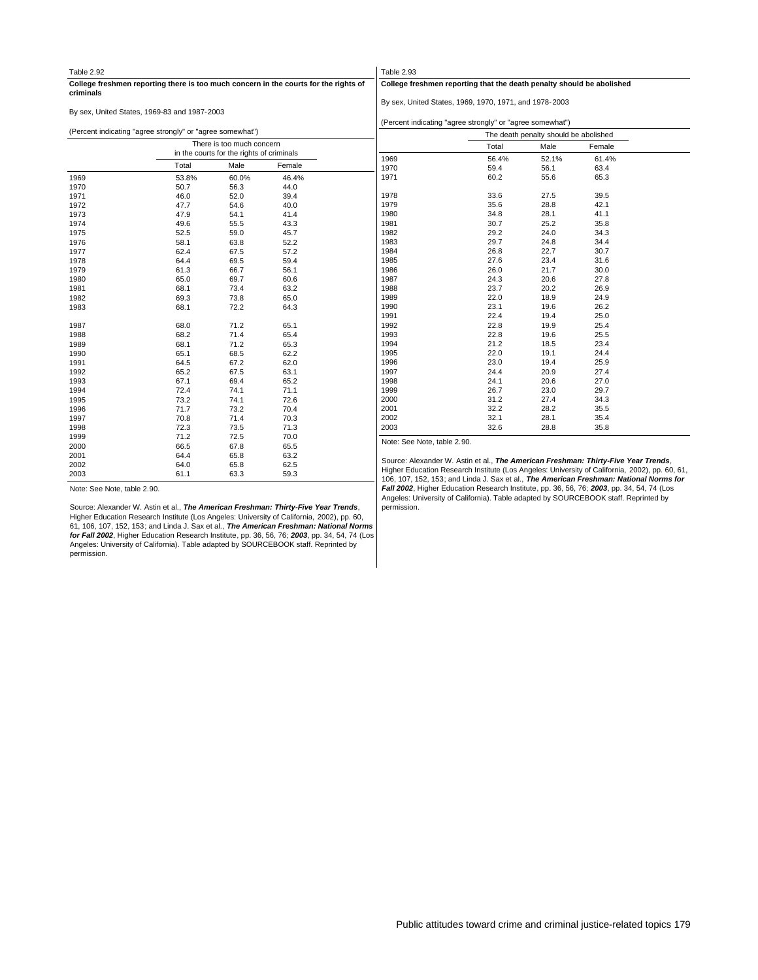| Table 2.92 |                                                           |                                           |                                                                                      | Table 2.93                  |                                                                                    |       |        |  |
|------------|-----------------------------------------------------------|-------------------------------------------|--------------------------------------------------------------------------------------|-----------------------------|------------------------------------------------------------------------------------|-------|--------|--|
| criminals  |                                                           |                                           | College freshmen reporting there is too much concern in the courts for the rights of |                             | College freshmen reporting that the death penalty should be abolished              |       |        |  |
|            |                                                           |                                           |                                                                                      |                             | By sex, United States, 1969, 1970, 1971, and 1978-2003                             |       |        |  |
|            | By sex, United States, 1969-83 and 1987-2003              |                                           |                                                                                      |                             |                                                                                    |       |        |  |
|            |                                                           |                                           |                                                                                      |                             | (Percent indicating "agree strongly" or "agree somewhat")                          |       |        |  |
|            | (Percent indicating "agree strongly" or "agree somewhat") |                                           |                                                                                      |                             | The death penalty should be abolished                                              |       |        |  |
|            |                                                           | There is too much concern                 |                                                                                      |                             | Total                                                                              | Male  | Female |  |
|            |                                                           | in the courts for the rights of criminals |                                                                                      | 1969                        | 56.4%                                                                              | 52.1% | 61.4%  |  |
|            | Total                                                     | Male                                      | Female                                                                               | 1970                        | 59.4                                                                               | 56.1  | 63.4   |  |
| 1969       | 53.8%                                                     | 60.0%                                     | 46.4%                                                                                | 1971                        | 60.2                                                                               | 55.6  | 65.3   |  |
| 1970       | 50.7                                                      | 56.3                                      | 44.0                                                                                 |                             |                                                                                    |       |        |  |
| 1971       | 46.0                                                      | 52.0                                      | 39.4                                                                                 | 1978                        | 33.6                                                                               | 27.5  | 39.5   |  |
| 1972       | 47.7                                                      | 54.6                                      | 40.0                                                                                 | 1979                        | 35.6                                                                               | 28.8  | 42.1   |  |
| 1973       | 47.9                                                      | 54.1                                      | 41.4                                                                                 | 1980                        | 34.8                                                                               | 28.1  | 41.1   |  |
| 1974       | 49.6                                                      | 55.5                                      | 43.3                                                                                 | 1981                        | 30.7                                                                               | 25.2  | 35.8   |  |
| 1975       | 52.5                                                      | 59.0                                      | 45.7                                                                                 | 1982                        | 29.2                                                                               | 24.0  | 34.3   |  |
| 1976       | 58.1                                                      | 63.8                                      | 52.2                                                                                 | 1983                        | 29.7                                                                               | 24.8  | 34.4   |  |
| 1977       | 62.4                                                      | 67.5                                      | 57.2                                                                                 | 1984                        | 26.8                                                                               | 22.7  | 30.7   |  |
| 1978       | 64.4                                                      | 69.5                                      | 59.4                                                                                 | 1985                        | 27.6                                                                               | 23.4  | 31.6   |  |
| 1979       | 61.3                                                      | 66.7                                      | 56.1                                                                                 | 1986                        | 26.0                                                                               | 21.7  | 30.0   |  |
| 1980       | 65.0                                                      | 69.7                                      | 60.6                                                                                 | 1987                        | 24.3                                                                               | 20.6  | 27.8   |  |
| 1981       | 68.1                                                      | 73.4                                      | 63.2                                                                                 | 1988                        | 23.7                                                                               | 20.2  | 26.9   |  |
| 1982       | 69.3                                                      | 73.8                                      | 65.0                                                                                 | 1989                        | 22.0                                                                               | 18.9  | 24.9   |  |
| 1983       | 68.1                                                      | 72.2                                      | 64.3                                                                                 | 1990                        | 23.1                                                                               | 19.6  | 26.2   |  |
|            |                                                           |                                           |                                                                                      | 1991                        | 22.4                                                                               | 19.4  | 25.0   |  |
| 1987       | 68.0                                                      | 71.2                                      | 65.1                                                                                 | 1992                        | 22.8                                                                               | 19.9  | 25.4   |  |
| 1988       | 68.2                                                      | 71.4                                      | 65.4                                                                                 | 1993                        | 22.8                                                                               | 19.6  | 25.5   |  |
| 1989       | 68.1                                                      | 71.2                                      | 65.3                                                                                 | 1994                        | 21.2                                                                               | 18.5  | 23.4   |  |
| 1990       | 65.1                                                      | 68.5                                      | 62.2                                                                                 | 1995                        | 22.0                                                                               | 19.1  | 24.4   |  |
| 1991       | 64.5                                                      | 67.2                                      | 62.0                                                                                 | 1996                        | 23.0                                                                               | 19.4  | 25.9   |  |
| 1992       | 65.2                                                      | 67.5                                      | 63.1                                                                                 | 1997                        | 24.4                                                                               | 20.9  | 27.4   |  |
| 1993       | 67.1                                                      | 69.4                                      | 65.2                                                                                 | 1998                        | 24.1                                                                               | 20.6  | 27.0   |  |
| 1994       | 72.4                                                      | 74.1                                      | 71.1                                                                                 | 1999                        | 26.7                                                                               | 23.0  | 29.7   |  |
| 1995       | 73.2                                                      | 74.1                                      | 72.6                                                                                 | 2000                        | 31.2                                                                               | 27.4  | 34.3   |  |
| 1996       | 71.7                                                      | 73.2                                      | 70.4                                                                                 | 2001                        | 32.2                                                                               | 28.2  | 35.5   |  |
| 1997       | 70.8                                                      | 71.4                                      | 70.3                                                                                 | 2002                        | 32.1                                                                               | 28.1  | 35.4   |  |
| 1998       | 72.3                                                      | 73.5                                      | 71.3                                                                                 | 2003                        | 32.6                                                                               | 28.8  | 35.8   |  |
| 1999       | 71.2                                                      | 72.5                                      | 70.0                                                                                 | Note: See Note, table 2.90. |                                                                                    |       |        |  |
| 2000       | 66.5                                                      | 67.8                                      | 65.5                                                                                 |                             |                                                                                    |       |        |  |
| 2001       | 64.4                                                      | 65.8                                      | 63.2                                                                                 |                             | Course: Alexander W., Actin at al., The American Exappment Thirty Eita Voor Trande |       |        |  |

urce: Alexander W. Astin et al., The American Freshman: Thirty-Five Year Trends Higher Education Research Institute (Los Angeles: University of California, 2002), pp. 60, 61, 106, 107, 152, 153; and Linda J. Sax et al., **The American Freshman: National Norms for**<br>**Fall 2002,** Higher Education Research Institute, pp. 36, 56, 76; 2**003**, pp. 34, 54, 74 (Los<br>Angeles: University of California). Tab permission.

Note: See Note, table 2.90.

Source: Alexander W. Astin et al., **The American Freshman: Thirty-Five Year Trends,**<br>Higher Education Research Institute (Los Angeles: University of California, 2002), pp. 60,<br>61, 106, 107, 152, 153; and Linda J. Sax et al **for Fall 2002**, Higher Education Research Institute, pp. 36, 56, 76; **2003**, pp. 34, 54, 74 (Los Angeles: University of California). Table adapted by SOURCEBOOK staff. Reprinted by permission.

 61.1 63.3 59.3 64.0 65.8 62.5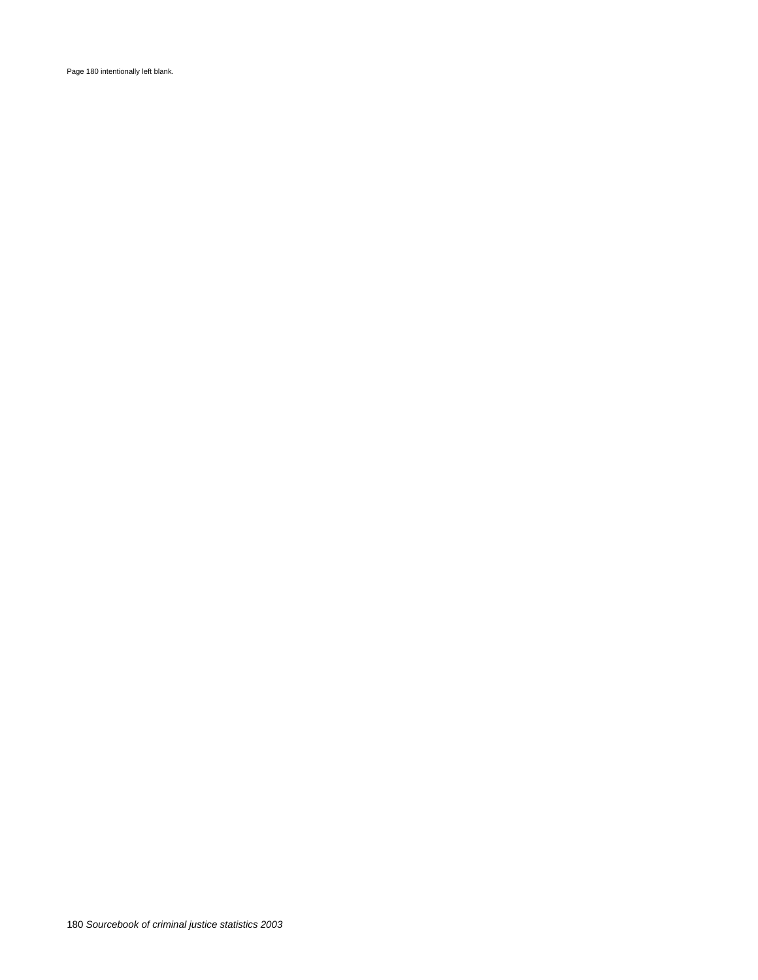Page 180 intentionally left blank.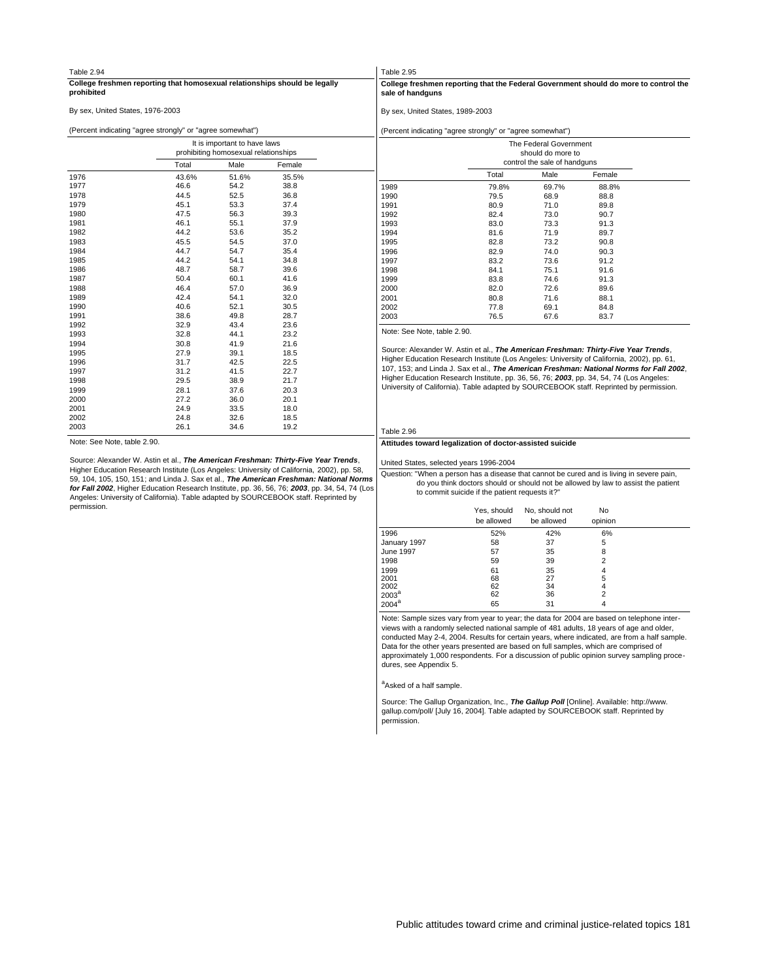| Table 2.94                       |                                                           |                                      |                                                                            | Table 2.95                       |                                                                              |                        |                                                                                            |  |  |  |  |
|----------------------------------|-----------------------------------------------------------|--------------------------------------|----------------------------------------------------------------------------|----------------------------------|------------------------------------------------------------------------------|------------------------|--------------------------------------------------------------------------------------------|--|--|--|--|
| prohibited                       |                                                           |                                      | College freshmen reporting that homosexual relationships should be legally | sale of handguns                 |                                                                              |                        | College freshmen reporting that the Federal Government should do more to control the       |  |  |  |  |
| By sex, United States, 1976-2003 |                                                           |                                      |                                                                            | By sex, United States, 1989-2003 |                                                                              |                        |                                                                                            |  |  |  |  |
|                                  | (Percent indicating "agree strongly" or "agree somewhat") |                                      |                                                                            |                                  | (Percent indicating "agree strongly" or "agree somewhat")                    |                        |                                                                                            |  |  |  |  |
|                                  |                                                           | It is important to have laws         |                                                                            |                                  |                                                                              | The Federal Government |                                                                                            |  |  |  |  |
|                                  |                                                           | prohibiting homosexual relationships |                                                                            |                                  |                                                                              | should do more to      |                                                                                            |  |  |  |  |
|                                  | Total                                                     | Male                                 | Female                                                                     | control the sale of handguns     |                                                                              |                        |                                                                                            |  |  |  |  |
| 1976                             | 43.6%                                                     | 51.6%                                | 35.5%                                                                      |                                  | Total                                                                        | Male                   | Female                                                                                     |  |  |  |  |
| 1977                             | 46.6                                                      | 54.2                                 | 38.8                                                                       | 1989                             | 79.8%                                                                        | 69.7%                  | 88.8%                                                                                      |  |  |  |  |
| 1978                             | 44.5                                                      | 52.5                                 | 36.8                                                                       | 1990                             | 79.5                                                                         | 68.9                   | 88.8                                                                                       |  |  |  |  |
| 1979                             | 45.1                                                      | 53.3                                 | 37.4                                                                       | 1991                             | 80.9                                                                         | 71.0                   | 89.8                                                                                       |  |  |  |  |
| 1980                             | 47.5                                                      | 56.3                                 | 39.3                                                                       | 1992                             | 82.4                                                                         | 73.0                   | 90.7                                                                                       |  |  |  |  |
| 1981                             | 46.1                                                      | 55.1                                 | 37.9                                                                       | 1993                             | 83.0                                                                         | 73.3                   | 91.3                                                                                       |  |  |  |  |
| 1982                             | 44.2                                                      | 53.6                                 | 35.2                                                                       | 1994                             | 81.6                                                                         | 71.9                   | 89.7                                                                                       |  |  |  |  |
| 1983                             | 45.5                                                      | 54.5                                 | 37.0                                                                       | 1995                             | 82.8                                                                         | 73.2                   | 90.8                                                                                       |  |  |  |  |
| 1984                             | 44.7                                                      | 54.7                                 | 35.4                                                                       | 1996                             | 82.9                                                                         | 74.0                   | 90.3                                                                                       |  |  |  |  |
| 1985                             | 44.2                                                      | 54.1                                 | 34.8                                                                       | 1997                             | 83.2                                                                         | 73.6                   | 91.2                                                                                       |  |  |  |  |
| 1986                             | 48.7                                                      | 58.7                                 | 39.6                                                                       | 1998                             | 84.1                                                                         | 75.1                   | 91.6                                                                                       |  |  |  |  |
| 1987                             | 50.4                                                      | 60.1                                 | 41.6                                                                       | 1999                             | 83.8                                                                         | 74.6                   | 91.3                                                                                       |  |  |  |  |
| 1988                             | 46.4                                                      | 57.0                                 | 36.9                                                                       | 2000                             | 82.0                                                                         | 72.6                   | 89.6                                                                                       |  |  |  |  |
| 1989                             | 42.4                                                      | 54.1                                 | 32.0                                                                       | 2001                             | 80.8                                                                         | 71.6                   | 88.1                                                                                       |  |  |  |  |
| 1990                             | 40.6                                                      | 52.1                                 | 30.5                                                                       | 2002                             | 77.8                                                                         | 69.1                   | 84.8                                                                                       |  |  |  |  |
| 1991                             | 38.6                                                      | 49.8                                 | 28.7                                                                       | 2003                             | 76.5                                                                         | 67.6                   | 83.7                                                                                       |  |  |  |  |
| 1992                             | 32.9                                                      | 43.4                                 | 23.6                                                                       |                                  |                                                                              |                        |                                                                                            |  |  |  |  |
| 1993                             | 32.8                                                      | 44.1                                 | 23.2                                                                       | Note: See Note, table 2.90.      |                                                                              |                        |                                                                                            |  |  |  |  |
| 1994                             | 30.8                                                      | 41.9                                 | 21.6                                                                       |                                  |                                                                              |                        |                                                                                            |  |  |  |  |
| 1995                             | 27.9                                                      | 39.1                                 | 18.5                                                                       |                                  |                                                                              |                        | Source: Alexander W. Astin et al., The American Freshman: Thirty-Five Year Trends,         |  |  |  |  |
| 1996                             | 31.7                                                      | 42.5                                 | 22.5                                                                       |                                  |                                                                              |                        | Higher Education Research Institute (Los Angeles: University of California, 2002), pp. 61, |  |  |  |  |
| 1997                             | 31.2                                                      | 41.5                                 | 22.7                                                                       |                                  |                                                                              |                        | 107, 153; and Linda J. Sax et al., The American Freshman: National Norms for Fall 2002,    |  |  |  |  |
| 1998                             | 29.5                                                      | 38.9                                 | 21.7                                                                       |                                  |                                                                              |                        | Higher Education Research Institute, pp. 36, 56, 76; 2003, pp. 34, 54, 74 (Los Angeles:    |  |  |  |  |
| 1999                             | 28.1                                                      | 37.6                                 | 20.3                                                                       |                                  |                                                                              |                        | University of California). Table adapted by SOURCEBOOK staff. Reprinted by permission.     |  |  |  |  |
| 2000                             | 27.2                                                      | 36.0                                 | 20.1                                                                       |                                  |                                                                              |                        |                                                                                            |  |  |  |  |
| 2001                             | 24.9                                                      | 33.5                                 | 18.0                                                                       |                                  |                                                                              |                        |                                                                                            |  |  |  |  |
| 2002                             | 24.8                                                      | 32.6                                 | 18.5                                                                       |                                  |                                                                              |                        |                                                                                            |  |  |  |  |
| 2003                             | 26.1                                                      | 34.6                                 | 19.2                                                                       | Table 2.96                       |                                                                              |                        |                                                                                            |  |  |  |  |
| Note: Coo Note toble 2.00        |                                                           |                                      |                                                                            |                                  | Application processed to continuations of the species of chapter discuted at |                        |                                                                                            |  |  |  |  |

Note: See Note, table 2.90.

Source: Alexander W. Astin et al., **The American Freshman: Thirty-Five Year Trends**, Higher Education Research Institute (Los Angeles: University of California, 2002), pp. 58, 59, 104, 105, 150, 151; and Linda J. Sax et al., **The American Freshman: National Norms for Fall 2002**, Higher Education Research Institute, pp. 36, 56, 76; **2003**, pp. 34, 54, 74 (Los Angeles: University of California). Table adapted by SOURCEBOOK staff. Reprinted by permission.

**Attitudes toward legalization of doctor-assisted suicide**

United States, selected years 1996-2004

to commit suicide if the patient requests it?" do you think doctors should or should not be allowed by law to assist the patient Question: "When a person has a disease that cannot be cured and is living in severe pain,

|                   | Yes, should<br>be allowed | No. should not<br>be allowed | No<br>opinion  |  |
|-------------------|---------------------------|------------------------------|----------------|--|
| 1996              | 52%                       | 42%                          | 6%             |  |
| January 1997      | 58                        | 37                           | 5              |  |
| June 1997         | 57                        | 35                           | 8              |  |
| 1998              | 59                        | 39                           | $\overline{2}$ |  |
| 1999              | 61                        | 35                           | 4              |  |
| 2001              | 68                        | 27                           | 5              |  |
| 2002              | 62                        | 34                           | 4              |  |
| 2003 <sup>a</sup> | 62                        | 36                           | $\overline{2}$ |  |
| $2004^a$          | 65                        | 31                           | 4              |  |

Note: Sample sizes vary from year to year; the data for 2004 are based on telephone interviews with a randomly selected national sample of 481 adults, 18 years of age and older, conducted May 2-4, 2004. Results for certain years, where indicated, are from a half sample. Data for the other years presented are based on full samples, which are comprised of approximately 1,000 respondents. For a discussion of public opinion survey sampling procedures, see Appendix 5.

#### <sup>a</sup>Asked of a half sample.

Source: The Gallup Organization, Inc., **The Gallup Poll** [Online]. Available: http://www. gallup.com/poll/ [July 16, 2004]. Table adapted by SOURCEBOOK staff. Reprinted by permission.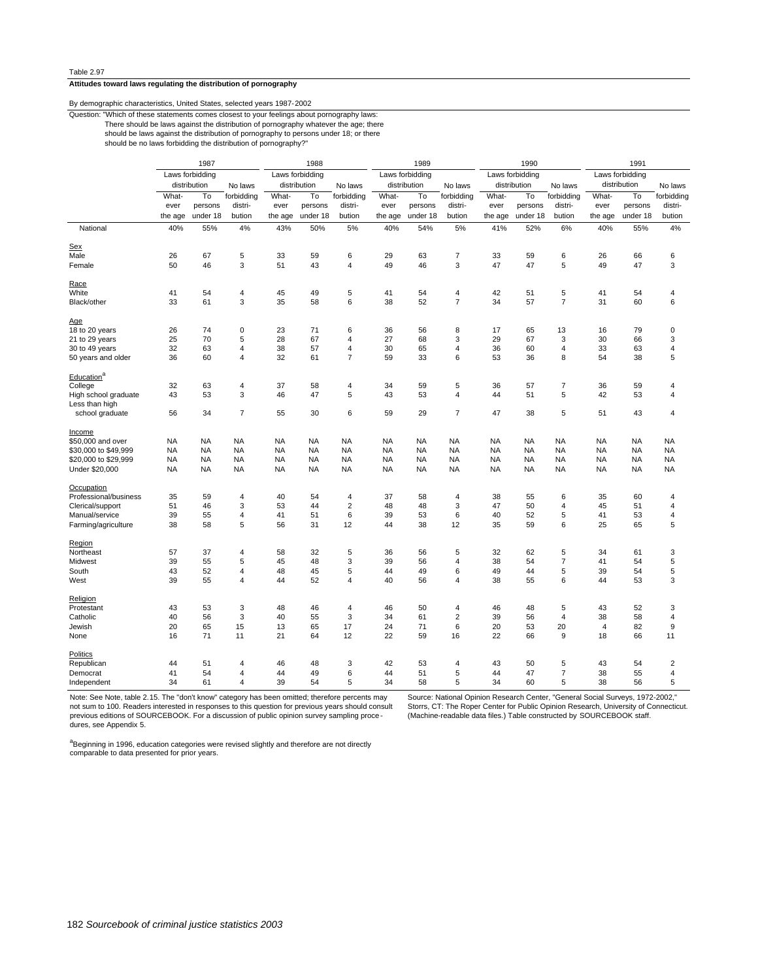### **Attitudes toward laws regulating the distribution of pornography**

#### By demographic characteristics, United States, selected years 1987-2002

Question: "Which of these statements comes closest to your feelings about pornography laws:

There should be laws against the distribution of pornography whatever the age; there

should be laws against the distribution of pornography to persons under 18; or there

should be no laws forbidding the distribution of pornography?"

|                                        |           | 1987            |                              |           | 1988            |                |           | 1989            |                |           | 1990            |                     |                 | 1991         |                         |
|----------------------------------------|-----------|-----------------|------------------------------|-----------|-----------------|----------------|-----------|-----------------|----------------|-----------|-----------------|---------------------|-----------------|--------------|-------------------------|
|                                        |           | Laws forbidding |                              |           | Laws forbidding |                |           | Laws forbidding |                |           | Laws forbidding |                     | Laws forbidding |              |                         |
|                                        |           | distribution    | No laws                      |           | distribution    | No laws        |           | distribution    | No laws        |           | distribution    | No laws             |                 | distribution | No laws                 |
|                                        | What-     | To              | forbidding                   | What-     | To              | forbidding     | What-     | To              | forbidding     | What-     | To              | forbidding          | What-           | To           | forbidding              |
|                                        | ever      | persons         | distri-                      | ever      | persons         | distri-        | ever      | persons         | distri-        | ever      | persons         | distri-             | ever            | persons      | distri-                 |
|                                        | the age   | under 18        | bution                       | the age   | under 18        | bution         | the age   | under 18        | bution         | the age   | under 18        | bution              | the age         | under 18     | bution                  |
|                                        |           |                 |                              |           |                 |                |           |                 |                |           |                 |                     |                 |              |                         |
| National                               | 40%       | 55%             | 4%                           | 43%       | 50%             | 5%             | 40%       | 54%             | 5%             | 41%       | 52%             | 6%                  | 40%             | 55%          | 4%                      |
| Sex                                    |           |                 |                              |           |                 |                |           |                 |                |           |                 |                     |                 |              |                         |
| Male                                   | 26        | 67              | 5                            | 33        | 59              | 6              | 29        | 63              | 7              | 33        | 59              | 6                   | 26              | 66           | 6                       |
| Female                                 | 50        | 46              | 3                            | 51        | 43              | $\overline{4}$ | 49        | 46              | 3              | 47        | 47              | 5                   | 49              | 47           | 3                       |
| Race                                   |           |                 |                              |           |                 |                |           |                 |                |           |                 |                     |                 |              |                         |
| White                                  | 41        | 54              | 4                            | 45        | 49              | 5              | 41        | 54              | 4              | 42        | 51              | 5                   | 41              | 54           | 4                       |
| Black/other                            | 33        | 61              | 3                            | 35        | 58              | 6              | 38        | 52              | $\overline{7}$ | 34        | 57              | $\overline{7}$      | 31              | 60           | 6                       |
| Age                                    |           |                 |                              |           |                 |                |           |                 |                |           |                 |                     |                 |              |                         |
| 18 to 20 years                         | 26        | 74              | $\mathbf 0$                  | 23        | 71              | 6              | 36        | 56              | 8              | 17        | 65              | 13                  | 16              | 79           | $\mathbf 0$             |
| 21 to 29 years                         | 25        | 70              | 5                            | 28        | 67              | $\overline{4}$ | 27        | 68              | 3              | 29        | 67              | 3                   | 30              | 66           | 3                       |
| 30 to 49 years                         | 32        | 63              | 4                            | 38        | 57              | 4              | 30        | 65              | 4              | 36        | 60              | 4                   | 33              | 63           | $\sqrt{4}$              |
| 50 years and older                     | 36        | 60              | 4                            | 32        | 61              | $\overline{7}$ | 59        | 33              | 6              | 53        | 36              | 8                   | 54              | 38           | 5                       |
|                                        |           |                 |                              |           |                 |                |           |                 |                |           |                 |                     |                 |              |                         |
| Education <sup>a</sup>                 |           |                 |                              |           |                 |                |           |                 |                |           |                 |                     |                 |              |                         |
| College                                | 32        | 63              | 4                            | 37        | 58              | 4              | 34        | 59              | 5              | 36        | 57              | 7                   | 36              | 59           | 4                       |
| High school graduate<br>Less than high | 43        | 53              | 3                            | 46        | 47              | 5              | 43        | 53              | 4              | 44        | 51              | 5                   | 42              | 53           | $\overline{\mathbf{4}}$ |
| school graduate                        | 56        | 34              | $\overline{7}$               | 55        | 30              | 6              | 59        | 29              | 7              | 47        | 38              | 5                   | 51              | 43           | $\overline{4}$          |
| <b>Income</b>                          |           |                 |                              |           |                 |                |           |                 |                |           |                 |                     |                 |              |                         |
| \$50,000 and over                      | <b>NA</b> | <b>NA</b>       | <b>NA</b>                    | <b>NA</b> | <b>NA</b>       | <b>NA</b>      | <b>NA</b> | <b>NA</b>       | <b>NA</b>      | <b>NA</b> | <b>NA</b>       | <b>NA</b>           | <b>NA</b>       | <b>NA</b>    | <b>NA</b>               |
| \$30,000 to \$49,999                   | <b>NA</b> | <b>NA</b>       | <b>NA</b>                    | <b>NA</b> | <b>NA</b>       | <b>NA</b>      | <b>NA</b> | <b>NA</b>       | <b>NA</b>      | <b>NA</b> | <b>NA</b>       | <b>NA</b>           | <b>NA</b>       | <b>NA</b>    | <b>NA</b>               |
| \$20,000 to \$29,999                   | <b>NA</b> | <b>NA</b>       | <b>NA</b>                    | <b>NA</b> | <b>NA</b>       | <b>NA</b>      | NA        | <b>NA</b>       | <b>NA</b>      | <b>NA</b> | <b>NA</b>       | <b>NA</b>           | NA              | <b>NA</b>    | <b>NA</b>               |
| Under \$20,000                         | <b>NA</b> | <b>NA</b>       | <b>NA</b>                    | <b>NA</b> | <b>NA</b>       | <b>NA</b>      | <b>NA</b> | <b>NA</b>       | <b>NA</b>      | <b>NA</b> | <b>NA</b>       | <b>NA</b>           | <b>NA</b>       | <b>NA</b>    | <b>NA</b>               |
|                                        |           |                 |                              |           |                 |                |           |                 |                |           |                 |                     |                 |              |                         |
| Occupation                             |           |                 |                              |           |                 |                |           |                 |                |           |                 |                     |                 |              |                         |
| Professional/business                  | 35        | 59              | 4                            | 40        | 54              | 4              | 37        | 58              | 4              | 38        | 55              | 6                   | 35              | 60           | 4                       |
| Clerical/support                       | 51        | 46              | 3                            | 53        | 44              | $\overline{c}$ | 48        | 48              | 3              | 47        | 50              | 4                   | 45              | 51           | $\overline{4}$          |
| Manual/service                         | 39        | 55              | 4                            | 41        | 51              | 6              | 39        | 53              | 6              | 40        | 52              | 5                   | 41              | 53           | 4                       |
| Farming/agriculture                    | 38        | 58              | 5                            | 56        | 31              | 12             | 44        | 38              | 12             | 35        | 59              | 6                   | 25              | 65           | 5                       |
| Region                                 |           |                 |                              |           |                 |                |           |                 |                |           |                 |                     |                 |              |                         |
| Northeast                              | 57        | 37              | 4                            | 58        | 32              | 5              | 36        | 56              | 5              | 32        | 62              | 5                   | 34              | 61           | 3                       |
| Midwest                                | 39        | 55              | 5                            | 45        | 48              | 3              | 39        | 56              | 4              | 38        | 54              | 7                   | 41              | 54           | 5                       |
| South                                  | 43        | 52              | 4                            | 48        | 45              | 5              | 44        | 49              | 6              | 49        | 44              | 5                   | 39              | 54           | 5                       |
| West                                   | 39        | 55              | 4                            | 44        | 52              | 4              | 40        | 56              | 4              | 38        | 55              | 6                   | 44              | 53           | 3                       |
| Religion                               |           |                 |                              |           |                 |                |           |                 |                |           |                 |                     |                 |              |                         |
| Protestant                             | 43        | 53              | 3                            | 48        | 46              | 4              | 46        | 50              | 4              | 46        | 48              | 5                   | 43              | 52           | 3                       |
| Catholic                               | 40        | 56              | 3                            | 40        | 55              | 3              | 34        | 61              | $\overline{2}$ | 39        | 56              | 4                   | 38              | 58           | $\overline{4}$          |
| Jewish                                 | 20        | 65              | 15                           | 13        | 65              | 17             | 24        | 71              | 6              | 20        | 53              | 20                  | $\overline{4}$  | 82           | 9                       |
| None                                   | 16        | 71              | 11                           | 21        | 64              | 12             | 22        | 59              | 16             | 22        | 66              | 9                   | 18              | 66           | 11                      |
|                                        |           |                 |                              |           |                 |                |           |                 |                |           |                 |                     |                 |              |                         |
| Politics                               |           |                 |                              |           |                 |                |           |                 |                |           |                 |                     |                 |              |                         |
| Republican                             | 44        | 51              | 4                            | 46        | 48              | 3              | 42        | 53              | 4              | 43        | 50              | 5<br>$\overline{7}$ | 43              | 54           | $\overline{2}$          |
| Democrat                               | 41        | 54              | 4<br>$\overline{\mathbf{4}}$ | 44<br>39  | 49              | 6              | 44        | 51              | 5              | 44        | 47              | 5                   | 38              | 55           | $\sqrt{4}$              |
| Independent                            | 34        | 61              |                              |           | 54              | 5              | 34        | 58              | 5              | 34        | 60              |                     | 38              | 56           | 5                       |

Note: See Note, table 2.15. The "don't know" category has been omitted; therefore percents may not sum to 100. Readers interested in responses to this question for previous years should consult previous editions of SOURCEBOOK. For a discussion of public opinion survey sampling procedures, see Appendix 5.

Source: National Opinion Research Center, "General Social Surveys, 1972-2002," Storrs, CT: The Roper Center for Public Opinion Research, University of Connecticut. (Machine-readable data files.) Table constructed by SOURCEBOOK staff.

<sup>a</sup>Beginning in 1996, education categories were revised slightly and therefore are not directly comparable to data presented for prior years.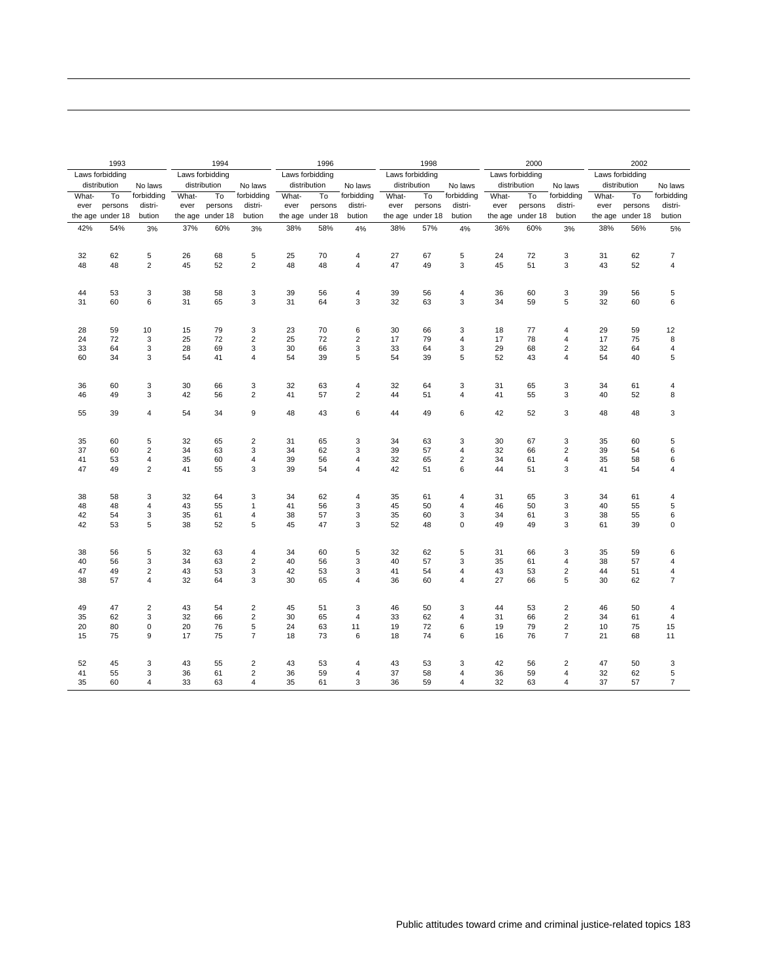|          | 1993             |                |          | 1994            |                                                    |          | 1996            |                         |          | 1998            |                |          | 2000            |                                  |          | 2002            |                         |
|----------|------------------|----------------|----------|-----------------|----------------------------------------------------|----------|-----------------|-------------------------|----------|-----------------|----------------|----------|-----------------|----------------------------------|----------|-----------------|-------------------------|
|          | Laws forbidding  |                |          | Laws forbidding |                                                    |          | Laws forbidding |                         |          | Laws forbidding |                |          | Laws forbidding |                                  |          | Laws forbidding |                         |
|          | distribution     | No laws        |          | distribution    | No laws                                            |          | distribution    | No laws                 |          | distribution    | No laws        |          | distribution    | No laws                          |          | distribution    | No laws                 |
| What-    | To               | forbidding     | What-    | To              | forbidding                                         | What-    | To              | forbidding              | What-    | To              | forbidding     | What-    | To              | forbidding                       | What-    | To              | forbidding              |
| ever     | persons          | distri-        | ever     | persons         | distri-                                            | ever     | persons         | distri-                 | ever     | persons         | distri-        | ever     | persons         | distri-                          | ever     | persons         | distri-                 |
|          | the age under 18 | bution         | the age  | under 18        | bution                                             | the age  | under 18        | bution                  | the age  | under 18        | bution         | the age  | under 18        | bution                           | the age  | under 18        | bution                  |
| 42%      | 54%              | 3%             | 37%      | 60%             | 3%                                                 | 38%      | 58%             | 4%                      | 38%      | 57%             | 4%             | 36%      | 60%             | 3%                               | 38%      | 56%             | 5%                      |
|          |                  |                |          |                 |                                                    |          |                 |                         |          |                 |                |          |                 |                                  |          |                 |                         |
| 32       | 62               | 5              | 26       | 68              | 5                                                  | 25       | 70              | $\overline{4}$          | 27       | 67              | 5              | 24       | 72              | 3                                | 31       | 62              | $\overline{7}$          |
| 48       | 48               | $\overline{2}$ | 45       | 52              | $\overline{2}$                                     | 48       | 48              | $\overline{4}$          | 47       | 49              | 3              | 45       | 51              | 3                                | 43       | 52              | $\overline{4}$          |
|          |                  |                |          |                 |                                                    |          |                 |                         |          |                 |                |          |                 |                                  |          |                 |                         |
| 44       | 53               | 3              | 38       | 58              | 3                                                  | 39       | 56              | $\overline{\mathbf{4}}$ | 39       | 56              | 4              | 36       | 60              | 3                                | 39       | 56              | 5                       |
| 31       | 60               | 6              | 31       | 65              | 3                                                  | 31       | 64              | 3                       | 32       | 63              | 3              | 34       | 59              | 5                                | 32       | 60              | 6                       |
|          |                  |                |          |                 |                                                    |          |                 |                         |          |                 |                |          |                 |                                  |          |                 |                         |
| 28       | 59               | 10             | 15       | 79              | 3                                                  | 23       | 70              | 6                       | 30       | 66              | 3              | 18       | 77              | 4                                | 29       | 59              | 12                      |
| 24       | 72               | $\mathsf 3$    | 25       | 72              | $\overline{\mathbf{c}}$                            | 25       | 72              | $\mathbf 2$             | 17       | 79              | 4              | 17       | 78              | 4                                | 17       | 75              | 8                       |
| 33       | 64               | 3              | 28       | 69              | 3                                                  | 30       | 66              | 3                       | 33       | 64              | 3              | 29       | 68              | $\overline{2}$                   | 32       | 64              | 4                       |
| 60       | 34               | 3              | 54       | 41              | $\overline{4}$                                     | 54       | 39              | 5                       | 54       | 39              | 5              | 52       | 43              | $\overline{4}$                   | 54       | 40              | 5                       |
|          |                  |                |          |                 |                                                    |          |                 |                         |          |                 |                |          |                 |                                  |          |                 |                         |
| 36       | 60               | 3              | 30       | 66              | 3                                                  | 32       | 63              | 4                       | 32       | 64              | 3              | 31       | 65              | 3                                | 34       | 61              | 4                       |
| 46       | 49               | 3              | 42       | 56              | $\overline{2}$                                     | 41       | 57              | $\overline{2}$          | 44       | 51              | 4              | 41       | 55              | 3                                | 40       | 52              | 8                       |
| 55       | 39               | $\overline{4}$ | 54       | 34              | 9                                                  | 48       | 43              | 6                       | 44       | 49              | 6              | 42       | 52              | 3                                | 48       | 48              | 3                       |
|          |                  |                |          |                 |                                                    |          |                 |                         |          |                 |                |          |                 |                                  |          |                 |                         |
| 35       | 60               | 5              | 32       | 65              | $\overline{\mathbf{c}}$                            | 31       | 65              | 3                       | 34       | 63              | 3              | 30       | 67              | 3                                | 35       | 60              | 5                       |
| 37       | 60               | $\overline{2}$ | 34       | 63              | 3                                                  | 34       | 62              | 3                       | 39       | 57              | 4              | 32       | 66              | $\overline{2}$                   | 39       | 54              | 6                       |
| 41       | 53               | 4              | 35       | 60              | 4                                                  | 39       | 56              | $\overline{\mathbf{4}}$ | 32       | 65              | $\overline{c}$ | 34       | 61              | $\overline{\mathbf{4}}$          | 35       | 58              | 6                       |
| 47       | 49               | $\overline{2}$ | 41       | 55              | 3                                                  | 39       | 54              | $\overline{4}$          | 42       | 51              | 6              | 44       | 51              | 3                                | 41       | 54              | 4                       |
|          |                  |                |          |                 |                                                    |          |                 |                         |          |                 |                |          |                 |                                  |          |                 |                         |
| 38       | 58               | 3              | 32       | 64              | 3                                                  | 34       | 62              | $\overline{\mathbf{4}}$ | 35       | 61              | $\overline{4}$ | 31       | 65              | 3                                | 34       | 61              | 4                       |
| 48       | 48               | 4              | 43       | 55              | 1                                                  | 41       | 56              | 3                       | 45       | 50              | 4              | 46       | 50              | 3                                | 40       | 55              | 5                       |
| 42       | 54               | 3              | 35       | 61              | 4                                                  | 38       | 57              | 3                       | 35       | 60              | 3              | 34       | 61              | 3                                | 38       | 55              | $\,6\,$                 |
| 42       | 53               | 5              | 38       | 52              | 5                                                  | 45       | 47              | 3                       | 52       | 48              | $\mathbf 0$    | 49       | 49              | 3                                | 61       | 39              | $\mathbf 0$             |
|          |                  |                |          |                 |                                                    |          |                 |                         |          |                 |                |          |                 |                                  |          |                 |                         |
| 38       | 56               | 5              | 32       | 63              | 4                                                  | 34       | 60              | 5                       | 32       | 62              | 5              | 31       | 66              | 3                                | 35       | 59              | 6                       |
| 40       | 56               | 3              | 34       | 63              | $\overline{\mathbf{c}}$                            | 40       | 56              | 3                       | 40       | 57              | 3              | 35       | 61              | 4                                | 38       | 57              | 4                       |
| 47       | 49               | $\overline{2}$ | 43       | 53              | 3                                                  | 42       | 53              | 3                       | 41       | 54              | 4              | 43       | 53              | $\overline{2}$                   | 44       | 51              | 4                       |
| 38       | 57               | $\overline{4}$ | 32       | 64              | 3                                                  | 30       | 65              | $\overline{4}$          | 36       | 60              | 4              | 27       | 66              | 5                                | 30       | 62              | $\overline{7}$          |
|          |                  |                |          |                 |                                                    |          |                 |                         |          |                 |                |          |                 |                                  |          |                 |                         |
| 49       | 47               | $\mathbf 2$    | 43       | 54              | $\overline{\mathbf{c}}$                            | 45       | 51              | 3                       | 46       | 50              | 3              | 44       | 53              | $\mathbf 2$                      | 46       | 50              | $\overline{\mathbf{4}}$ |
| 35       | 62               | 3              | 32       | 66              | $\overline{c}$                                     | 30       | 65              | $\overline{4}$          | 33       | 62              | 4              | 31       | 66              | $\overline{2}$                   | 34       | 61              | $\overline{4}$          |
| 20       | 80               | 0              | 20       | 76              | 5                                                  | 24<br>18 | 63              | 11                      | 19       | 72<br>74        | 6              | 19       | 79              | $\overline{2}$<br>$\overline{7}$ | 10       | 75              | 15                      |
| 15       | 75               | 9              | 17       | 75              | 7                                                  |          | 73              | 6                       | 18       |                 | 6              | 16       | 76              |                                  | 21       | 68              | 11                      |
|          |                  |                |          |                 |                                                    |          |                 |                         |          |                 |                |          |                 |                                  |          |                 |                         |
| 52<br>41 | 45<br>55         | 3<br>3         | 43<br>36 | 55              | $\overline{\mathbf{c}}$<br>$\overline{\mathbf{c}}$ | 43<br>36 | 53<br>59        | 4<br>4                  | 43<br>37 | 53<br>58        | 3<br>4         | 42<br>36 | 56<br>59        | $\overline{\mathbf{c}}$<br>4     | 47<br>32 | 50<br>62        | 3<br>$\mathbf 5$        |
| 35       | 60               | $\overline{4}$ | 33       | 61<br>63        | 4                                                  | 35       | 61              | 3                       | 36       | 59              | 4              | 32       | 63              | 4                                | 37       | 57              | $\overline{7}$          |
|          |                  |                |          |                 |                                                    |          |                 |                         |          |                 |                |          |                 |                                  |          |                 |                         |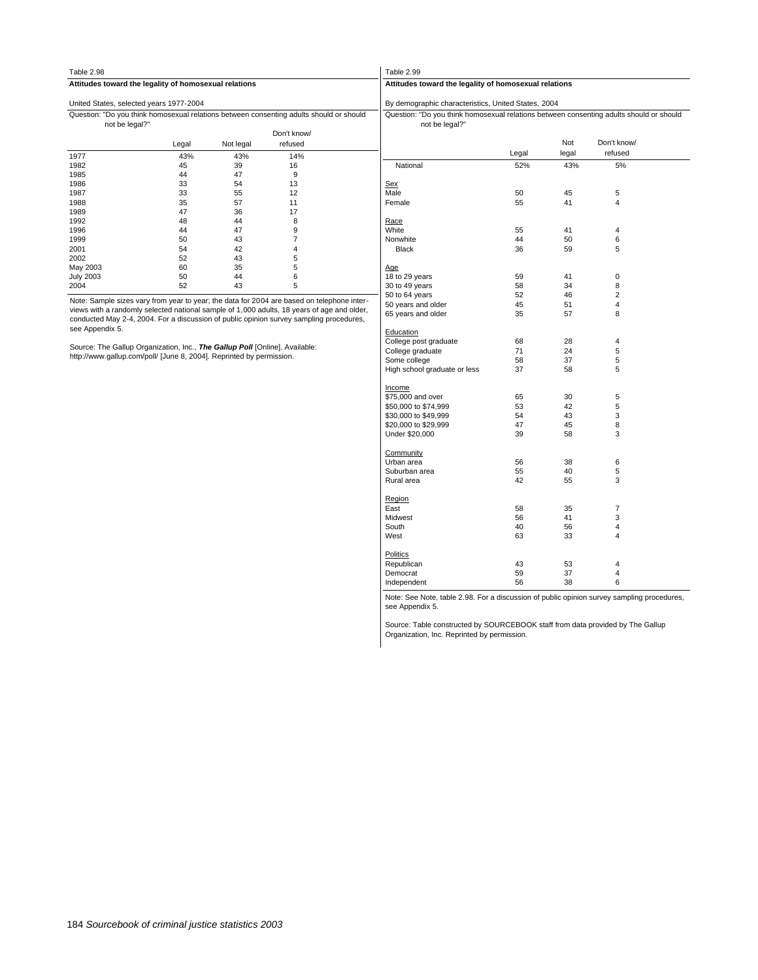| Table 2.98                              |                                                                             |           |                                                                                            | Table 2.99                                                                                                |       |       |                         |  |  |  |  |
|-----------------------------------------|-----------------------------------------------------------------------------|-----------|--------------------------------------------------------------------------------------------|-----------------------------------------------------------------------------------------------------------|-------|-------|-------------------------|--|--|--|--|
|                                         | Attitudes toward the legality of homosexual relations                       |           |                                                                                            | Attitudes toward the legality of homosexual relations                                                     |       |       |                         |  |  |  |  |
| United States, selected years 1977-2004 |                                                                             |           |                                                                                            | By demographic characteristics, United States, 2004                                                       |       |       |                         |  |  |  |  |
| not be legal?"                          |                                                                             |           | Question: "Do you think homosexual relations between consenting adults should or should    | Question: "Do you think homosexual relations between consenting adults should or should<br>not be legal?" |       |       |                         |  |  |  |  |
|                                         |                                                                             |           | Don't know/                                                                                |                                                                                                           |       |       |                         |  |  |  |  |
|                                         | Legal                                                                       | Not legal | refused                                                                                    |                                                                                                           |       | Not   | Don't know/             |  |  |  |  |
| 1977                                    | 43%                                                                         | 43%       | 14%                                                                                        |                                                                                                           | Legal | legal | refused                 |  |  |  |  |
| 1982                                    | 45                                                                          | 39        | 16                                                                                         | National                                                                                                  | 52%   | 43%   | 5%                      |  |  |  |  |
| 1985                                    | 44                                                                          | 47        | 9                                                                                          |                                                                                                           |       |       |                         |  |  |  |  |
| 1986                                    | 33                                                                          | 54        | 13                                                                                         | Sex                                                                                                       |       |       |                         |  |  |  |  |
| 1987                                    | 33                                                                          | 55        | 12                                                                                         | Male                                                                                                      | 50    | 45    | 5                       |  |  |  |  |
| 1988                                    | 35                                                                          | 57        | 11                                                                                         | Female                                                                                                    | 55    | 41    | 4                       |  |  |  |  |
| 1989                                    | 47                                                                          | 36        | 17                                                                                         |                                                                                                           |       |       |                         |  |  |  |  |
| 1992                                    | 48                                                                          | 44        | 8                                                                                          | Race                                                                                                      |       |       |                         |  |  |  |  |
| 1996                                    | 44                                                                          | 47        | 9                                                                                          | White                                                                                                     | 55    | 41    | 4                       |  |  |  |  |
| 1999                                    | 50                                                                          | 43        | 7                                                                                          | Nonwhite                                                                                                  | 44    | 50    | 6                       |  |  |  |  |
| 2001                                    | 54                                                                          | 42        | 4                                                                                          | <b>Black</b>                                                                                              | 36    | 59    | 5                       |  |  |  |  |
| 2002                                    | 52                                                                          | 43        | 5                                                                                          |                                                                                                           |       |       |                         |  |  |  |  |
| May 2003                                | 60                                                                          | 35        | 5                                                                                          | Age                                                                                                       |       |       |                         |  |  |  |  |
| <b>July 2003</b>                        | 50                                                                          | 44        | 6                                                                                          | 18 to 29 years                                                                                            | 59    | 41    | $\mathbf 0$             |  |  |  |  |
| 2004                                    | 52                                                                          | 43        | 5                                                                                          | 30 to 49 years                                                                                            | 58    | 34    | 8                       |  |  |  |  |
|                                         |                                                                             |           |                                                                                            | 50 to 64 years                                                                                            | 52    | 46    | $\overline{\mathbf{c}}$ |  |  |  |  |
|                                         |                                                                             |           | Note: Sample sizes vary from year to year; the data for 2004 are based on telephone inter- | 50 years and older                                                                                        | 45    | 51    | $\overline{4}$          |  |  |  |  |
|                                         |                                                                             |           | views with a randomly selected national sample of 1,000 adults, 18 years of age and older, | 65 years and older                                                                                        | 35    | 57    | 8                       |  |  |  |  |
|                                         |                                                                             |           | conducted May 2-4, 2004. For a discussion of public opinion survey sampling procedures,    |                                                                                                           |       |       |                         |  |  |  |  |
| see Appendix 5.                         |                                                                             |           |                                                                                            | Education                                                                                                 |       |       |                         |  |  |  |  |
|                                         |                                                                             |           |                                                                                            | College post graduate                                                                                     | 68    | 28    | 4                       |  |  |  |  |
|                                         | Source: The Gallup Organization, Inc., The Gallup Poll [Online]. Available: |           |                                                                                            | College graduate                                                                                          | 71    | 24    | 5                       |  |  |  |  |
|                                         | http://www.qallup.com/poll/ [June 8, 2004]. Reprinted by permission.        |           |                                                                                            | Some college                                                                                              | 58    | 37    | 5                       |  |  |  |  |
|                                         |                                                                             |           |                                                                                            | High school graduate or less                                                                              | 37    | 58    | 5                       |  |  |  |  |
|                                         |                                                                             |           |                                                                                            | Income                                                                                                    |       |       |                         |  |  |  |  |
|                                         |                                                                             |           |                                                                                            | \$75,000 and over                                                                                         | 65    | 30    | 5                       |  |  |  |  |
|                                         |                                                                             |           |                                                                                            | \$50,000 to \$74,999                                                                                      | 53    | 42    | 5                       |  |  |  |  |
|                                         |                                                                             |           |                                                                                            | \$30,000 to \$49,999                                                                                      | 54    | 43    | 3                       |  |  |  |  |
|                                         |                                                                             |           |                                                                                            | \$20,000 to \$29,999                                                                                      | 47    | 45    | 8                       |  |  |  |  |
|                                         |                                                                             |           |                                                                                            | Under \$20,000                                                                                            | 39    | 58    | 3                       |  |  |  |  |

Independent 56 38 6 Democrat 59 37 4 Republican 43 53 4 Politics West 63 33 4 South **40** 56 4 R<u>egion</u><br>East 1886 58 35 7<br>Midwest 1886 56 41 3 Rural area  $42$  55 3 Suburban area 55 40 5 Urban area 56 38 6 Community Under \$20,000 39 58 3 \$20,000 to \$29,999 47 45 8 \$30,000 to \$49,999 54 54 54 3 \$50,000 to \$74,999 53 42 5 \$75,000 and over 65 30 5 High school graduate or less 37 58 5 Some college 58 58 37 5 College graduate  $71$  24 5 College post graduate 68 28 4 65 years and older 35 57 8 50 years and older 1980 and  $\frac{45}{2}$  51 4 50 to 64 years 62 52 46 2

Note: See Note, table 2.98. For a discussion of public opinion survey sampling procedures, see Appendix 5.

Source: Table constructed by SOURCEBOOK staff from data provided by The Gallup Organization, Inc. Reprinted by permission.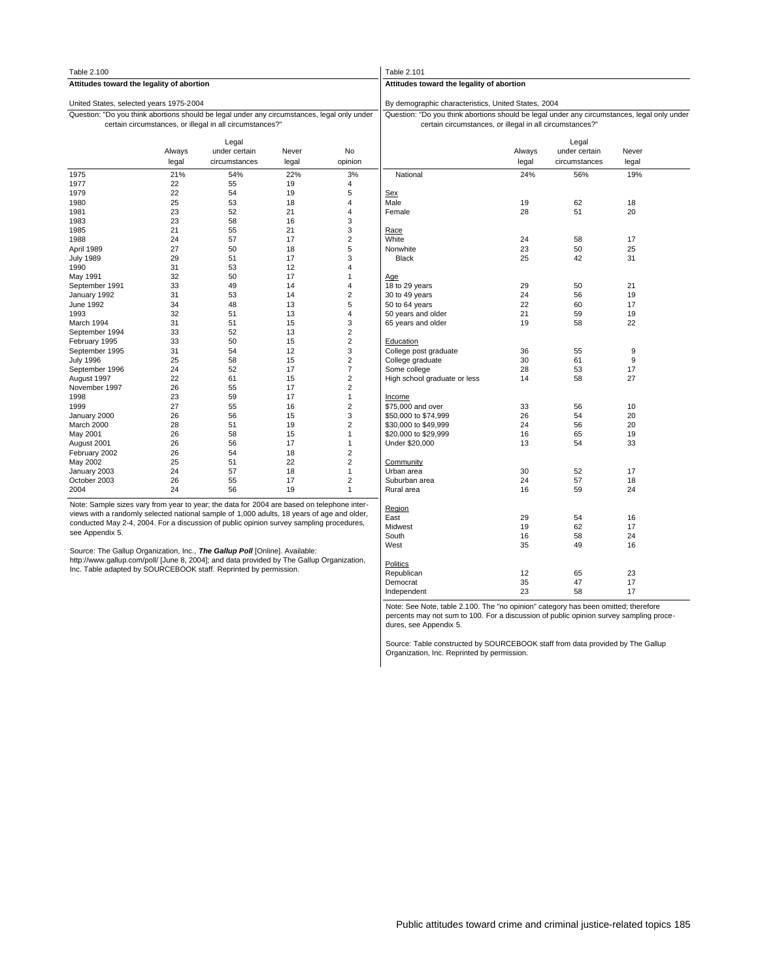| Table 2.100                                                                                                                                                                              |                 |                                                          |                |                         | Table 2.101                                                                                                                                             |                 |                                         |                |  |  |
|------------------------------------------------------------------------------------------------------------------------------------------------------------------------------------------|-----------------|----------------------------------------------------------|----------------|-------------------------|---------------------------------------------------------------------------------------------------------------------------------------------------------|-----------------|-----------------------------------------|----------------|--|--|
| Attitudes toward the legality of abortion                                                                                                                                                |                 |                                                          |                |                         | Attitudes toward the legality of abortion                                                                                                               |                 |                                         |                |  |  |
| United States, selected years 1975-2004                                                                                                                                                  |                 |                                                          |                |                         | By demographic characteristics, United States, 2004                                                                                                     |                 |                                         |                |  |  |
| Question: "Do you think abortions should be legal under any circumstances, legal only under                                                                                              |                 | certain circumstances, or illegal in all circumstances?" |                |                         | Question: "Do you think abortions should be legal under any circumstances, legal only under<br>certain circumstances, or illegal in all circumstances?" |                 |                                         |                |  |  |
|                                                                                                                                                                                          | Always<br>legal | Legal<br>under certain<br>circumstances                  | Never<br>legal | No<br>opinion           |                                                                                                                                                         | Always<br>legal | Legal<br>under certain<br>circumstances | Never<br>legal |  |  |
| 1975                                                                                                                                                                                     | 21%             | 54%                                                      | 22%            | 3%                      | National                                                                                                                                                | 24%             | 56%                                     | 19%            |  |  |
| 1977                                                                                                                                                                                     | 22              | 55                                                       | 19             | 4                       |                                                                                                                                                         |                 |                                         |                |  |  |
| 1979                                                                                                                                                                                     | 22              | 54                                                       | 19             | 5                       | Sex                                                                                                                                                     |                 |                                         |                |  |  |
| 1980                                                                                                                                                                                     | 25              | 53                                                       | 18             | 4                       | Male                                                                                                                                                    | 19              | 62                                      | 18             |  |  |
| 1981                                                                                                                                                                                     | 23              | 52                                                       | 21             | 4                       | Female                                                                                                                                                  | 28              | 51                                      | 20             |  |  |
| 1983                                                                                                                                                                                     | 23              | 58                                                       | 16             | 3                       |                                                                                                                                                         |                 |                                         |                |  |  |
| 1985                                                                                                                                                                                     | 21              | 55                                                       | 21             | 3                       | Race                                                                                                                                                    |                 |                                         |                |  |  |
| 1988                                                                                                                                                                                     | 24              | 57                                                       | 17             | $\overline{2}$          | White                                                                                                                                                   | 24              | 58                                      | 17             |  |  |
| April 1989                                                                                                                                                                               | 27              | 50                                                       | 18             | 5                       | Nonwhite                                                                                                                                                | 23              | 50                                      | 25             |  |  |
| <b>July 1989</b>                                                                                                                                                                         | 29              | 51                                                       | 17             | 3                       | <b>Black</b>                                                                                                                                            | 25              | 42                                      | 31             |  |  |
| 1990                                                                                                                                                                                     | 31              | 53                                                       | 12             | $\overline{\mathbf{4}}$ |                                                                                                                                                         |                 |                                         |                |  |  |
| May 1991                                                                                                                                                                                 | 32              | 50                                                       | 17             | $\mathbf{1}$            | Age                                                                                                                                                     |                 |                                         |                |  |  |
| September 1991                                                                                                                                                                           | 33              | 49                                                       | 14             | $\overline{\mathbf{4}}$ | 18 to 29 years                                                                                                                                          | 29              | 50                                      | 21             |  |  |
| January 1992                                                                                                                                                                             | 31              | 53                                                       | 14             | $\overline{2}$          | 30 to 49 years                                                                                                                                          | 24              | 56                                      | 19             |  |  |
| June 1992                                                                                                                                                                                | 34              | 48                                                       | 13             | 5                       | 50 to 64 years                                                                                                                                          | 22              | 60                                      | 17             |  |  |
| 1993                                                                                                                                                                                     | 32              | 51                                                       | 13             | $\overline{4}$          | 50 years and older                                                                                                                                      | 21              | 59                                      | 19             |  |  |
| March 1994                                                                                                                                                                               | 31              | 51                                                       | 15             | 3                       | 65 years and older                                                                                                                                      | 19              | 58                                      | 22             |  |  |
| September 1994                                                                                                                                                                           | 33              | 52                                                       | 13             | $\overline{2}$          |                                                                                                                                                         |                 |                                         |                |  |  |
| February 1995                                                                                                                                                                            | 33              | 50                                                       | 15             | $\sqrt{2}$              | Education                                                                                                                                               |                 |                                         |                |  |  |
| September 1995                                                                                                                                                                           | 31              | 54                                                       | 12             | 3                       | College post graduate                                                                                                                                   | 36              | 55                                      | 9              |  |  |
| <b>July 1996</b>                                                                                                                                                                         | 25              | 58                                                       | 15             | $\overline{2}$          | College graduate                                                                                                                                        | 30              | 61                                      | 9              |  |  |
| September 1996                                                                                                                                                                           | 24              | 52                                                       | 17             | $\overline{7}$          | Some college                                                                                                                                            | 28              | 53                                      | 17             |  |  |
| August 1997                                                                                                                                                                              | 22              | 61                                                       | 15             | $\overline{2}$          | High school graduate or less                                                                                                                            | 14              | 58                                      | 27             |  |  |
| November 1997                                                                                                                                                                            | 26              | 55                                                       | 17             | $\overline{\mathbf{c}}$ |                                                                                                                                                         |                 |                                         |                |  |  |
| 1998                                                                                                                                                                                     | 23              | 59                                                       | 17             | $\mathbf{1}$            | Income                                                                                                                                                  |                 |                                         |                |  |  |
| 1999                                                                                                                                                                                     | 27              | 55                                                       | 16             | $\overline{2}$          | \$75,000 and over                                                                                                                                       | 33              | 56                                      | 10             |  |  |
| January 2000                                                                                                                                                                             | 26              | 56                                                       | 15             | 3                       | \$50,000 to \$74,999                                                                                                                                    | 26              | 54                                      | 20             |  |  |
| March 2000                                                                                                                                                                               | 28              | 51                                                       | 19             | $\overline{2}$          | \$30,000 to \$49,999                                                                                                                                    | 24              | 56                                      | 20             |  |  |
| May 2001                                                                                                                                                                                 | 26              | 58                                                       | 15             | 1                       | \$20,000 to \$29,999                                                                                                                                    | 16              | 65                                      | 19             |  |  |
| August 2001                                                                                                                                                                              | 26              | 56                                                       | 17             | 1                       | Under \$20,000                                                                                                                                          | 13              | 54                                      | 33             |  |  |
| February 2002                                                                                                                                                                            | 26              | 54                                                       | 18             | $\overline{2}$          |                                                                                                                                                         |                 |                                         |                |  |  |
| May 2002                                                                                                                                                                                 | 25              | 51                                                       | 22             | $\overline{2}$          | Community                                                                                                                                               |                 |                                         |                |  |  |
| January 2003                                                                                                                                                                             | 24              | 57                                                       | 18             | 1                       | Urban area                                                                                                                                              | 30              | 52                                      | 17             |  |  |
| October 2003                                                                                                                                                                             | 26              | 55                                                       | 17             | $\overline{2}$          | Suburban area                                                                                                                                           | 24              | 57                                      | 18             |  |  |
| 2004                                                                                                                                                                                     | 24              | 56                                                       | 19             | $\mathbf{1}$            | Rural area                                                                                                                                              | 16              | 59                                      | 24             |  |  |
| Note: Sample sizes vary from year to year; the data for 2004 are based on telephone inter-<br>views with a randomly selected national sample of 1,000 adults, 18 years of age and older, |                 |                                                          |                |                         | Region<br>East                                                                                                                                          | 29              | 54                                      | 16             |  |  |
| conducted May 2-4, 2004. For a discussion of public opinion survey sampling procedures,                                                                                                  |                 |                                                          |                |                         | Midwest                                                                                                                                                 | 19              | 62                                      | 17             |  |  |
| see Appendix 5.                                                                                                                                                                          |                 |                                                          |                |                         | South                                                                                                                                                   | 16              | 58                                      | 24             |  |  |
|                                                                                                                                                                                          |                 |                                                          |                |                         | West                                                                                                                                                    | 35              | 49                                      | 16             |  |  |
| Source: The Gallup Organization, Inc., The Gallup Poll [Online]. Available:<br>http://www.gallup.com/poll/ [June 8, 2004]; and data provided by The Gallup Organization,                 |                 |                                                          |                |                         |                                                                                                                                                         |                 |                                         |                |  |  |
| Inc. Table adapted by SOURCEBOOK staff. Reprinted by permission.                                                                                                                         |                 |                                                          |                |                         | Politics                                                                                                                                                | 12              | 65                                      | 23             |  |  |
|                                                                                                                                                                                          |                 |                                                          |                |                         | Republican                                                                                                                                              | 35              | 47                                      | 17             |  |  |
|                                                                                                                                                                                          |                 |                                                          |                |                         | Democrat                                                                                                                                                | 23              | 58                                      | 17             |  |  |
|                                                                                                                                                                                          |                 |                                                          |                |                         | Independent                                                                                                                                             |                 |                                         |                |  |  |

Note: See Note, table 2.100. The "no opinion" category has been omitted; therefore percents may not sum to 100. For a discussion of public opinion survey sampling proce-dures, see Appendix 5.

Source: Table constructed by SOURCEBOOK staff from data provided by The Gallup Organization, Inc. Reprinted by permission.